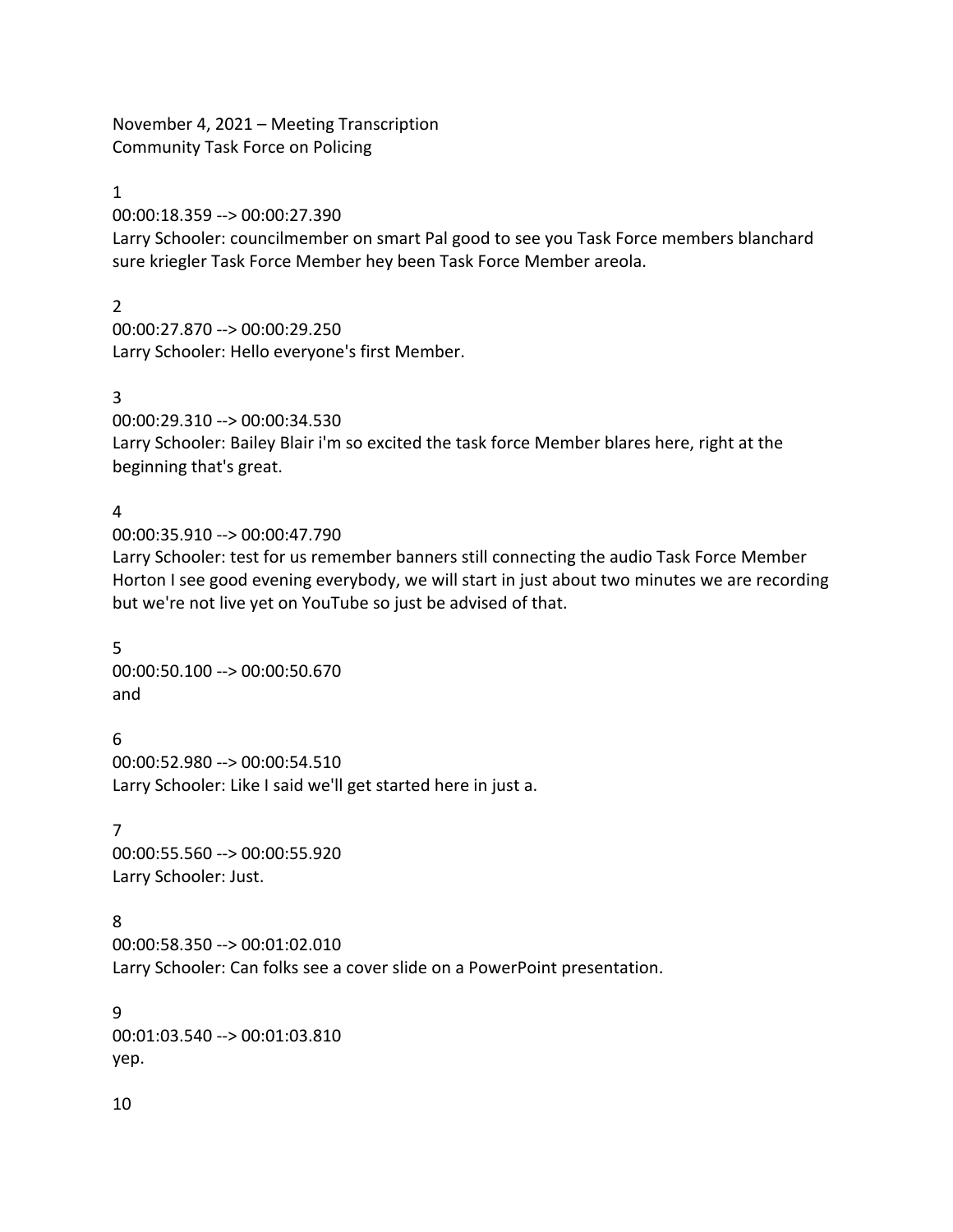November 4, 2021 – Meeting Transcription Community Task Force on Policing

1

00:00:18.359 --> 00:00:27.390

Larry Schooler: councilmember on smart Pal good to see you Task Force members blanchard sure kriegler Task Force Member hey been Task Force Member areola.

2

00:00:27.870 --> 00:00:29.250 Larry Schooler: Hello everyone's first Member.

3

00:00:29.310 --> 00:00:34.530

Larry Schooler: Bailey Blair i'm so excited the task force Member blares here, right at the beginning that's great.

4

00:00:35.910 --> 00:00:47.790

Larry Schooler: test for us remember banners still connecting the audio Task Force Member Horton I see good evening everybody, we will start in just about two minutes we are recording but we're not live yet on YouTube so just be advised of that.

5 00:00:50.100 --> 00:00:50.670 and

6 00:00:52.980 --> 00:00:54.510 Larry Schooler: Like I said we'll get started here in just a.

7 00:00:55.560 --> 00:00:55.920 Larry Schooler: Just.

8

00:00:58.350 --> 00:01:02.010

Larry Schooler: Can folks see a cover slide on a PowerPoint presentation.

9 00:01:03.540 --> 00:01:03.810 yep.

10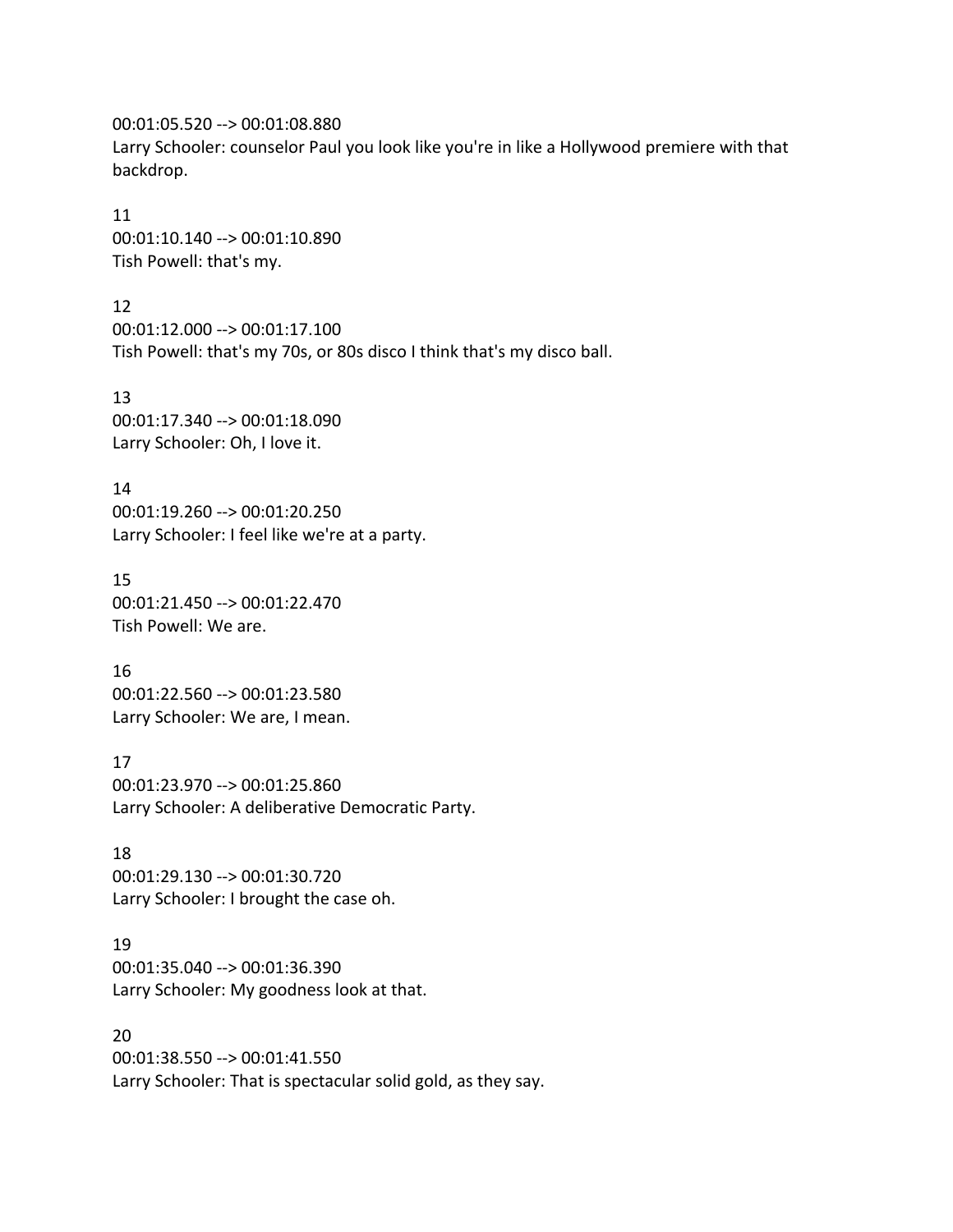00:01:05.520 --> 00:01:08.880 Larry Schooler: counselor Paul you look like you're in like a Hollywood premiere with that backdrop.

11 00:01:10.140 --> 00:01:10.890 Tish Powell: that's my.

12 00:01:12.000 --> 00:01:17.100 Tish Powell: that's my 70s, or 80s disco I think that's my disco ball.

13 00:01:17.340 --> 00:01:18.090 Larry Schooler: Oh, I love it.

14 00:01:19.260 --> 00:01:20.250 Larry Schooler: I feel like we're at a party.

15 00:01:21.450 --> 00:01:22.470 Tish Powell: We are.

16 00:01:22.560 --> 00:01:23.580 Larry Schooler: We are, I mean.

17 00:01:23.970 --> 00:01:25.860 Larry Schooler: A deliberative Democratic Party.

18 00:01:29.130 --> 00:01:30.720 Larry Schooler: I brought the case oh.

19 00:01:35.040 --> 00:01:36.390 Larry Schooler: My goodness look at that.

20 00:01:38.550 --> 00:01:41.550 Larry Schooler: That is spectacular solid gold, as they say.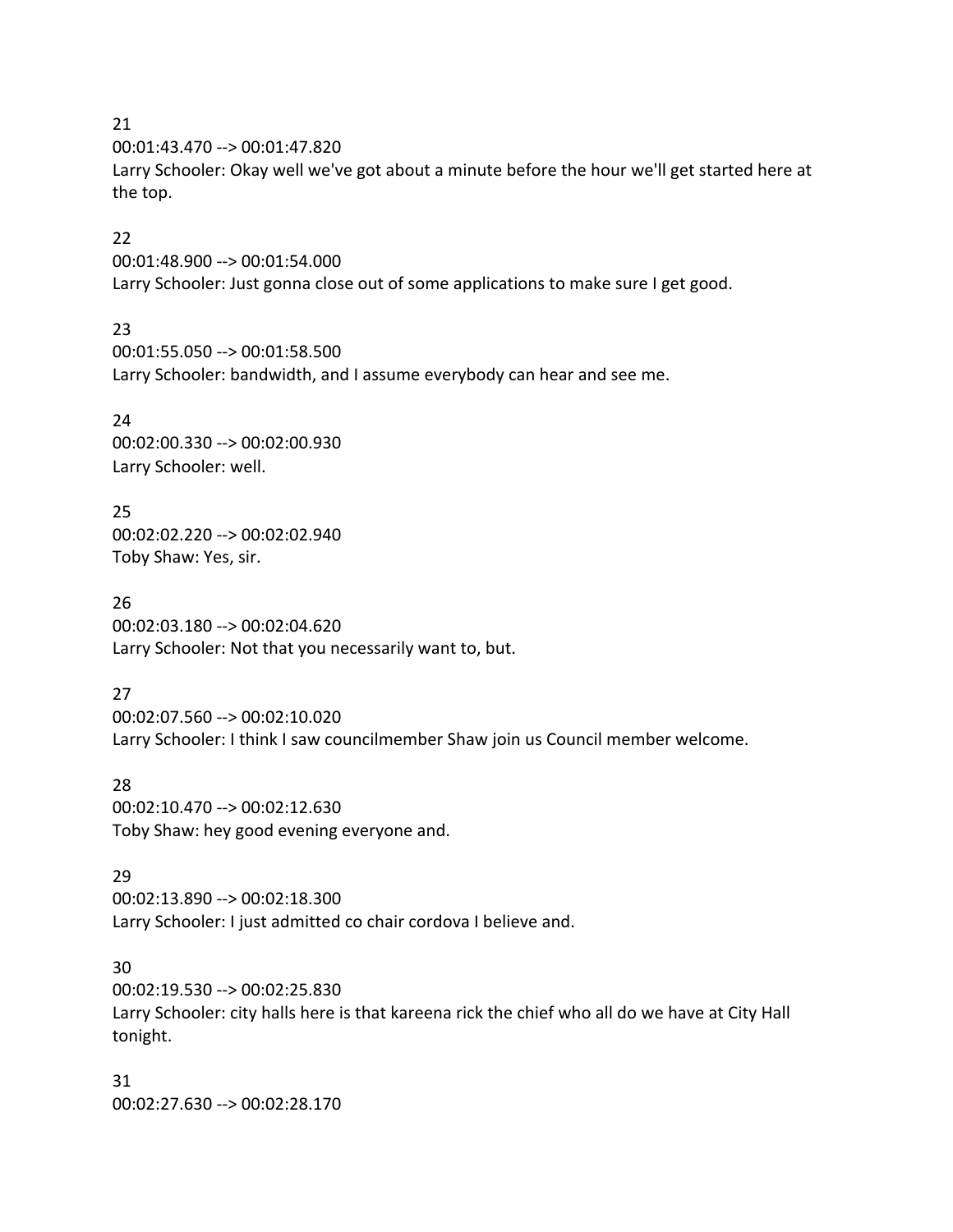00:01:43.470 --> 00:01:47.820

Larry Schooler: Okay well we've got about a minute before the hour we'll get started here at the top.

### 22

00:01:48.900 --> 00:01:54.000 Larry Schooler: Just gonna close out of some applications to make sure I get good.

#### 23

00:01:55.050 --> 00:01:58.500 Larry Schooler: bandwidth, and I assume everybody can hear and see me.

24 00:02:00.330 --> 00:02:00.930 Larry Schooler: well.

25 00:02:02.220 --> 00:02:02.940 Toby Shaw: Yes, sir.

26 00:02:03.180 --> 00:02:04.620 Larry Schooler: Not that you necessarily want to, but.

27 00:02:07.560 --> 00:02:10.020 Larry Schooler: I think I saw councilmember Shaw join us Council member welcome.

28 00:02:10.470 --> 00:02:12.630 Toby Shaw: hey good evening everyone and.

#### 29

00:02:13.890 --> 00:02:18.300 Larry Schooler: I just admitted co chair cordova I believe and.

### 30

00:02:19.530 --> 00:02:25.830 Larry Schooler: city halls here is that kareena rick the chief who all do we have at City Hall tonight.

31 00:02:27.630 --> 00:02:28.170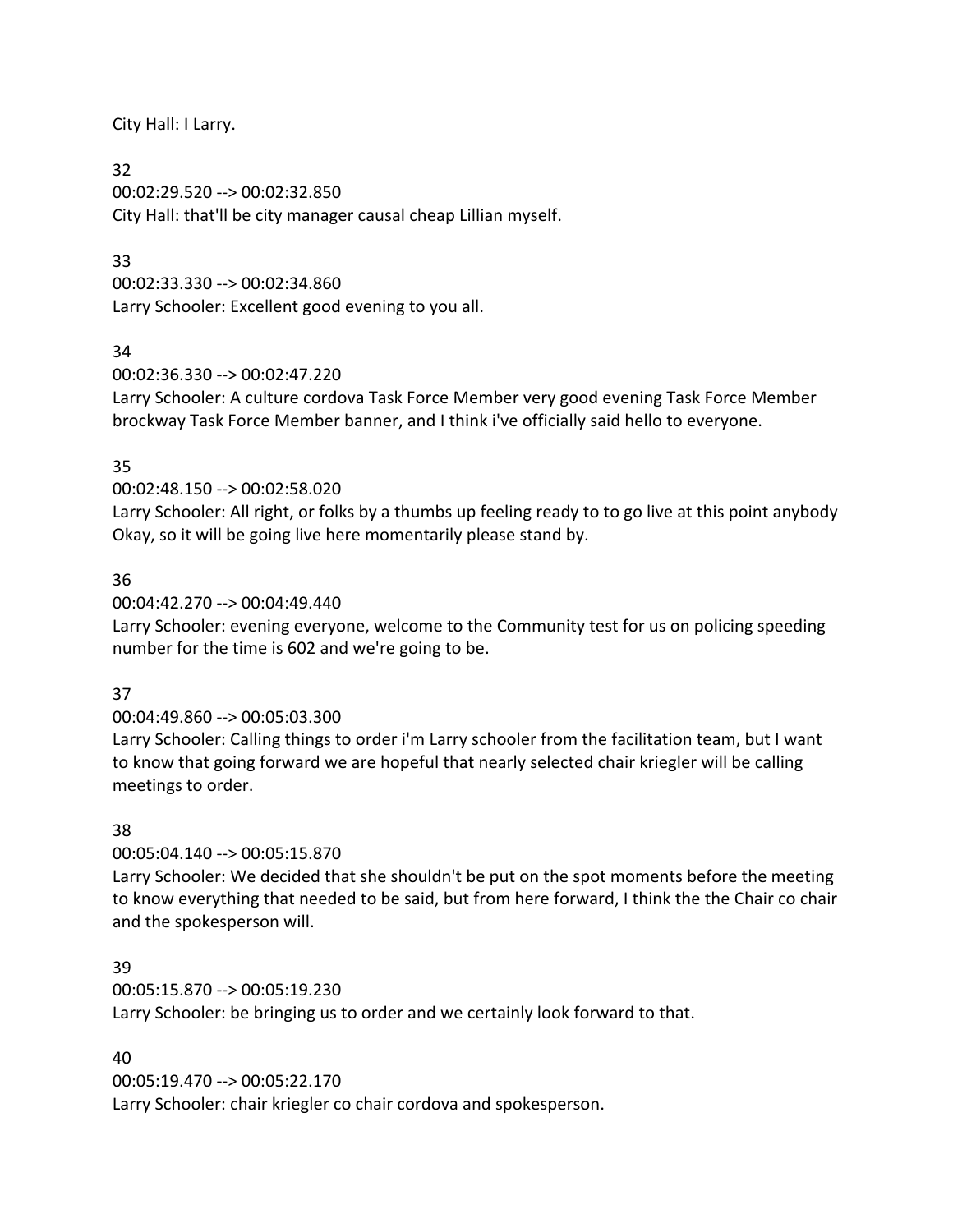City Hall: I Larry.

32 00:02:29.520 --> 00:02:32.850 City Hall: that'll be city manager causal cheap Lillian myself.

### 33

00:02:33.330 --> 00:02:34.860 Larry Schooler: Excellent good evening to you all.

### 34

00:02:36.330 --> 00:02:47.220

Larry Schooler: A culture cordova Task Force Member very good evening Task Force Member brockway Task Force Member banner, and I think i've officially said hello to everyone.

### 35

00:02:48.150 --> 00:02:58.020

Larry Schooler: All right, or folks by a thumbs up feeling ready to to go live at this point anybody Okay, so it will be going live here momentarily please stand by.

### 36

00:04:42.270 --> 00:04:49.440

Larry Schooler: evening everyone, welcome to the Community test for us on policing speeding number for the time is 602 and we're going to be.

# 37

00:04:49.860 --> 00:05:03.300

Larry Schooler: Calling things to order i'm Larry schooler from the facilitation team, but I want to know that going forward we are hopeful that nearly selected chair kriegler will be calling meetings to order.

# 38

00:05:04.140 --> 00:05:15.870

Larry Schooler: We decided that she shouldn't be put on the spot moments before the meeting to know everything that needed to be said, but from here forward, I think the the Chair co chair and the spokesperson will.

# 39

00:05:15.870 --> 00:05:19.230 Larry Schooler: be bringing us to order and we certainly look forward to that.

# 40

00:05:19.470 --> 00:05:22.170 Larry Schooler: chair kriegler co chair cordova and spokesperson.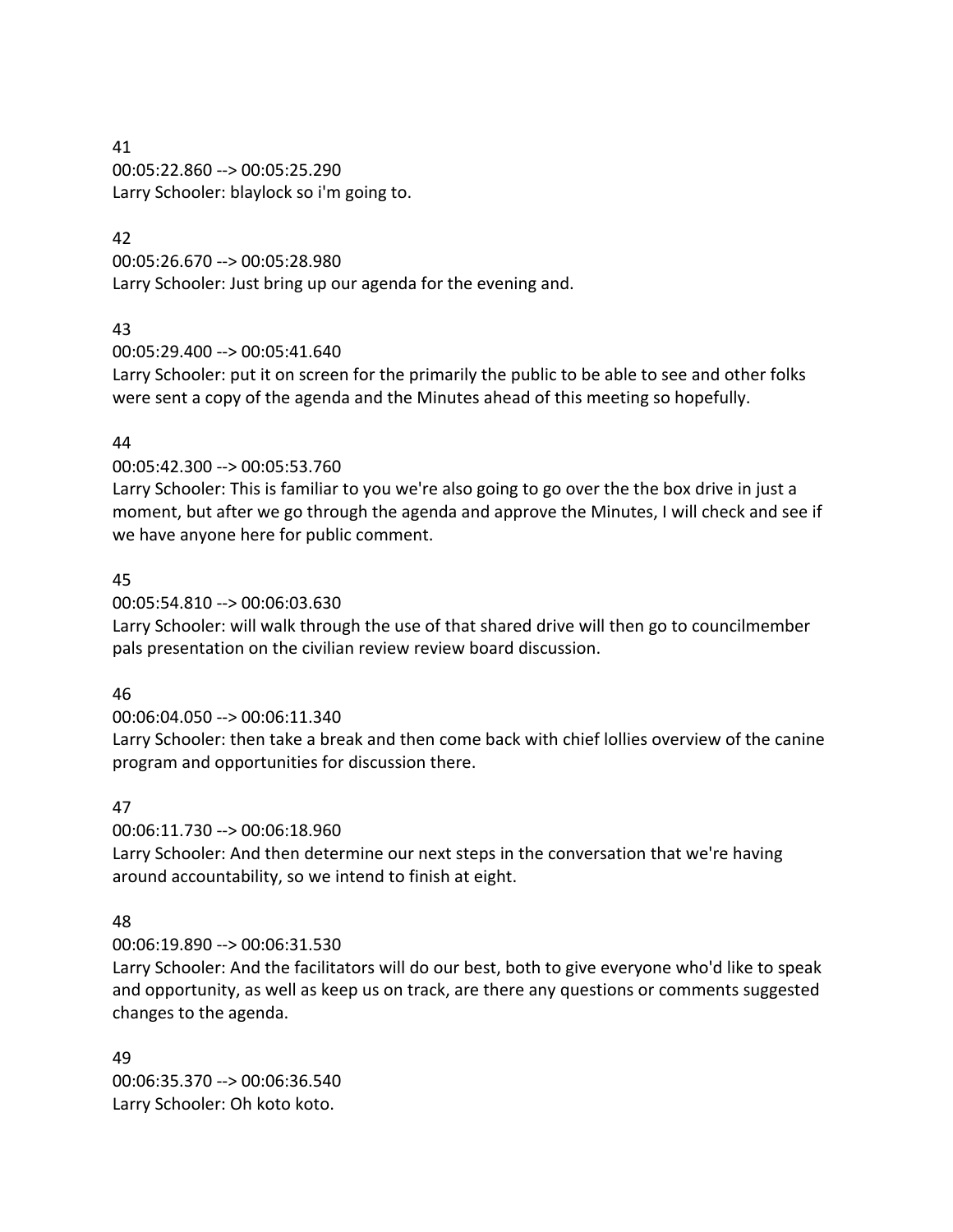41 00:05:22.860 --> 00:05:25.290 Larry Schooler: blaylock so i'm going to.

# 42

00:05:26.670 --> 00:05:28.980 Larry Schooler: Just bring up our agenda for the evening and.

# 43

00:05:29.400 --> 00:05:41.640

Larry Schooler: put it on screen for the primarily the public to be able to see and other folks were sent a copy of the agenda and the Minutes ahead of this meeting so hopefully.

# 44

00:05:42.300 --> 00:05:53.760

Larry Schooler: This is familiar to you we're also going to go over the the box drive in just a moment, but after we go through the agenda and approve the Minutes, I will check and see if we have anyone here for public comment.

# 45

00:05:54.810 --> 00:06:03.630

Larry Schooler: will walk through the use of that shared drive will then go to councilmember pals presentation on the civilian review review board discussion.

# 46

00:06:04.050 --> 00:06:11.340

Larry Schooler: then take a break and then come back with chief lollies overview of the canine program and opportunities for discussion there.

# 47

00:06:11.730 --> 00:06:18.960

Larry Schooler: And then determine our next steps in the conversation that we're having around accountability, so we intend to finish at eight.

# 48

00:06:19.890 --> 00:06:31.530

Larry Schooler: And the facilitators will do our best, both to give everyone who'd like to speak and opportunity, as well as keep us on track, are there any questions or comments suggested changes to the agenda.

49 00:06:35.370 --> 00:06:36.540 Larry Schooler: Oh koto koto.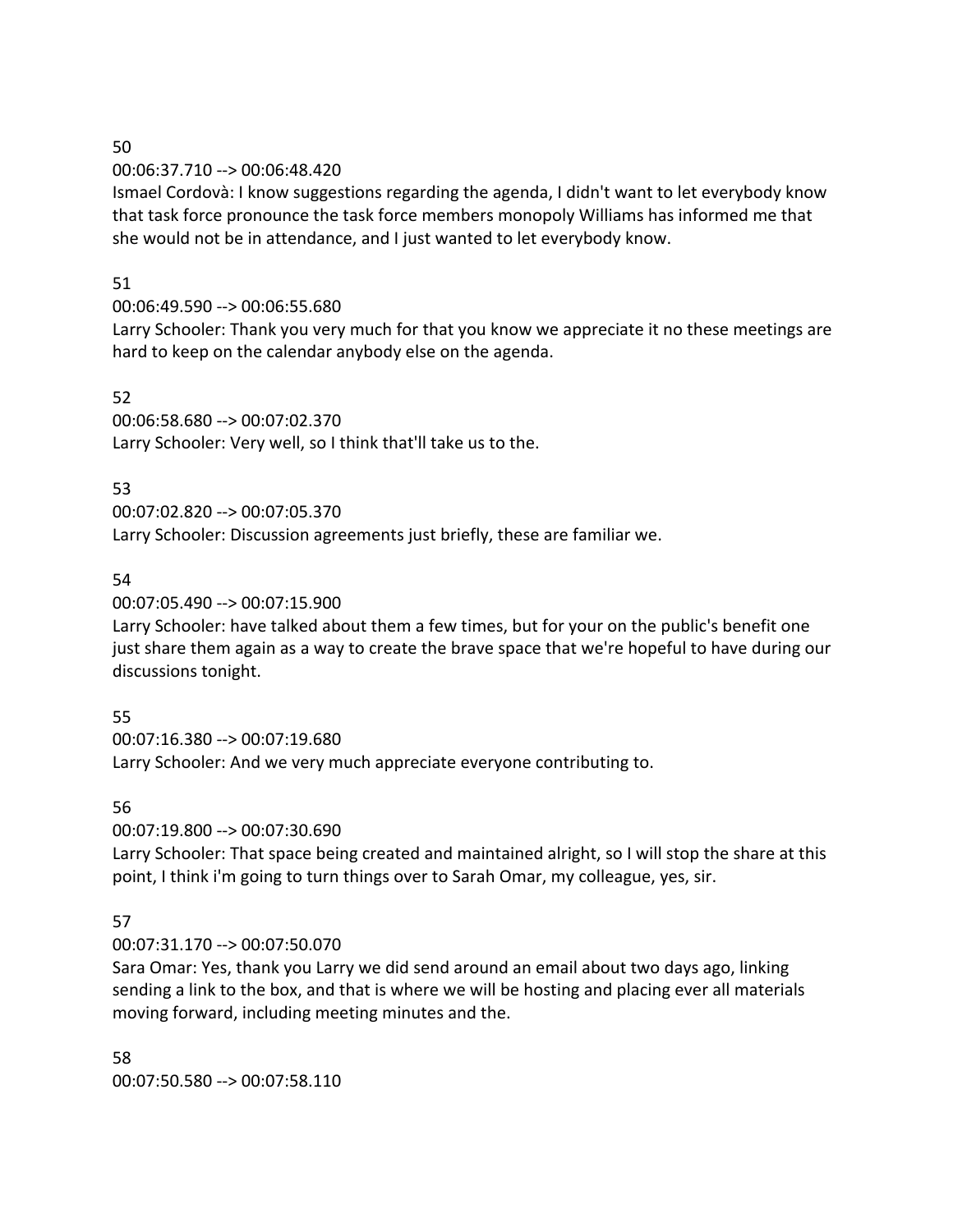00:06:37.710 --> 00:06:48.420

Ismael Cordovà: I know suggestions regarding the agenda, I didn't want to let everybody know that task force pronounce the task force members monopoly Williams has informed me that she would not be in attendance, and I just wanted to let everybody know.

### 51

### 00:06:49.590 --> 00:06:55.680

Larry Schooler: Thank you very much for that you know we appreciate it no these meetings are hard to keep on the calendar anybody else on the agenda.

#### 52

00:06:58.680 --> 00:07:02.370 Larry Schooler: Very well, so I think that'll take us to the.

### 53

00:07:02.820 --> 00:07:05.370

Larry Schooler: Discussion agreements just briefly, these are familiar we.

### 54

00:07:05.490 --> 00:07:15.900

Larry Schooler: have talked about them a few times, but for your on the public's benefit one just share them again as a way to create the brave space that we're hopeful to have during our discussions tonight.

# 55

00:07:16.380 --> 00:07:19.680 Larry Schooler: And we very much appreciate everyone contributing to.

#### 56

00:07:19.800 --> 00:07:30.690

Larry Schooler: That space being created and maintained alright, so I will stop the share at this point, I think i'm going to turn things over to Sarah Omar, my colleague, yes, sir.

# 57

00:07:31.170 --> 00:07:50.070

Sara Omar: Yes, thank you Larry we did send around an email about two days ago, linking sending a link to the box, and that is where we will be hosting and placing ever all materials moving forward, including meeting minutes and the.

58 00:07:50.580 --> 00:07:58.110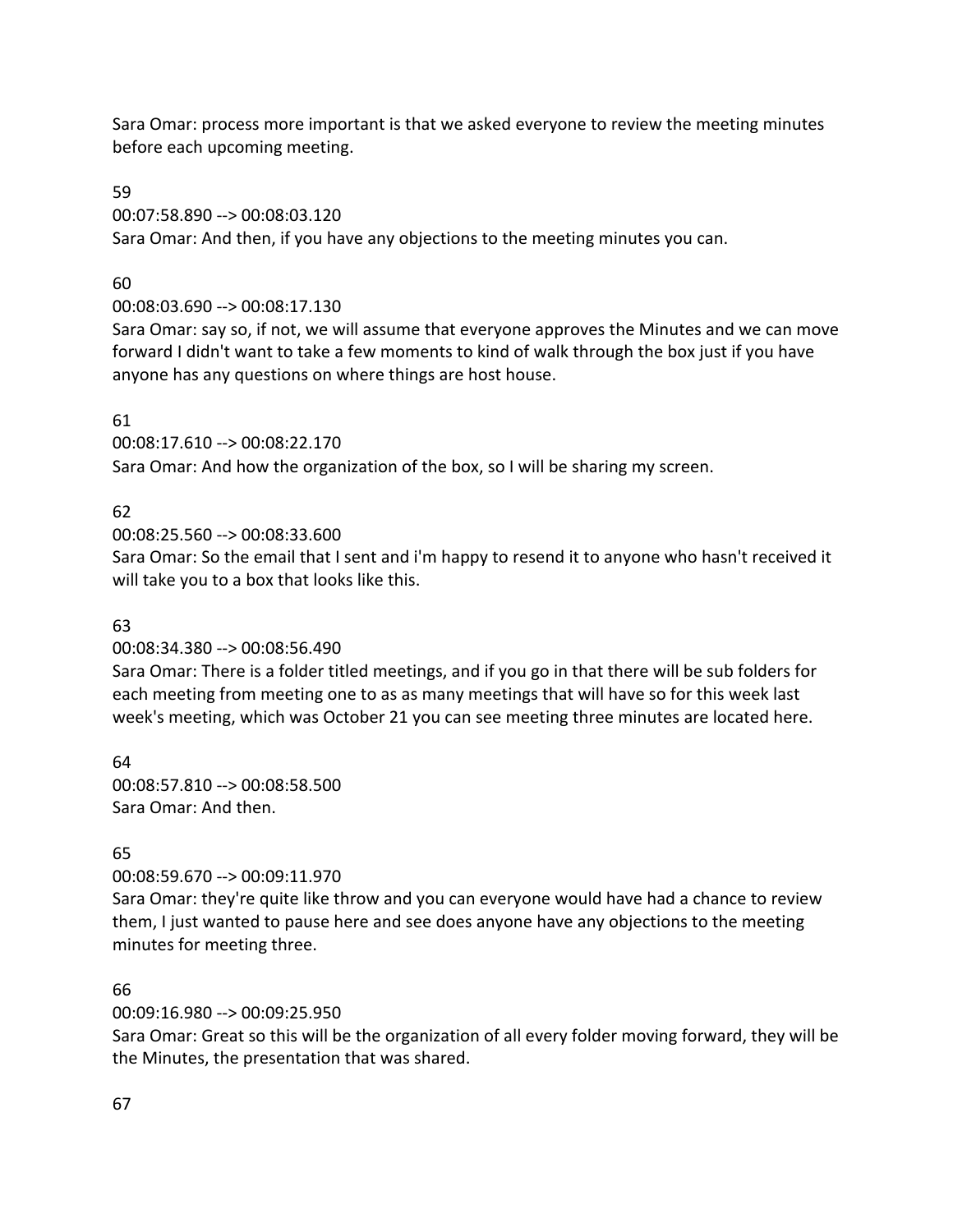Sara Omar: process more important is that we asked everyone to review the meeting minutes before each upcoming meeting.

59

00:07:58.890 --> 00:08:03.120

Sara Omar: And then, if you have any objections to the meeting minutes you can.

# 60

00:08:03.690 --> 00:08:17.130

Sara Omar: say so, if not, we will assume that everyone approves the Minutes and we can move forward I didn't want to take a few moments to kind of walk through the box just if you have anyone has any questions on where things are host house.

# 61

00:08:17.610 --> 00:08:22.170 Sara Omar: And how the organization of the box, so I will be sharing my screen.

# 62

00:08:25.560 --> 00:08:33.600

Sara Omar: So the email that I sent and i'm happy to resend it to anyone who hasn't received it will take you to a box that looks like this.

# 63

00:08:34.380 --> 00:08:56.490

Sara Omar: There is a folder titled meetings, and if you go in that there will be sub folders for each meeting from meeting one to as as many meetings that will have so for this week last week's meeting, which was October 21 you can see meeting three minutes are located here.

64 00:08:57.810 --> 00:08:58.500 Sara Omar: And then.

# 65

00:08:59.670 --> 00:09:11.970

Sara Omar: they're quite like throw and you can everyone would have had a chance to review them, I just wanted to pause here and see does anyone have any objections to the meeting minutes for meeting three.

# 66

00:09:16.980 --> 00:09:25.950

Sara Omar: Great so this will be the organization of all every folder moving forward, they will be the Minutes, the presentation that was shared.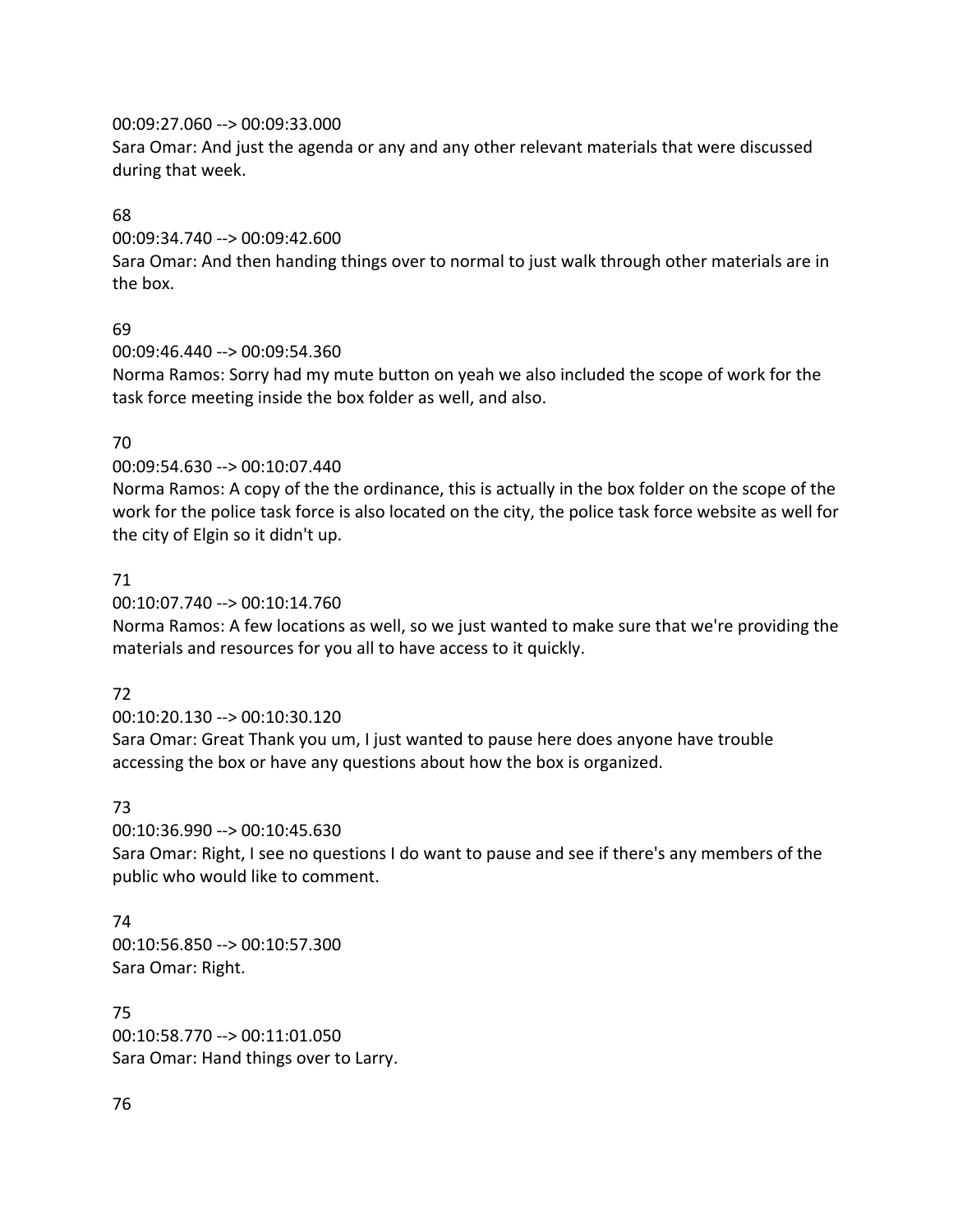### 00:09:27.060 --> 00:09:33.000

Sara Omar: And just the agenda or any and any other relevant materials that were discussed during that week.

### 68

00:09:34.740 --> 00:09:42.600

Sara Omar: And then handing things over to normal to just walk through other materials are in the box.

# 69

00:09:46.440 --> 00:09:54.360

Norma Ramos: Sorry had my mute button on yeah we also included the scope of work for the task force meeting inside the box folder as well, and also.

# 70

# 00:09:54.630 --> 00:10:07.440

Norma Ramos: A copy of the the ordinance, this is actually in the box folder on the scope of the work for the police task force is also located on the city, the police task force website as well for the city of Elgin so it didn't up.

# 71

00:10:07.740 --> 00:10:14.760

Norma Ramos: A few locations as well, so we just wanted to make sure that we're providing the materials and resources for you all to have access to it quickly.

# 72

# 00:10:20.130 --> 00:10:30.120

Sara Omar: Great Thank you um, I just wanted to pause here does anyone have trouble accessing the box or have any questions about how the box is organized.

# 73

00:10:36.990 --> 00:10:45.630

Sara Omar: Right, I see no questions I do want to pause and see if there's any members of the public who would like to comment.

# 74

00:10:56.850 --> 00:10:57.300 Sara Omar: Right.

75 00:10:58.770 --> 00:11:01.050 Sara Omar: Hand things over to Larry.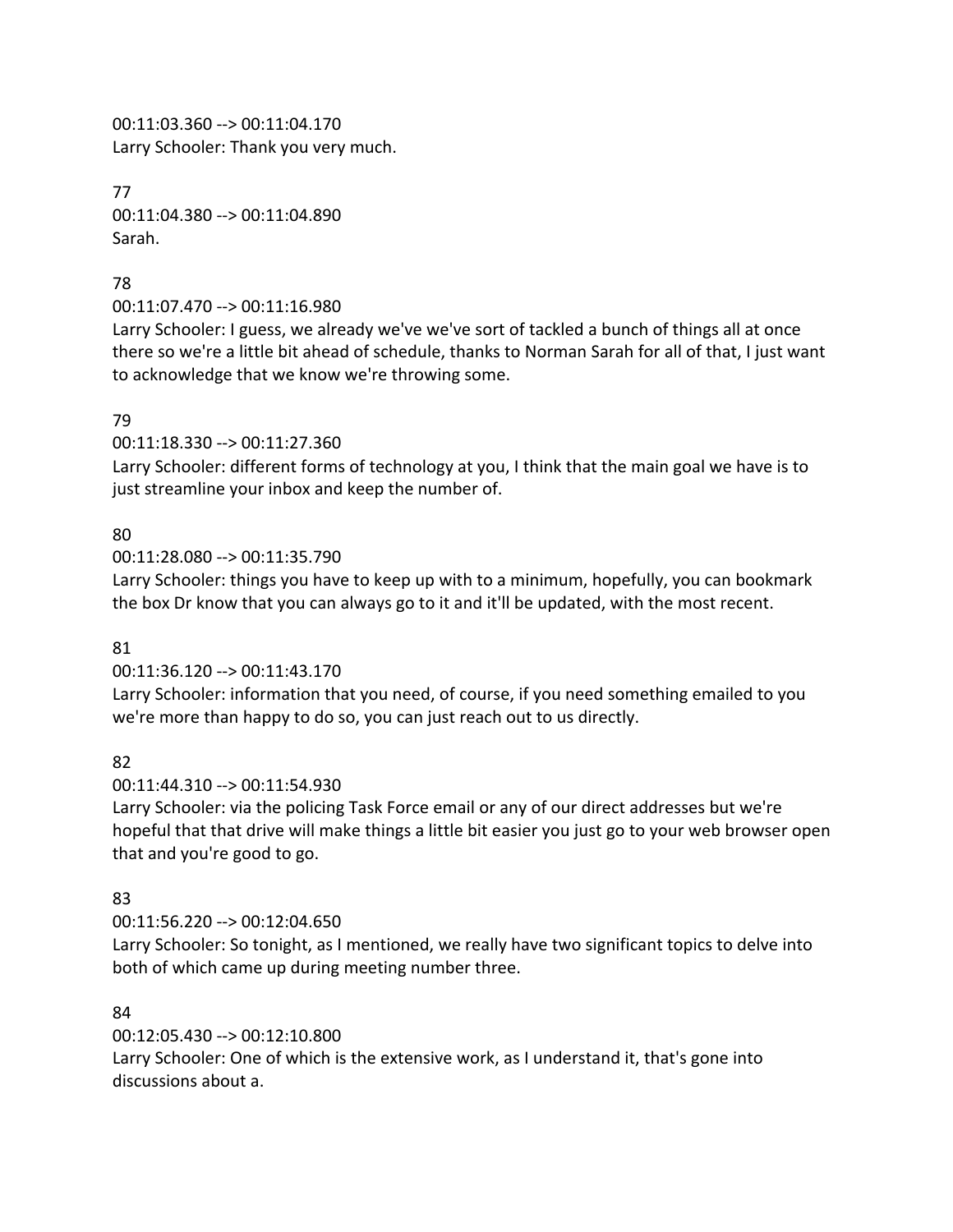00:11:03.360 --> 00:11:04.170 Larry Schooler: Thank you very much.

77 00:11:04.380 --> 00:11:04.890 Sarah.

### 78

00:11:07.470 --> 00:11:16.980

Larry Schooler: I guess, we already we've we've sort of tackled a bunch of things all at once there so we're a little bit ahead of schedule, thanks to Norman Sarah for all of that, I just want to acknowledge that we know we're throwing some.

### 79

00:11:18.330 --> 00:11:27.360

Larry Schooler: different forms of technology at you, I think that the main goal we have is to just streamline your inbox and keep the number of.

# 80

00:11:28.080 --> 00:11:35.790

Larry Schooler: things you have to keep up with to a minimum, hopefully, you can bookmark the box Dr know that you can always go to it and it'll be updated, with the most recent.

# 81

00:11:36.120 --> 00:11:43.170

Larry Schooler: information that you need, of course, if you need something emailed to you we're more than happy to do so, you can just reach out to us directly.

# 82

00:11:44.310 --> 00:11:54.930

Larry Schooler: via the policing Task Force email or any of our direct addresses but we're hopeful that that drive will make things a little bit easier you just go to your web browser open that and you're good to go.

# 83

# 00:11:56.220 --> 00:12:04.650

Larry Schooler: So tonight, as I mentioned, we really have two significant topics to delve into both of which came up during meeting number three.

# 84

00:12:05.430 --> 00:12:10.800 Larry Schooler: One of which is the extensive work, as I understand it, that's gone into discussions about a.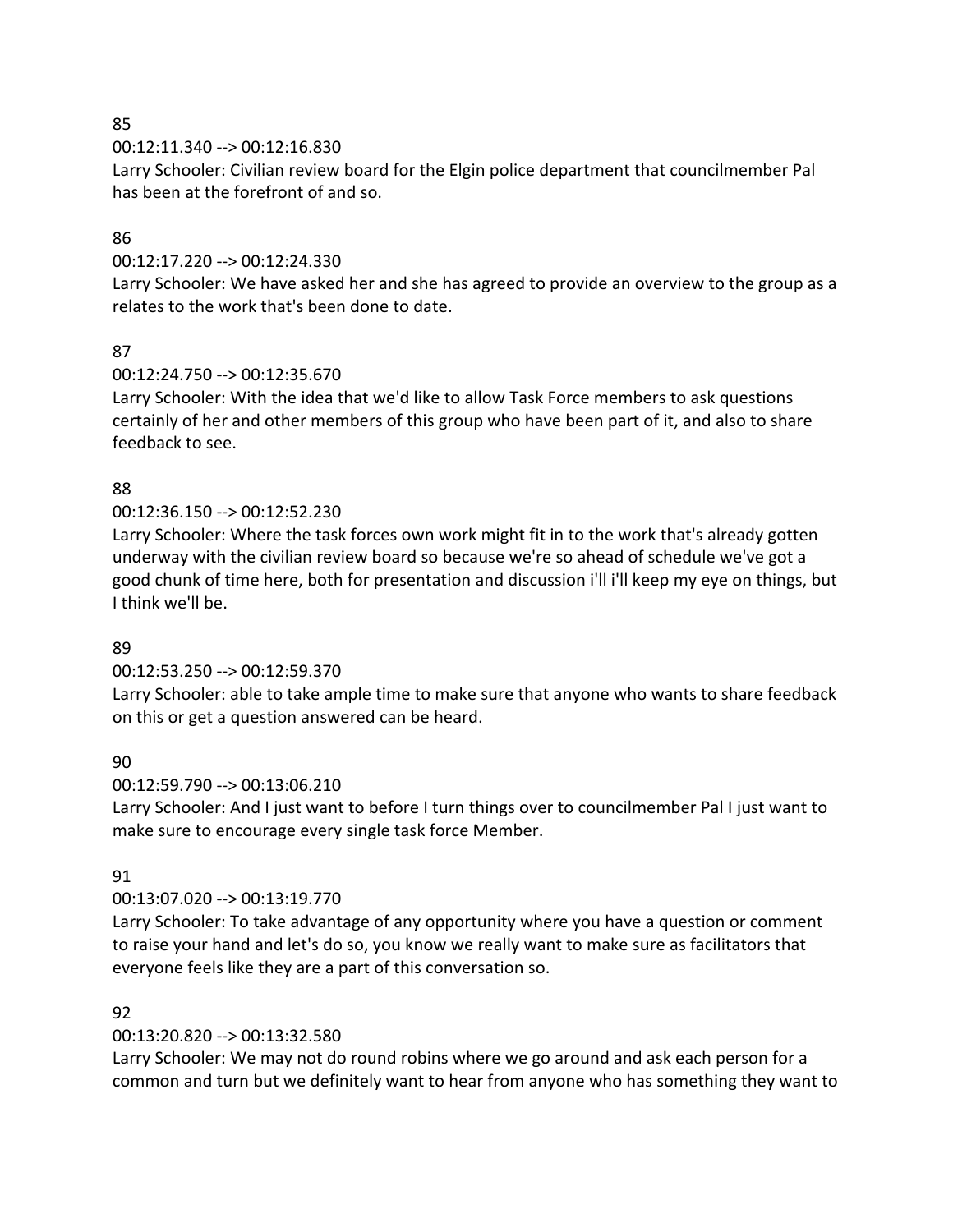00:12:11.340 --> 00:12:16.830

Larry Schooler: Civilian review board for the Elgin police department that councilmember Pal has been at the forefront of and so.

# 86

# 00:12:17.220 --> 00:12:24.330

Larry Schooler: We have asked her and she has agreed to provide an overview to the group as a relates to the work that's been done to date.

# 87

# 00:12:24.750 --> 00:12:35.670

Larry Schooler: With the idea that we'd like to allow Task Force members to ask questions certainly of her and other members of this group who have been part of it, and also to share feedback to see.

# 88

# 00:12:36.150 --> 00:12:52.230

Larry Schooler: Where the task forces own work might fit in to the work that's already gotten underway with the civilian review board so because we're so ahead of schedule we've got a good chunk of time here, both for presentation and discussion i'll i'll keep my eye on things, but I think we'll be.

# 89

# 00:12:53.250 --> 00:12:59.370

Larry Schooler: able to take ample time to make sure that anyone who wants to share feedback on this or get a question answered can be heard.

# 90

# 00:12:59.790 --> 00:13:06.210

Larry Schooler: And I just want to before I turn things over to councilmember Pal I just want to make sure to encourage every single task force Member.

# 91

# 00:13:07.020 --> 00:13:19.770

Larry Schooler: To take advantage of any opportunity where you have a question or comment to raise your hand and let's do so, you know we really want to make sure as facilitators that everyone feels like they are a part of this conversation so.

# 92

# 00:13:20.820 --> 00:13:32.580

Larry Schooler: We may not do round robins where we go around and ask each person for a common and turn but we definitely want to hear from anyone who has something they want to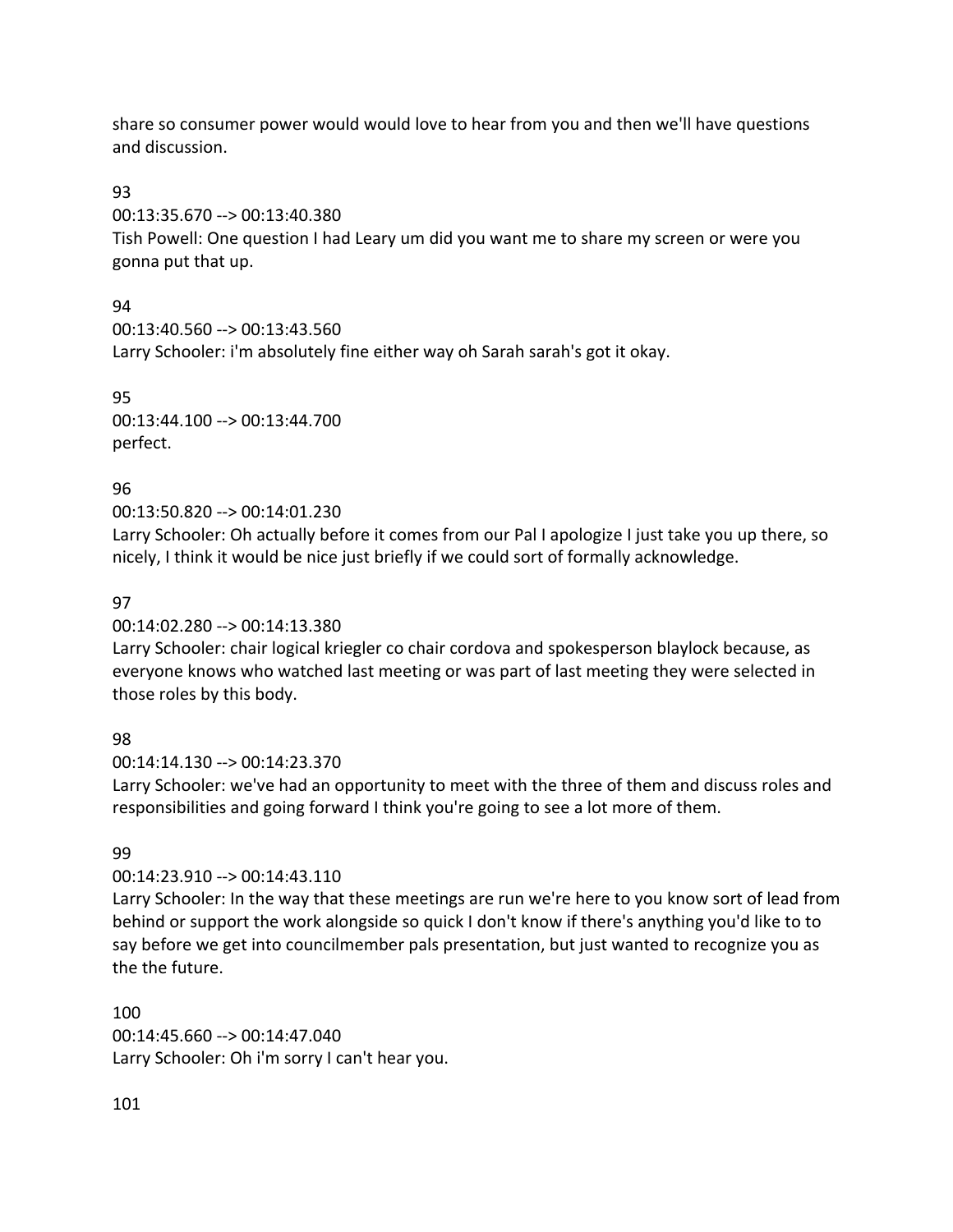share so consumer power would would love to hear from you and then we'll have questions and discussion.

93

00:13:35.670 --> 00:13:40.380

Tish Powell: One question I had Leary um did you want me to share my screen or were you gonna put that up.

94

00:13:40.560 --> 00:13:43.560 Larry Schooler: i'm absolutely fine either way oh Sarah sarah's got it okay.

95 00:13:44.100 --> 00:13:44.700 perfect.

# 96

00:13:50.820 --> 00:14:01.230

Larry Schooler: Oh actually before it comes from our Pal I apologize I just take you up there, so nicely, I think it would be nice just briefly if we could sort of formally acknowledge.

# 97

00:14:02.280 --> 00:14:13.380

Larry Schooler: chair logical kriegler co chair cordova and spokesperson blaylock because, as everyone knows who watched last meeting or was part of last meeting they were selected in those roles by this body.

# 98

00:14:14.130 --> 00:14:23.370

Larry Schooler: we've had an opportunity to meet with the three of them and discuss roles and responsibilities and going forward I think you're going to see a lot more of them.

# 99

# 00:14:23.910 --> 00:14:43.110

Larry Schooler: In the way that these meetings are run we're here to you know sort of lead from behind or support the work alongside so quick I don't know if there's anything you'd like to to say before we get into councilmember pals presentation, but just wanted to recognize you as the the future.

100 00:14:45.660 --> 00:14:47.040 Larry Schooler: Oh i'm sorry I can't hear you.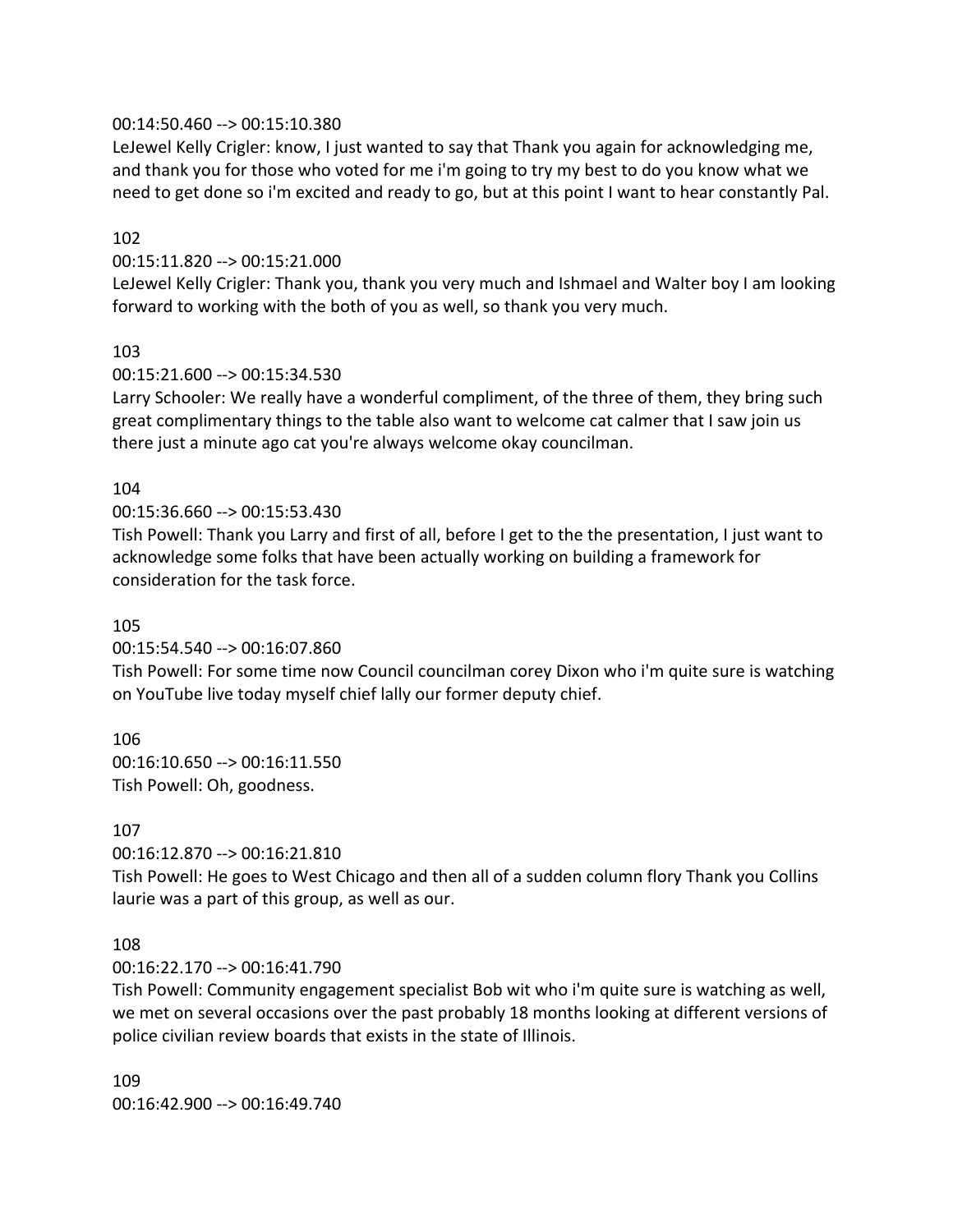### 00:14:50.460 --> 00:15:10.380

LeJewel Kelly Crigler: know, I just wanted to say that Thank you again for acknowledging me, and thank you for those who voted for me i'm going to try my best to do you know what we need to get done so i'm excited and ready to go, but at this point I want to hear constantly Pal.

### 102

### 00:15:11.820 --> 00:15:21.000

LeJewel Kelly Crigler: Thank you, thank you very much and Ishmael and Walter boy I am looking forward to working with the both of you as well, so thank you very much.

#### 103

#### 00:15:21.600 --> 00:15:34.530

Larry Schooler: We really have a wonderful compliment, of the three of them, they bring such great complimentary things to the table also want to welcome cat calmer that I saw join us there just a minute ago cat you're always welcome okay councilman.

#### 104

### 00:15:36.660 --> 00:15:53.430

Tish Powell: Thank you Larry and first of all, before I get to the the presentation, I just want to acknowledge some folks that have been actually working on building a framework for consideration for the task force.

#### 105

00:15:54.540 --> 00:16:07.860

Tish Powell: For some time now Council councilman corey Dixon who i'm quite sure is watching on YouTube live today myself chief lally our former deputy chief.

106 00:16:10.650 --> 00:16:11.550 Tish Powell: Oh, goodness.

#### 107

00:16:12.870 --> 00:16:21.810

Tish Powell: He goes to West Chicago and then all of a sudden column flory Thank you Collins laurie was a part of this group, as well as our.

#### 108

00:16:22.170 --> 00:16:41.790

Tish Powell: Community engagement specialist Bob wit who i'm quite sure is watching as well, we met on several occasions over the past probably 18 months looking at different versions of police civilian review boards that exists in the state of Illinois.

109 00:16:42.900 --> 00:16:49.740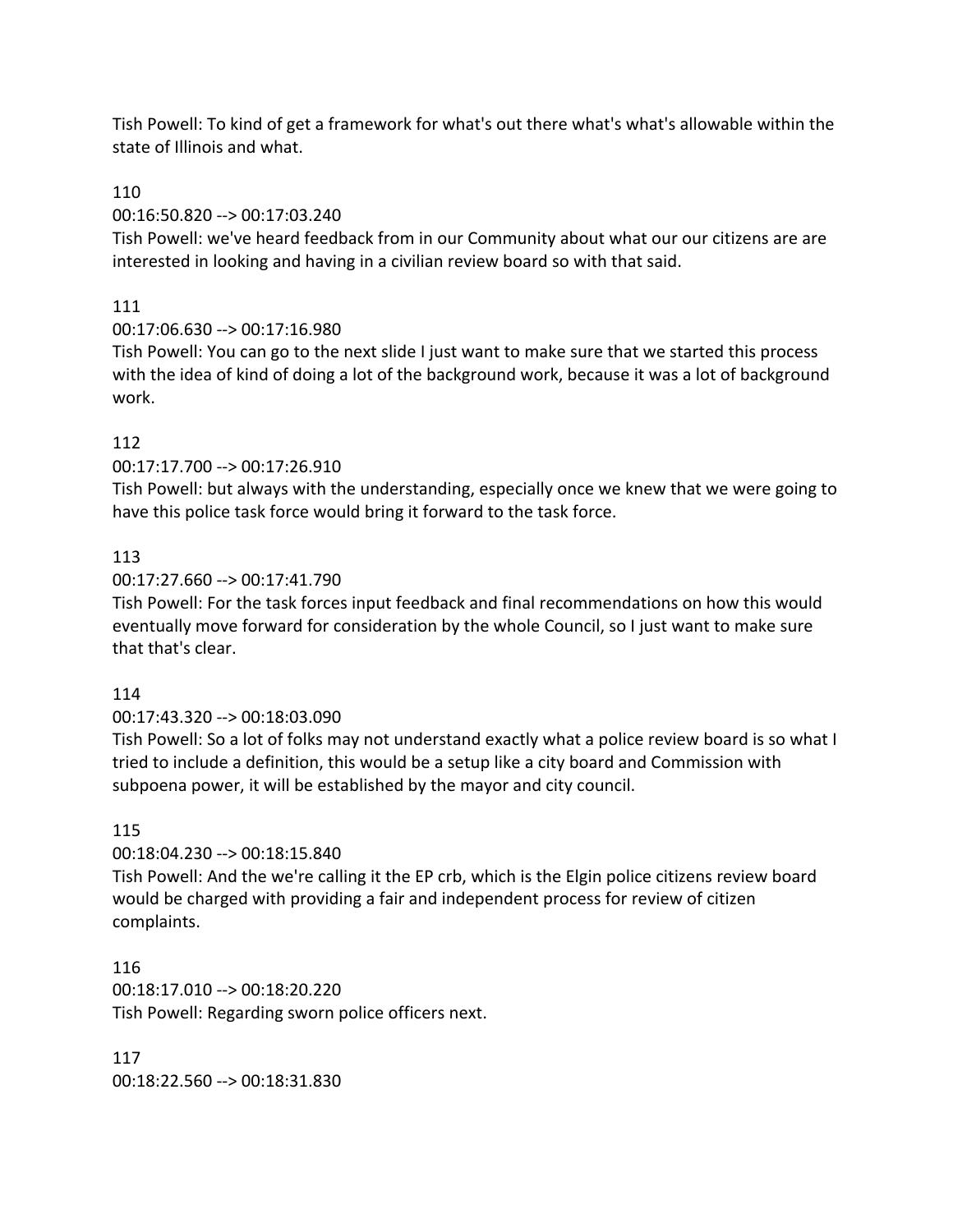Tish Powell: To kind of get a framework for what's out there what's what's allowable within the state of Illinois and what.

# 110

# 00:16:50.820 --> 00:17:03.240

Tish Powell: we've heard feedback from in our Community about what our our citizens are are interested in looking and having in a civilian review board so with that said.

# 111

# 00:17:06.630 --> 00:17:16.980

Tish Powell: You can go to the next slide I just want to make sure that we started this process with the idea of kind of doing a lot of the background work, because it was a lot of background work.

# 112

# 00:17:17.700 --> 00:17:26.910

Tish Powell: but always with the understanding, especially once we knew that we were going to have this police task force would bring it forward to the task force.

# 113

# 00:17:27.660 --> 00:17:41.790

Tish Powell: For the task forces input feedback and final recommendations on how this would eventually move forward for consideration by the whole Council, so I just want to make sure that that's clear.

# 114

# 00:17:43.320 --> 00:18:03.090

Tish Powell: So a lot of folks may not understand exactly what a police review board is so what I tried to include a definition, this would be a setup like a city board and Commission with subpoena power, it will be established by the mayor and city council.

# 115

# 00:18:04.230 --> 00:18:15.840

Tish Powell: And the we're calling it the EP crb, which is the Elgin police citizens review board would be charged with providing a fair and independent process for review of citizen complaints.

116 00:18:17.010 --> 00:18:20.220 Tish Powell: Regarding sworn police officers next.

117 00:18:22.560 --> 00:18:31.830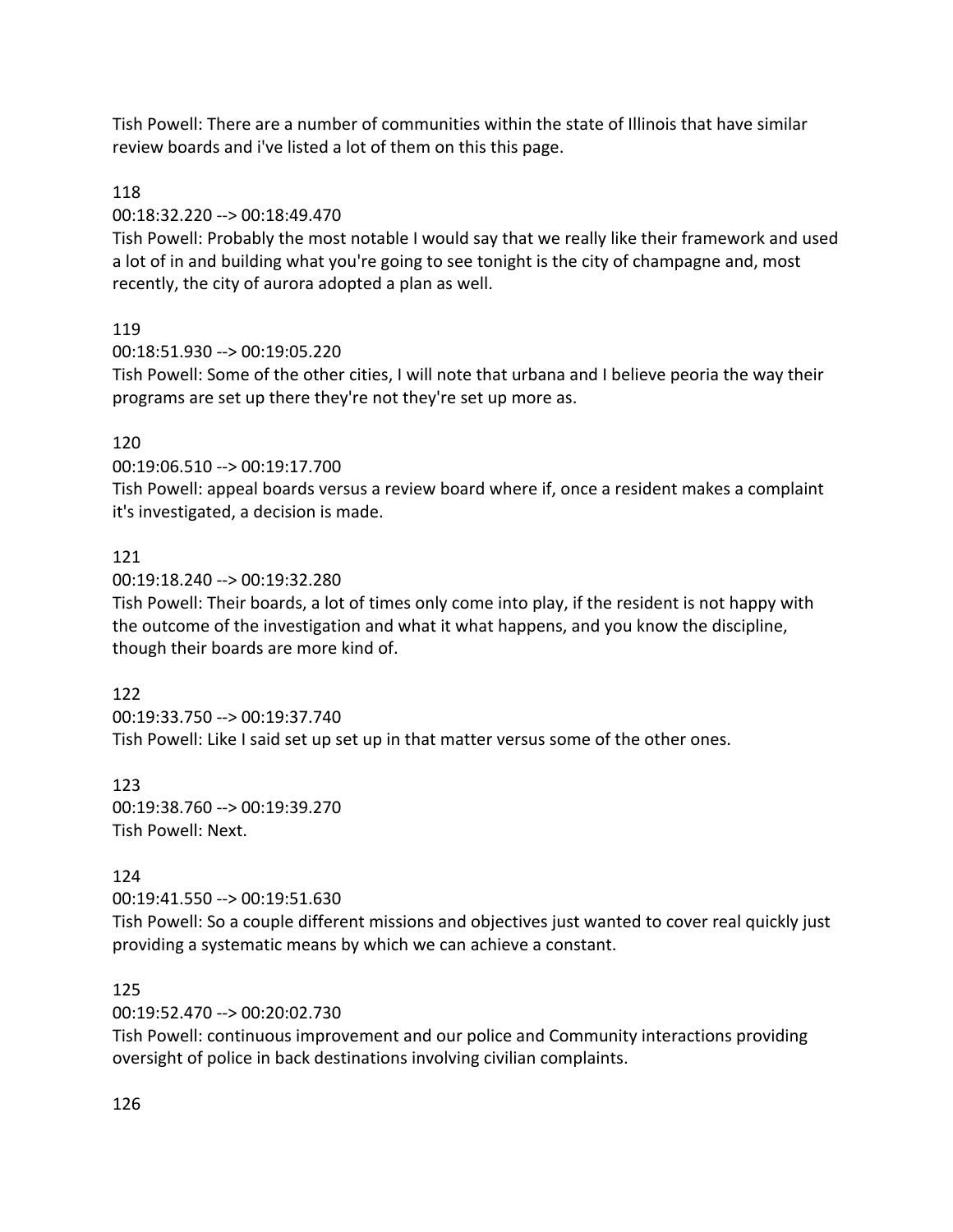Tish Powell: There are a number of communities within the state of Illinois that have similar review boards and i've listed a lot of them on this this page.

# 118

00:18:32.220 --> 00:18:49.470

Tish Powell: Probably the most notable I would say that we really like their framework and used a lot of in and building what you're going to see tonight is the city of champagne and, most recently, the city of aurora adopted a plan as well.

# 119

00:18:51.930 --> 00:19:05.220

Tish Powell: Some of the other cities, I will note that urbana and I believe peoria the way their programs are set up there they're not they're set up more as.

# 120

00:19:06.510 --> 00:19:17.700

Tish Powell: appeal boards versus a review board where if, once a resident makes a complaint it's investigated, a decision is made.

# 121

00:19:18.240 --> 00:19:32.280

Tish Powell: Their boards, a lot of times only come into play, if the resident is not happy with the outcome of the investigation and what it what happens, and you know the discipline, though their boards are more kind of.

# 122

00:19:33.750 --> 00:19:37.740

Tish Powell: Like I said set up set up in that matter versus some of the other ones.

123 00:19:38.760 --> 00:19:39.270 Tish Powell: Next.

# 124

00:19:41.550 --> 00:19:51.630

Tish Powell: So a couple different missions and objectives just wanted to cover real quickly just providing a systematic means by which we can achieve a constant.

# 125

00:19:52.470 --> 00:20:02.730

Tish Powell: continuous improvement and our police and Community interactions providing oversight of police in back destinations involving civilian complaints.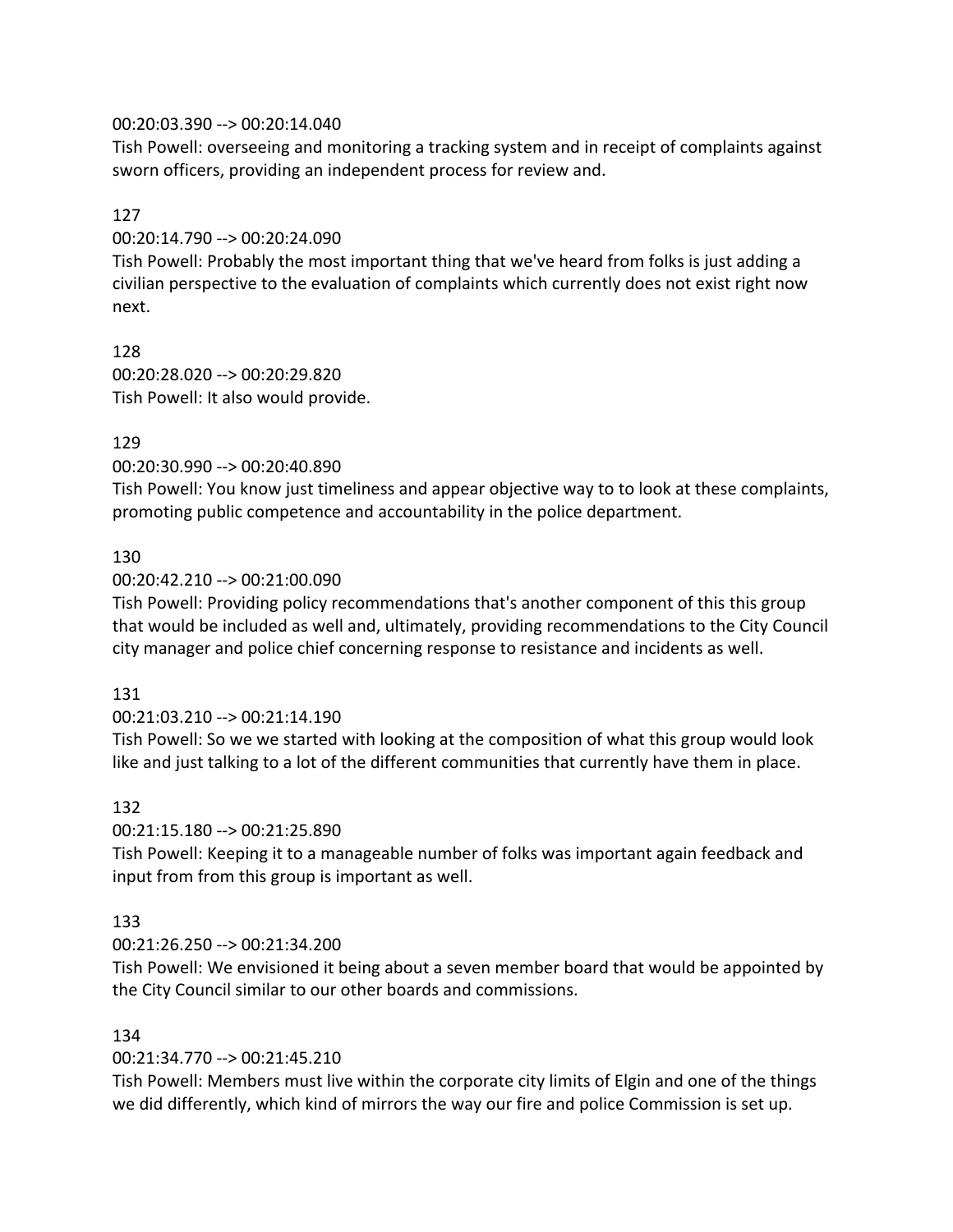### 00:20:03.390 --> 00:20:14.040

Tish Powell: overseeing and monitoring a tracking system and in receipt of complaints against sworn officers, providing an independent process for review and.

### 127

00:20:14.790 --> 00:20:24.090

Tish Powell: Probably the most important thing that we've heard from folks is just adding a civilian perspective to the evaluation of complaints which currently does not exist right now next.

128 00:20:28.020 --> 00:20:29.820 Tish Powell: It also would provide.

# 129

00:20:30.990 --> 00:20:40.890

Tish Powell: You know just timeliness and appear objective way to to look at these complaints, promoting public competence and accountability in the police department.

# 130

### 00:20:42.210 --> 00:21:00.090

Tish Powell: Providing policy recommendations that's another component of this this group that would be included as well and, ultimately, providing recommendations to the City Council city manager and police chief concerning response to resistance and incidents as well.

# 131

# 00:21:03.210 --> 00:21:14.190

Tish Powell: So we we started with looking at the composition of what this group would look like and just talking to a lot of the different communities that currently have them in place.

# 132

# 00:21:15.180 --> 00:21:25.890

Tish Powell: Keeping it to a manageable number of folks was important again feedback and input from from this group is important as well.

# 133

# 00:21:26.250 --> 00:21:34.200

Tish Powell: We envisioned it being about a seven member board that would be appointed by the City Council similar to our other boards and commissions.

# 134

# 00:21:34.770 --> 00:21:45.210

Tish Powell: Members must live within the corporate city limits of Elgin and one of the things we did differently, which kind of mirrors the way our fire and police Commission is set up.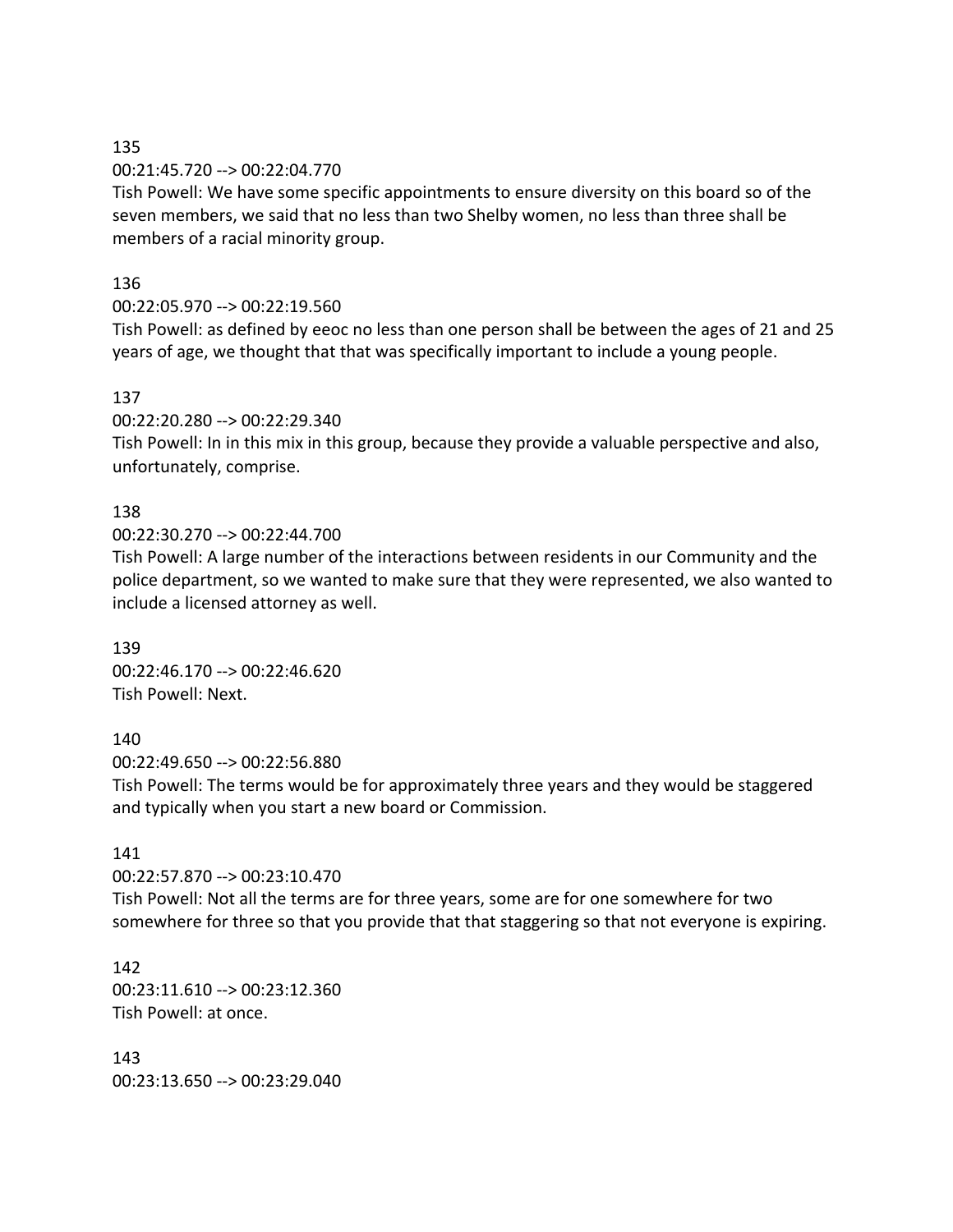#### 00:21:45.720 --> 00:22:04.770

Tish Powell: We have some specific appointments to ensure diversity on this board so of the seven members, we said that no less than two Shelby women, no less than three shall be members of a racial minority group.

### 136

# 00:22:05.970 --> 00:22:19.560

Tish Powell: as defined by eeoc no less than one person shall be between the ages of 21 and 25 years of age, we thought that that was specifically important to include a young people.

### 137

00:22:20.280 --> 00:22:29.340

Tish Powell: In in this mix in this group, because they provide a valuable perspective and also, unfortunately, comprise.

# 138

00:22:30.270 --> 00:22:44.700

Tish Powell: A large number of the interactions between residents in our Community and the police department, so we wanted to make sure that they were represented, we also wanted to include a licensed attorney as well.

139 00:22:46.170 --> 00:22:46.620 Tish Powell: Next.

# 140

00:22:49.650 --> 00:22:56.880

Tish Powell: The terms would be for approximately three years and they would be staggered and typically when you start a new board or Commission.

# 141

00:22:57.870 --> 00:23:10.470

Tish Powell: Not all the terms are for three years, some are for one somewhere for two somewhere for three so that you provide that that staggering so that not everyone is expiring.

142 00:23:11.610 --> 00:23:12.360 Tish Powell: at once.

143 00:23:13.650 --> 00:23:29.040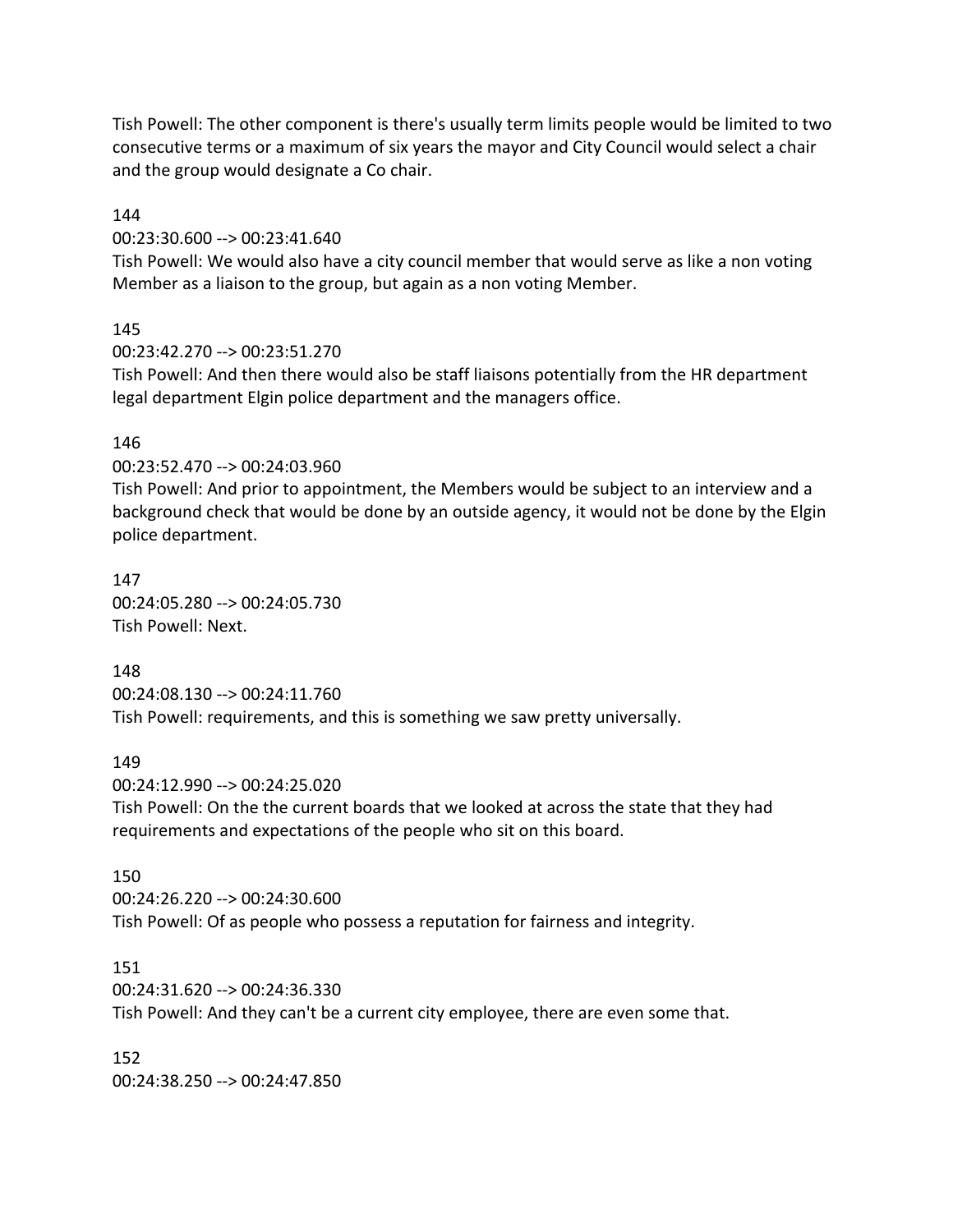Tish Powell: The other component is there's usually term limits people would be limited to two consecutive terms or a maximum of six years the mayor and City Council would select a chair and the group would designate a Co chair.

144

00:23:30.600 --> 00:23:41.640

Tish Powell: We would also have a city council member that would serve as like a non voting Member as a liaison to the group, but again as a non voting Member.

145

00:23:42.270 --> 00:23:51.270

Tish Powell: And then there would also be staff liaisons potentially from the HR department legal department Elgin police department and the managers office.

#### 146

00:23:52.470 --> 00:24:03.960

Tish Powell: And prior to appointment, the Members would be subject to an interview and a background check that would be done by an outside agency, it would not be done by the Elgin police department.

147 00:24:05.280 --> 00:24:05.730 Tish Powell: Next.

148

00:24:08.130 --> 00:24:11.760 Tish Powell: requirements, and this is something we saw pretty universally.

149

00:24:12.990 --> 00:24:25.020

Tish Powell: On the the current boards that we looked at across the state that they had requirements and expectations of the people who sit on this board.

#### 150

00:24:26.220 --> 00:24:30.600 Tish Powell: Of as people who possess a reputation for fairness and integrity.

#### 151

00:24:31.620 --> 00:24:36.330

Tish Powell: And they can't be a current city employee, there are even some that.

152 00:24:38.250 --> 00:24:47.850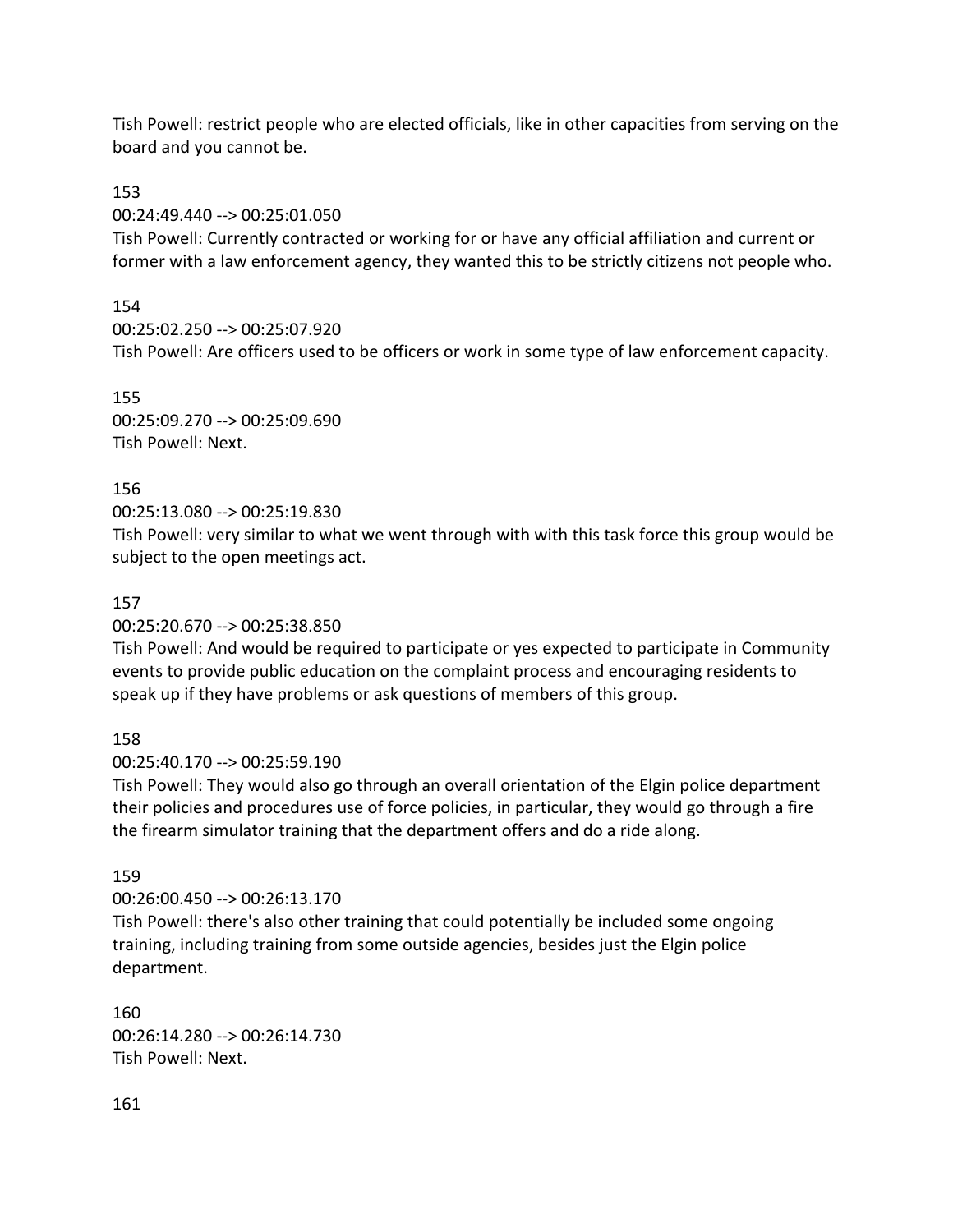Tish Powell: restrict people who are elected officials, like in other capacities from serving on the board and you cannot be.

# 153

# 00:24:49.440 --> 00:25:01.050

Tish Powell: Currently contracted or working for or have any official affiliation and current or former with a law enforcement agency, they wanted this to be strictly citizens not people who.

# 154

00:25:02.250 --> 00:25:07.920 Tish Powell: Are officers used to be officers or work in some type of law enforcement capacity.

155 00:25:09.270 --> 00:25:09.690 Tish Powell: Next.

# 156

# 00:25:13.080 --> 00:25:19.830

Tish Powell: very similar to what we went through with with this task force this group would be subject to the open meetings act.

# 157

00:25:20.670 --> 00:25:38.850

Tish Powell: And would be required to participate or yes expected to participate in Community events to provide public education on the complaint process and encouraging residents to speak up if they have problems or ask questions of members of this group.

# 158

00:25:40.170 --> 00:25:59.190

Tish Powell: They would also go through an overall orientation of the Elgin police department their policies and procedures use of force policies, in particular, they would go through a fire the firearm simulator training that the department offers and do a ride along.

# 159

00:26:00.450 --> 00:26:13.170

Tish Powell: there's also other training that could potentially be included some ongoing training, including training from some outside agencies, besides just the Elgin police department.

160 00:26:14.280 --> 00:26:14.730 Tish Powell: Next.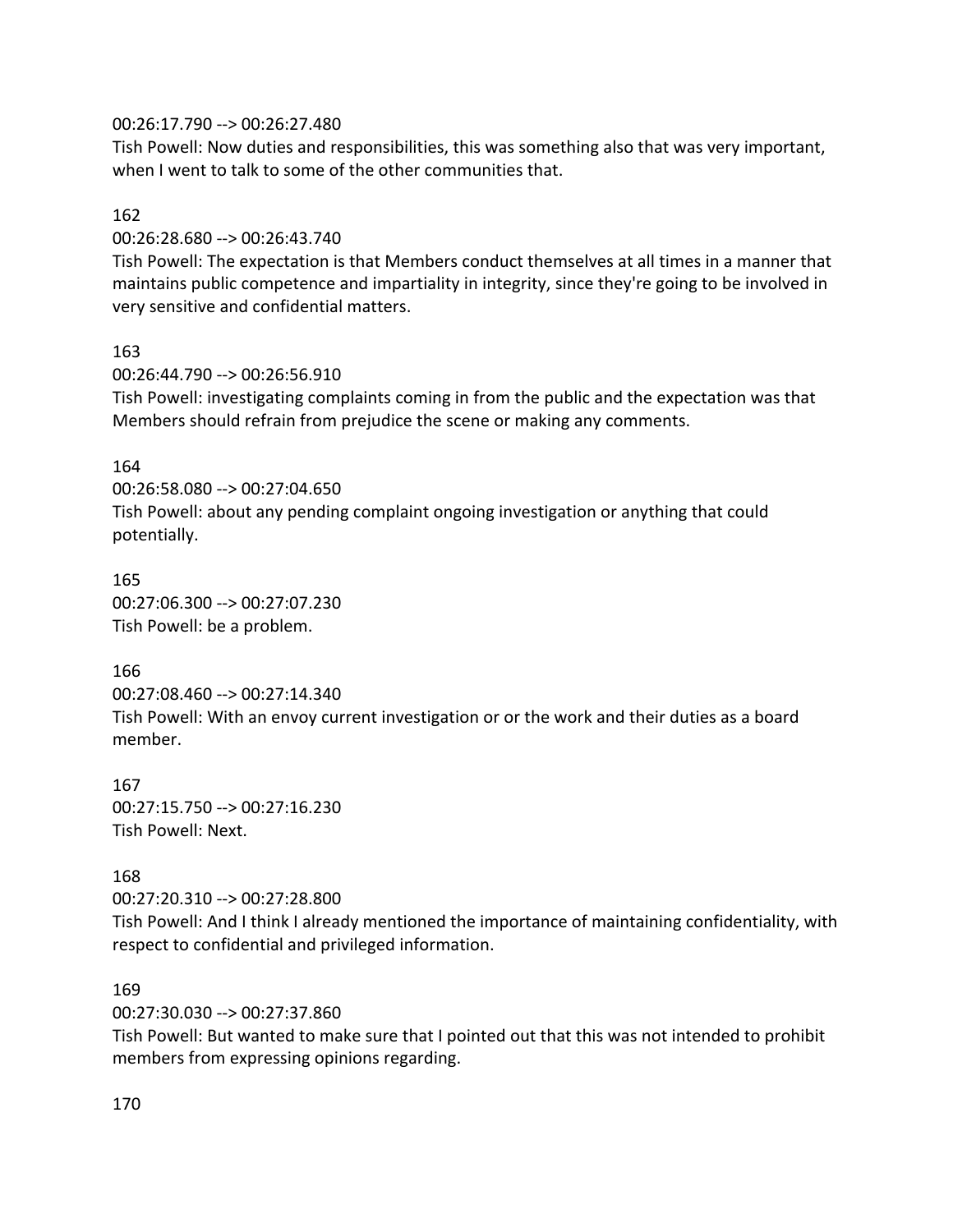#### 00:26:17.790 --> 00:26:27.480

Tish Powell: Now duties and responsibilities, this was something also that was very important, when I went to talk to some of the other communities that.

#### 162

00:26:28.680 --> 00:26:43.740

Tish Powell: The expectation is that Members conduct themselves at all times in a manner that maintains public competence and impartiality in integrity, since they're going to be involved in very sensitive and confidential matters.

#### 163

00:26:44.790 --> 00:26:56.910

Tish Powell: investigating complaints coming in from the public and the expectation was that Members should refrain from prejudice the scene or making any comments.

#### 164

00:26:58.080 --> 00:27:04.650 Tish Powell: about any pending complaint ongoing investigation or anything that could potentially.

165 00:27:06.300 --> 00:27:07.230 Tish Powell: be a problem.

#### 166

00:27:08.460 --> 00:27:14.340

Tish Powell: With an envoy current investigation or or the work and their duties as a board member.

167 00:27:15.750 --> 00:27:16.230 Tish Powell: Next.

#### 168

00:27:20.310 --> 00:27:28.800

Tish Powell: And I think I already mentioned the importance of maintaining confidentiality, with respect to confidential and privileged information.

#### 169

00:27:30.030 --> 00:27:37.860

Tish Powell: But wanted to make sure that I pointed out that this was not intended to prohibit members from expressing opinions regarding.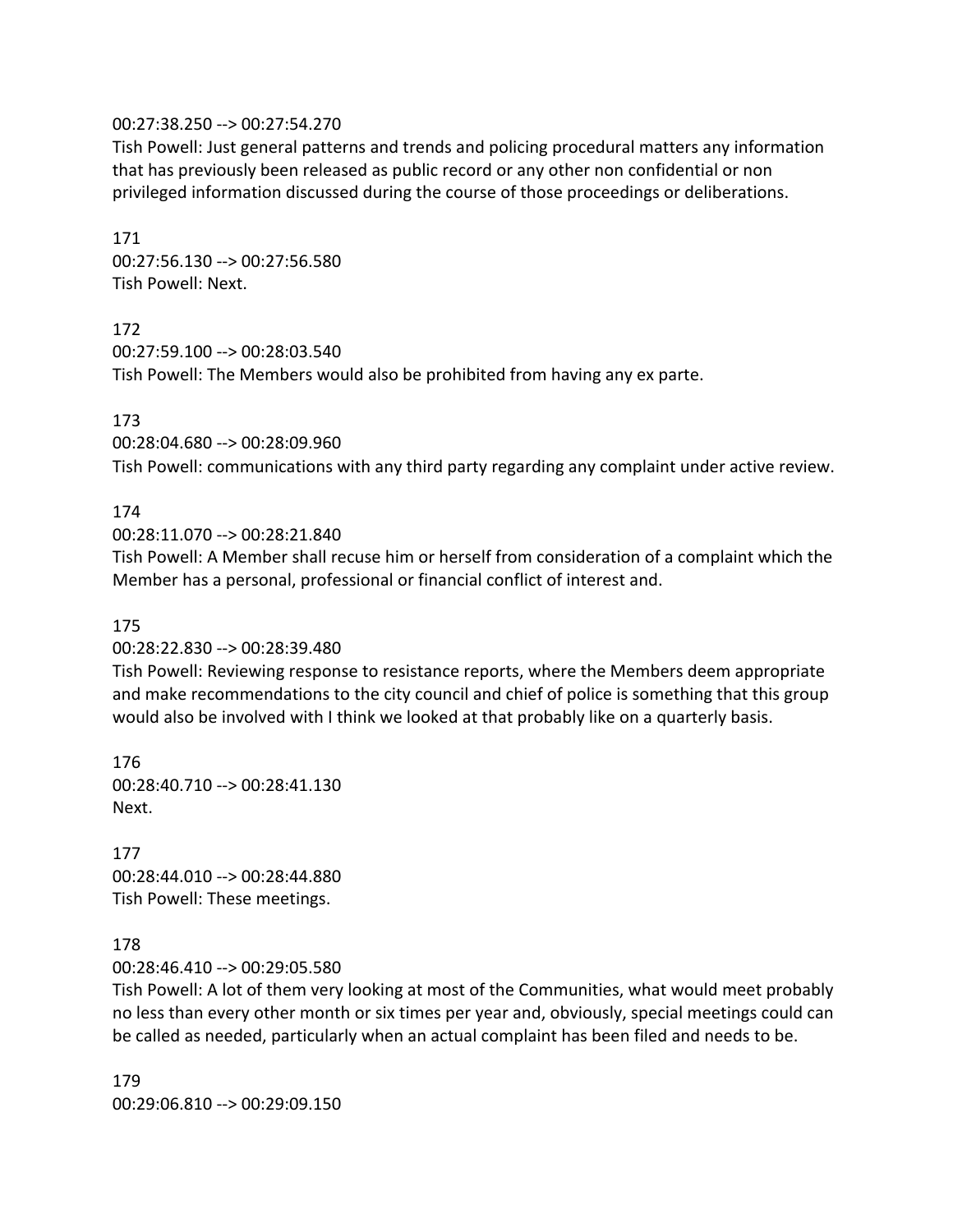#### 00:27:38.250 --> 00:27:54.270

Tish Powell: Just general patterns and trends and policing procedural matters any information that has previously been released as public record or any other non confidential or non privileged information discussed during the course of those proceedings or deliberations.

171 00:27:56.130 --> 00:27:56.580 Tish Powell: Next.

#### 172

00:27:59.100 --> 00:28:03.540 Tish Powell: The Members would also be prohibited from having any ex parte.

#### 173

00:28:04.680 --> 00:28:09.960

Tish Powell: communications with any third party regarding any complaint under active review.

#### 174

00:28:11.070 --> 00:28:21.840

Tish Powell: A Member shall recuse him or herself from consideration of a complaint which the Member has a personal, professional or financial conflict of interest and.

#### 175

00:28:22.830 --> 00:28:39.480

Tish Powell: Reviewing response to resistance reports, where the Members deem appropriate and make recommendations to the city council and chief of police is something that this group would also be involved with I think we looked at that probably like on a quarterly basis.

176 00:28:40.710 --> 00:28:41.130 Next.

177 00:28:44.010 --> 00:28:44.880 Tish Powell: These meetings.

#### 178

00:28:46.410 --> 00:29:05.580

Tish Powell: A lot of them very looking at most of the Communities, what would meet probably no less than every other month or six times per year and, obviously, special meetings could can be called as needed, particularly when an actual complaint has been filed and needs to be.

179 00:29:06.810 --> 00:29:09.150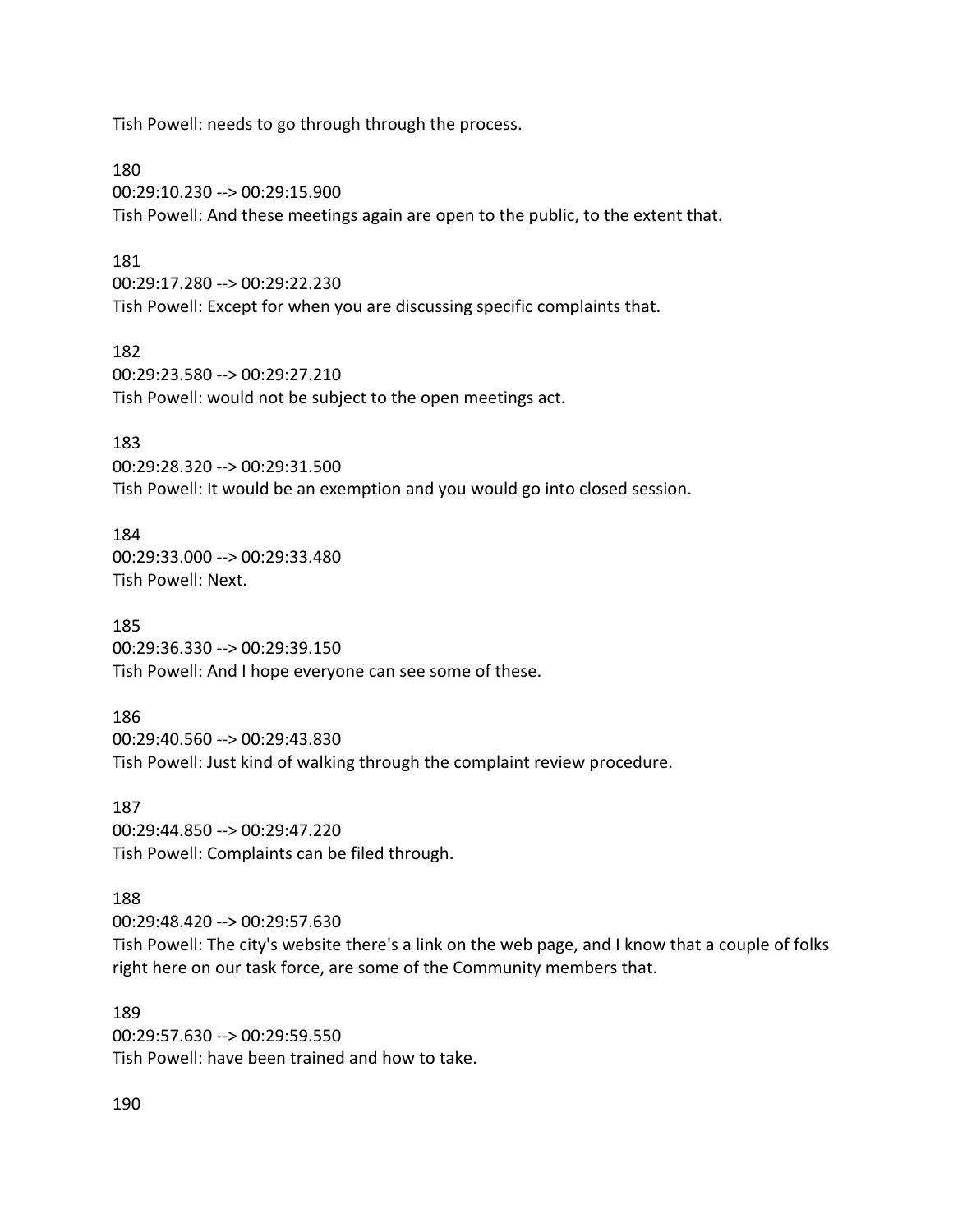Tish Powell: needs to go through through the process.

180 00:29:10.230 --> 00:29:15.900 Tish Powell: And these meetings again are open to the public, to the extent that.

#### 181

00:29:17.280 --> 00:29:22.230 Tish Powell: Except for when you are discussing specific complaints that.

182 00:29:23.580 --> 00:29:27.210 Tish Powell: would not be subject to the open meetings act.

183

00:29:28.320 --> 00:29:31.500 Tish Powell: It would be an exemption and you would go into closed session.

184 00:29:33.000 --> 00:29:33.480 Tish Powell: Next.

185 00:29:36.330 --> 00:29:39.150 Tish Powell: And I hope everyone can see some of these.

186 00:29:40.560 --> 00:29:43.830 Tish Powell: Just kind of walking through the complaint review procedure.

187 00:29:44.850 --> 00:29:47.220 Tish Powell: Complaints can be filed through.

#### 188

00:29:48.420 --> 00:29:57.630 Tish Powell: The city's website there's a link on the web page, and I know that a couple of folks right here on our task force, are some of the Community members that.

189 00:29:57.630 --> 00:29:59.550 Tish Powell: have been trained and how to take.

190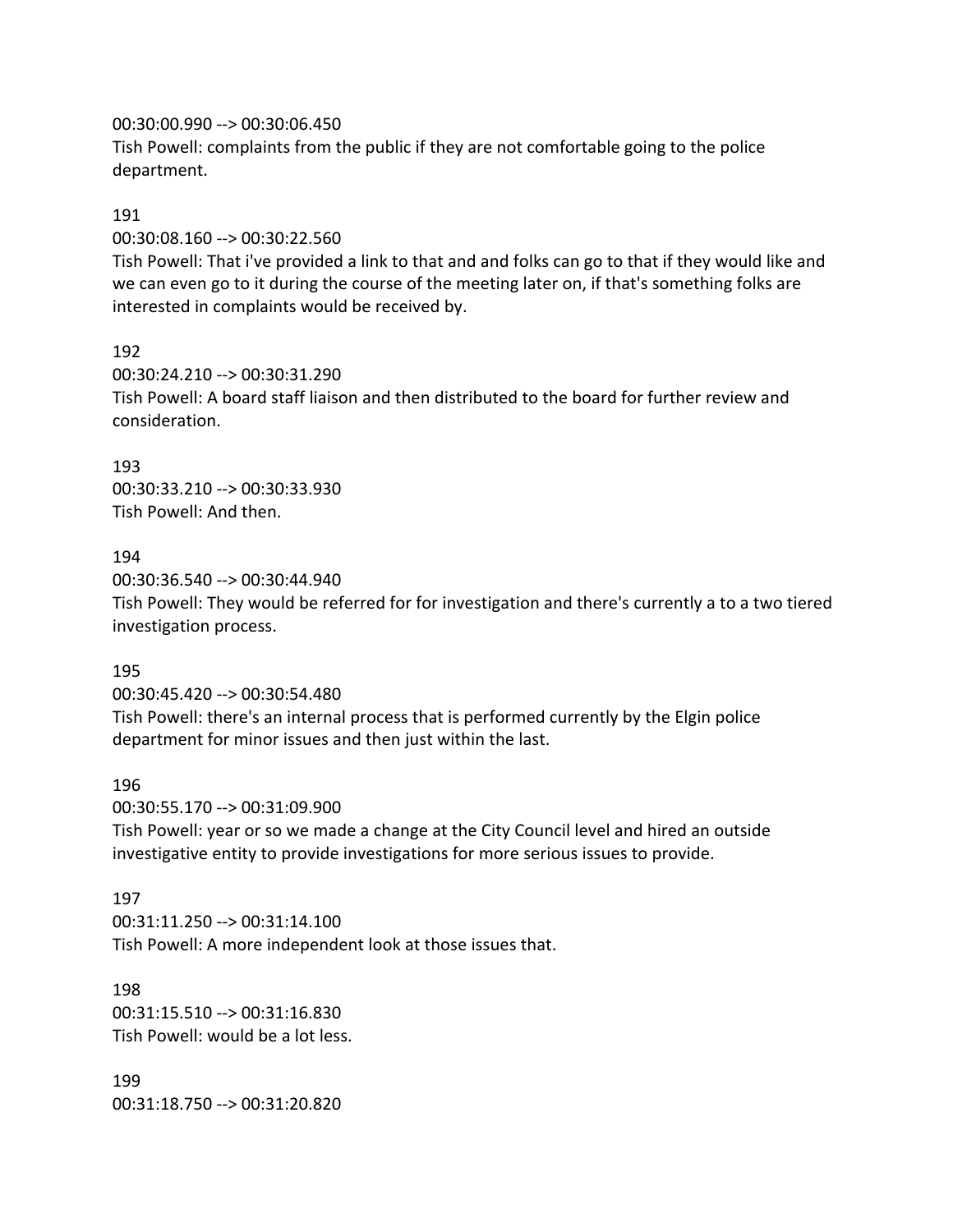### 00:30:00.990 --> 00:30:06.450

Tish Powell: complaints from the public if they are not comfortable going to the police department.

### 191

00:30:08.160 --> 00:30:22.560

Tish Powell: That i've provided a link to that and and folks can go to that if they would like and we can even go to it during the course of the meeting later on, if that's something folks are interested in complaints would be received by.

### 192

00:30:24.210 --> 00:30:31.290 Tish Powell: A board staff liaison and then distributed to the board for further review and consideration.

# 193

00:30:33.210 --> 00:30:33.930 Tish Powell: And then.

# 194

00:30:36.540 --> 00:30:44.940 Tish Powell: They would be referred for for investigation and there's currently a to a two tiered investigation process.

# 195

00:30:45.420 --> 00:30:54.480

Tish Powell: there's an internal process that is performed currently by the Elgin police department for minor issues and then just within the last.

# 196

00:30:55.170 --> 00:31:09.900 Tish Powell: year or so we made a change at the City Council level and hired an outside investigative entity to provide investigations for more serious issues to provide.

# 197

00:31:11.250 --> 00:31:14.100 Tish Powell: A more independent look at those issues that.

# 198 00:31:15.510 --> 00:31:16.830 Tish Powell: would be a lot less.

199 00:31:18.750 --> 00:31:20.820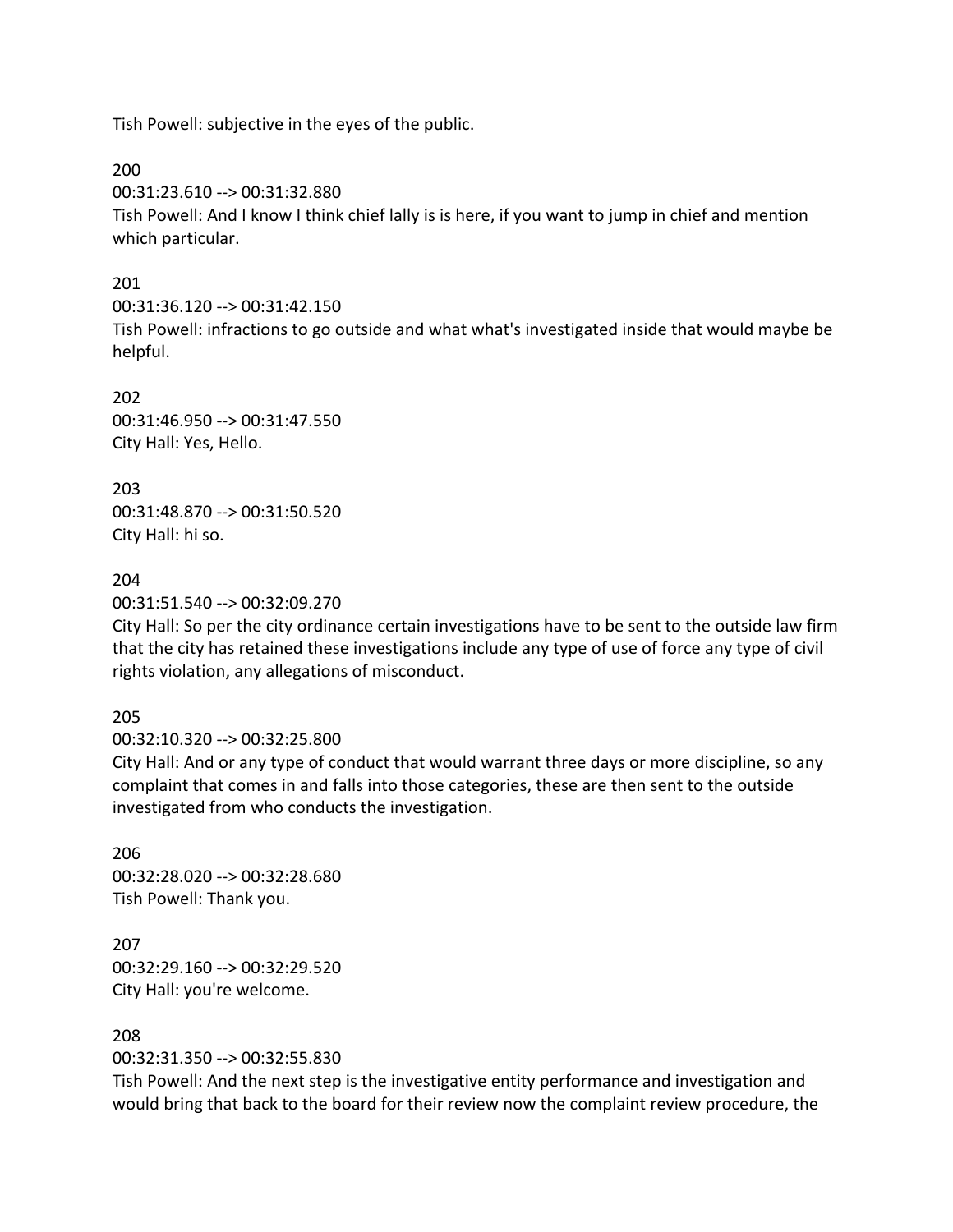Tish Powell: subjective in the eyes of the public.

200

00:31:23.610 --> 00:31:32.880

Tish Powell: And I know I think chief lally is is here, if you want to jump in chief and mention which particular.

# 201

00:31:36.120 --> 00:31:42.150

Tish Powell: infractions to go outside and what what's investigated inside that would maybe be helpful.

202 00:31:46.950 --> 00:31:47.550 City Hall: Yes, Hello.

203 00:31:48.870 --> 00:31:50.520 City Hall: hi so.

# 204

00:31:51.540 --> 00:32:09.270

City Hall: So per the city ordinance certain investigations have to be sent to the outside law firm that the city has retained these investigations include any type of use of force any type of civil rights violation, any allegations of misconduct.

# 205

00:32:10.320 --> 00:32:25.800

City Hall: And or any type of conduct that would warrant three days or more discipline, so any complaint that comes in and falls into those categories, these are then sent to the outside investigated from who conducts the investigation.

206 00:32:28.020 --> 00:32:28.680 Tish Powell: Thank you.

207 00:32:29.160 --> 00:32:29.520 City Hall: you're welcome.

# 208

00:32:31.350 --> 00:32:55.830

Tish Powell: And the next step is the investigative entity performance and investigation and would bring that back to the board for their review now the complaint review procedure, the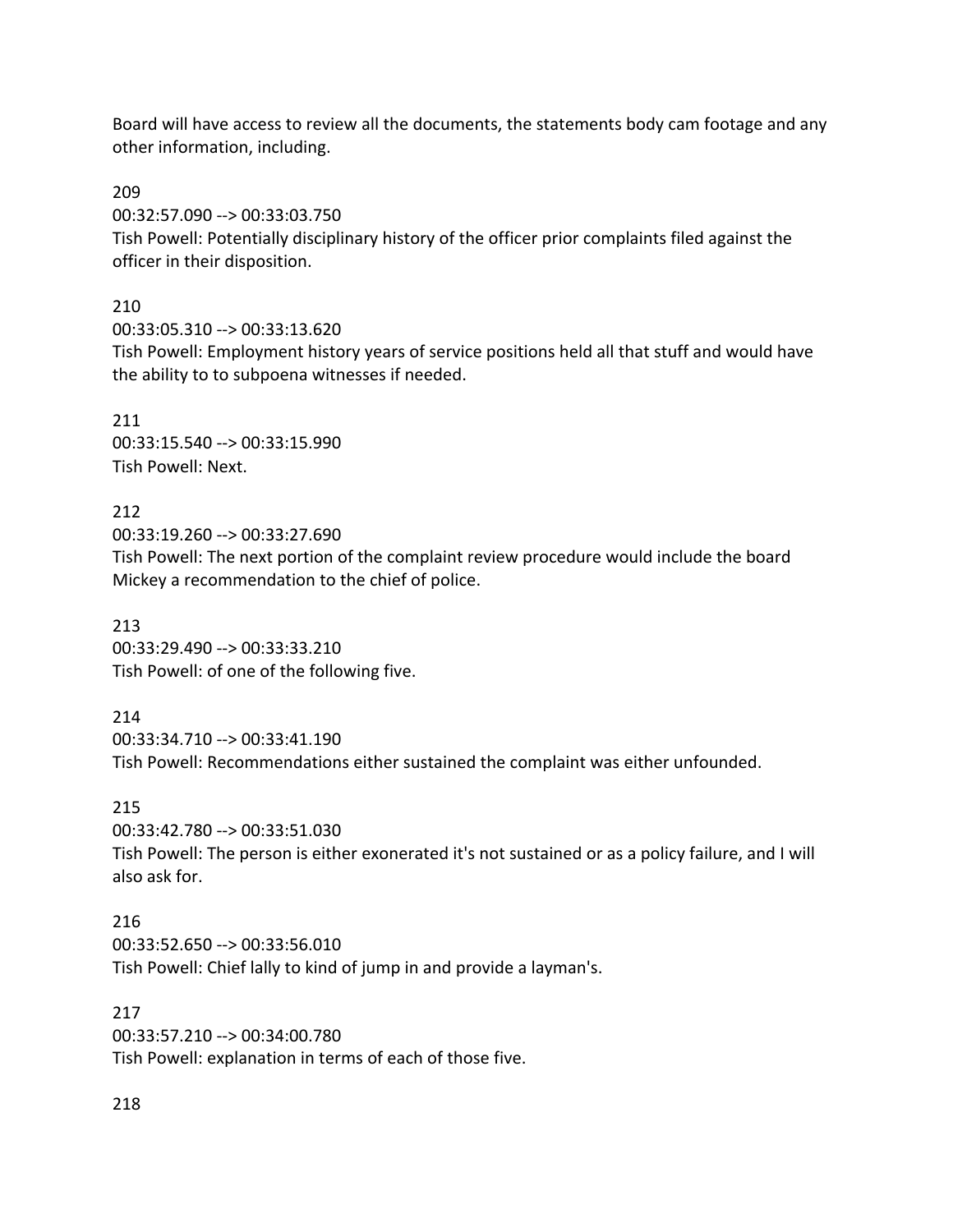Board will have access to review all the documents, the statements body cam footage and any other information, including.

209

00:32:57.090 --> 00:33:03.750

Tish Powell: Potentially disciplinary history of the officer prior complaints filed against the officer in their disposition.

210

00:33:05.310 --> 00:33:13.620

Tish Powell: Employment history years of service positions held all that stuff and would have the ability to to subpoena witnesses if needed.

211 00:33:15.540 --> 00:33:15.990 Tish Powell: Next.

212

00:33:19.260 --> 00:33:27.690

Tish Powell: The next portion of the complaint review procedure would include the board Mickey a recommendation to the chief of police.

213 00:33:29.490 --> 00:33:33.210 Tish Powell: of one of the following five.

214

00:33:34.710 --> 00:33:41.190

Tish Powell: Recommendations either sustained the complaint was either unfounded.

215

00:33:42.780 --> 00:33:51.030

Tish Powell: The person is either exonerated it's not sustained or as a policy failure, and I will also ask for.

216

00:33:52.650 --> 00:33:56.010 Tish Powell: Chief lally to kind of jump in and provide a layman's.

217

00:33:57.210 --> 00:34:00.780 Tish Powell: explanation in terms of each of those five.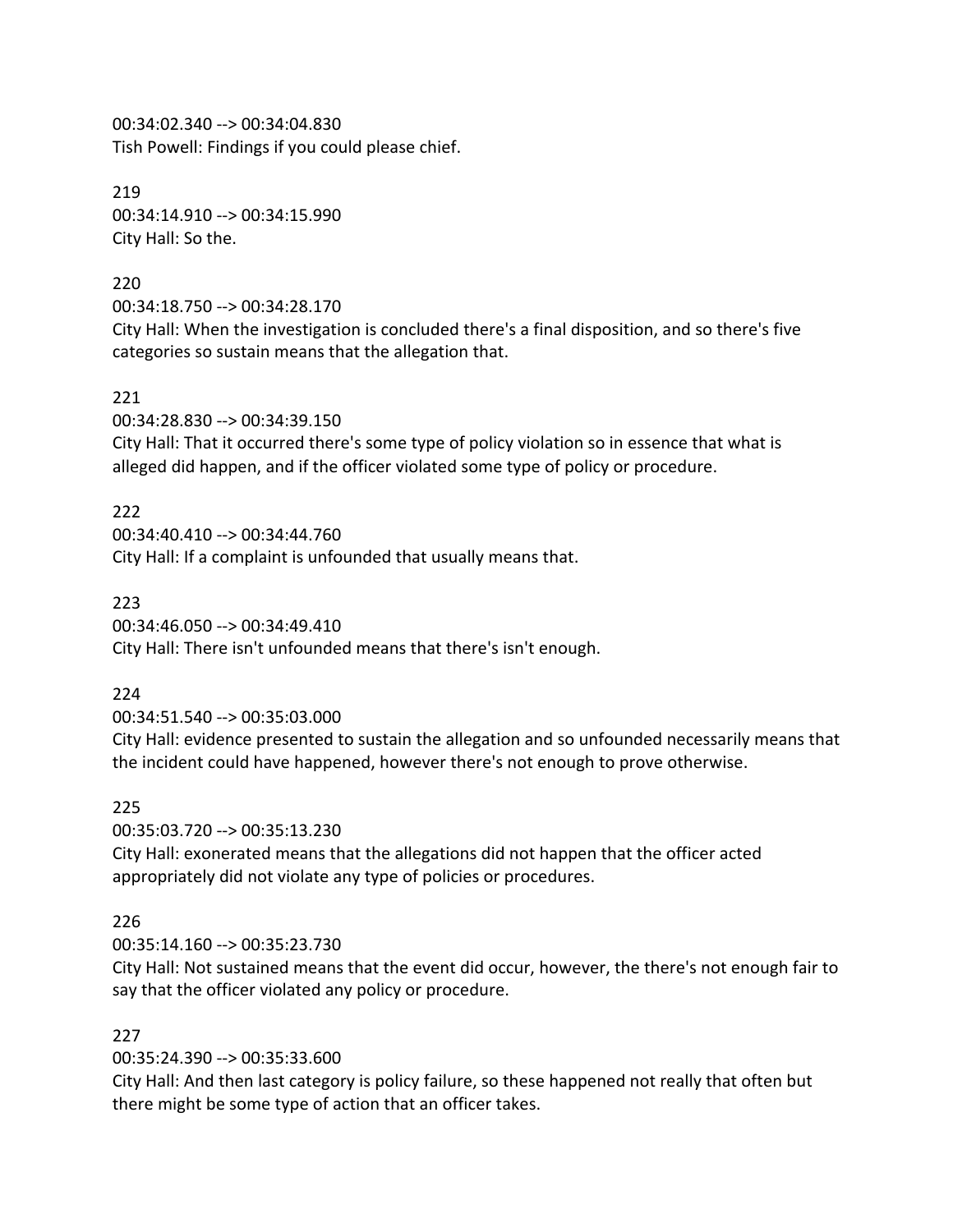00:34:02.340 --> 00:34:04.830 Tish Powell: Findings if you could please chief.

219 00:34:14.910 --> 00:34:15.990 City Hall: So the.

220

00:34:18.750 --> 00:34:28.170

City Hall: When the investigation is concluded there's a final disposition, and so there's five categories so sustain means that the allegation that.

221

00:34:28.830 --> 00:34:39.150

City Hall: That it occurred there's some type of policy violation so in essence that what is alleged did happen, and if the officer violated some type of policy or procedure.

222

00:34:40.410 --> 00:34:44.760 City Hall: If a complaint is unfounded that usually means that.

223

00:34:46.050 --> 00:34:49.410

City Hall: There isn't unfounded means that there's isn't enough.

224

00:34:51.540 --> 00:35:03.000

City Hall: evidence presented to sustain the allegation and so unfounded necessarily means that the incident could have happened, however there's not enough to prove otherwise.

225

00:35:03.720 --> 00:35:13.230

City Hall: exonerated means that the allegations did not happen that the officer acted appropriately did not violate any type of policies or procedures.

226

00:35:14.160 --> 00:35:23.730

City Hall: Not sustained means that the event did occur, however, the there's not enough fair to say that the officer violated any policy or procedure.

227

00:35:24.390 --> 00:35:33.600

City Hall: And then last category is policy failure, so these happened not really that often but there might be some type of action that an officer takes.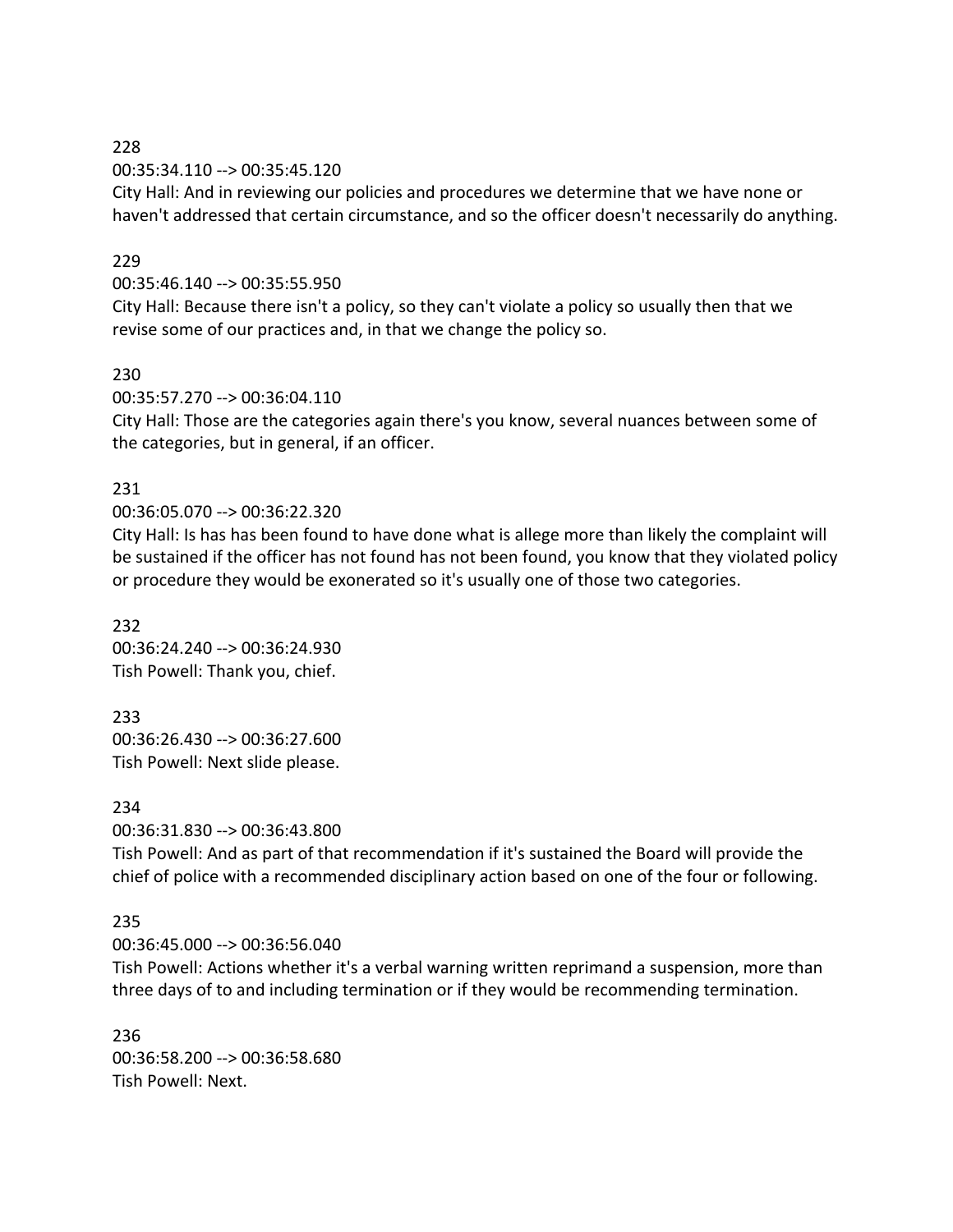00:35:34.110 --> 00:35:45.120

City Hall: And in reviewing our policies and procedures we determine that we have none or haven't addressed that certain circumstance, and so the officer doesn't necessarily do anything.

### 229

#### 00:35:46.140 --> 00:35:55.950

City Hall: Because there isn't a policy, so they can't violate a policy so usually then that we revise some of our practices and, in that we change the policy so.

#### 230

00:35:57.270 --> 00:36:04.110

City Hall: Those are the categories again there's you know, several nuances between some of the categories, but in general, if an officer.

### 231

### 00:36:05.070 --> 00:36:22.320

City Hall: Is has has been found to have done what is allege more than likely the complaint will be sustained if the officer has not found has not been found, you know that they violated policy or procedure they would be exonerated so it's usually one of those two categories.

232 00:36:24.240 --> 00:36:24.930 Tish Powell: Thank you, chief.

233 00:36:26.430 --> 00:36:27.600 Tish Powell: Next slide please.

234

00:36:31.830 --> 00:36:43.800

Tish Powell: And as part of that recommendation if it's sustained the Board will provide the chief of police with a recommended disciplinary action based on one of the four or following.

# 235

00:36:45.000 --> 00:36:56.040 Tish Powell: Actions whether it's a verbal warning written reprimand a suspension, more than three days of to and including termination or if they would be recommending termination.

236 00:36:58.200 --> 00:36:58.680 Tish Powell: Next.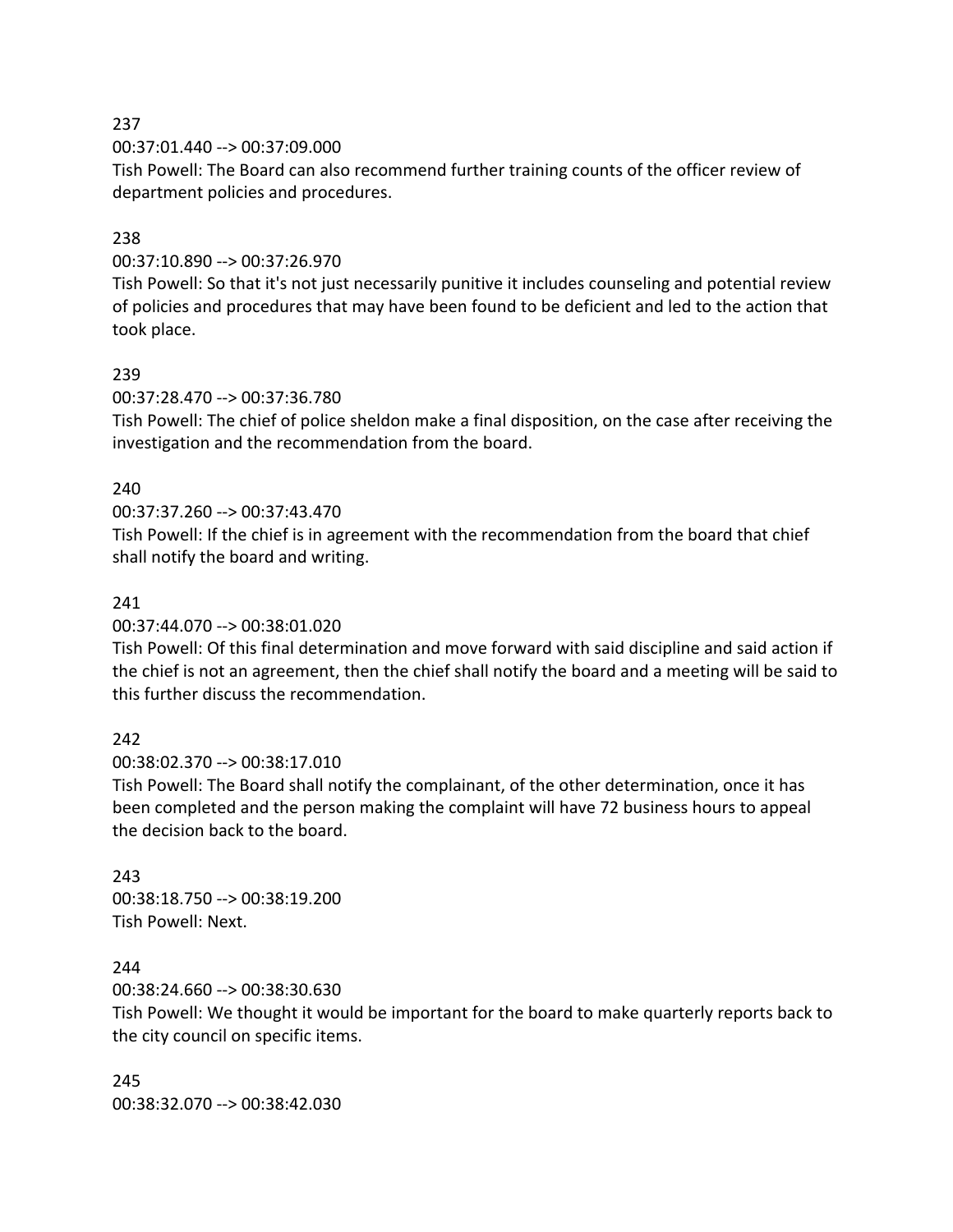00:37:01.440 --> 00:37:09.000

Tish Powell: The Board can also recommend further training counts of the officer review of department policies and procedures.

# 238

# 00:37:10.890 --> 00:37:26.970

Tish Powell: So that it's not just necessarily punitive it includes counseling and potential review of policies and procedures that may have been found to be deficient and led to the action that took place.

# 239

# 00:37:28.470 --> 00:37:36.780

Tish Powell: The chief of police sheldon make a final disposition, on the case after receiving the investigation and the recommendation from the board.

# 240

# 00:37:37.260 --> 00:37:43.470

Tish Powell: If the chief is in agreement with the recommendation from the board that chief shall notify the board and writing.

# 241

### 00:37:44.070 --> 00:38:01.020

Tish Powell: Of this final determination and move forward with said discipline and said action if the chief is not an agreement, then the chief shall notify the board and a meeting will be said to this further discuss the recommendation.

# 242

# 00:38:02.370 --> 00:38:17.010

Tish Powell: The Board shall notify the complainant, of the other determination, once it has been completed and the person making the complaint will have 72 business hours to appeal the decision back to the board.

# 243 00:38:18.750 --> 00:38:19.200 Tish Powell: Next.

# 244

# 00:38:24.660 --> 00:38:30.630

Tish Powell: We thought it would be important for the board to make quarterly reports back to the city council on specific items.

245 00:38:32.070 --> 00:38:42.030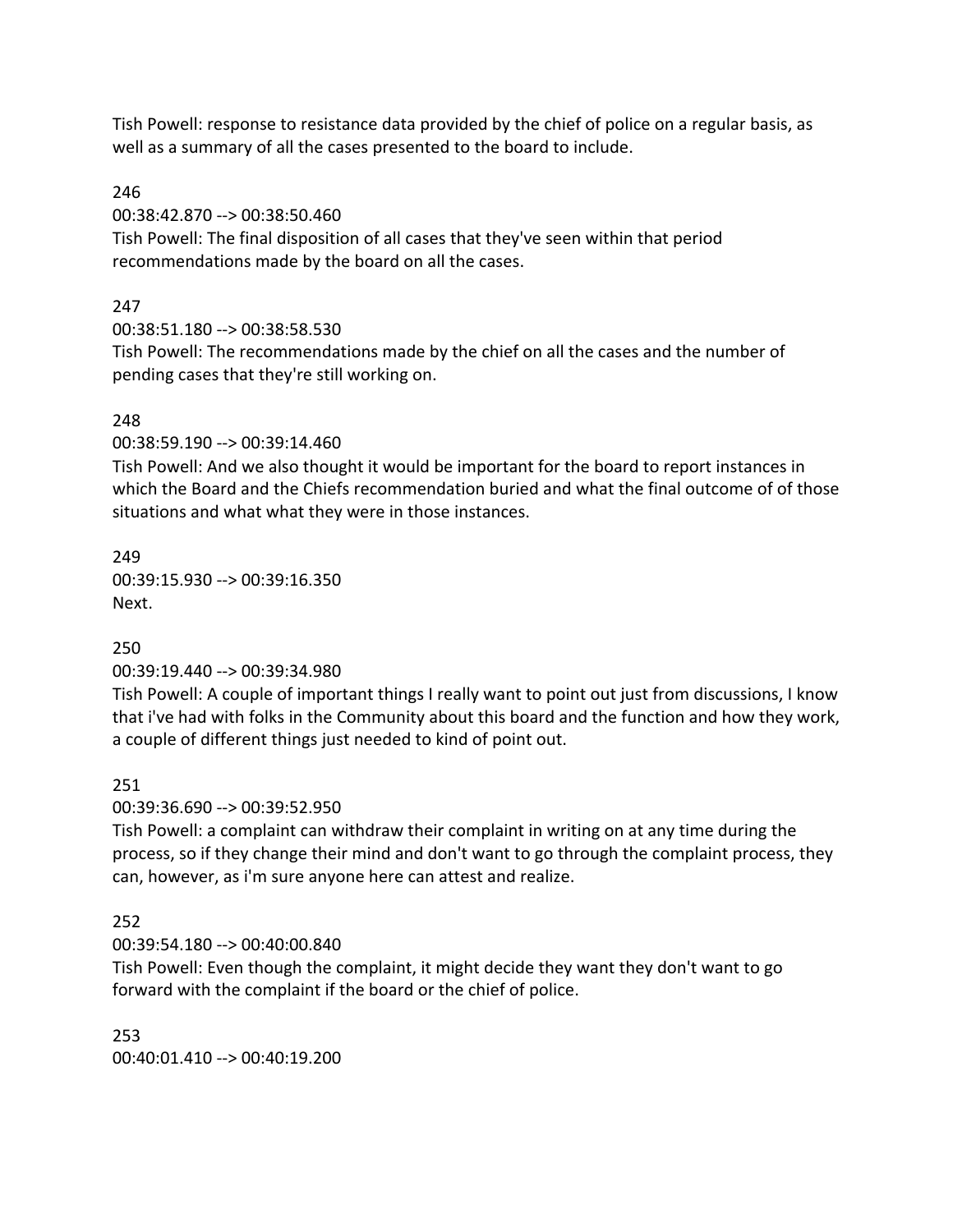Tish Powell: response to resistance data provided by the chief of police on a regular basis, as well as a summary of all the cases presented to the board to include.

246

00:38:42.870 --> 00:38:50.460

Tish Powell: The final disposition of all cases that they've seen within that period recommendations made by the board on all the cases.

# 247

00:38:51.180 --> 00:38:58.530

Tish Powell: The recommendations made by the chief on all the cases and the number of pending cases that they're still working on.

# 248

00:38:59.190 --> 00:39:14.460

Tish Powell: And we also thought it would be important for the board to report instances in which the Board and the Chiefs recommendation buried and what the final outcome of of those situations and what what they were in those instances.

249 00:39:15.930 --> 00:39:16.350 Next.

250

00:39:19.440 --> 00:39:34.980

Tish Powell: A couple of important things I really want to point out just from discussions, I know that i've had with folks in the Community about this board and the function and how they work, a couple of different things just needed to kind of point out.

251

00:39:36.690 --> 00:39:52.950

Tish Powell: a complaint can withdraw their complaint in writing on at any time during the process, so if they change their mind and don't want to go through the complaint process, they can, however, as i'm sure anyone here can attest and realize.

# 252

00:39:54.180 --> 00:40:00.840

Tish Powell: Even though the complaint, it might decide they want they don't want to go forward with the complaint if the board or the chief of police.

253 00:40:01.410 --> 00:40:19.200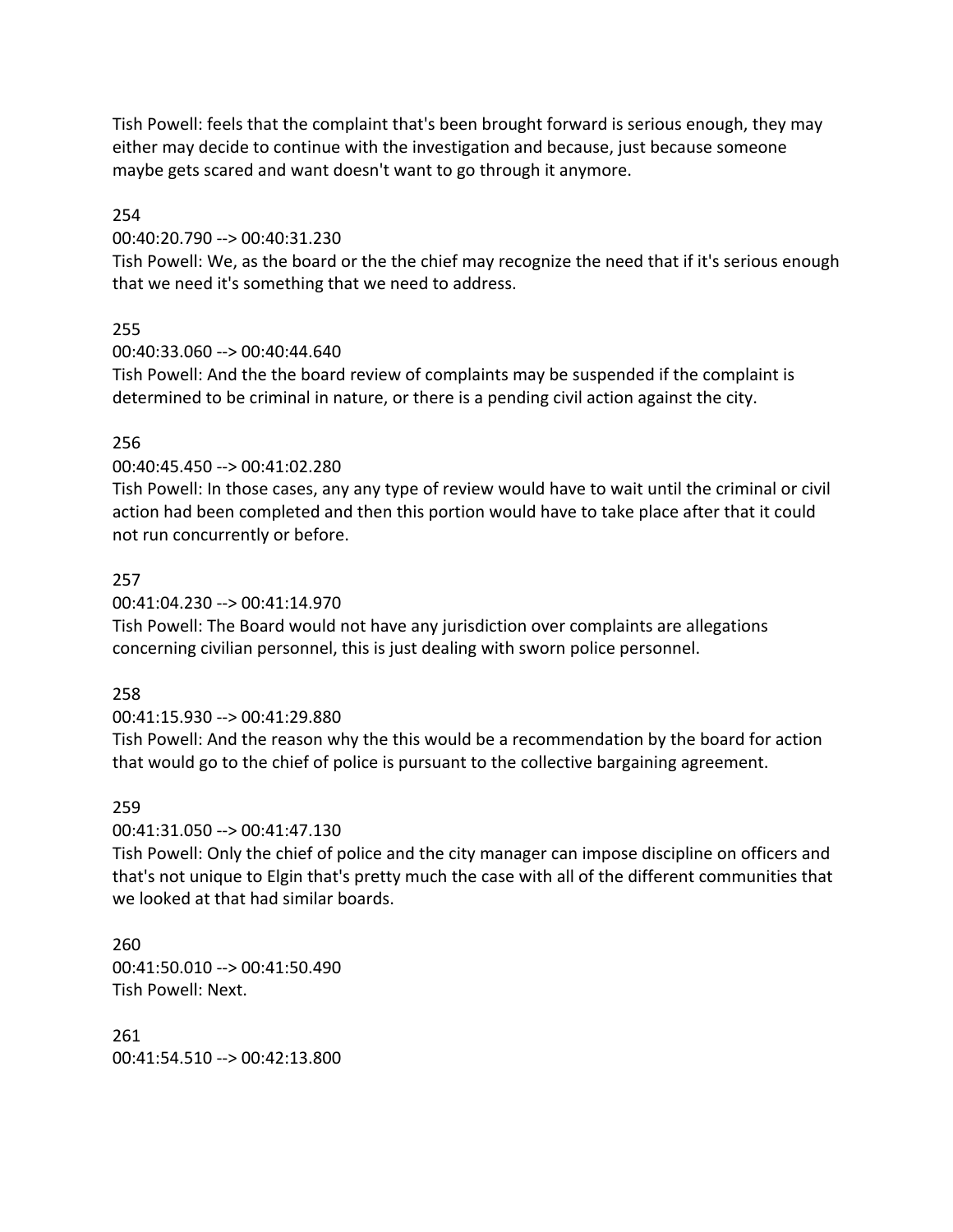Tish Powell: feels that the complaint that's been brought forward is serious enough, they may either may decide to continue with the investigation and because, just because someone maybe gets scared and want doesn't want to go through it anymore.

254

00:40:20.790 --> 00:40:31.230

Tish Powell: We, as the board or the the chief may recognize the need that if it's serious enough that we need it's something that we need to address.

# 255

00:40:33.060 --> 00:40:44.640

Tish Powell: And the the board review of complaints may be suspended if the complaint is determined to be criminal in nature, or there is a pending civil action against the city.

# 256

00:40:45.450 --> 00:41:02.280

Tish Powell: In those cases, any any type of review would have to wait until the criminal or civil action had been completed and then this portion would have to take place after that it could not run concurrently or before.

# 257

00:41:04.230 --> 00:41:14.970

Tish Powell: The Board would not have any jurisdiction over complaints are allegations concerning civilian personnel, this is just dealing with sworn police personnel.

# 258

# 00:41:15.930 --> 00:41:29.880

Tish Powell: And the reason why the this would be a recommendation by the board for action that would go to the chief of police is pursuant to the collective bargaining agreement.

# 259

00:41:31.050 --> 00:41:47.130

Tish Powell: Only the chief of police and the city manager can impose discipline on officers and that's not unique to Elgin that's pretty much the case with all of the different communities that we looked at that had similar boards.

260 00:41:50.010 --> 00:41:50.490 Tish Powell: Next.

261 00:41:54.510 --> 00:42:13.800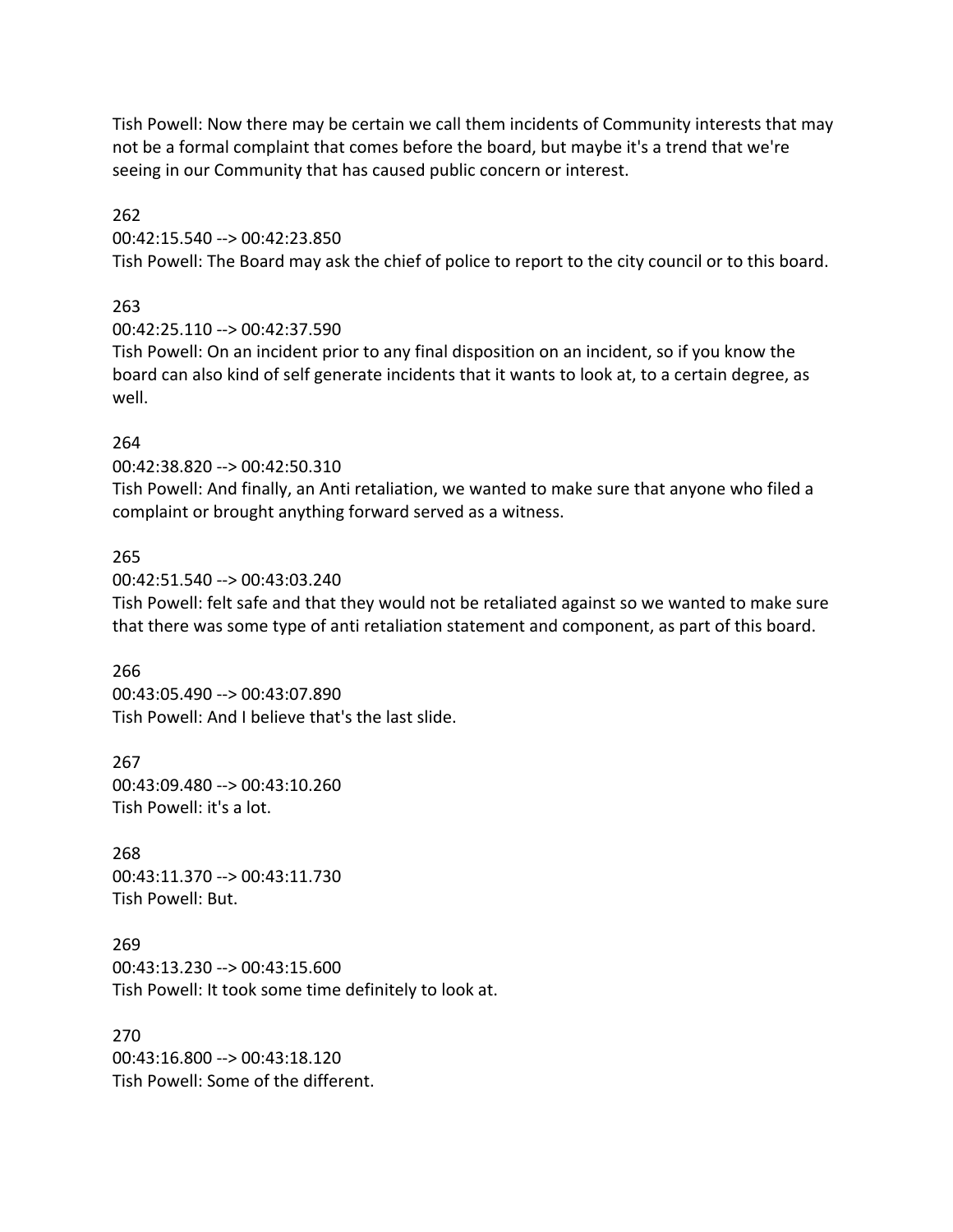Tish Powell: Now there may be certain we call them incidents of Community interests that may not be a formal complaint that comes before the board, but maybe it's a trend that we're seeing in our Community that has caused public concern or interest.

262

00:42:15.540 --> 00:42:23.850

Tish Powell: The Board may ask the chief of police to report to the city council or to this board.

# 263

00:42:25.110 --> 00:42:37.590

Tish Powell: On an incident prior to any final disposition on an incident, so if you know the board can also kind of self generate incidents that it wants to look at, to a certain degree, as well.

# 264

00:42:38.820 --> 00:42:50.310

Tish Powell: And finally, an Anti retaliation, we wanted to make sure that anyone who filed a complaint or brought anything forward served as a witness.

# 265

00:42:51.540 --> 00:43:03.240

Tish Powell: felt safe and that they would not be retaliated against so we wanted to make sure that there was some type of anti retaliation statement and component, as part of this board.

# 266

00:43:05.490 --> 00:43:07.890 Tish Powell: And I believe that's the last slide.

267 00:43:09.480 --> 00:43:10.260 Tish Powell: it's a lot.

268 00:43:11.370 --> 00:43:11.730 Tish Powell: But.

269 00:43:13.230 --> 00:43:15.600 Tish Powell: It took some time definitely to look at.

270 00:43:16.800 --> 00:43:18.120 Tish Powell: Some of the different.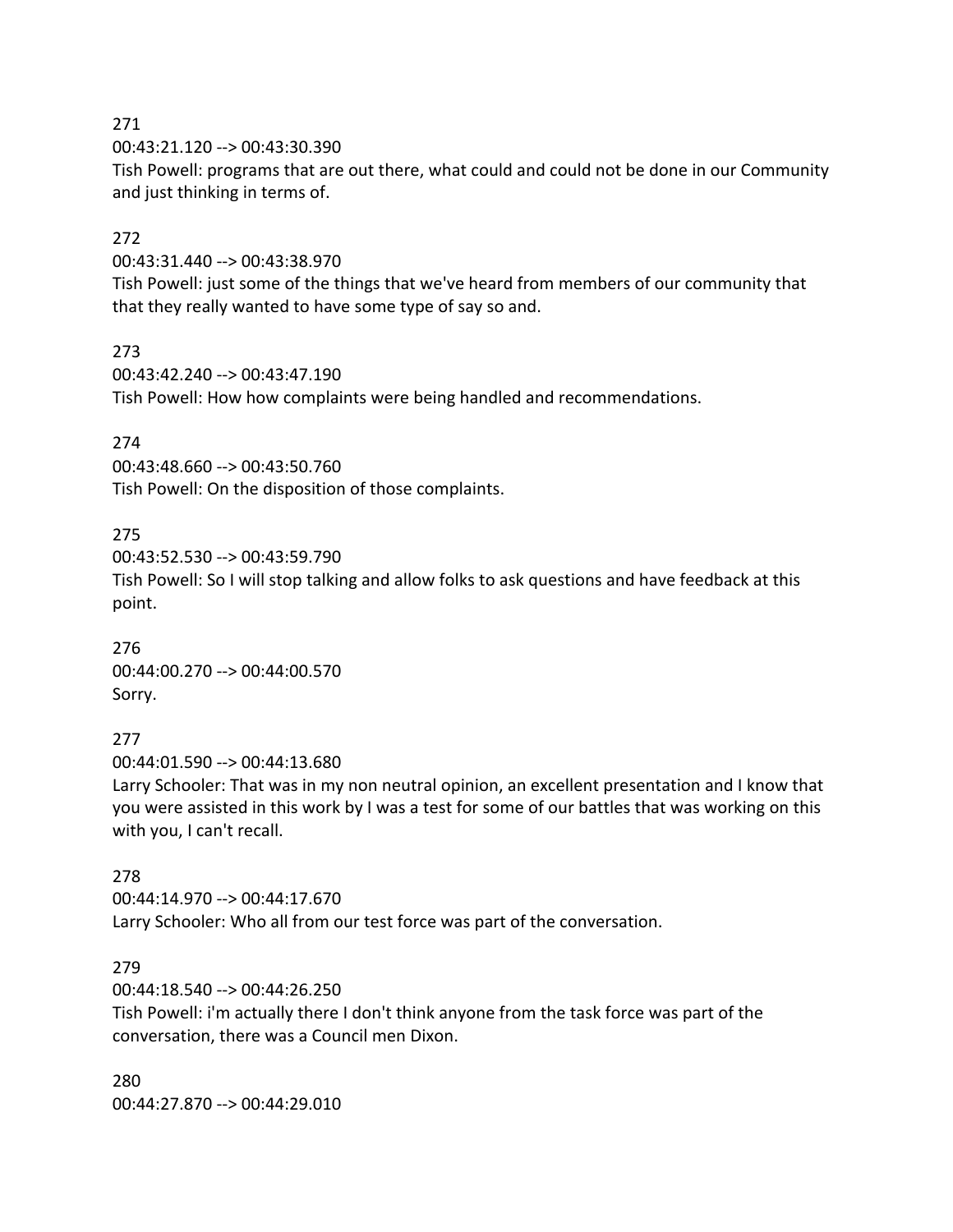00:43:21.120 --> 00:43:30.390

Tish Powell: programs that are out there, what could and could not be done in our Community and just thinking in terms of.

# 272

00:43:31.440 --> 00:43:38.970

Tish Powell: just some of the things that we've heard from members of our community that that they really wanted to have some type of say so and.

#### 273

00:43:42.240 --> 00:43:47.190 Tish Powell: How how complaints were being handled and recommendations.

### 274

00:43:48.660 --> 00:43:50.760 Tish Powell: On the disposition of those complaints.

### 275

00:43:52.530 --> 00:43:59.790 Tish Powell: So I will stop talking and allow folks to ask questions and have feedback at this point.

276 00:44:00.270 --> 00:44:00.570 Sorry.

# 277

00:44:01.590 --> 00:44:13.680

Larry Schooler: That was in my non neutral opinion, an excellent presentation and I know that you were assisted in this work by I was a test for some of our battles that was working on this with you, I can't recall.

# 278

00:44:14.970 --> 00:44:17.670 Larry Schooler: Who all from our test force was part of the conversation.

# 279

00:44:18.540 --> 00:44:26.250 Tish Powell: i'm actually there I don't think anyone from the task force was part of the conversation, there was a Council men Dixon.

280 00:44:27.870 --> 00:44:29.010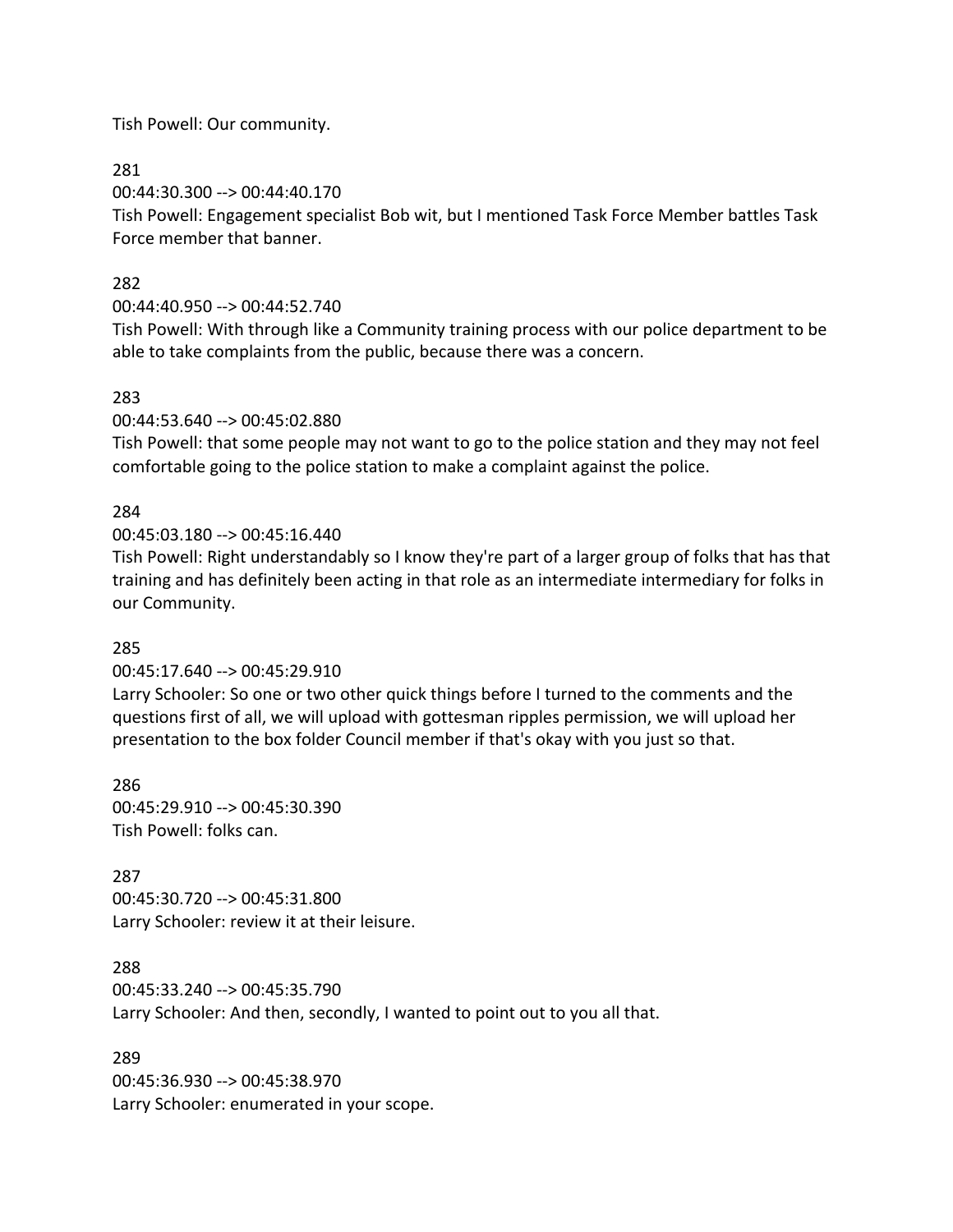Tish Powell: Our community.

281

00:44:30.300 --> 00:44:40.170

Tish Powell: Engagement specialist Bob wit, but I mentioned Task Force Member battles Task Force member that banner.

# 282

00:44:40.950 --> 00:44:52.740

Tish Powell: With through like a Community training process with our police department to be able to take complaints from the public, because there was a concern.

### 283

00:44:53.640 --> 00:45:02.880

Tish Powell: that some people may not want to go to the police station and they may not feel comfortable going to the police station to make a complaint against the police.

### 284

00:45:03.180 --> 00:45:16.440

Tish Powell: Right understandably so I know they're part of a larger group of folks that has that training and has definitely been acting in that role as an intermediate intermediary for folks in our Community.

#### 285

00:45:17.640 --> 00:45:29.910

Larry Schooler: So one or two other quick things before I turned to the comments and the questions first of all, we will upload with gottesman ripples permission, we will upload her presentation to the box folder Council member if that's okay with you just so that.

286 00:45:29.910 --> 00:45:30.390 Tish Powell: folks can.

# 287

00:45:30.720 --> 00:45:31.800 Larry Schooler: review it at their leisure.

#### 288

00:45:33.240 --> 00:45:35.790 Larry Schooler: And then, secondly, I wanted to point out to you all that.

289 00:45:36.930 --> 00:45:38.970 Larry Schooler: enumerated in your scope.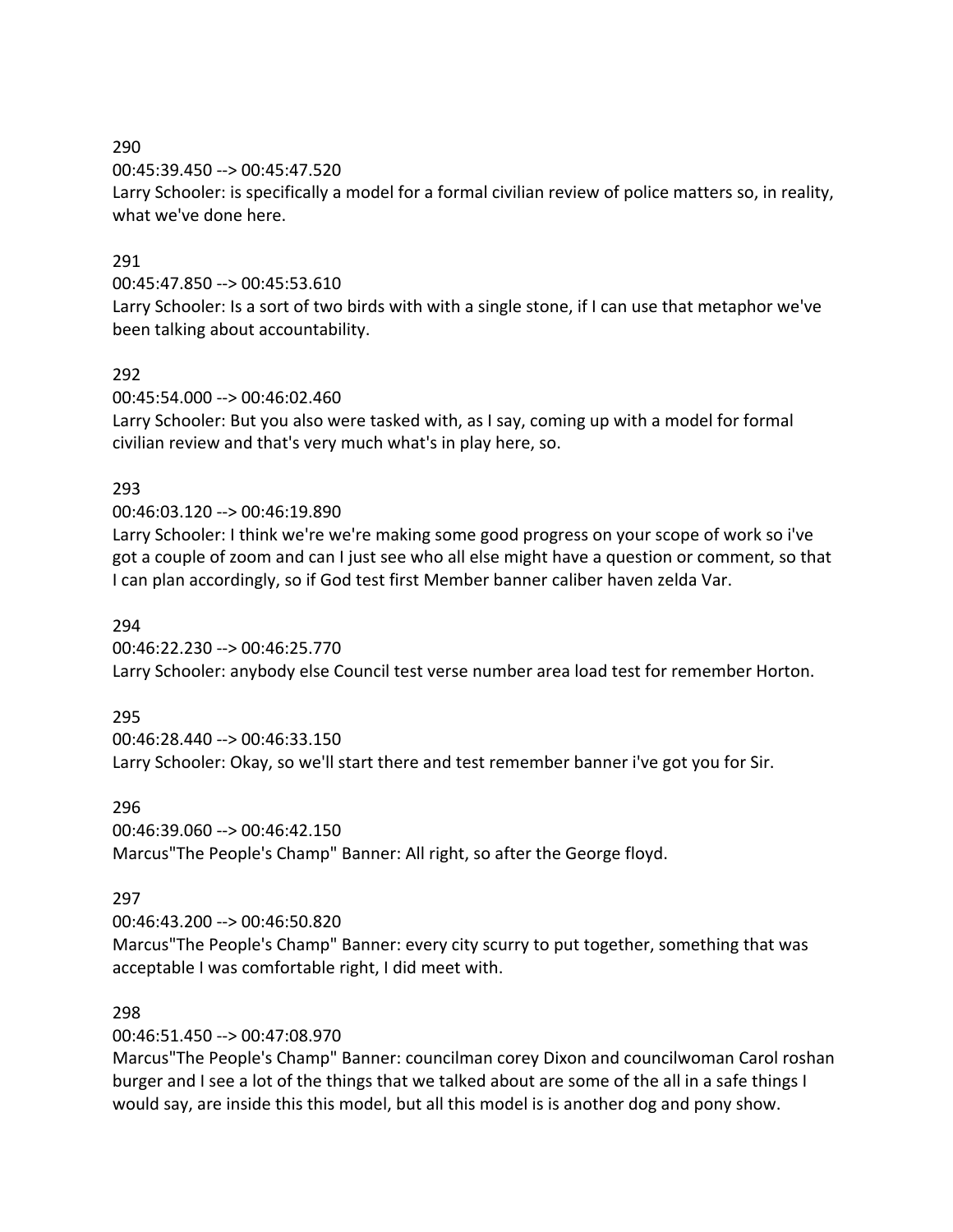00:45:39.450 --> 00:45:47.520

Larry Schooler: is specifically a model for a formal civilian review of police matters so, in reality, what we've done here.

# 291

### 00:45:47.850 --> 00:45:53.610

Larry Schooler: Is a sort of two birds with with a single stone, if I can use that metaphor we've been talking about accountability.

# 292

00:45:54.000 --> 00:46:02.460

Larry Schooler: But you also were tasked with, as I say, coming up with a model for formal civilian review and that's very much what's in play here, so.

# 293

# 00:46:03.120 --> 00:46:19.890

Larry Schooler: I think we're we're making some good progress on your scope of work so i've got a couple of zoom and can I just see who all else might have a question or comment, so that I can plan accordingly, so if God test first Member banner caliber haven zelda Var.

# 294

00:46:22.230 --> 00:46:25.770 Larry Schooler: anybody else Council test verse number area load test for remember Horton.

# 295

00:46:28.440 --> 00:46:33.150 Larry Schooler: Okay, so we'll start there and test remember banner i've got you for Sir.

# 296

00:46:39.060 --> 00:46:42.150 Marcus"The People's Champ" Banner: All right, so after the George floyd.

# 297

# 00:46:43.200 --> 00:46:50.820

Marcus"The People's Champ" Banner: every city scurry to put together, something that was acceptable I was comfortable right, I did meet with.

# 298

00:46:51.450 --> 00:47:08.970

Marcus"The People's Champ" Banner: councilman corey Dixon and councilwoman Carol roshan burger and I see a lot of the things that we talked about are some of the all in a safe things I would say, are inside this this model, but all this model is is another dog and pony show.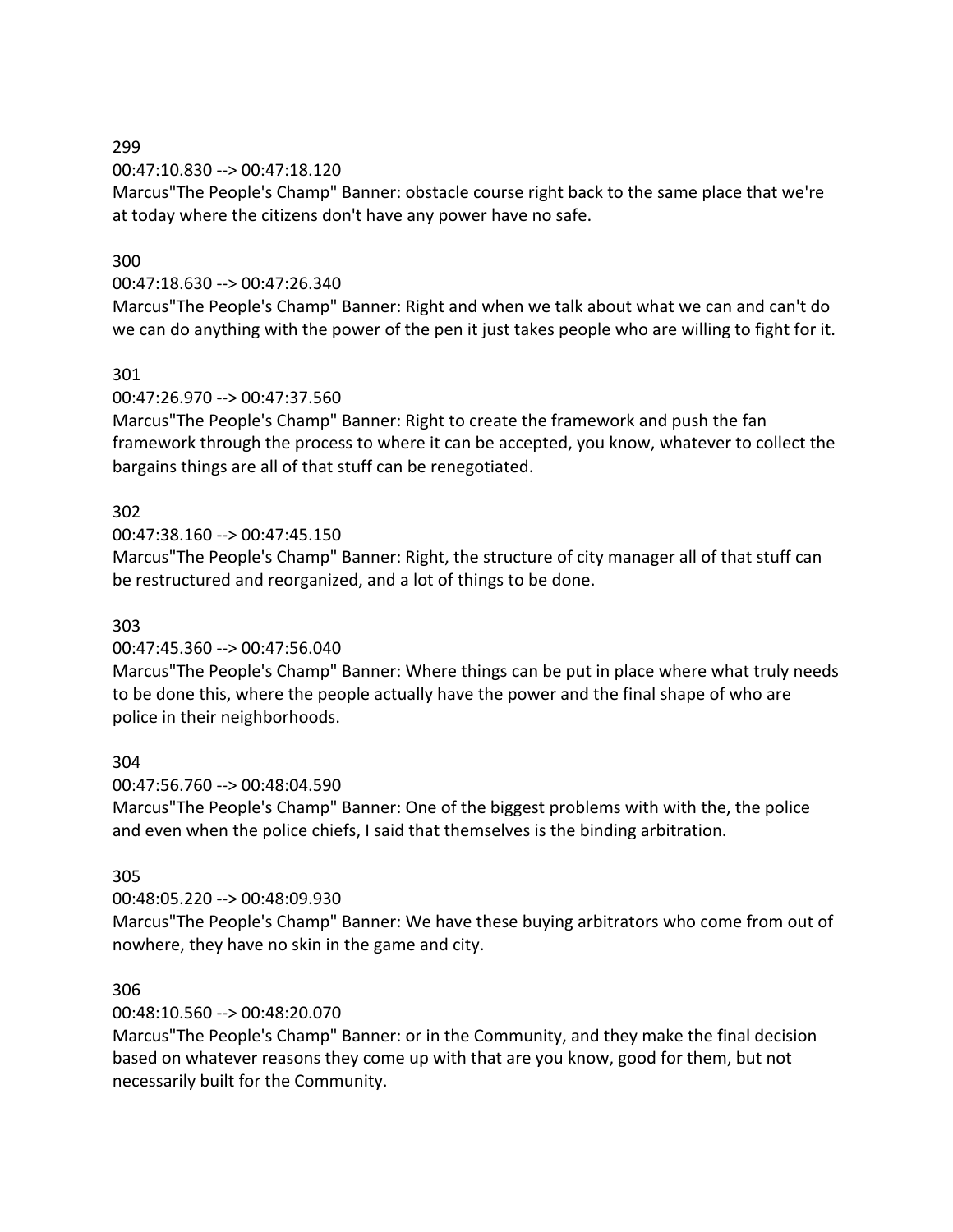00:47:10.830 --> 00:47:18.120

Marcus"The People's Champ" Banner: obstacle course right back to the same place that we're at today where the citizens don't have any power have no safe.

# 300

# 00:47:18.630 --> 00:47:26.340

Marcus"The People's Champ" Banner: Right and when we talk about what we can and can't do we can do anything with the power of the pen it just takes people who are willing to fight for it.

301

# 00:47:26.970 --> 00:47:37.560

Marcus"The People's Champ" Banner: Right to create the framework and push the fan framework through the process to where it can be accepted, you know, whatever to collect the bargains things are all of that stuff can be renegotiated.

# 302

00:47:38.160 --> 00:47:45.150

Marcus"The People's Champ" Banner: Right, the structure of city manager all of that stuff can be restructured and reorganized, and a lot of things to be done.

# 303

# 00:47:45.360 --> 00:47:56.040

Marcus"The People's Champ" Banner: Where things can be put in place where what truly needs to be done this, where the people actually have the power and the final shape of who are police in their neighborhoods.

# 304

00:47:56.760 --> 00:48:04.590

Marcus"The People's Champ" Banner: One of the biggest problems with with the, the police and even when the police chiefs, I said that themselves is the binding arbitration.

# 305

# 00:48:05.220 --> 00:48:09.930

Marcus"The People's Champ" Banner: We have these buying arbitrators who come from out of nowhere, they have no skin in the game and city.

# 306

# 00:48:10.560 --> 00:48:20.070

Marcus"The People's Champ" Banner: or in the Community, and they make the final decision based on whatever reasons they come up with that are you know, good for them, but not necessarily built for the Community.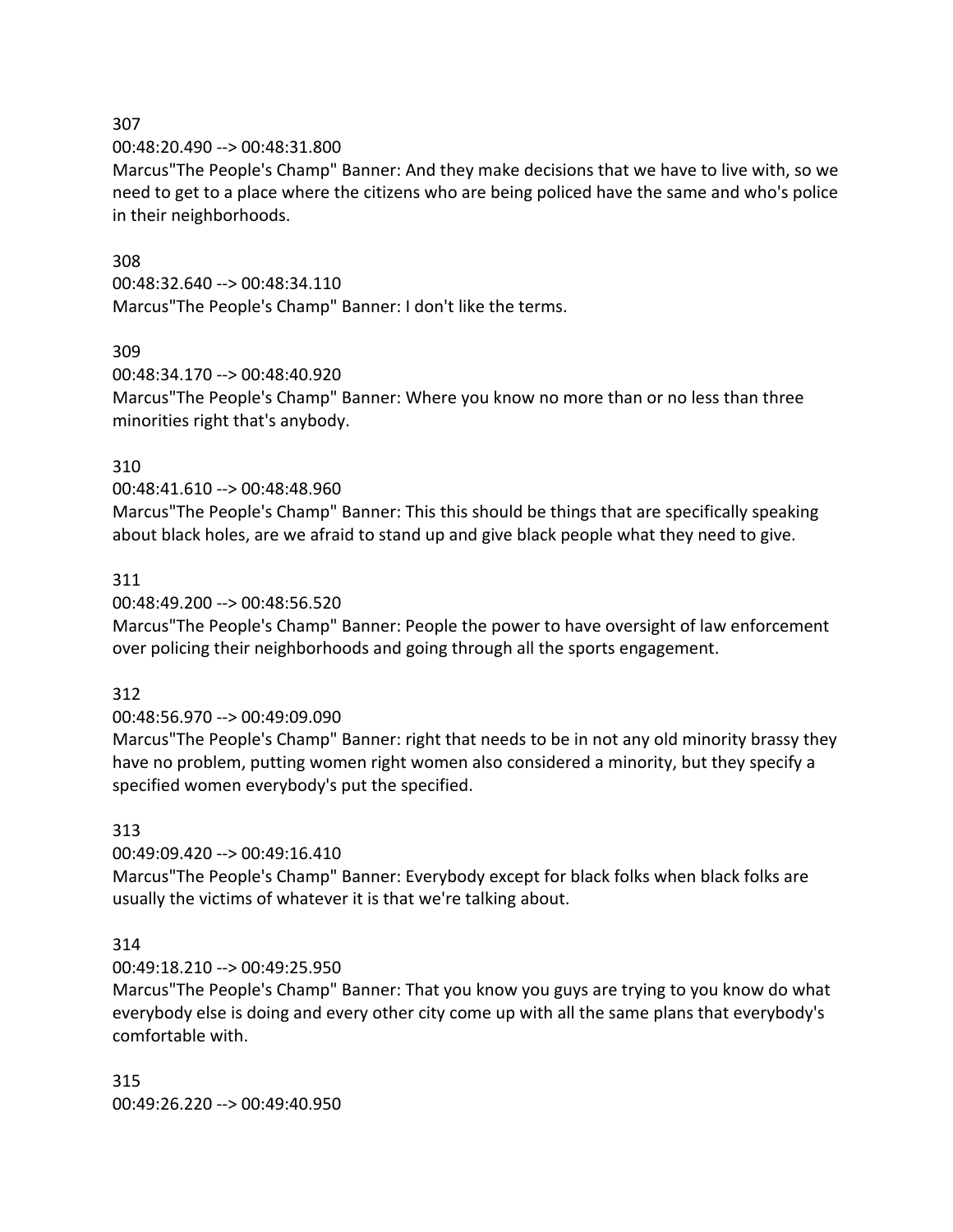00:48:20.490 --> 00:48:31.800

Marcus"The People's Champ" Banner: And they make decisions that we have to live with, so we need to get to a place where the citizens who are being policed have the same and who's police in their neighborhoods.

# 308

00:48:32.640 --> 00:48:34.110 Marcus"The People's Champ" Banner: I don't like the terms.

# 309

00:48:34.170 --> 00:48:40.920 Marcus"The People's Champ" Banner: Where you know no more than or no less than three minorities right that's anybody.

### 310

00:48:41.610 --> 00:48:48.960

Marcus"The People's Champ" Banner: This this should be things that are specifically speaking about black holes, are we afraid to stand up and give black people what they need to give.

### 311

### 00:48:49.200 --> 00:48:56.520

Marcus"The People's Champ" Banner: People the power to have oversight of law enforcement over policing their neighborhoods and going through all the sports engagement.

#### 312

# 00:48:56.970 --> 00:49:09.090

Marcus"The People's Champ" Banner: right that needs to be in not any old minority brassy they have no problem, putting women right women also considered a minority, but they specify a specified women everybody's put the specified.

# 313

# 00:49:09.420 --> 00:49:16.410

Marcus"The People's Champ" Banner: Everybody except for black folks when black folks are usually the victims of whatever it is that we're talking about.

# 314

# 00:49:18.210 --> 00:49:25.950

Marcus"The People's Champ" Banner: That you know you guys are trying to you know do what everybody else is doing and every other city come up with all the same plans that everybody's comfortable with.

315 00:49:26.220 --> 00:49:40.950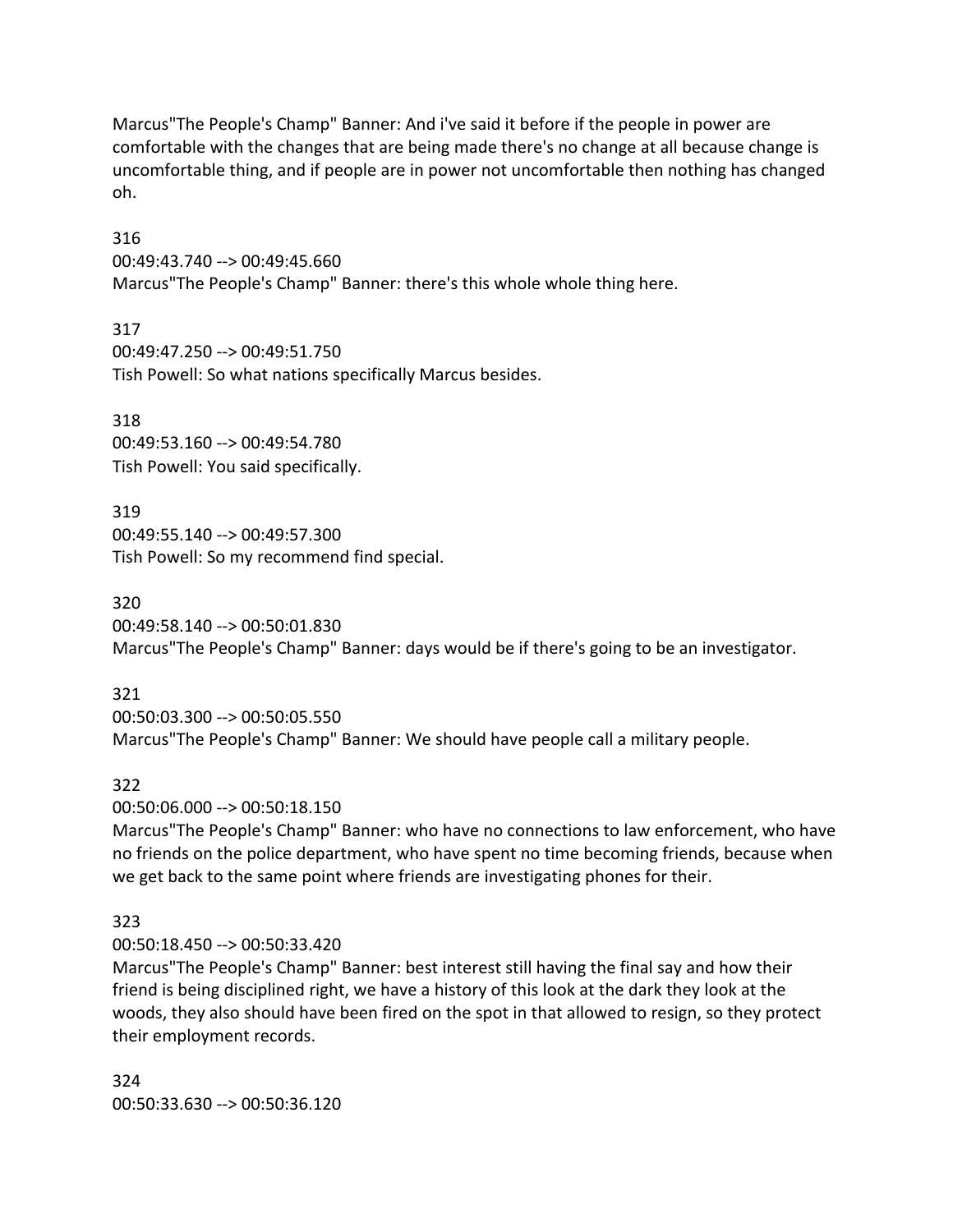Marcus"The People's Champ" Banner: And i've said it before if the people in power are comfortable with the changes that are being made there's no change at all because change is uncomfortable thing, and if people are in power not uncomfortable then nothing has changed oh.

316 00:49:43.740 --> 00:49:45.660 Marcus"The People's Champ" Banner: there's this whole whole thing here.

317 00:49:47.250 --> 00:49:51.750 Tish Powell: So what nations specifically Marcus besides.

318 00:49:53.160 --> 00:49:54.780 Tish Powell: You said specifically.

319 00:49:55.140 --> 00:49:57.300 Tish Powell: So my recommend find special.

320 00:49:58.140 --> 00:50:01.830 Marcus"The People's Champ" Banner: days would be if there's going to be an investigator.

321 00:50:03.300 --> 00:50:05.550 Marcus"The People's Champ" Banner: We should have people call a military people.

322

00:50:06.000 --> 00:50:18.150

Marcus"The People's Champ" Banner: who have no connections to law enforcement, who have no friends on the police department, who have spent no time becoming friends, because when we get back to the same point where friends are investigating phones for their.

323

00:50:18.450 --> 00:50:33.420

Marcus"The People's Champ" Banner: best interest still having the final say and how their friend is being disciplined right, we have a history of this look at the dark they look at the woods, they also should have been fired on the spot in that allowed to resign, so they protect their employment records.

324 00:50:33.630 --> 00:50:36.120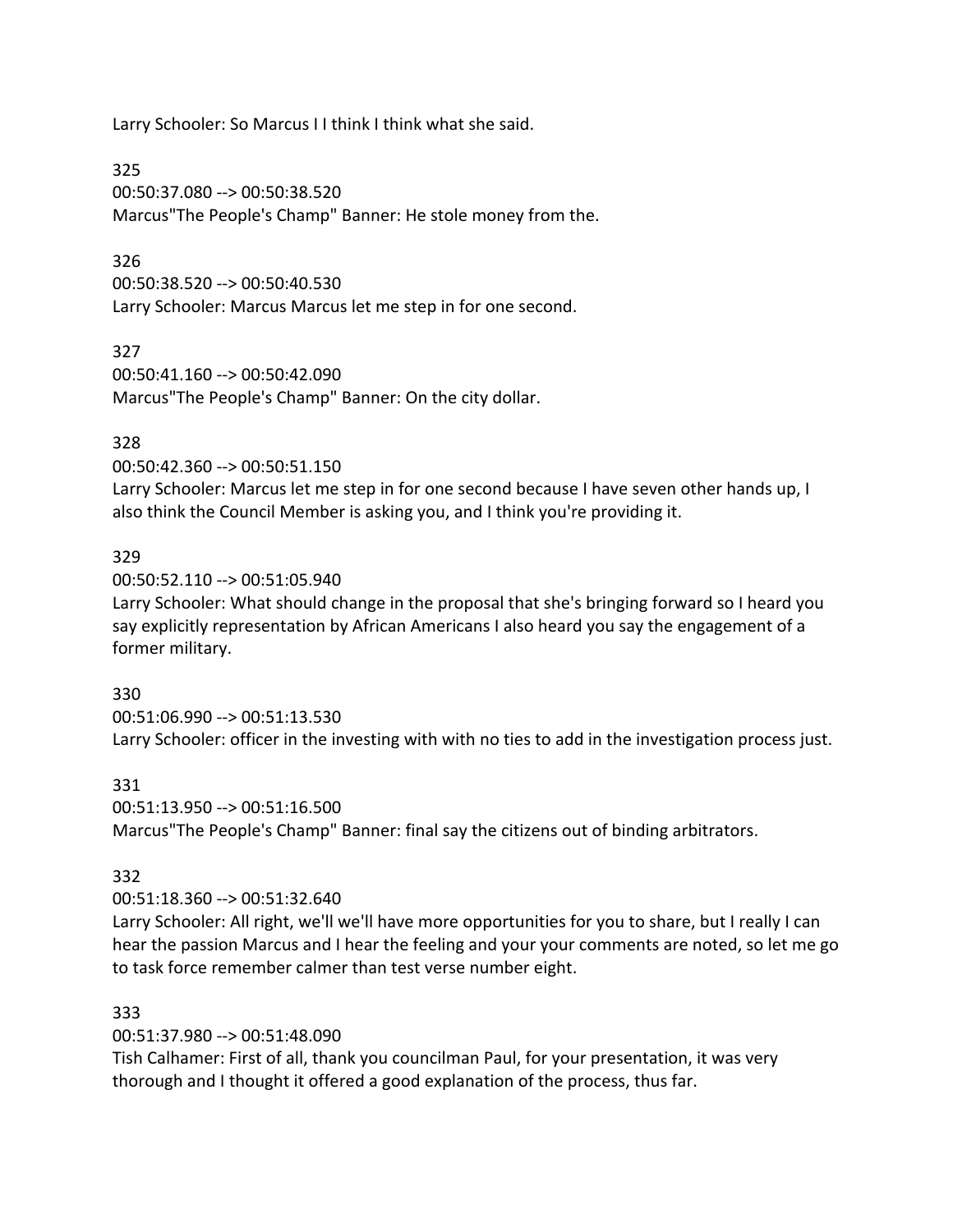Larry Schooler: So Marcus I I think I think what she said.

325

00:50:37.080 --> 00:50:38.520 Marcus"The People's Champ" Banner: He stole money from the.

## 326

00:50:38.520 --> 00:50:40.530 Larry Schooler: Marcus Marcus let me step in for one second.

327

00:50:41.160 --> 00:50:42.090 Marcus"The People's Champ" Banner: On the city dollar.

## 328

00:50:42.360 --> 00:50:51.150

Larry Schooler: Marcus let me step in for one second because I have seven other hands up, I also think the Council Member is asking you, and I think you're providing it.

## 329

00:50:52.110 --> 00:51:05.940

Larry Schooler: What should change in the proposal that she's bringing forward so I heard you say explicitly representation by African Americans I also heard you say the engagement of a former military.

#### 330

00:51:06.990 --> 00:51:13.530

Larry Schooler: officer in the investing with with no ties to add in the investigation process just.

#### 331

00:51:13.950 --> 00:51:16.500 Marcus"The People's Champ" Banner: final say the citizens out of binding arbitrators.

#### 332

00:51:18.360 --> 00:51:32.640

Larry Schooler: All right, we'll we'll have more opportunities for you to share, but I really I can hear the passion Marcus and I hear the feeling and your your comments are noted, so let me go to task force remember calmer than test verse number eight.

#### 333

00:51:37.980 --> 00:51:48.090

Tish Calhamer: First of all, thank you councilman Paul, for your presentation, it was very thorough and I thought it offered a good explanation of the process, thus far.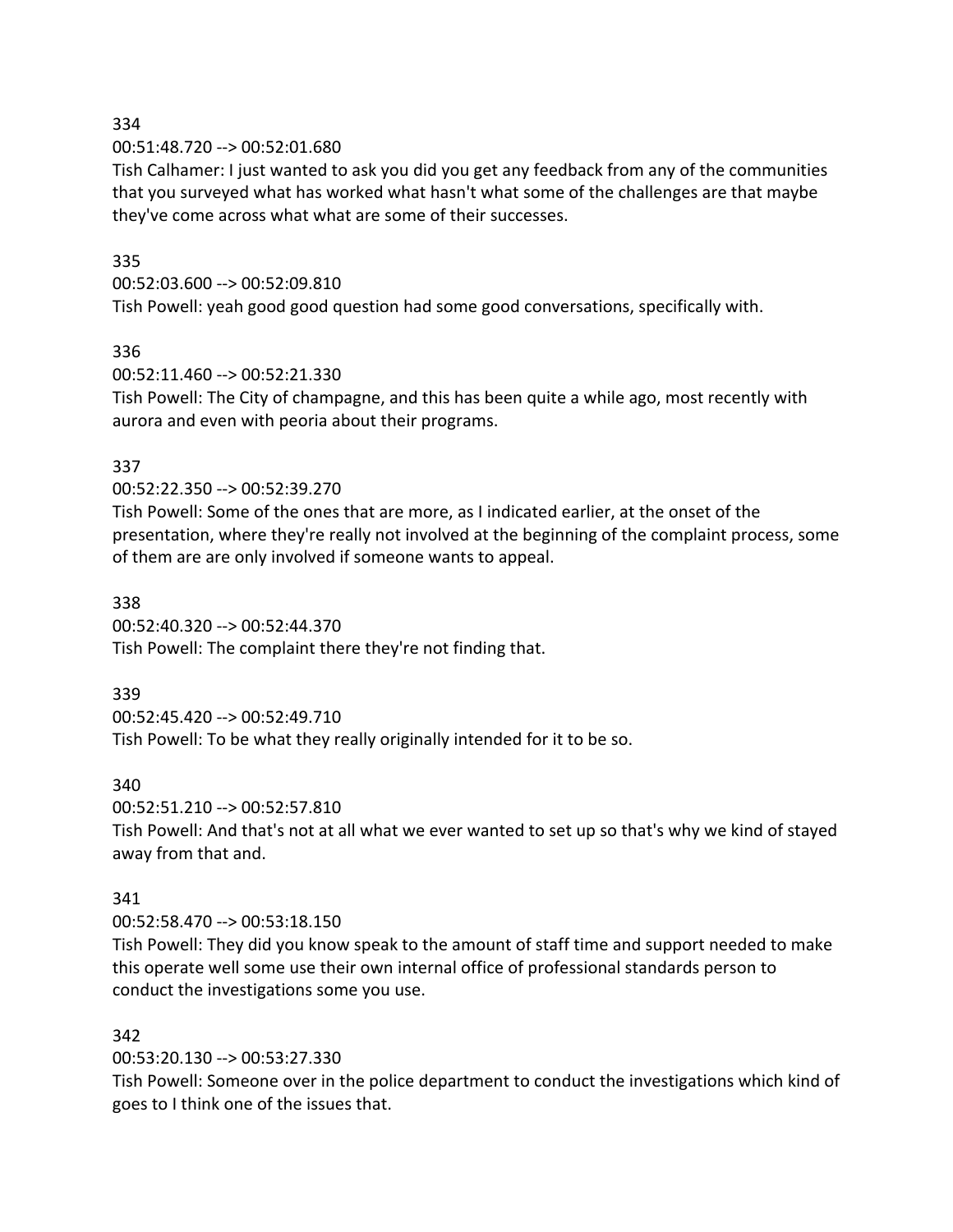00:51:48.720 --> 00:52:01.680

Tish Calhamer: I just wanted to ask you did you get any feedback from any of the communities that you surveyed what has worked what hasn't what some of the challenges are that maybe they've come across what what are some of their successes.

# 335

00:52:03.600 --> 00:52:09.810

Tish Powell: yeah good good question had some good conversations, specifically with.

#### 336

00:52:11.460 --> 00:52:21.330

Tish Powell: The City of champagne, and this has been quite a while ago, most recently with aurora and even with peoria about their programs.

## 337

00:52:22.350 --> 00:52:39.270

Tish Powell: Some of the ones that are more, as I indicated earlier, at the onset of the presentation, where they're really not involved at the beginning of the complaint process, some of them are are only involved if someone wants to appeal.

338

00:52:40.320 --> 00:52:44.370

Tish Powell: The complaint there they're not finding that.

#### 339

00:52:45.420 --> 00:52:49.710

Tish Powell: To be what they really originally intended for it to be so.

#### 340

00:52:51.210 --> 00:52:57.810

Tish Powell: And that's not at all what we ever wanted to set up so that's why we kind of stayed away from that and.

#### 341

00:52:58.470 --> 00:53:18.150

Tish Powell: They did you know speak to the amount of staff time and support needed to make this operate well some use their own internal office of professional standards person to conduct the investigations some you use.

#### 342

00:53:20.130 --> 00:53:27.330

Tish Powell: Someone over in the police department to conduct the investigations which kind of goes to I think one of the issues that.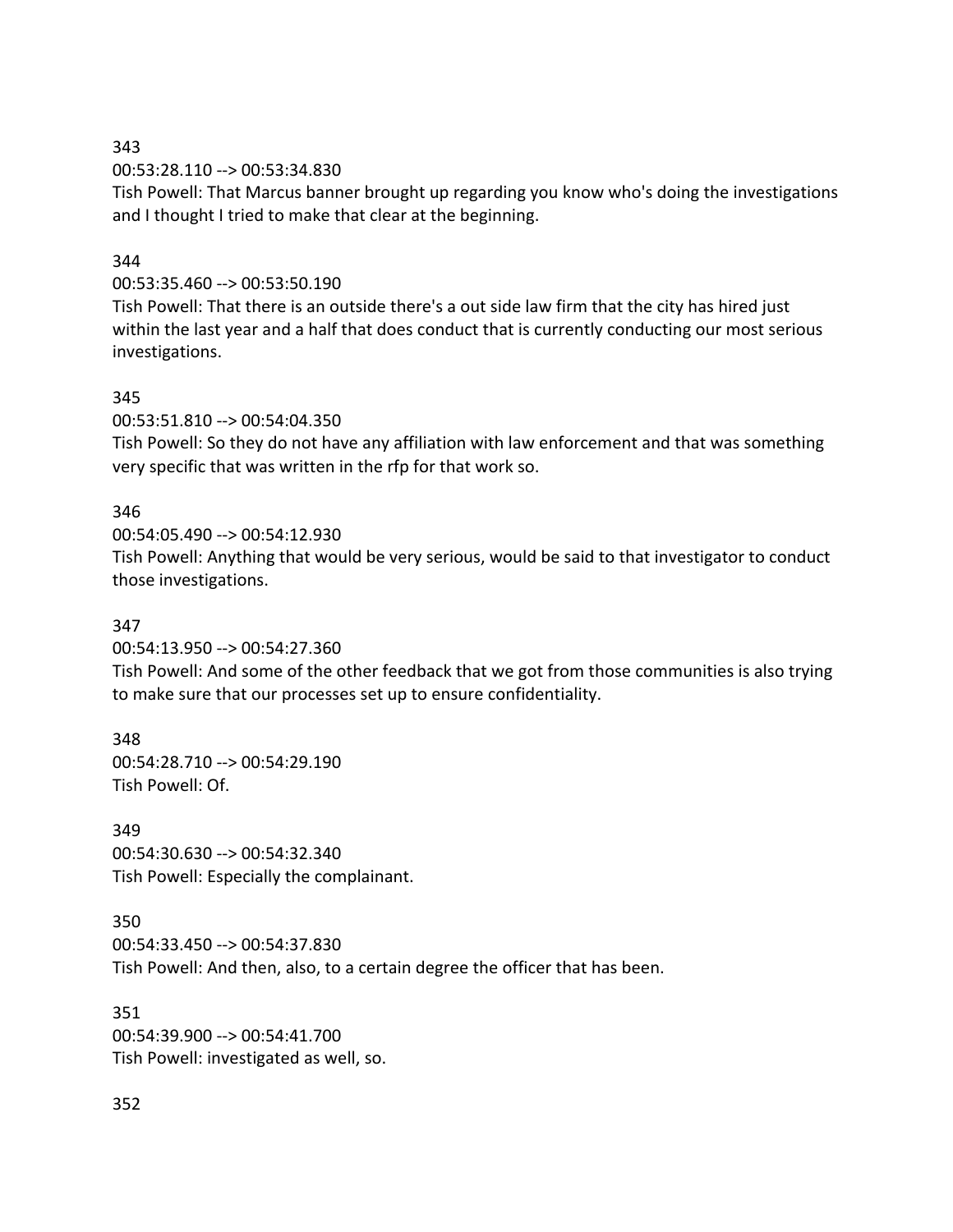00:53:28.110 --> 00:53:34.830

Tish Powell: That Marcus banner brought up regarding you know who's doing the investigations and I thought I tried to make that clear at the beginning.

# 344

00:53:35.460 --> 00:53:50.190

Tish Powell: That there is an outside there's a out side law firm that the city has hired just within the last year and a half that does conduct that is currently conducting our most serious investigations.

# 345

00:53:51.810 --> 00:54:04.350

Tish Powell: So they do not have any affiliation with law enforcement and that was something very specific that was written in the rfp for that work so.

# 346

00:54:05.490 --> 00:54:12.930

Tish Powell: Anything that would be very serious, would be said to that investigator to conduct those investigations.

# 347

00:54:13.950 --> 00:54:27.360

Tish Powell: And some of the other feedback that we got from those communities is also trying to make sure that our processes set up to ensure confidentiality.

# 348

00:54:28.710 --> 00:54:29.190 Tish Powell: Of.

# 349

00:54:30.630 --> 00:54:32.340 Tish Powell: Especially the complainant.

# 350

00:54:33.450 --> 00:54:37.830 Tish Powell: And then, also, to a certain degree the officer that has been.

## 351

00:54:39.900 --> 00:54:41.700 Tish Powell: investigated as well, so.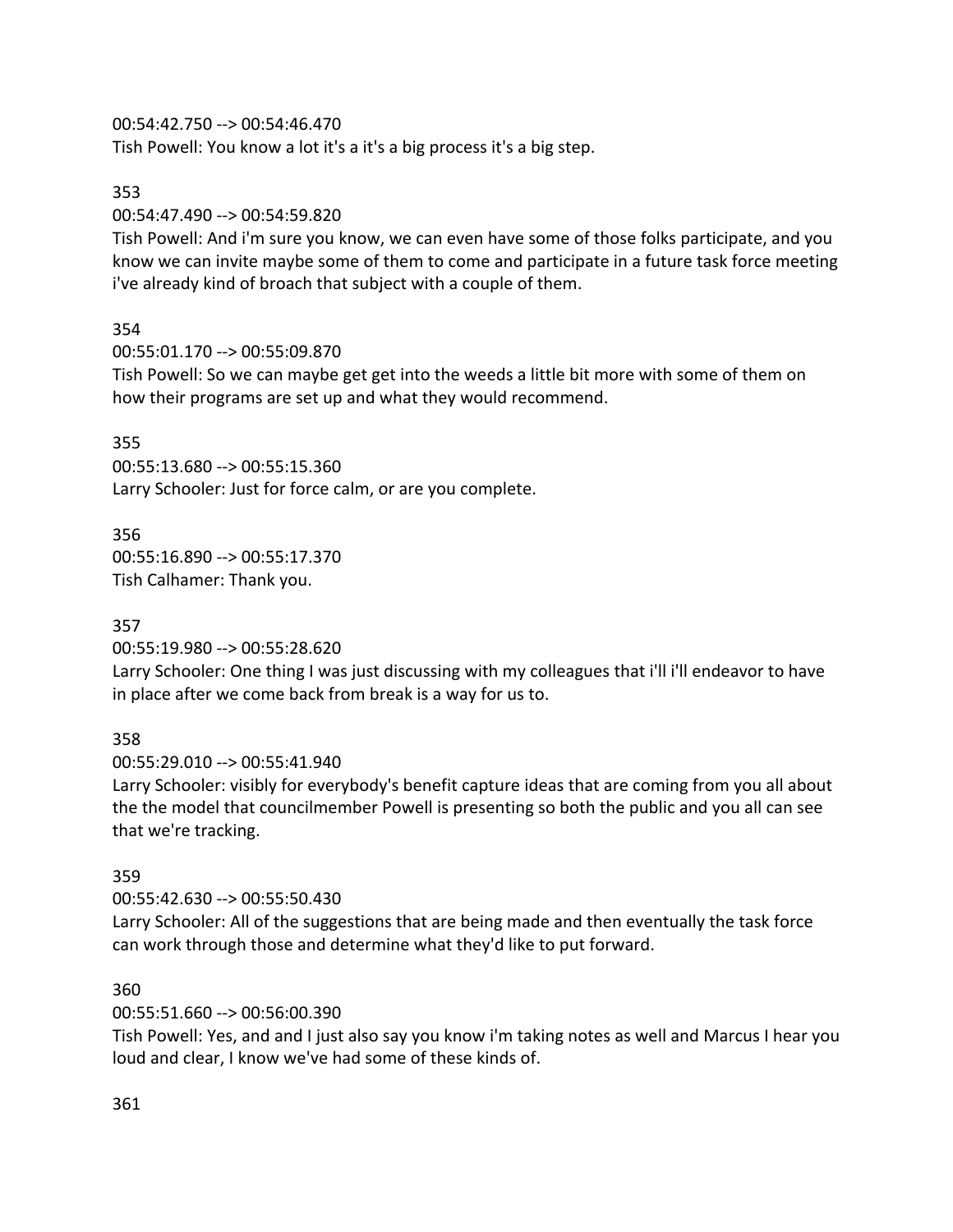00:54:42.750 --> 00:54:46.470

Tish Powell: You know a lot it's a it's a big process it's a big step.

# 353

00:54:47.490 --> 00:54:59.820

Tish Powell: And i'm sure you know, we can even have some of those folks participate, and you know we can invite maybe some of them to come and participate in a future task force meeting i've already kind of broach that subject with a couple of them.

# 354

00:55:01.170 --> 00:55:09.870

Tish Powell: So we can maybe get get into the weeds a little bit more with some of them on how their programs are set up and what they would recommend.

# 355

00:55:13.680 --> 00:55:15.360 Larry Schooler: Just for force calm, or are you complete.

# 356

00:55:16.890 --> 00:55:17.370 Tish Calhamer: Thank you.

# 357

00:55:19.980 --> 00:55:28.620

Larry Schooler: One thing I was just discussing with my colleagues that i'll i'll endeavor to have in place after we come back from break is a way for us to.

# 358

00:55:29.010 --> 00:55:41.940

Larry Schooler: visibly for everybody's benefit capture ideas that are coming from you all about the the model that councilmember Powell is presenting so both the public and you all can see that we're tracking.

# 359

00:55:42.630 --> 00:55:50.430

Larry Schooler: All of the suggestions that are being made and then eventually the task force can work through those and determine what they'd like to put forward.

# 360

00:55:51.660 --> 00:56:00.390

Tish Powell: Yes, and and I just also say you know i'm taking notes as well and Marcus I hear you loud and clear, I know we've had some of these kinds of.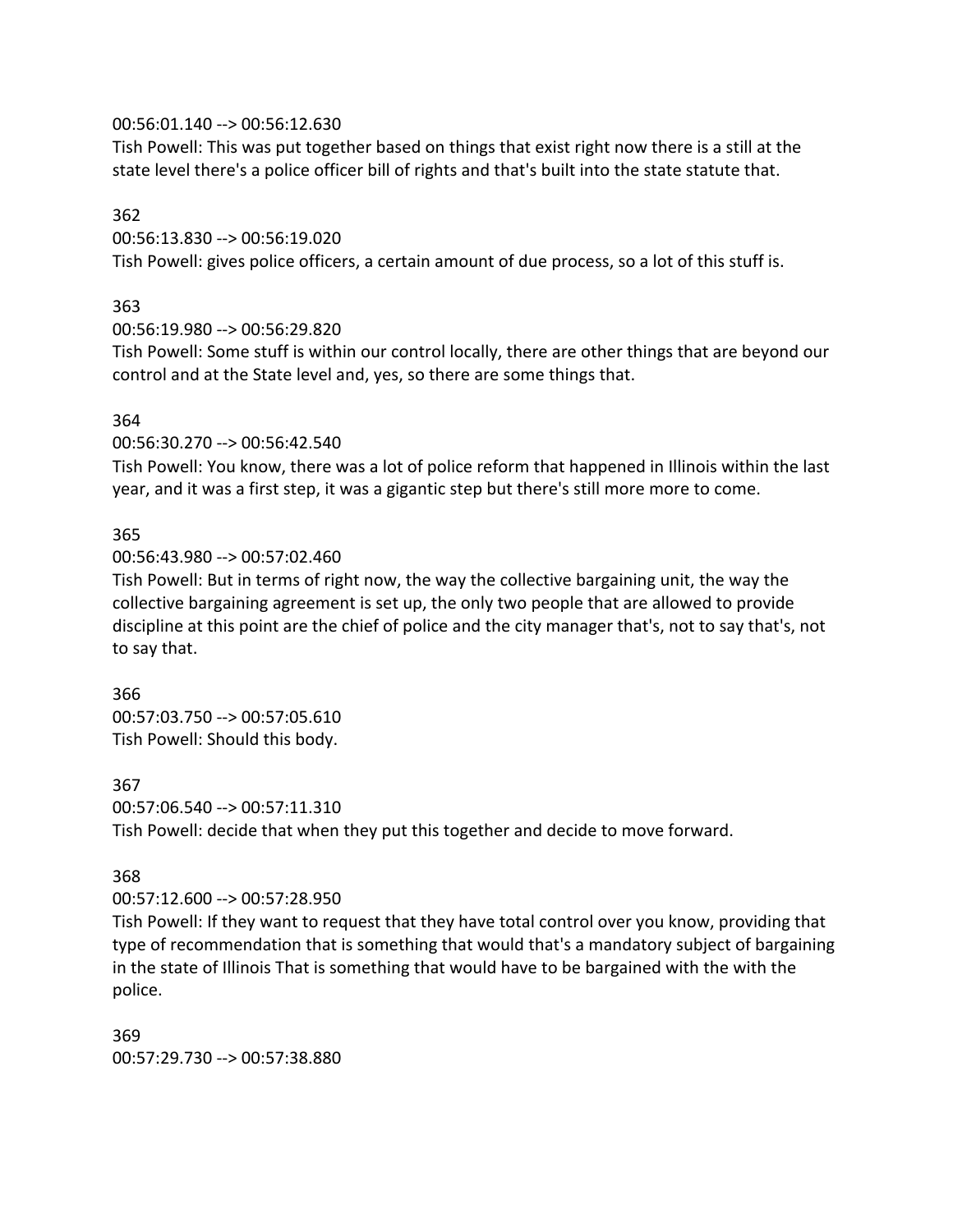#### 00:56:01.140 --> 00:56:12.630

Tish Powell: This was put together based on things that exist right now there is a still at the state level there's a police officer bill of rights and that's built into the state statute that.

362

00:56:13.830 --> 00:56:19.020

Tish Powell: gives police officers, a certain amount of due process, so a lot of this stuff is.

# 363

00:56:19.980 --> 00:56:29.820

Tish Powell: Some stuff is within our control locally, there are other things that are beyond our control and at the State level and, yes, so there are some things that.

# 364

00:56:30.270 --> 00:56:42.540

Tish Powell: You know, there was a lot of police reform that happened in Illinois within the last year, and it was a first step, it was a gigantic step but there's still more more to come.

# 365

00:56:43.980 --> 00:57:02.460

Tish Powell: But in terms of right now, the way the collective bargaining unit, the way the collective bargaining agreement is set up, the only two people that are allowed to provide discipline at this point are the chief of police and the city manager that's, not to say that's, not to say that.

#### 366

00:57:03.750 --> 00:57:05.610 Tish Powell: Should this body.

# 367

00:57:06.540 --> 00:57:11.310 Tish Powell: decide that when they put this together and decide to move forward.

# 368

00:57:12.600 --> 00:57:28.950

Tish Powell: If they want to request that they have total control over you know, providing that type of recommendation that is something that would that's a mandatory subject of bargaining in the state of Illinois That is something that would have to be bargained with the with the police.

369 00:57:29.730 --> 00:57:38.880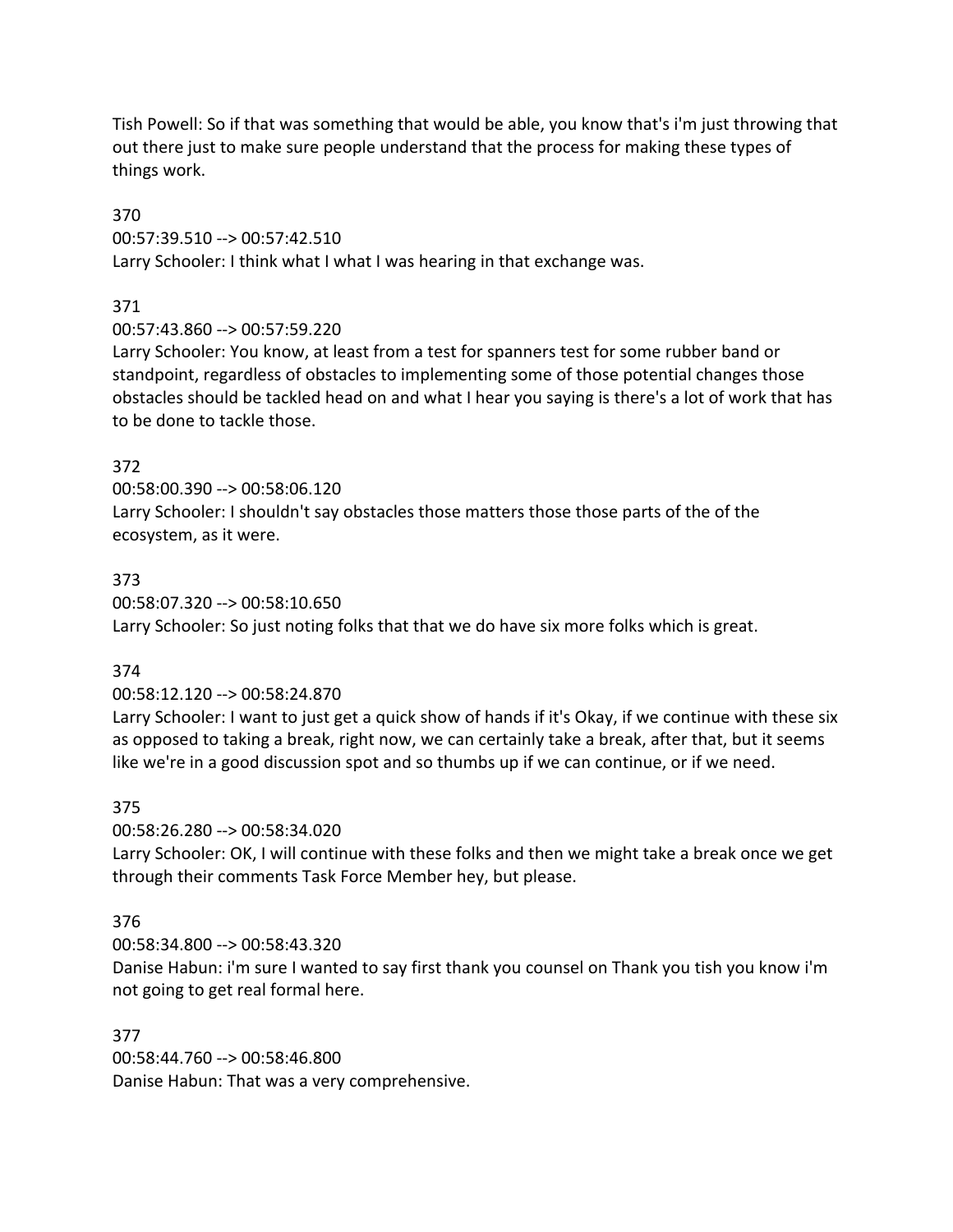Tish Powell: So if that was something that would be able, you know that's i'm just throwing that out there just to make sure people understand that the process for making these types of things work.

370 00:57:39.510 --> 00:57:42.510

Larry Schooler: I think what I what I was hearing in that exchange was.

# 371

00:57:43.860 --> 00:57:59.220

Larry Schooler: You know, at least from a test for spanners test for some rubber band or standpoint, regardless of obstacles to implementing some of those potential changes those obstacles should be tackled head on and what I hear you saying is there's a lot of work that has to be done to tackle those.

# 372

00:58:00.390 --> 00:58:06.120 Larry Schooler: I shouldn't say obstacles those matters those those parts of the of the ecosystem, as it were.

# 373

00:58:07.320 --> 00:58:10.650 Larry Schooler: So just noting folks that that we do have six more folks which is great.

# 374

# 00:58:12.120 --> 00:58:24.870

Larry Schooler: I want to just get a quick show of hands if it's Okay, if we continue with these six as opposed to taking a break, right now, we can certainly take a break, after that, but it seems like we're in a good discussion spot and so thumbs up if we can continue, or if we need.

# 375

00:58:26.280 --> 00:58:34.020

Larry Schooler: OK, I will continue with these folks and then we might take a break once we get through their comments Task Force Member hey, but please.

# 376

00:58:34.800 --> 00:58:43.320 Danise Habun: i'm sure I wanted to say first thank you counsel on Thank you tish you know i'm not going to get real formal here.

# 377

00:58:44.760 --> 00:58:46.800 Danise Habun: That was a very comprehensive.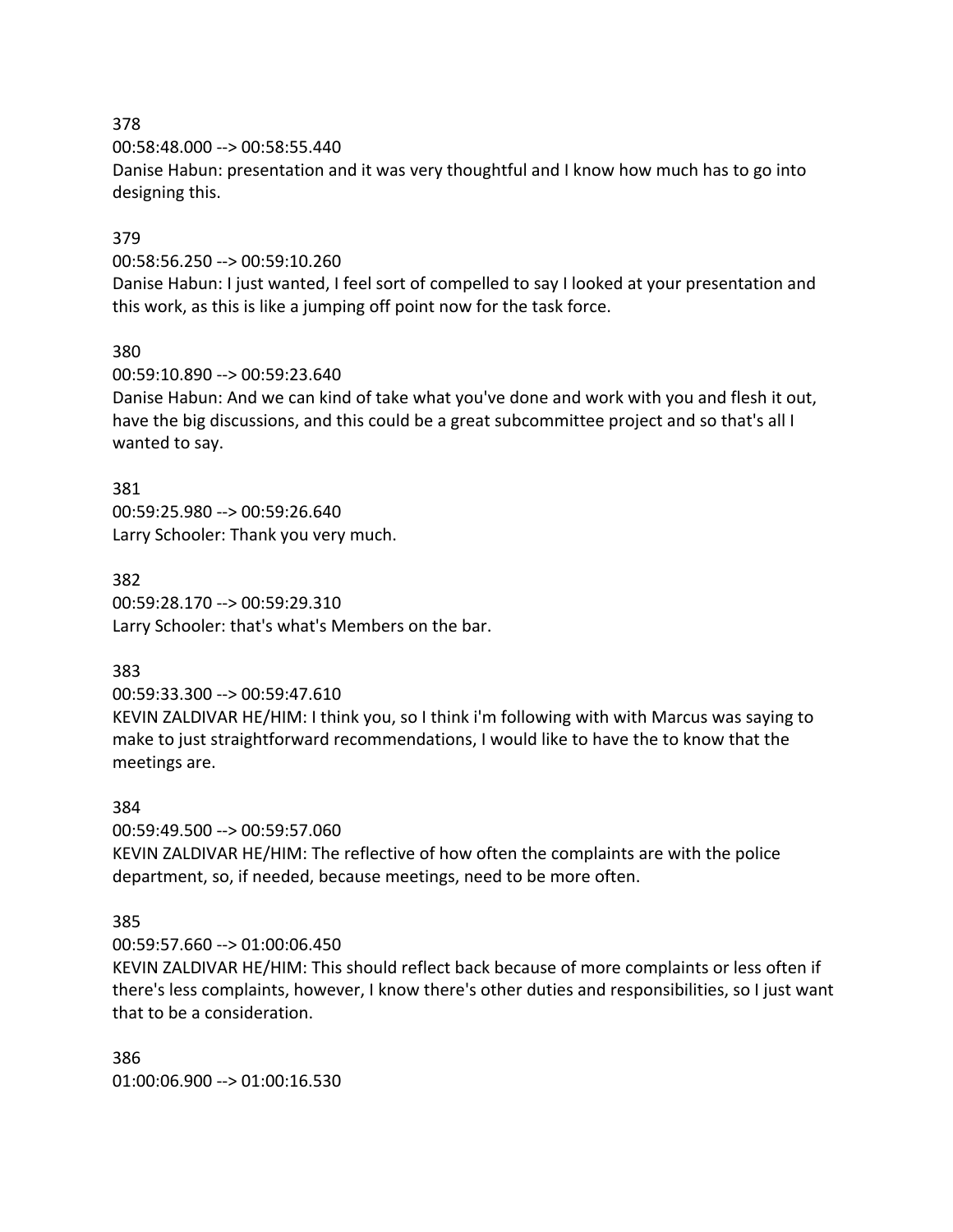00:58:48.000 --> 00:58:55.440

Danise Habun: presentation and it was very thoughtful and I know how much has to go into designing this.

## 379

00:58:56.250 --> 00:59:10.260

Danise Habun: I just wanted, I feel sort of compelled to say I looked at your presentation and this work, as this is like a jumping off point now for the task force.

#### 380

00:59:10.890 --> 00:59:23.640

Danise Habun: And we can kind of take what you've done and work with you and flesh it out, have the big discussions, and this could be a great subcommittee project and so that's all I wanted to say.

#### 381

00:59:25.980 --> 00:59:26.640 Larry Schooler: Thank you very much.

## 382

00:59:28.170 --> 00:59:29.310 Larry Schooler: that's what's Members on the bar.

#### 383

00:59:33.300 --> 00:59:47.610

KEVIN ZALDIVAR HE/HIM: I think you, so I think i'm following with with Marcus was saying to make to just straightforward recommendations, I would like to have the to know that the meetings are.

#### 384

00:59:49.500 --> 00:59:57.060 KEVIN ZALDIVAR HE/HIM: The reflective of how often the complaints are with the police department, so, if needed, because meetings, need to be more often.

#### 385

00:59:57.660 --> 01:00:06.450

KEVIN ZALDIVAR HE/HIM: This should reflect back because of more complaints or less often if there's less complaints, however, I know there's other duties and responsibilities, so I just want that to be a consideration.

386 01:00:06.900 --> 01:00:16.530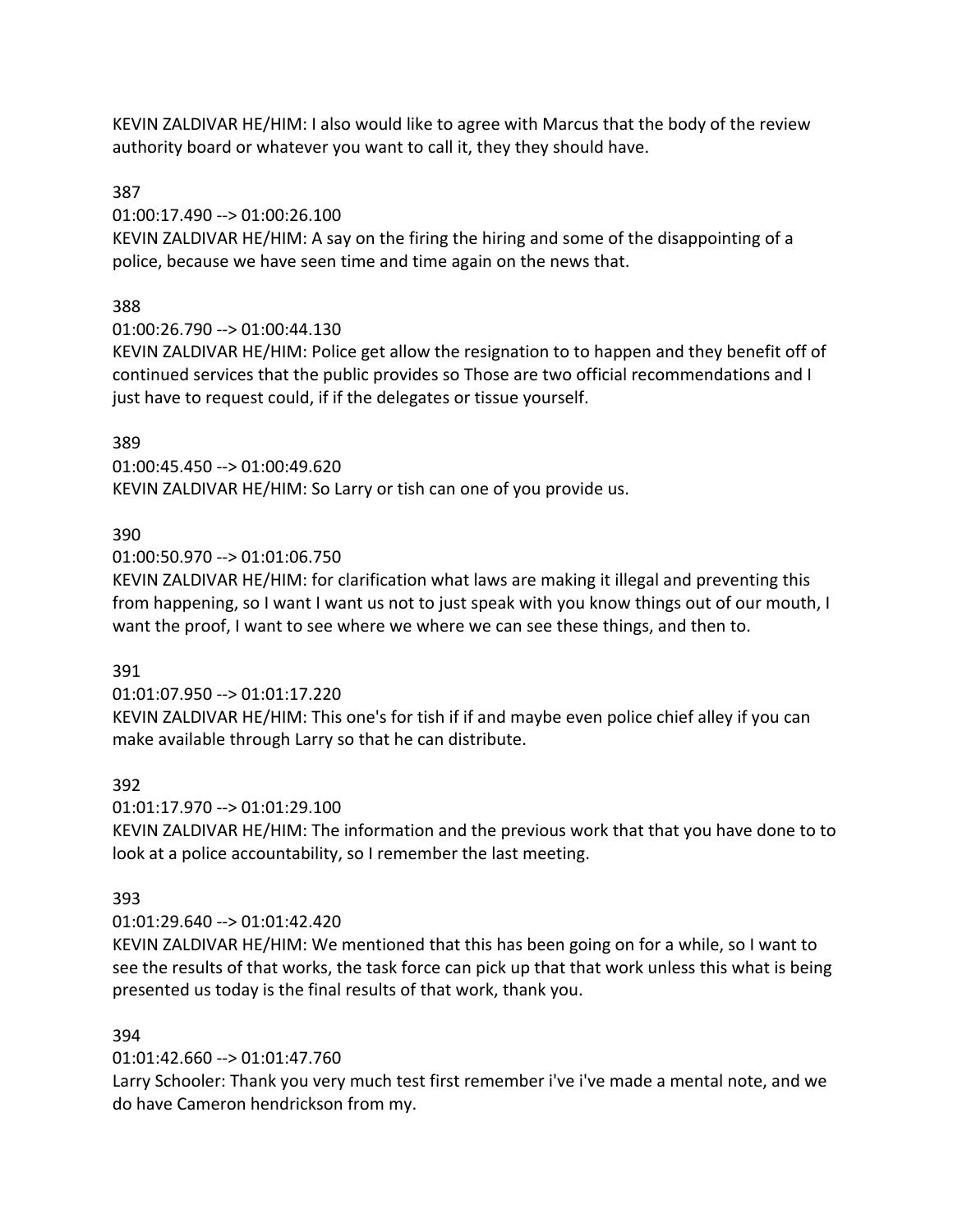KEVIN ZALDIVAR HE/HIM: I also would like to agree with Marcus that the body of the review authority board or whatever you want to call it, they they should have.

#### 387

01:00:17.490 --> 01:00:26.100

KEVIN ZALDIVAR HE/HIM: A say on the firing the hiring and some of the disappointing of a police, because we have seen time and time again on the news that.

#### 388

01:00:26.790 --> 01:00:44.130

KEVIN ZALDIVAR HE/HIM: Police get allow the resignation to to happen and they benefit off of continued services that the public provides so Those are two official recommendations and I just have to request could, if if the delegates or tissue yourself.

#### 389

01:00:45.450 --> 01:00:49.620 KEVIN ZALDIVAR HE/HIM: So Larry or tish can one of you provide us.

#### 390

01:00:50.970 --> 01:01:06.750

KEVIN ZALDIVAR HE/HIM: for clarification what laws are making it illegal and preventing this from happening, so I want I want us not to just speak with you know things out of our mouth, I want the proof, I want to see where we where we can see these things, and then to.

#### 391

01:01:07.950 --> 01:01:17.220

KEVIN ZALDIVAR HE/HIM: This one's for tish if if and maybe even police chief alley if you can make available through Larry so that he can distribute.

#### 392

01:01:17.970 --> 01:01:29.100

KEVIN ZALDIVAR HE/HIM: The information and the previous work that that you have done to to look at a police accountability, so I remember the last meeting.

#### 393

#### 01:01:29.640 --> 01:01:42.420

KEVIN ZALDIVAR HE/HIM: We mentioned that this has been going on for a while, so I want to see the results of that works, the task force can pick up that that work unless this what is being presented us today is the final results of that work, thank you.

#### 394

01:01:42.660 --> 01:01:47.760

Larry Schooler: Thank you very much test first remember i've i've made a mental note, and we do have Cameron hendrickson from my.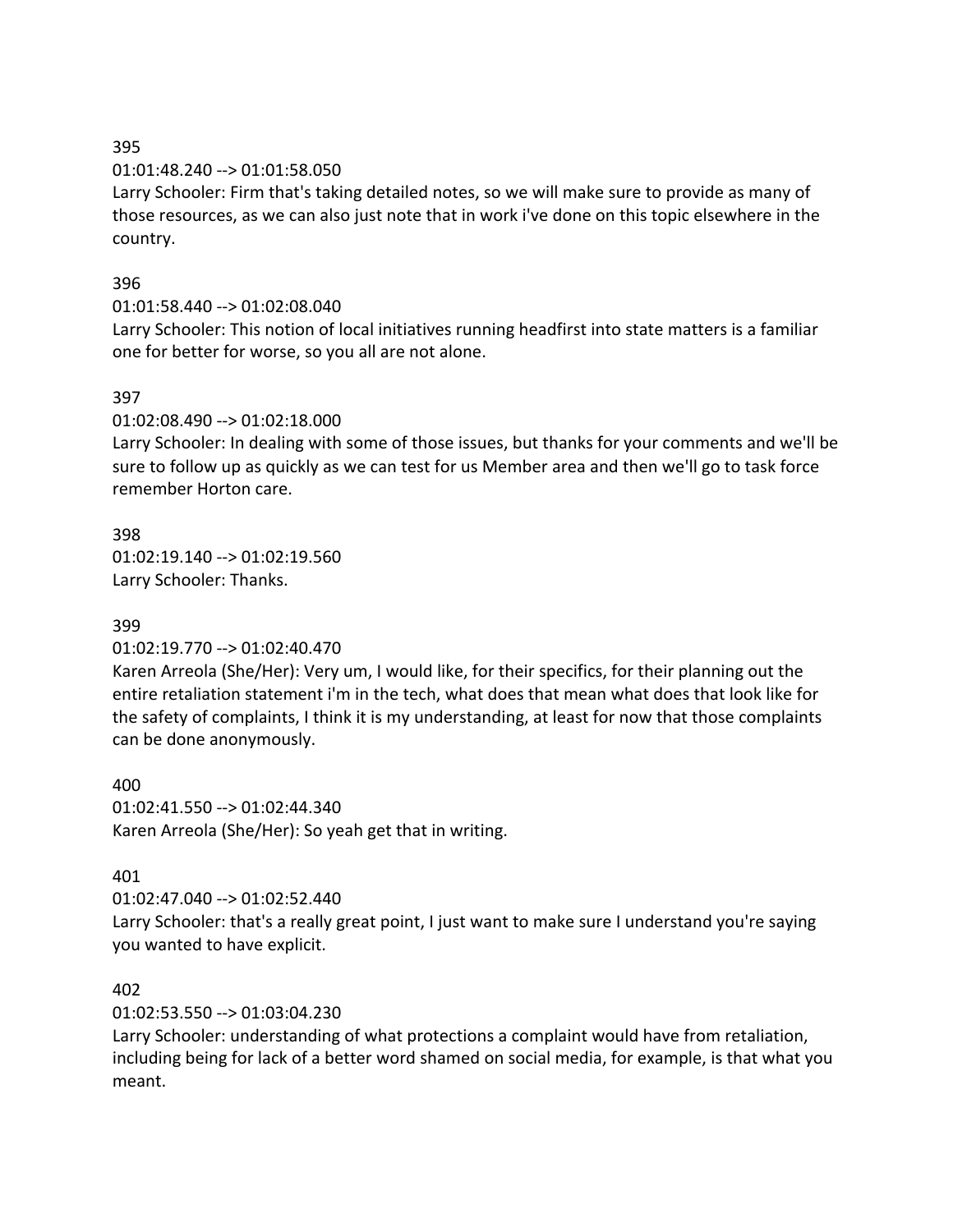01:01:48.240 --> 01:01:58.050

Larry Schooler: Firm that's taking detailed notes, so we will make sure to provide as many of those resources, as we can also just note that in work i've done on this topic elsewhere in the country.

# 396

# 01:01:58.440 --> 01:02:08.040

Larry Schooler: This notion of local initiatives running headfirst into state matters is a familiar one for better for worse, so you all are not alone.

# 397

01:02:08.490 --> 01:02:18.000

Larry Schooler: In dealing with some of those issues, but thanks for your comments and we'll be sure to follow up as quickly as we can test for us Member area and then we'll go to task force remember Horton care.

# 398

01:02:19.140 --> 01:02:19.560 Larry Schooler: Thanks.

# 399

# 01:02:19.770 --> 01:02:40.470

Karen Arreola (She/Her): Very um, I would like, for their specifics, for their planning out the entire retaliation statement i'm in the tech, what does that mean what does that look like for the safety of complaints, I think it is my understanding, at least for now that those complaints can be done anonymously.

400 01:02:41.550 --> 01:02:44.340 Karen Arreola (She/Her): So yeah get that in writing.

# 401

01:02:47.040 --> 01:02:52.440 Larry Schooler: that's a really great point, I just want to make sure I understand you're saying you wanted to have explicit.

# 402

01:02:53.550 --> 01:03:04.230

Larry Schooler: understanding of what protections a complaint would have from retaliation, including being for lack of a better word shamed on social media, for example, is that what you meant.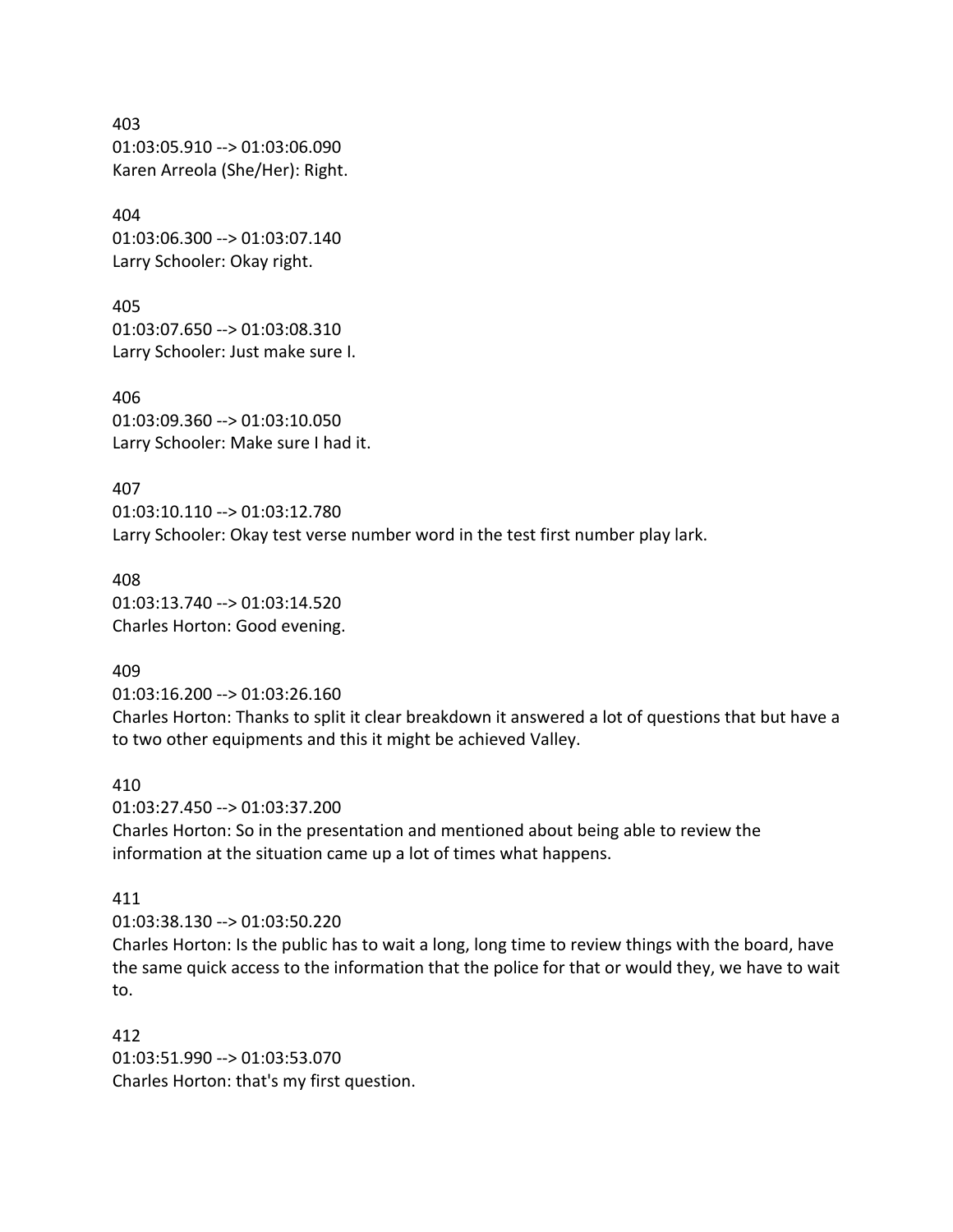403 01:03:05.910 --> 01:03:06.090 Karen Arreola (She/Her): Right.

404 01:03:06.300 --> 01:03:07.140 Larry Schooler: Okay right.

405 01:03:07.650 --> 01:03:08.310 Larry Schooler: Just make sure I.

406 01:03:09.360 --> 01:03:10.050 Larry Schooler: Make sure I had it.

407 01:03:10.110 --> 01:03:12.780 Larry Schooler: Okay test verse number word in the test first number play lark.

408 01:03:13.740 --> 01:03:14.520 Charles Horton: Good evening.

409

01:03:16.200 --> 01:03:26.160

Charles Horton: Thanks to split it clear breakdown it answered a lot of questions that but have a to two other equipments and this it might be achieved Valley.

410

01:03:27.450 --> 01:03:37.200 Charles Horton: So in the presentation and mentioned about being able to review the information at the situation came up a lot of times what happens.

411

01:03:38.130 --> 01:03:50.220

Charles Horton: Is the public has to wait a long, long time to review things with the board, have the same quick access to the information that the police for that or would they, we have to wait to.

412 01:03:51.990 --> 01:03:53.070 Charles Horton: that's my first question.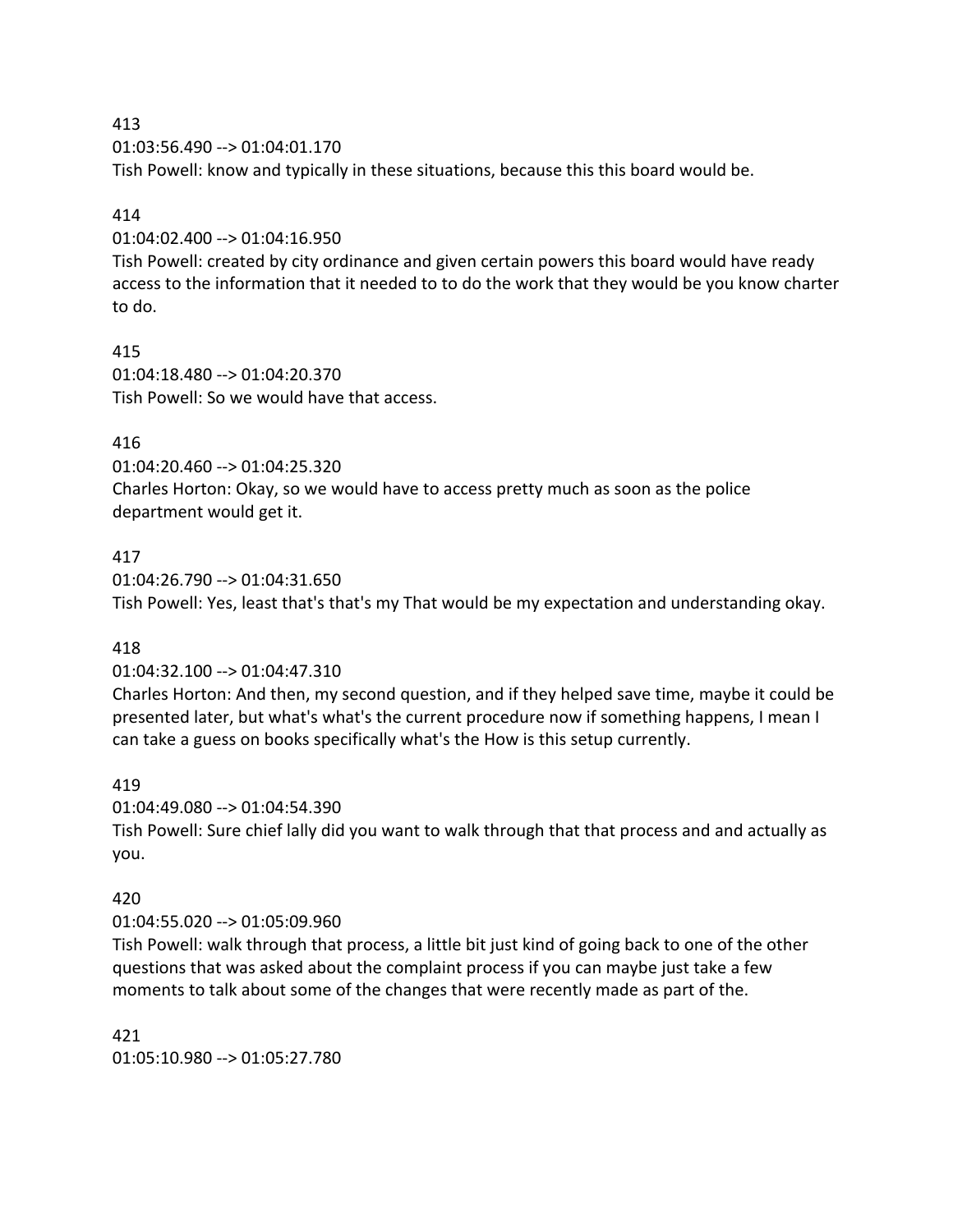01:03:56.490 --> 01:04:01.170

Tish Powell: know and typically in these situations, because this this board would be.

## 414

01:04:02.400 --> 01:04:16.950

Tish Powell: created by city ordinance and given certain powers this board would have ready access to the information that it needed to to do the work that they would be you know charter to do.

# 415

01:04:18.480 --> 01:04:20.370 Tish Powell: So we would have that access.

# 416

01:04:20.460 --> 01:04:25.320 Charles Horton: Okay, so we would have to access pretty much as soon as the police department would get it.

# 417

01:04:26.790 --> 01:04:31.650 Tish Powell: Yes, least that's that's my That would be my expectation and understanding okay.

# 418

01:04:32.100 --> 01:04:47.310

Charles Horton: And then, my second question, and if they helped save time, maybe it could be presented later, but what's what's the current procedure now if something happens, I mean I can take a guess on books specifically what's the How is this setup currently.

# 419

01:04:49.080 --> 01:04:54.390 Tish Powell: Sure chief lally did you want to walk through that that process and and actually as you.

# 420

01:04:55.020 --> 01:05:09.960

Tish Powell: walk through that process, a little bit just kind of going back to one of the other questions that was asked about the complaint process if you can maybe just take a few moments to talk about some of the changes that were recently made as part of the.

421 01:05:10.980 --> 01:05:27.780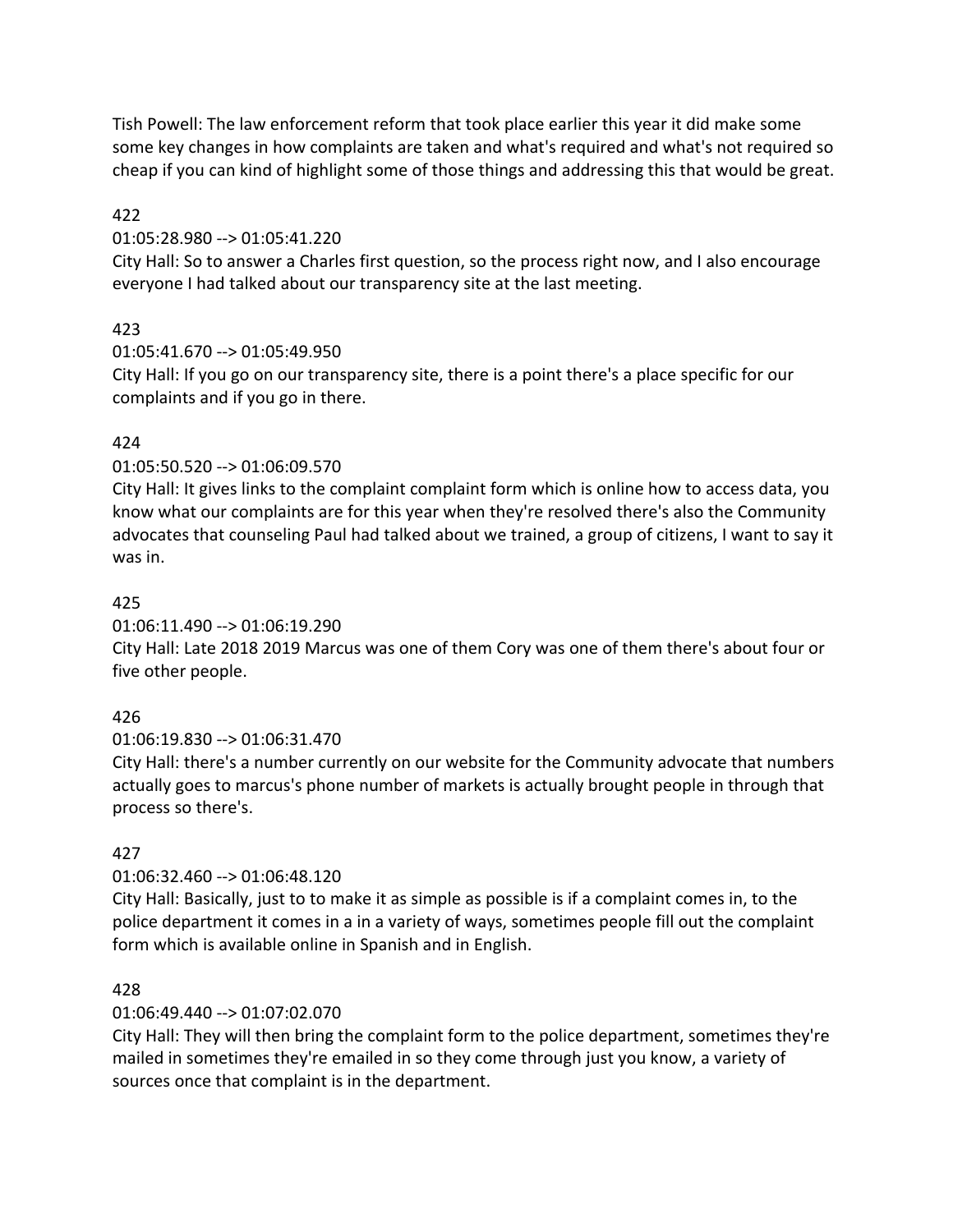Tish Powell: The law enforcement reform that took place earlier this year it did make some some key changes in how complaints are taken and what's required and what's not required so cheap if you can kind of highlight some of those things and addressing this that would be great.

## 422

#### 01:05:28.980 --> 01:05:41.220

City Hall: So to answer a Charles first question, so the process right now, and I also encourage everyone I had talked about our transparency site at the last meeting.

# 423

01:05:41.670 --> 01:05:49.950

City Hall: If you go on our transparency site, there is a point there's a place specific for our complaints and if you go in there.

# 424

## 01:05:50.520 --> 01:06:09.570

City Hall: It gives links to the complaint complaint form which is online how to access data, you know what our complaints are for this year when they're resolved there's also the Community advocates that counseling Paul had talked about we trained, a group of citizens, I want to say it was in.

## 425

01:06:11.490 --> 01:06:19.290

City Hall: Late 2018 2019 Marcus was one of them Cory was one of them there's about four or five other people.

# 426

01:06:19.830 --> 01:06:31.470

City Hall: there's a number currently on our website for the Community advocate that numbers actually goes to marcus's phone number of markets is actually brought people in through that process so there's.

# 427

# 01:06:32.460 --> 01:06:48.120

City Hall: Basically, just to to make it as simple as possible is if a complaint comes in, to the police department it comes in a in a variety of ways, sometimes people fill out the complaint form which is available online in Spanish and in English.

# 428

# 01:06:49.440 --> 01:07:02.070

City Hall: They will then bring the complaint form to the police department, sometimes they're mailed in sometimes they're emailed in so they come through just you know, a variety of sources once that complaint is in the department.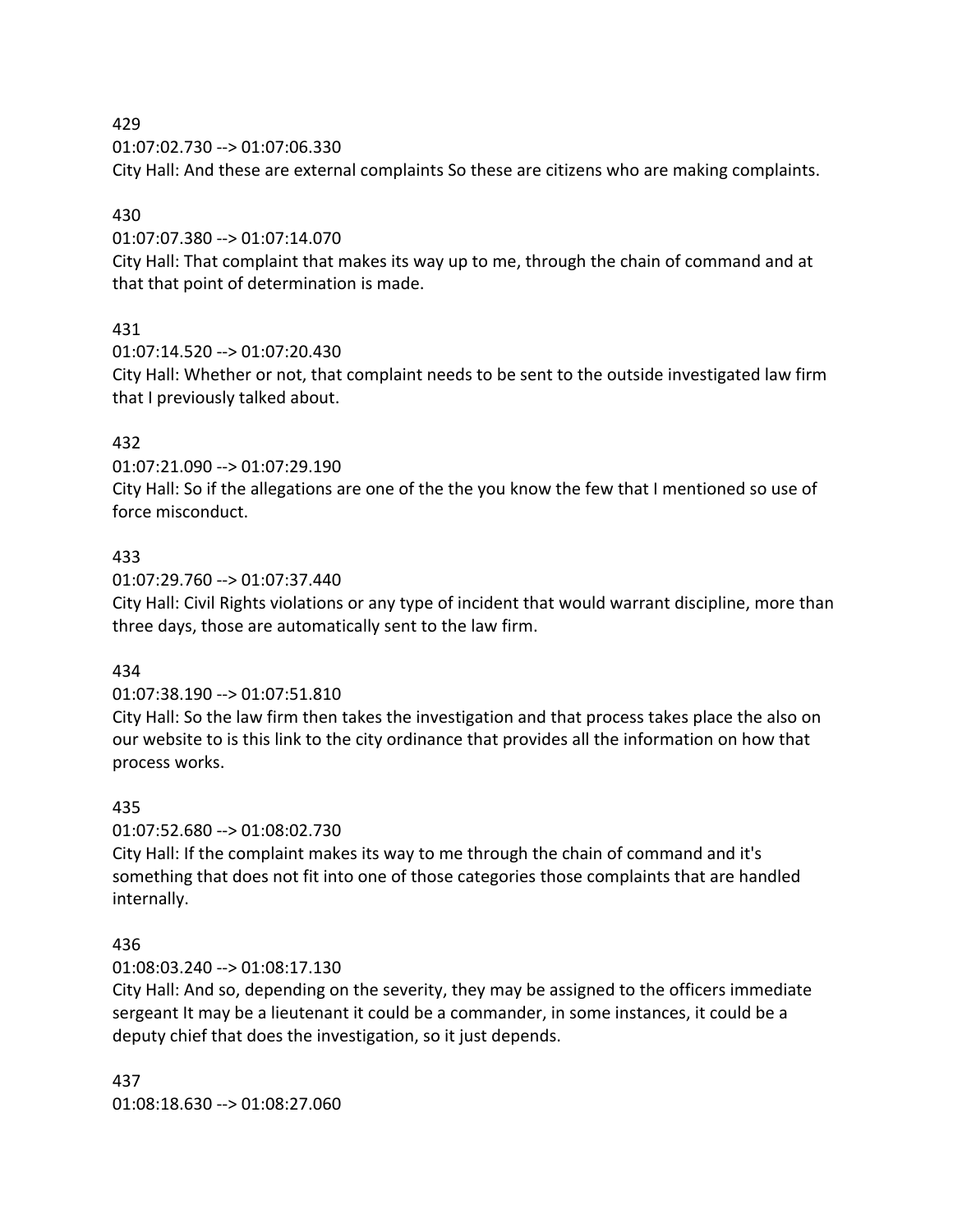01:07:02.730 --> 01:07:06.330

City Hall: And these are external complaints So these are citizens who are making complaints.

#### 430

01:07:07.380 --> 01:07:14.070

City Hall: That complaint that makes its way up to me, through the chain of command and at that that point of determination is made.

# 431

01:07:14.520 --> 01:07:20.430

City Hall: Whether or not, that complaint needs to be sent to the outside investigated law firm that I previously talked about.

## 432

01:07:21.090 --> 01:07:29.190

City Hall: So if the allegations are one of the the you know the few that I mentioned so use of force misconduct.

#### 433

01:07:29.760 --> 01:07:37.440

City Hall: Civil Rights violations or any type of incident that would warrant discipline, more than three days, those are automatically sent to the law firm.

#### 434

01:07:38.190 --> 01:07:51.810

City Hall: So the law firm then takes the investigation and that process takes place the also on our website to is this link to the city ordinance that provides all the information on how that process works.

#### 435

01:07:52.680 --> 01:08:02.730

City Hall: If the complaint makes its way to me through the chain of command and it's something that does not fit into one of those categories those complaints that are handled internally.

#### 436

01:08:03.240 --> 01:08:17.130

City Hall: And so, depending on the severity, they may be assigned to the officers immediate sergeant It may be a lieutenant it could be a commander, in some instances, it could be a deputy chief that does the investigation, so it just depends.

437 01:08:18.630 --> 01:08:27.060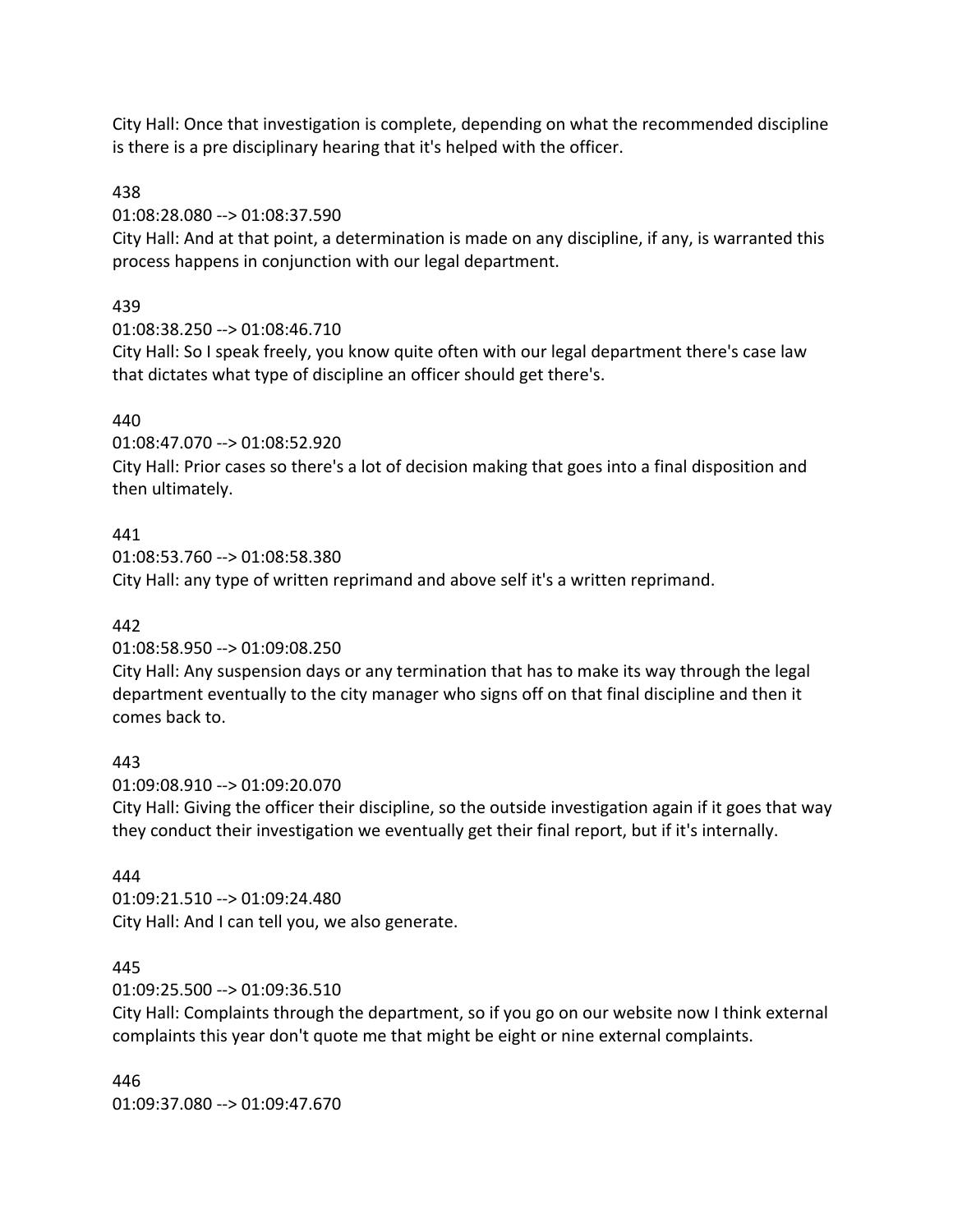City Hall: Once that investigation is complete, depending on what the recommended discipline is there is a pre disciplinary hearing that it's helped with the officer.

#### 438

01:08:28.080 --> 01:08:37.590

City Hall: And at that point, a determination is made on any discipline, if any, is warranted this process happens in conjunction with our legal department.

## 439

01:08:38.250 --> 01:08:46.710

City Hall: So I speak freely, you know quite often with our legal department there's case law that dictates what type of discipline an officer should get there's.

## 440

01:08:47.070 --> 01:08:52.920

City Hall: Prior cases so there's a lot of decision making that goes into a final disposition and then ultimately.

## 441

01:08:53.760 --> 01:08:58.380 City Hall: any type of written reprimand and above self it's a written reprimand.

#### 442

01:08:58.950 --> 01:09:08.250

City Hall: Any suspension days or any termination that has to make its way through the legal department eventually to the city manager who signs off on that final discipline and then it comes back to.

#### 443

01:09:08.910 --> 01:09:20.070

City Hall: Giving the officer their discipline, so the outside investigation again if it goes that way they conduct their investigation we eventually get their final report, but if it's internally.

#### 444

01:09:21.510 --> 01:09:24.480 City Hall: And I can tell you, we also generate.

#### 445

01:09:25.500 --> 01:09:36.510

City Hall: Complaints through the department, so if you go on our website now I think external complaints this year don't quote me that might be eight or nine external complaints.

446 01:09:37.080 --> 01:09:47.670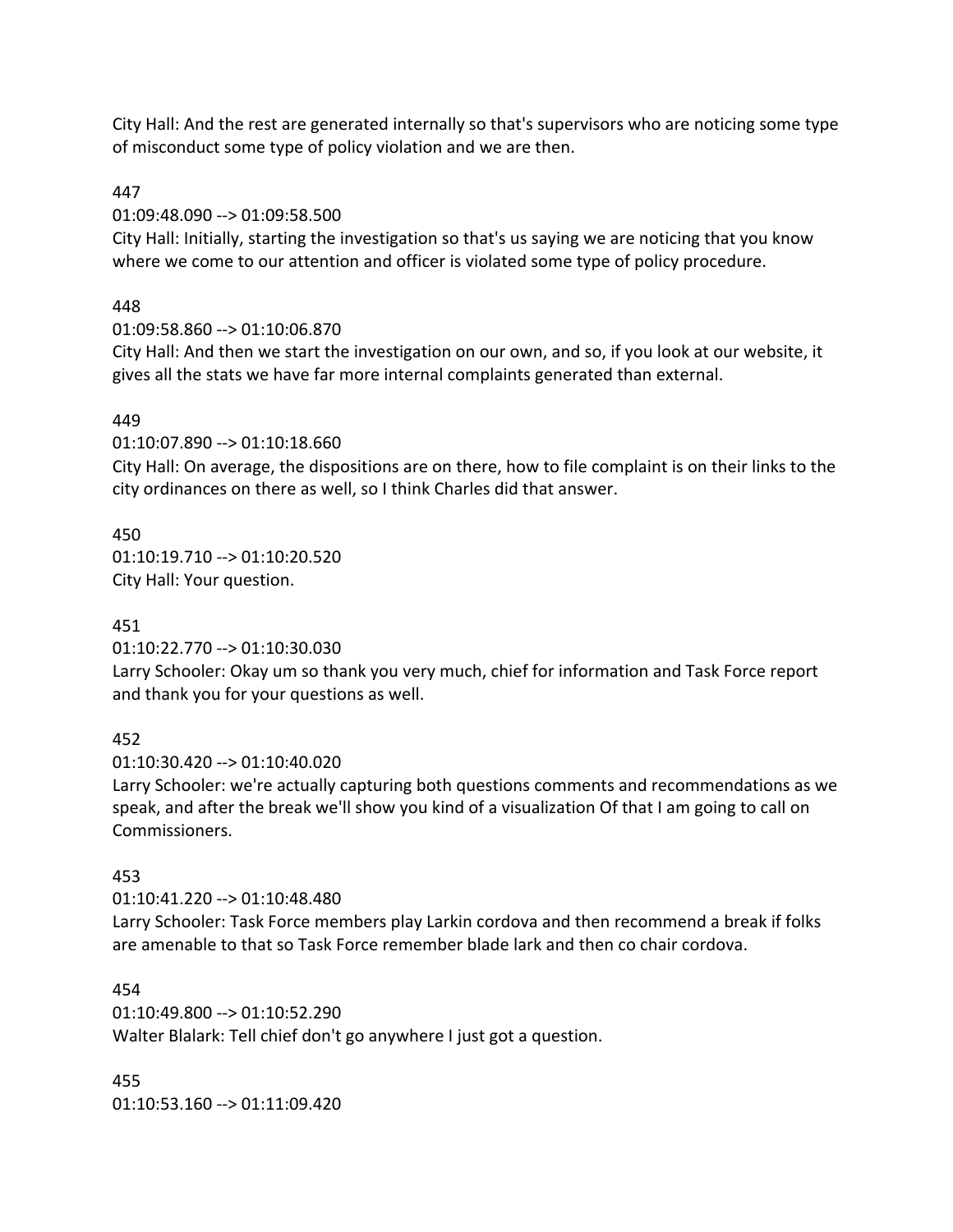City Hall: And the rest are generated internally so that's supervisors who are noticing some type of misconduct some type of policy violation and we are then.

## 447

01:09:48.090 --> 01:09:58.500

City Hall: Initially, starting the investigation so that's us saying we are noticing that you know where we come to our attention and officer is violated some type of policy procedure.

# 448

01:09:58.860 --> 01:10:06.870

City Hall: And then we start the investigation on our own, and so, if you look at our website, it gives all the stats we have far more internal complaints generated than external.

## 449

01:10:07.890 --> 01:10:18.660

City Hall: On average, the dispositions are on there, how to file complaint is on their links to the city ordinances on there as well, so I think Charles did that answer.

## 450

01:10:19.710 --> 01:10:20.520 City Hall: Your question.

# 451

01:10:22.770 --> 01:10:30.030

Larry Schooler: Okay um so thank you very much, chief for information and Task Force report and thank you for your questions as well.

#### 452

01:10:30.420 --> 01:10:40.020

Larry Schooler: we're actually capturing both questions comments and recommendations as we speak, and after the break we'll show you kind of a visualization Of that I am going to call on Commissioners.

# 453

01:10:41.220 --> 01:10:48.480

Larry Schooler: Task Force members play Larkin cordova and then recommend a break if folks are amenable to that so Task Force remember blade lark and then co chair cordova.

454 01:10:49.800 --> 01:10:52.290 Walter Blalark: Tell chief don't go anywhere I just got a question.

455 01:10:53.160 --> 01:11:09.420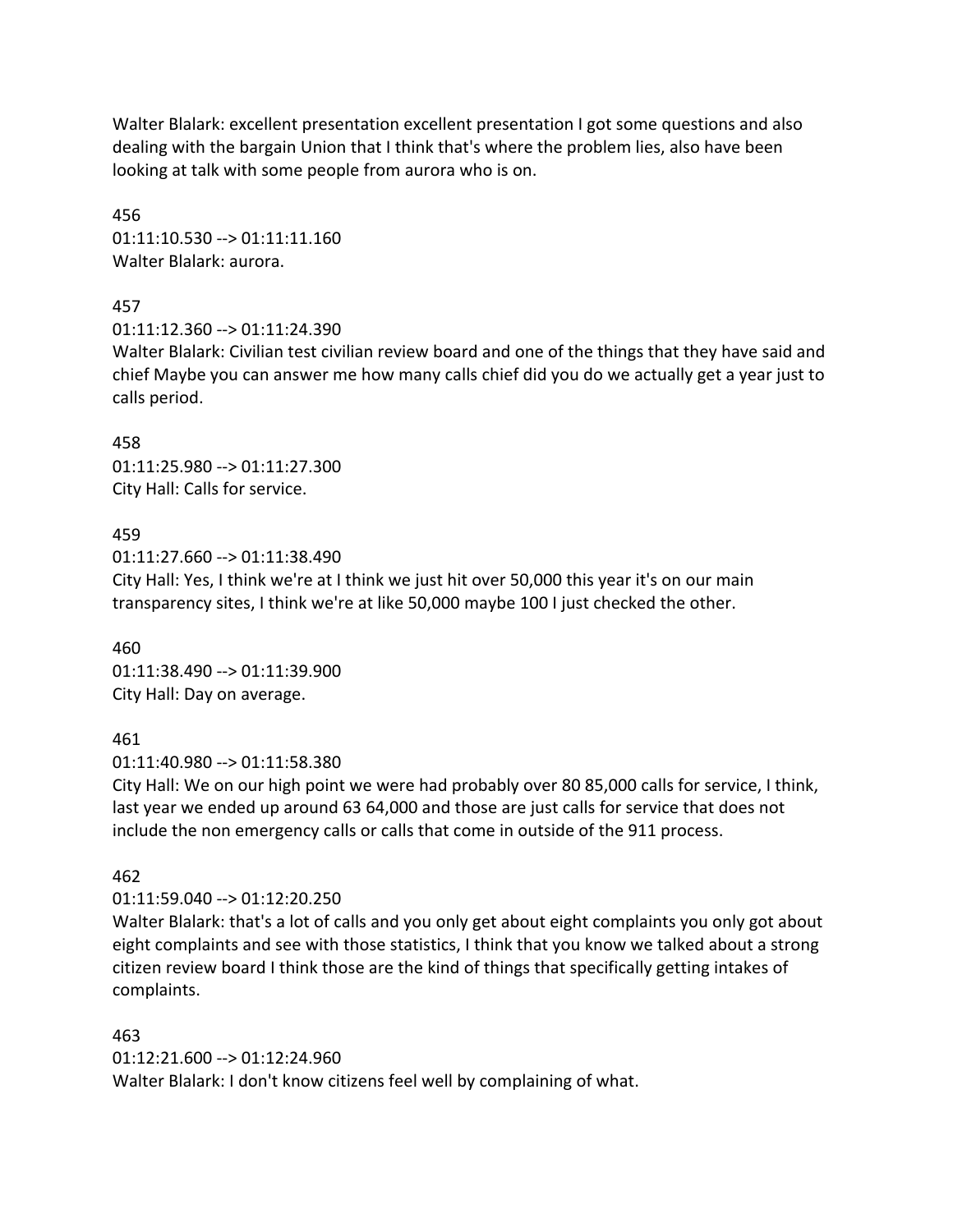Walter Blalark: excellent presentation excellent presentation I got some questions and also dealing with the bargain Union that I think that's where the problem lies, also have been looking at talk with some people from aurora who is on.

456 01:11:10.530 --> 01:11:11.160 Walter Blalark: aurora.

457

 $01:11:12.360 -> 01:11:24.390$ 

Walter Blalark: Civilian test civilian review board and one of the things that they have said and chief Maybe you can answer me how many calls chief did you do we actually get a year just to calls period.

458 01:11:25.980 --> 01:11:27.300 City Hall: Calls for service.

## 459

01:11:27.660 --> 01:11:38.490

City Hall: Yes, I think we're at I think we just hit over 50,000 this year it's on our main transparency sites, I think we're at like 50,000 maybe 100 I just checked the other.

460 01:11:38.490 --> 01:11:39.900 City Hall: Day on average.

#### 461

01:11:40.980 --> 01:11:58.380

City Hall: We on our high point we were had probably over 80 85,000 calls for service, I think, last year we ended up around 63 64,000 and those are just calls for service that does not include the non emergency calls or calls that come in outside of the 911 process.

#### 462

01:11:59.040 --> 01:12:20.250

Walter Blalark: that's a lot of calls and you only get about eight complaints you only got about eight complaints and see with those statistics, I think that you know we talked about a strong citizen review board I think those are the kind of things that specifically getting intakes of complaints.

#### 463

01:12:21.600 --> 01:12:24.960 Walter Blalark: I don't know citizens feel well by complaining of what.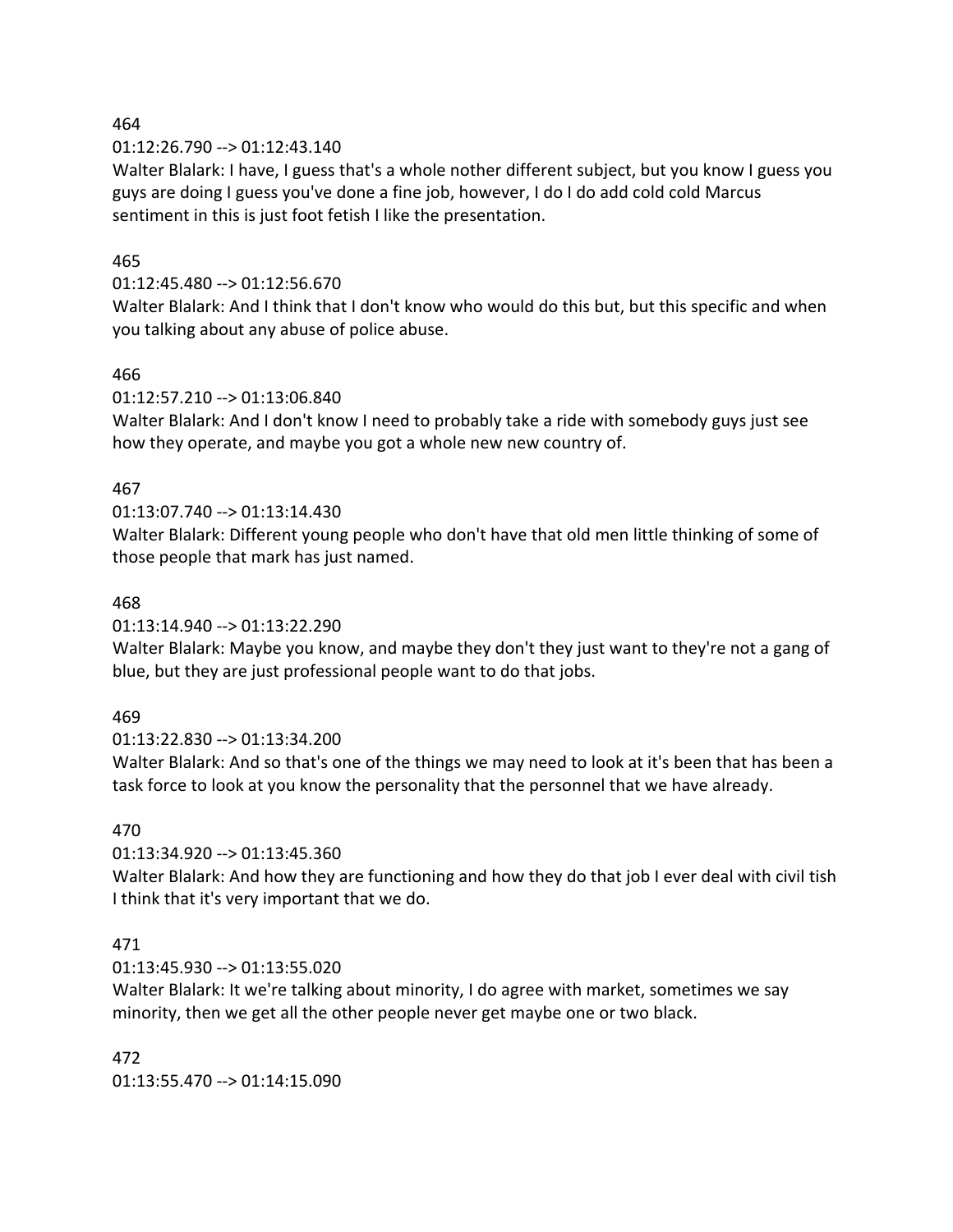01:12:26.790 --> 01:12:43.140

Walter Blalark: I have, I guess that's a whole nother different subject, but you know I guess you guys are doing I guess you've done a fine job, however, I do I do add cold cold Marcus sentiment in this is just foot fetish I like the presentation.

## 465

#### 01:12:45.480 --> 01:12:56.670

Walter Blalark: And I think that I don't know who would do this but, but this specific and when you talking about any abuse of police abuse.

## 466

01:12:57.210 --> 01:13:06.840

Walter Blalark: And I don't know I need to probably take a ride with somebody guys just see how they operate, and maybe you got a whole new new country of.

## 467

## 01:13:07.740 --> 01:13:14.430

Walter Blalark: Different young people who don't have that old men little thinking of some of those people that mark has just named.

#### 468

01:13:14.940 --> 01:13:22.290

Walter Blalark: Maybe you know, and maybe they don't they just want to they're not a gang of blue, but they are just professional people want to do that jobs.

#### 469

01:13:22.830 --> 01:13:34.200

Walter Blalark: And so that's one of the things we may need to look at it's been that has been a task force to look at you know the personality that the personnel that we have already.

# 470

01:13:34.920 --> 01:13:45.360

Walter Blalark: And how they are functioning and how they do that job I ever deal with civil tish I think that it's very important that we do.

#### 471

01:13:45.930 --> 01:13:55.020

Walter Blalark: It we're talking about minority, I do agree with market, sometimes we say minority, then we get all the other people never get maybe one or two black.

472 01:13:55.470 --> 01:14:15.090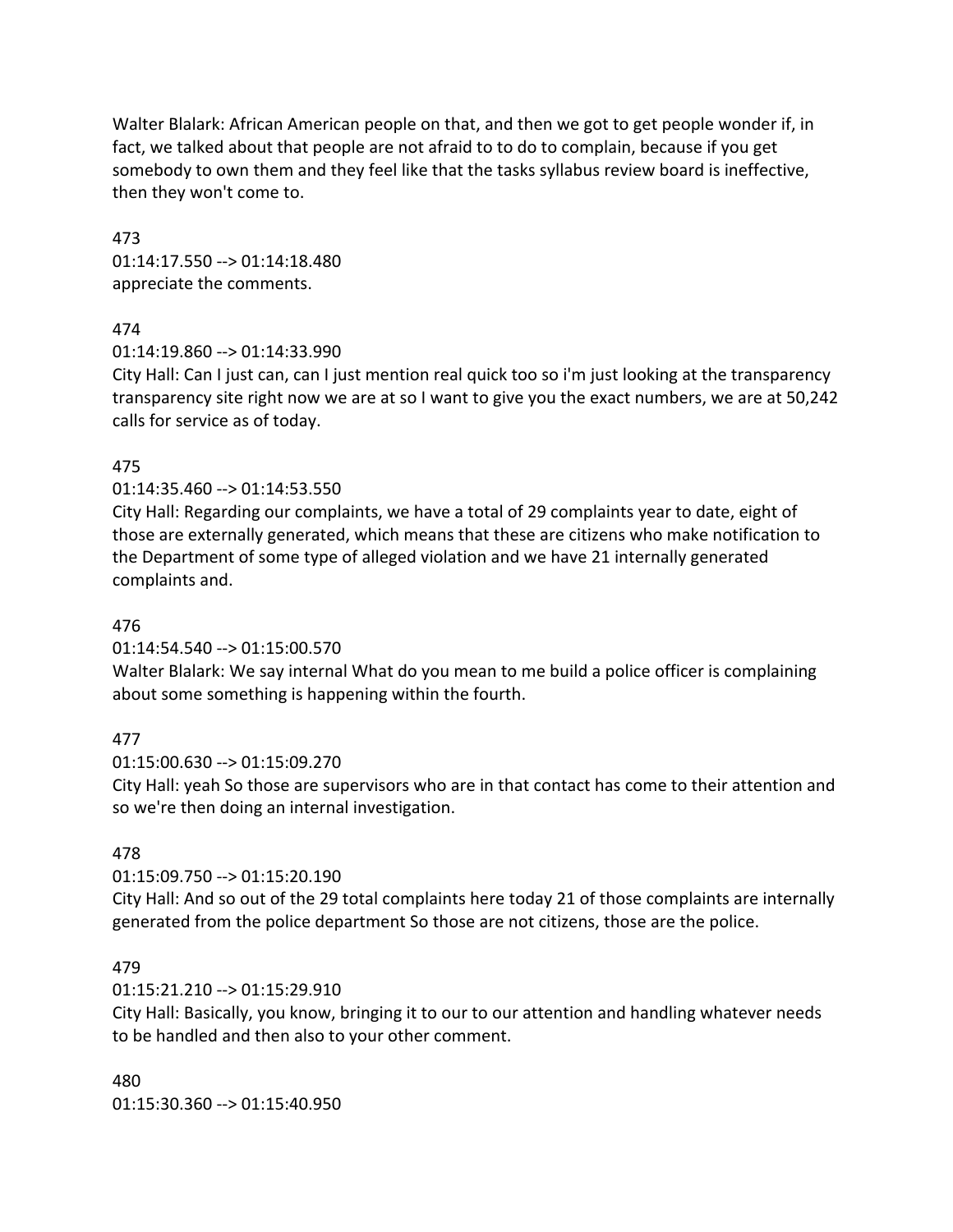Walter Blalark: African American people on that, and then we got to get people wonder if, in fact, we talked about that people are not afraid to to do to complain, because if you get somebody to own them and they feel like that the tasks syllabus review board is ineffective, then they won't come to.

473 01:14:17.550 --> 01:14:18.480 appreciate the comments.

# 474

01:14:19.860 --> 01:14:33.990

City Hall: Can I just can, can I just mention real quick too so i'm just looking at the transparency transparency site right now we are at so I want to give you the exact numbers, we are at 50,242 calls for service as of today.

# 475

01:14:35.460 --> 01:14:53.550

City Hall: Regarding our complaints, we have a total of 29 complaints year to date, eight of those are externally generated, which means that these are citizens who make notification to the Department of some type of alleged violation and we have 21 internally generated complaints and.

#### 476

01:14:54.540 --> 01:15:00.570

Walter Blalark: We say internal What do you mean to me build a police officer is complaining about some something is happening within the fourth.

#### 477

01:15:00.630 --> 01:15:09.270

City Hall: yeah So those are supervisors who are in that contact has come to their attention and so we're then doing an internal investigation.

#### 478

01:15:09.750 --> 01:15:20.190

City Hall: And so out of the 29 total complaints here today 21 of those complaints are internally generated from the police department So those are not citizens, those are the police.

#### 479

01:15:21.210 --> 01:15:29.910

City Hall: Basically, you know, bringing it to our to our attention and handling whatever needs to be handled and then also to your other comment.

480

01:15:30.360 --> 01:15:40.950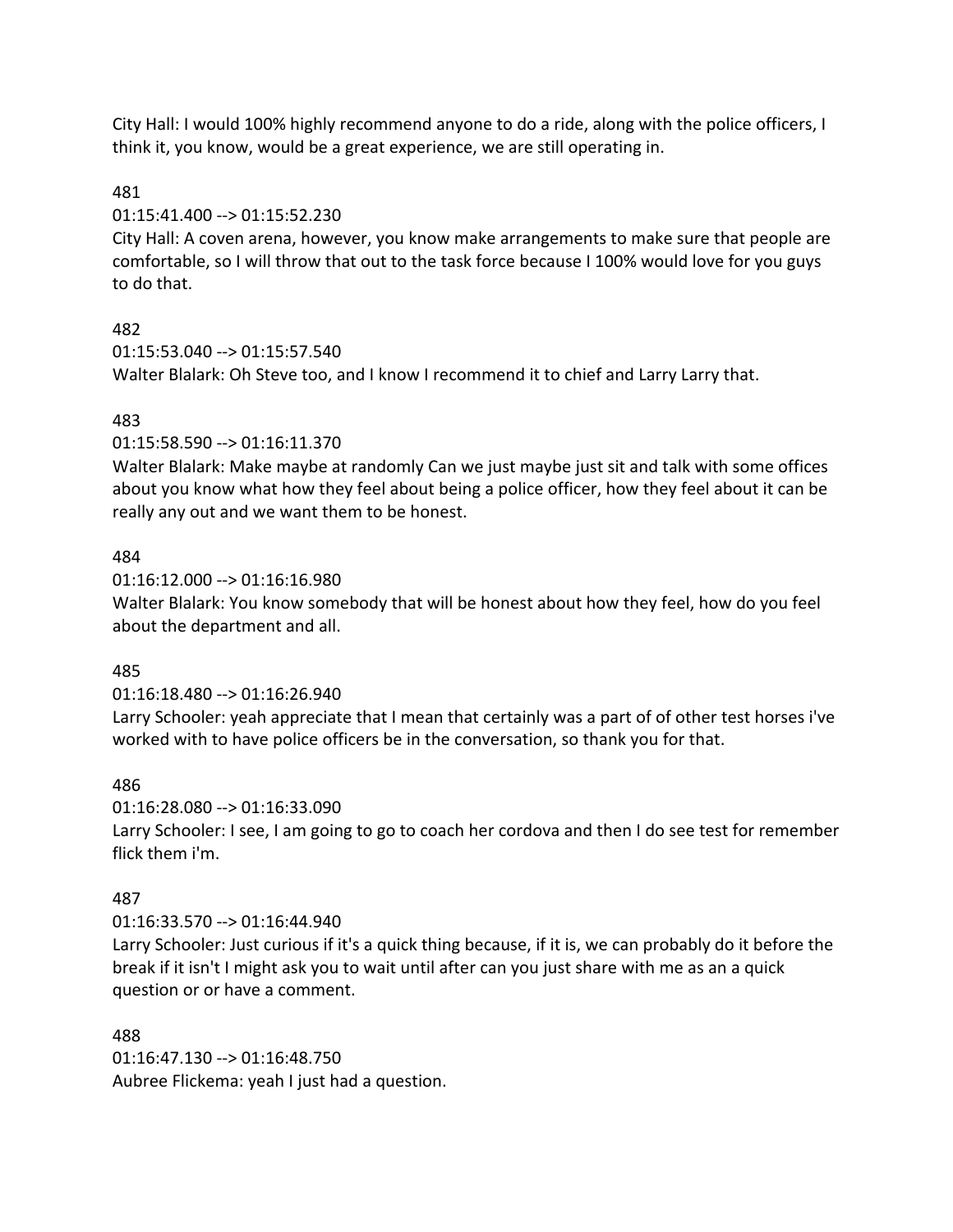City Hall: I would 100% highly recommend anyone to do a ride, along with the police officers, I think it, you know, would be a great experience, we are still operating in.

#### 481

01:15:41.400 --> 01:15:52.230

City Hall: A coven arena, however, you know make arrangements to make sure that people are comfortable, so I will throw that out to the task force because I 100% would love for you guys to do that.

## 482

01:15:53.040 --> 01:15:57.540 Walter Blalark: Oh Steve too, and I know I recommend it to chief and Larry Larry that.

## 483

01:15:58.590 --> 01:16:11.370

Walter Blalark: Make maybe at randomly Can we just maybe just sit and talk with some offices about you know what how they feel about being a police officer, how they feel about it can be really any out and we want them to be honest.

#### 484

01:16:12.000 --> 01:16:16.980

Walter Blalark: You know somebody that will be honest about how they feel, how do you feel about the department and all.

#### 485

01:16:18.480 --> 01:16:26.940

Larry Schooler: yeah appreciate that I mean that certainly was a part of of other test horses i've worked with to have police officers be in the conversation, so thank you for that.

#### 486

01:16:28.080 --> 01:16:33.090 Larry Schooler: I see, I am going to go to coach her cordova and then I do see test for remember flick them i'm.

#### 487

01:16:33.570 --> 01:16:44.940

Larry Schooler: Just curious if it's a quick thing because, if it is, we can probably do it before the break if it isn't I might ask you to wait until after can you just share with me as an a quick question or or have a comment.

#### 488

01:16:47.130 --> 01:16:48.750 Aubree Flickema: yeah I just had a question.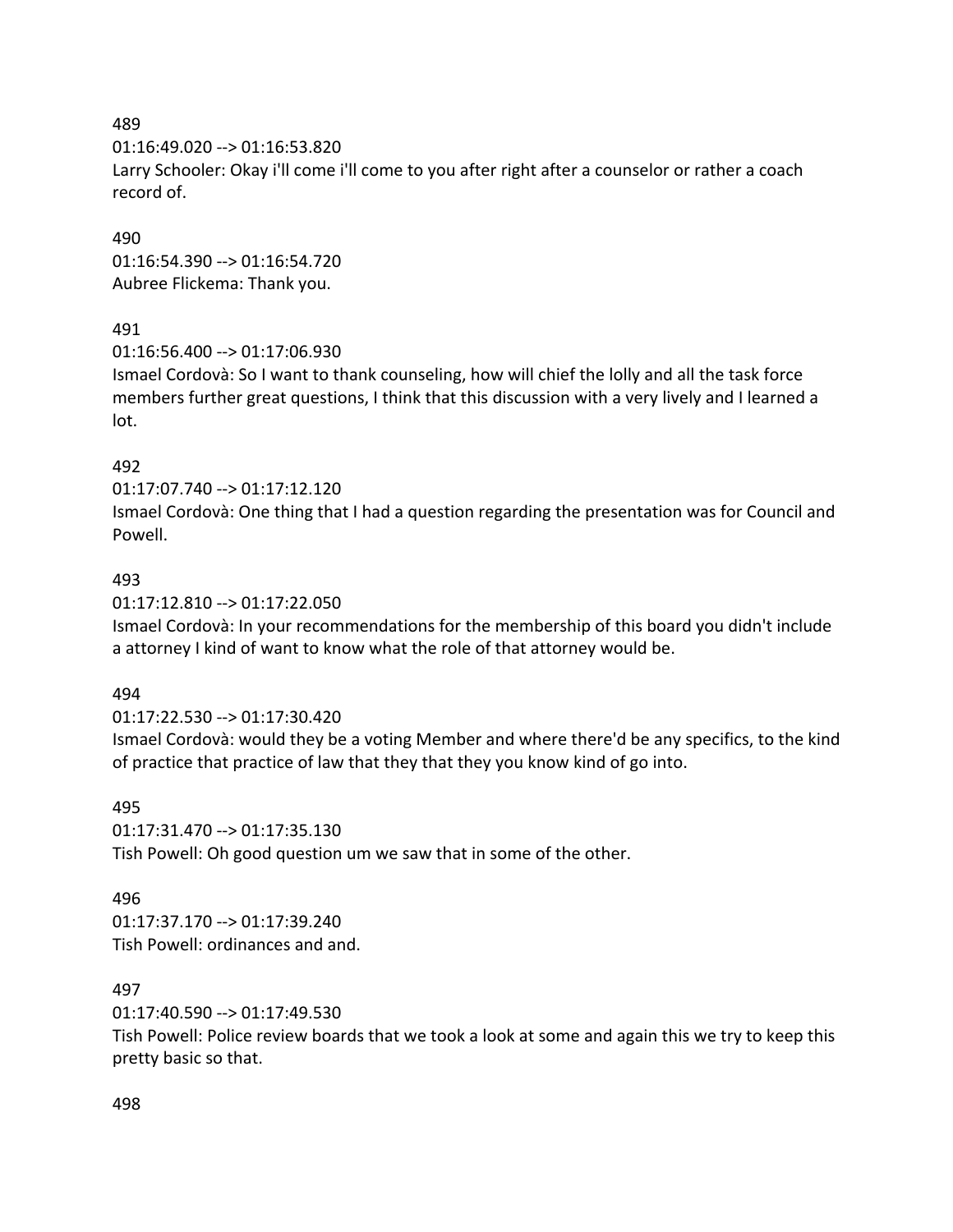01:16:49.020 --> 01:16:53.820

Larry Schooler: Okay i'll come i'll come to you after right after a counselor or rather a coach record of.

#### 490

01:16:54.390 --> 01:16:54.720 Aubree Flickema: Thank you.

## 491

01:16:56.400 --> 01:17:06.930

Ismael Cordovà: So I want to thank counseling, how will chief the lolly and all the task force members further great questions, I think that this discussion with a very lively and I learned a lot.

# 492

01:17:07.740 --> 01:17:12.120

Ismael Cordovà: One thing that I had a question regarding the presentation was for Council and Powell.

## 493

01:17:12.810 --> 01:17:22.050

Ismael Cordovà: In your recommendations for the membership of this board you didn't include a attorney I kind of want to know what the role of that attorney would be.

#### 494

01:17:22.530 --> 01:17:30.420

Ismael Cordovà: would they be a voting Member and where there'd be any specifics, to the kind of practice that practice of law that they that they you know kind of go into.

#### 495

01:17:31.470 --> 01:17:35.130 Tish Powell: Oh good question um we saw that in some of the other.

#### 496

01:17:37.170 --> 01:17:39.240 Tish Powell: ordinances and and.

# 497

01:17:40.590 --> 01:17:49.530

Tish Powell: Police review boards that we took a look at some and again this we try to keep this pretty basic so that.

#### 498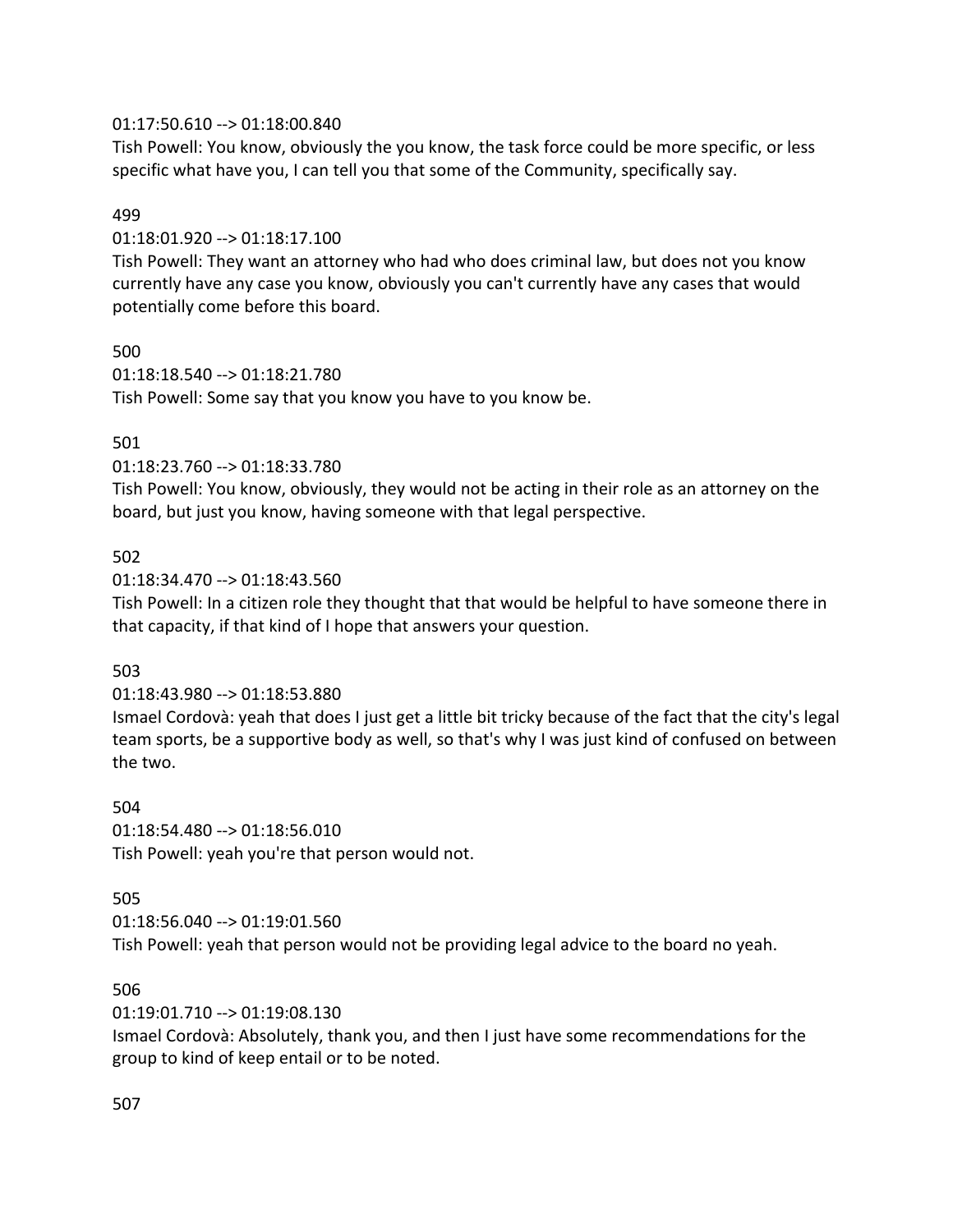## 01:17:50.610 --> 01:18:00.840

Tish Powell: You know, obviously the you know, the task force could be more specific, or less specific what have you, I can tell you that some of the Community, specifically say.

#### 499

01:18:01.920 --> 01:18:17.100

Tish Powell: They want an attorney who had who does criminal law, but does not you know currently have any case you know, obviously you can't currently have any cases that would potentially come before this board.

500 01:18:18.540 --> 01:18:21.780 Tish Powell: Some say that you know you have to you know be.

## 501

01:18:23.760 --> 01:18:33.780

Tish Powell: You know, obviously, they would not be acting in their role as an attorney on the board, but just you know, having someone with that legal perspective.

## 502

01:18:34.470 --> 01:18:43.560

Tish Powell: In a citizen role they thought that that would be helpful to have someone there in that capacity, if that kind of I hope that answers your question.

#### 503

01:18:43.980 --> 01:18:53.880

Ismael Cordovà: yeah that does I just get a little bit tricky because of the fact that the city's legal team sports, be a supportive body as well, so that's why I was just kind of confused on between the two.

504 01:18:54.480 --> 01:18:56.010 Tish Powell: yeah you're that person would not.

#### 505

01:18:56.040 --> 01:19:01.560

Tish Powell: yeah that person would not be providing legal advice to the board no yeah.

#### 506

01:19:01.710 --> 01:19:08.130

Ismael Cordovà: Absolutely, thank you, and then I just have some recommendations for the group to kind of keep entail or to be noted.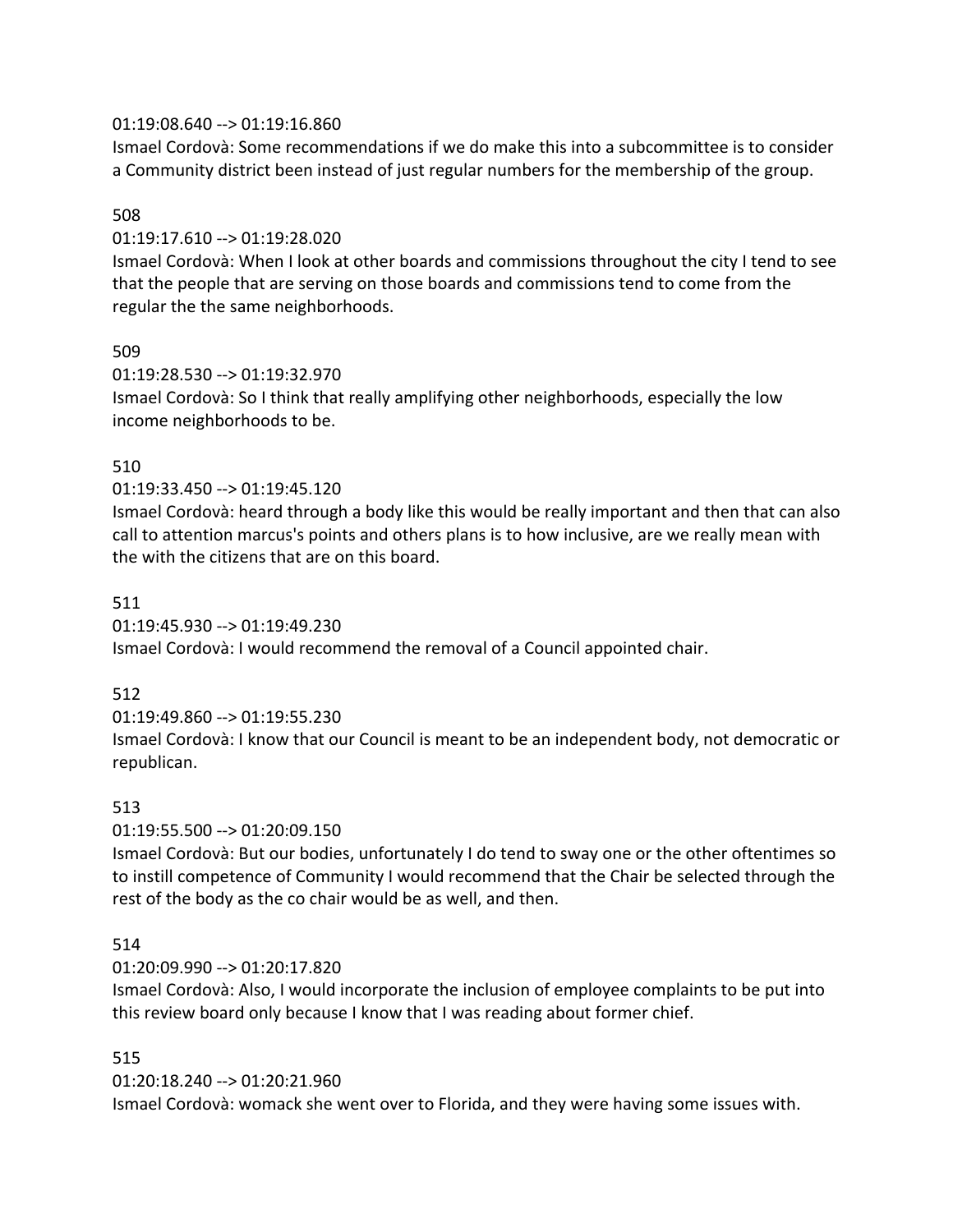## 01:19:08.640 --> 01:19:16.860

Ismael Cordovà: Some recommendations if we do make this into a subcommittee is to consider a Community district been instead of just regular numbers for the membership of the group.

#### 508

## 01:19:17.610 --> 01:19:28.020

Ismael Cordovà: When I look at other boards and commissions throughout the city I tend to see that the people that are serving on those boards and commissions tend to come from the regular the the same neighborhoods.

## 509

01:19:28.530 --> 01:19:32.970 Ismael Cordovà: So I think that really amplifying other neighborhoods, especially the low income neighborhoods to be.

# 510

## 01:19:33.450 --> 01:19:45.120

Ismael Cordovà: heard through a body like this would be really important and then that can also call to attention marcus's points and others plans is to how inclusive, are we really mean with the with the citizens that are on this board.

#### 511

# 01:19:45.930 --> 01:19:49.230

Ismael Cordovà: I would recommend the removal of a Council appointed chair.

# 512

#### 01:19:49.860 --> 01:19:55.230

Ismael Cordovà: I know that our Council is meant to be an independent body, not democratic or republican.

#### 513

# 01:19:55.500 --> 01:20:09.150

Ismael Cordovà: But our bodies, unfortunately I do tend to sway one or the other oftentimes so to instill competence of Community I would recommend that the Chair be selected through the rest of the body as the co chair would be as well, and then.

# 514

# 01:20:09.990 --> 01:20:17.820

Ismael Cordovà: Also, I would incorporate the inclusion of employee complaints to be put into this review board only because I know that I was reading about former chief.

#### 515

#### 01:20:18.240 --> 01:20:21.960

Ismael Cordovà: womack she went over to Florida, and they were having some issues with.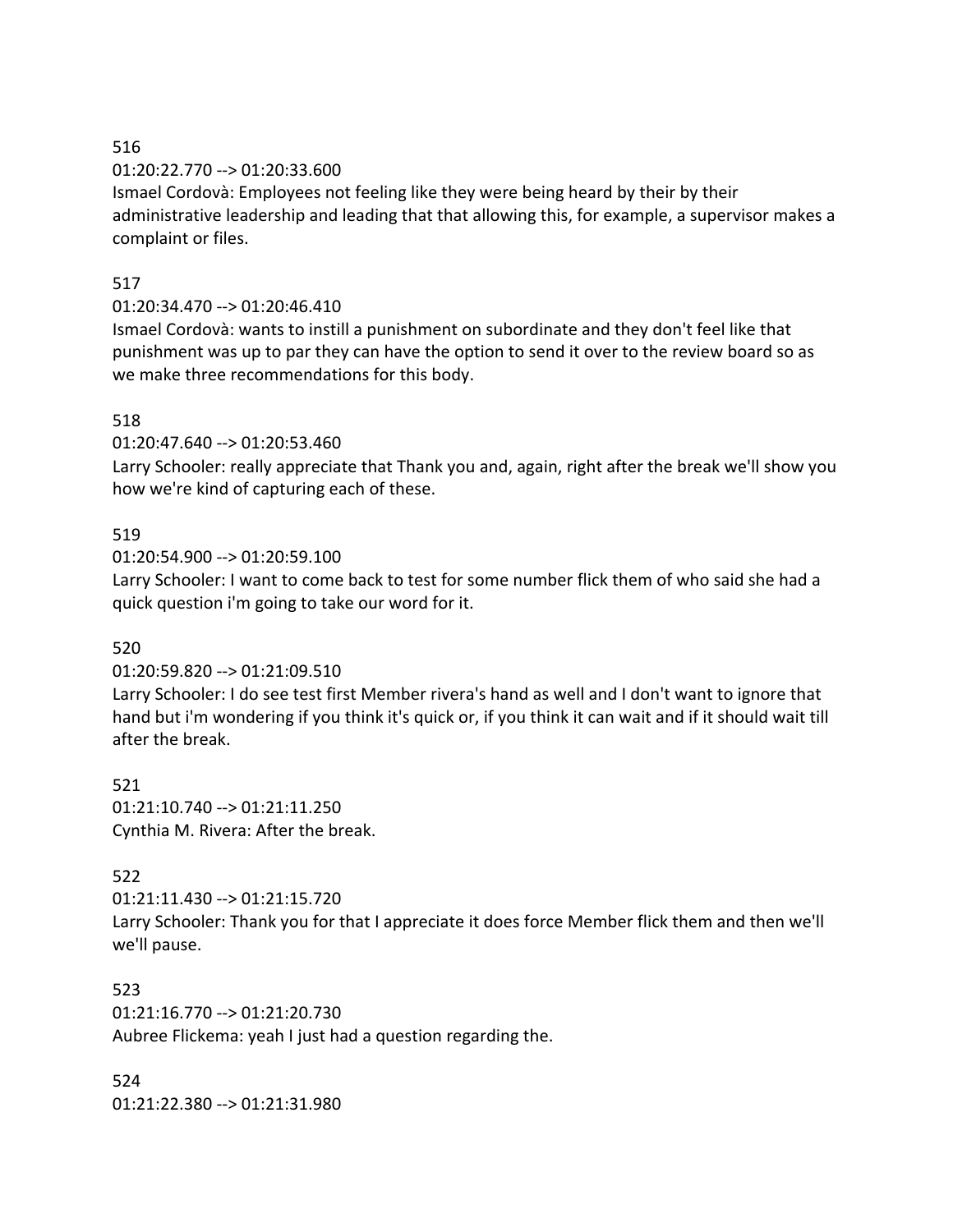# 01:20:22.770 --> 01:20:33.600

Ismael Cordovà: Employees not feeling like they were being heard by their by their administrative leadership and leading that that allowing this, for example, a supervisor makes a complaint or files.

# 517

# 01:20:34.470 --> 01:20:46.410

Ismael Cordovà: wants to instill a punishment on subordinate and they don't feel like that punishment was up to par they can have the option to send it over to the review board so as we make three recommendations for this body.

# 518

01:20:47.640 --> 01:20:53.460

Larry Schooler: really appreciate that Thank you and, again, right after the break we'll show you how we're kind of capturing each of these.

# 519

01:20:54.900 --> 01:20:59.100

Larry Schooler: I want to come back to test for some number flick them of who said she had a quick question i'm going to take our word for it.

# 520

01:20:59.820 --> 01:21:09.510

Larry Schooler: I do see test first Member rivera's hand as well and I don't want to ignore that hand but i'm wondering if you think it's quick or, if you think it can wait and if it should wait till after the break.

521 01:21:10.740 --> 01:21:11.250 Cynthia M. Rivera: After the break.

# 522

01:21:11.430 --> 01:21:15.720 Larry Schooler: Thank you for that I appreciate it does force Member flick them and then we'll we'll pause.

523 01:21:16.770 --> 01:21:20.730 Aubree Flickema: yeah I just had a question regarding the.

524 01:21:22.380 --> 01:21:31.980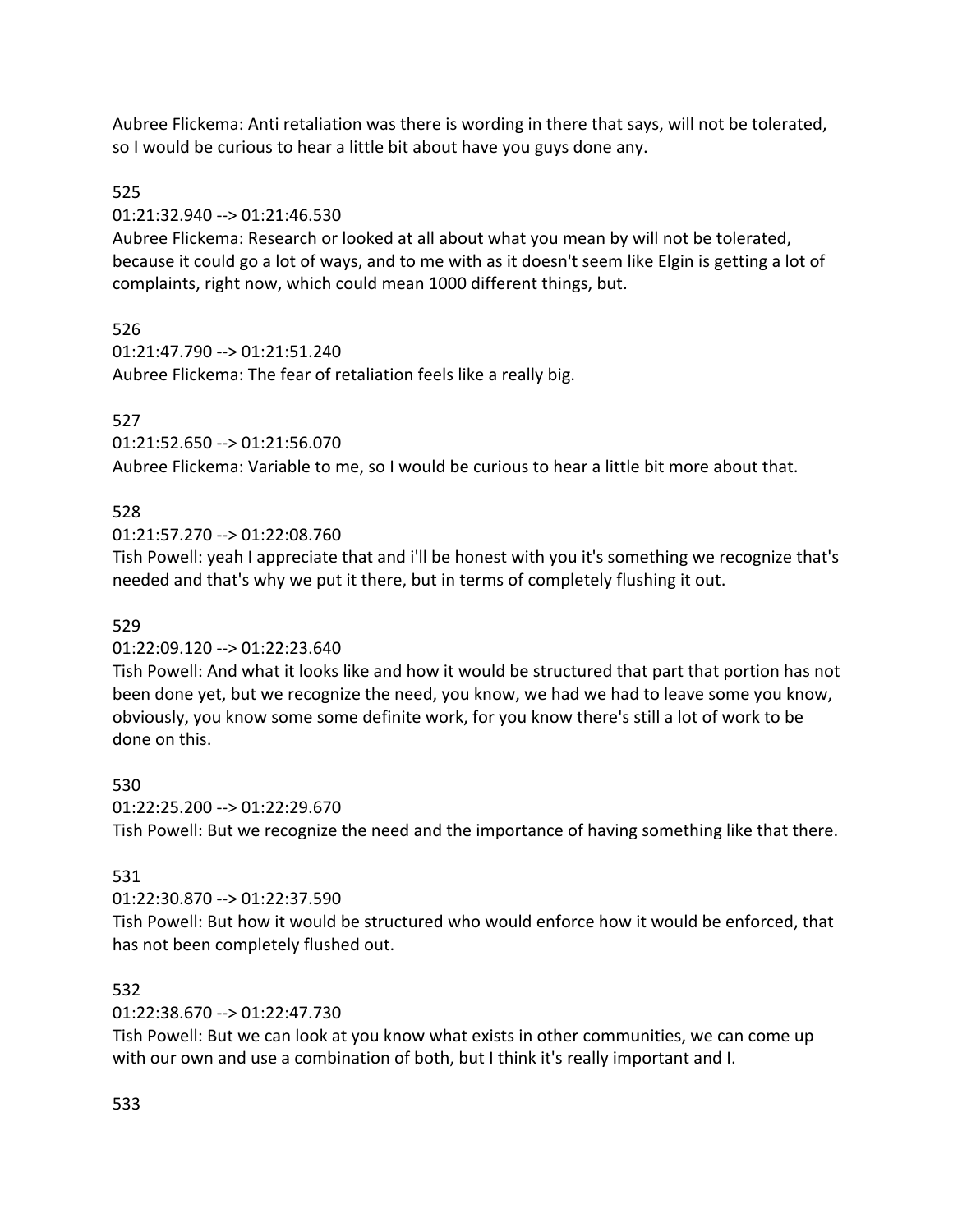Aubree Flickema: Anti retaliation was there is wording in there that says, will not be tolerated, so I would be curious to hear a little bit about have you guys done any.

# 525

# 01:21:32.940 --> 01:21:46.530

Aubree Flickema: Research or looked at all about what you mean by will not be tolerated, because it could go a lot of ways, and to me with as it doesn't seem like Elgin is getting a lot of complaints, right now, which could mean 1000 different things, but.

# 526

01:21:47.790 --> 01:21:51.240 Aubree Flickema: The fear of retaliation feels like a really big.

# 527

01:21:52.650 --> 01:21:56.070

Aubree Flickema: Variable to me, so I would be curious to hear a little bit more about that.

# 528

01:21:57.270 --> 01:22:08.760

Tish Powell: yeah I appreciate that and i'll be honest with you it's something we recognize that's needed and that's why we put it there, but in terms of completely flushing it out.

# 529

# 01:22:09.120 --> 01:22:23.640

Tish Powell: And what it looks like and how it would be structured that part that portion has not been done yet, but we recognize the need, you know, we had we had to leave some you know, obviously, you know some some definite work, for you know there's still a lot of work to be done on this.

# 530

01:22:25.200 --> 01:22:29.670 Tish Powell: But we recognize the need and the importance of having something like that there.

# 531

# 01:22:30.870 --> 01:22:37.590

Tish Powell: But how it would be structured who would enforce how it would be enforced, that has not been completely flushed out.

# 532

# 01:22:38.670 --> 01:22:47.730

Tish Powell: But we can look at you know what exists in other communities, we can come up with our own and use a combination of both, but I think it's really important and I.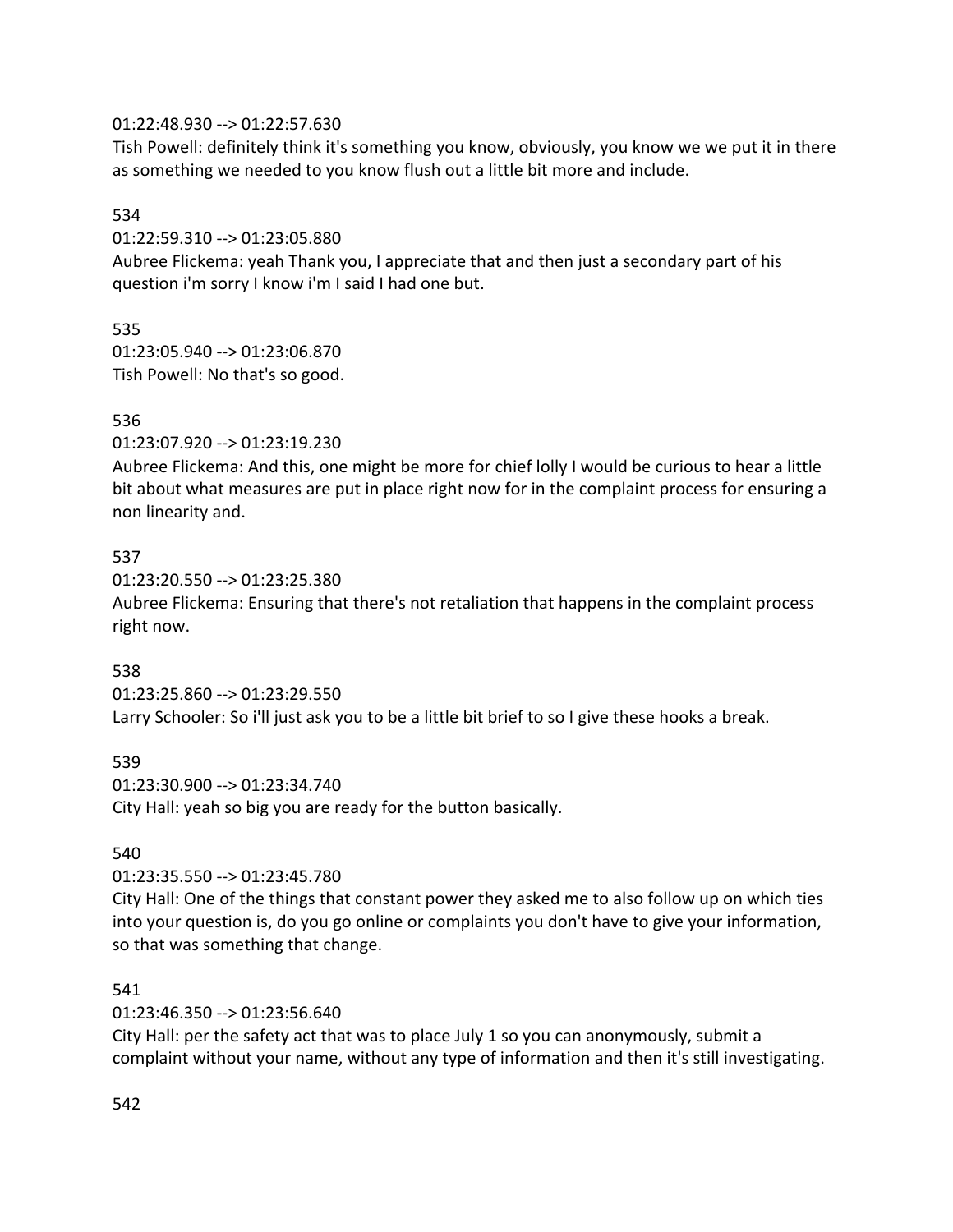## 01:22:48.930 --> 01:22:57.630

Tish Powell: definitely think it's something you know, obviously, you know we we put it in there as something we needed to you know flush out a little bit more and include.

## 534

01:22:59.310 --> 01:23:05.880

Aubree Flickema: yeah Thank you, I appreciate that and then just a secondary part of his question i'm sorry I know i'm I said I had one but.

# 535

01:23:05.940 --> 01:23:06.870 Tish Powell: No that's so good.

# 536

01:23:07.920 --> 01:23:19.230

Aubree Flickema: And this, one might be more for chief lolly I would be curious to hear a little bit about what measures are put in place right now for in the complaint process for ensuring a non linearity and.

# 537

01:23:20.550 --> 01:23:25.380 Aubree Flickema: Ensuring that there's not retaliation that happens in the complaint process right now.

# 538

01:23:25.860 --> 01:23:29.550 Larry Schooler: So i'll just ask you to be a little bit brief to so I give these hooks a break.

#### 539

01:23:30.900 --> 01:23:34.740 City Hall: yeah so big you are ready for the button basically.

# 540

01:23:35.550 --> 01:23:45.780

City Hall: One of the things that constant power they asked me to also follow up on which ties into your question is, do you go online or complaints you don't have to give your information, so that was something that change.

# 541

01:23:46.350 --> 01:23:56.640

City Hall: per the safety act that was to place July 1 so you can anonymously, submit a complaint without your name, without any type of information and then it's still investigating.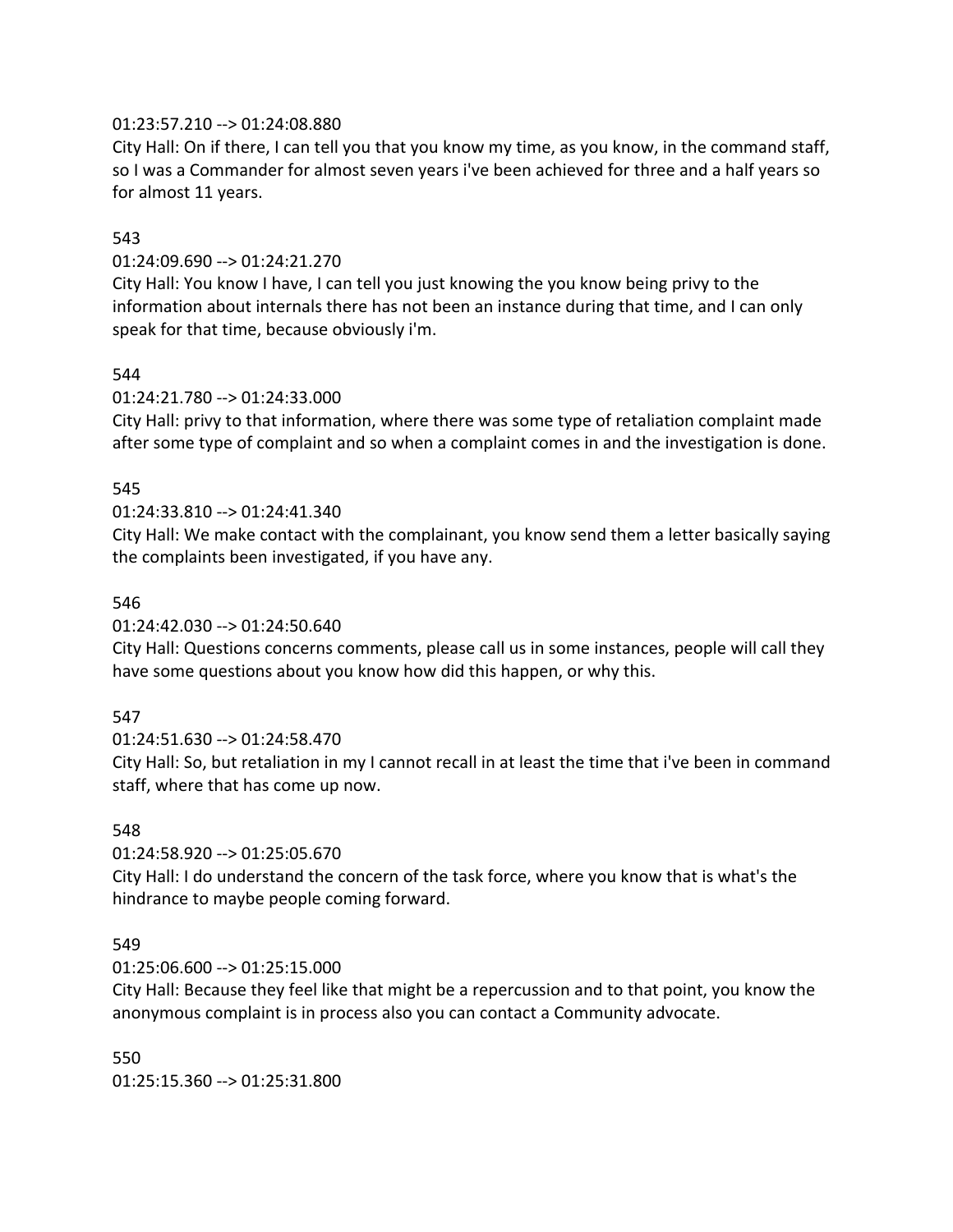# 01:23:57.210 --> 01:24:08.880

City Hall: On if there, I can tell you that you know my time, as you know, in the command staff, so I was a Commander for almost seven years i've been achieved for three and a half years so for almost 11 years.

## 543

## 01:24:09.690 --> 01:24:21.270

City Hall: You know I have, I can tell you just knowing the you know being privy to the information about internals there has not been an instance during that time, and I can only speak for that time, because obviously i'm.

## 544

## 01:24:21.780 --> 01:24:33.000

City Hall: privy to that information, where there was some type of retaliation complaint made after some type of complaint and so when a complaint comes in and the investigation is done.

## 545

# 01:24:33.810 --> 01:24:41.340

City Hall: We make contact with the complainant, you know send them a letter basically saying the complaints been investigated, if you have any.

#### 546

01:24:42.030 --> 01:24:50.640

City Hall: Questions concerns comments, please call us in some instances, people will call they have some questions about you know how did this happen, or why this.

# 547

01:24:51.630 --> 01:24:58.470

City Hall: So, but retaliation in my I cannot recall in at least the time that i've been in command staff, where that has come up now.

# 548

01:24:58.920 --> 01:25:05.670

City Hall: I do understand the concern of the task force, where you know that is what's the hindrance to maybe people coming forward.

#### 549

01:25:06.600 --> 01:25:15.000

City Hall: Because they feel like that might be a repercussion and to that point, you know the anonymous complaint is in process also you can contact a Community advocate.

550 01:25:15.360 --> 01:25:31.800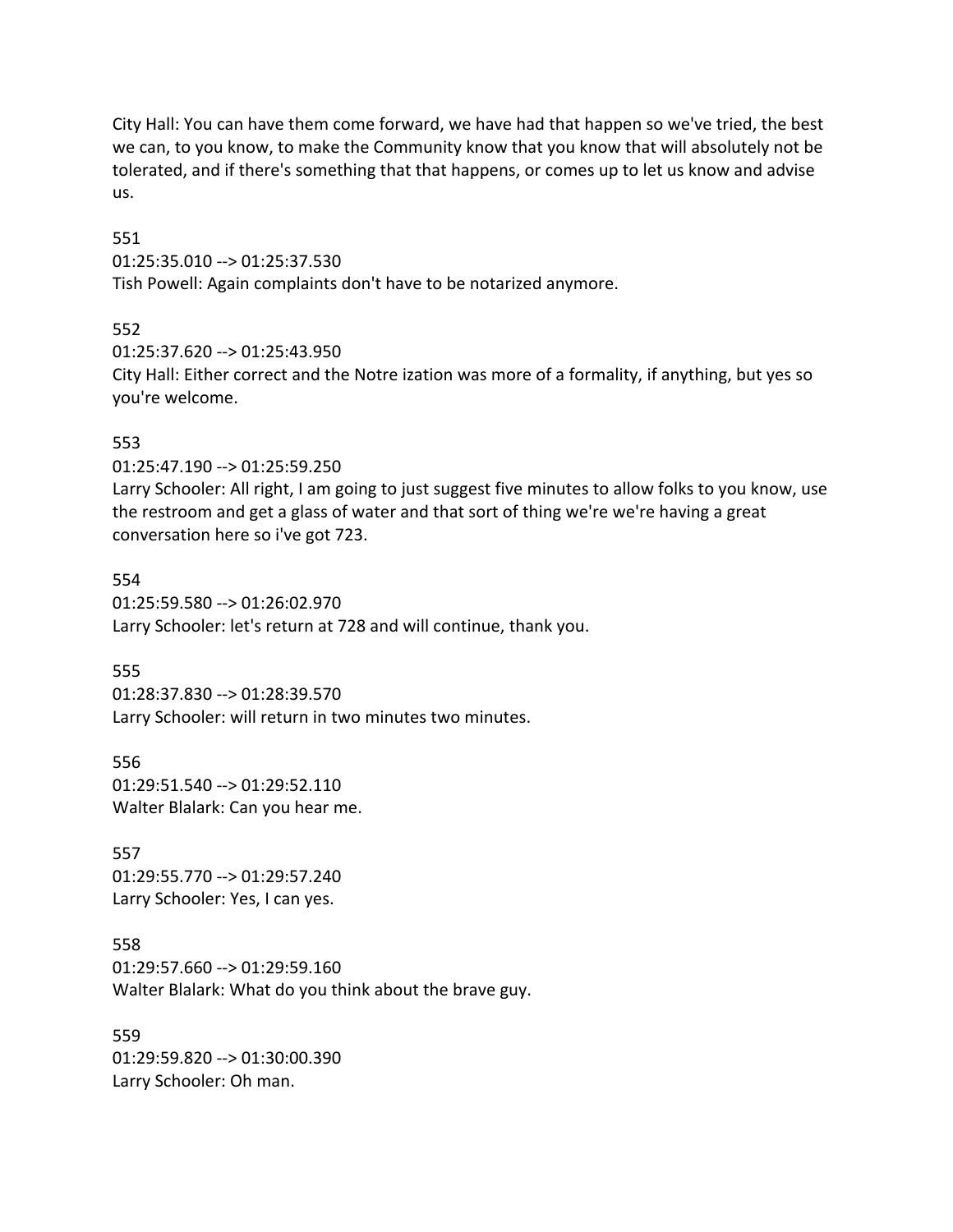City Hall: You can have them come forward, we have had that happen so we've tried, the best we can, to you know, to make the Community know that you know that will absolutely not be tolerated, and if there's something that that happens, or comes up to let us know and advise us.

#### 551

01:25:35.010 --> 01:25:37.530

Tish Powell: Again complaints don't have to be notarized anymore.

#### 552

01:25:37.620 --> 01:25:43.950 City Hall: Either correct and the Notre ization was more of a formality, if anything, but yes so you're welcome.

## 553

01:25:47.190 --> 01:25:59.250

Larry Schooler: All right, I am going to just suggest five minutes to allow folks to you know, use the restroom and get a glass of water and that sort of thing we're we're having a great conversation here so i've got 723.

#### 554

01:25:59.580 --> 01:26:02.970 Larry Schooler: let's return at 728 and will continue, thank you.

#### 555

01:28:37.830 --> 01:28:39.570 Larry Schooler: will return in two minutes two minutes.

556 01:29:51.540 --> 01:29:52.110 Walter Blalark: Can you hear me.

557 01:29:55.770 --> 01:29:57.240 Larry Schooler: Yes, I can yes.

558 01:29:57.660 --> 01:29:59.160 Walter Blalark: What do you think about the brave guy.

559 01:29:59.820 --> 01:30:00.390 Larry Schooler: Oh man.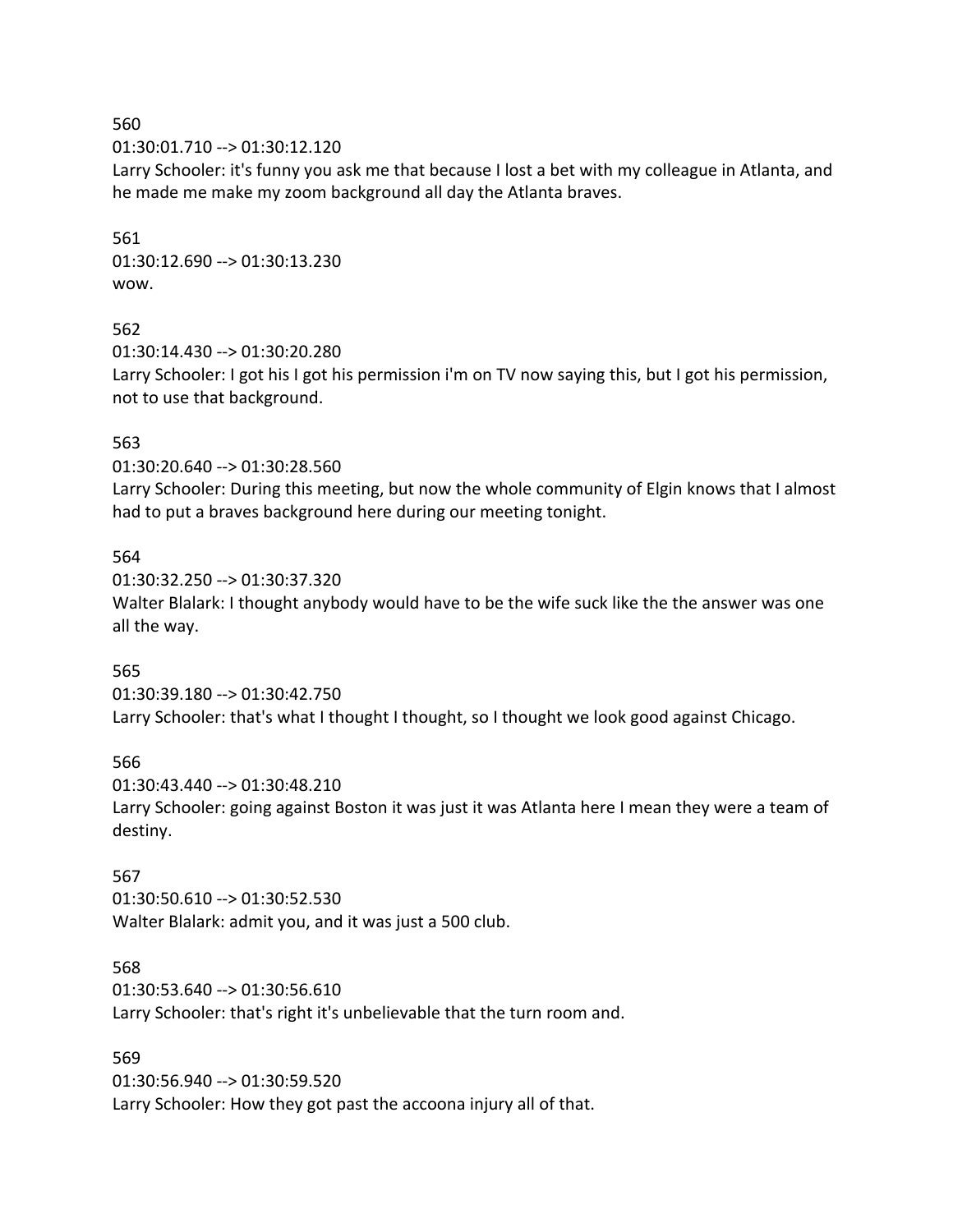01:30:01.710 --> 01:30:12.120

Larry Schooler: it's funny you ask me that because I lost a bet with my colleague in Atlanta, and he made me make my zoom background all day the Atlanta braves.

561 01:30:12.690 --> 01:30:13.230 wow.

#### 562

01:30:14.430 --> 01:30:20.280 Larry Schooler: I got his I got his permission i'm on TV now saying this, but I got his permission, not to use that background.

#### 563

01:30:20.640 --> 01:30:28.560

Larry Schooler: During this meeting, but now the whole community of Elgin knows that I almost had to put a braves background here during our meeting tonight.

#### 564

01:30:32.250 --> 01:30:37.320 Walter Blalark: I thought anybody would have to be the wife suck like the the answer was one all the way.

#### 565

01:30:39.180 --> 01:30:42.750 Larry Schooler: that's what I thought I thought, so I thought we look good against Chicago.

#### 566

01:30:43.440 --> 01:30:48.210 Larry Schooler: going against Boston it was just it was Atlanta here I mean they were a team of destiny.

#### 567

01:30:50.610 --> 01:30:52.530 Walter Blalark: admit you, and it was just a 500 club.

#### 568

01:30:53.640 --> 01:30:56.610 Larry Schooler: that's right it's unbelievable that the turn room and.

#### 569

01:30:56.940 --> 01:30:59.520 Larry Schooler: How they got past the accoona injury all of that.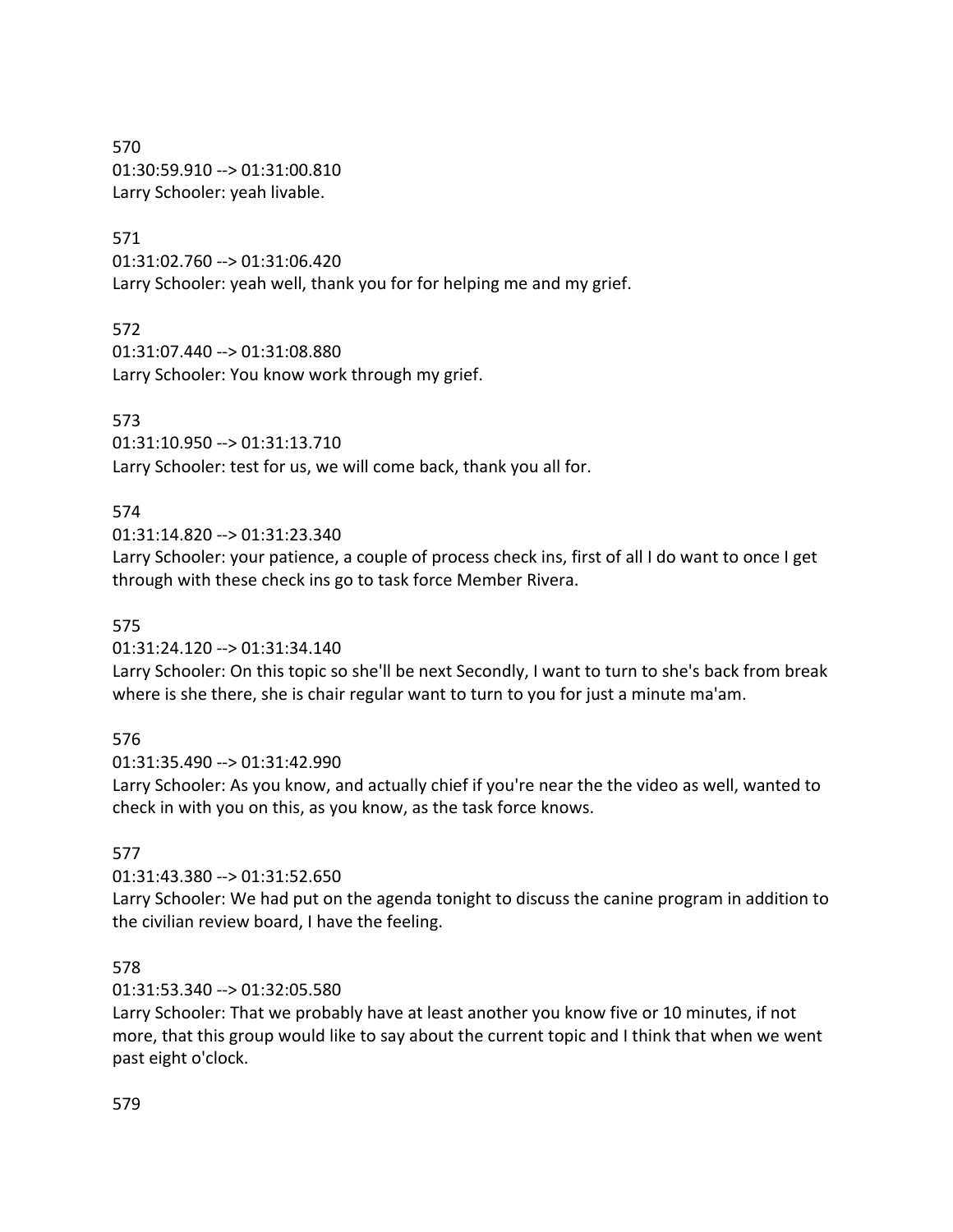570 01:30:59.910 --> 01:31:00.810 Larry Schooler: yeah livable.

## 571

01:31:02.760 --> 01:31:06.420 Larry Schooler: yeah well, thank you for for helping me and my grief.

## 572

01:31:07.440 --> 01:31:08.880 Larry Schooler: You know work through my grief.

# 573

01:31:10.950 --> 01:31:13.710 Larry Schooler: test for us, we will come back, thank you all for.

# 574

01:31:14.820 --> 01:31:23.340

Larry Schooler: your patience, a couple of process check ins, first of all I do want to once I get through with these check ins go to task force Member Rivera.

# 575

01:31:24.120 --> 01:31:34.140

Larry Schooler: On this topic so she'll be next Secondly, I want to turn to she's back from break where is she there, she is chair regular want to turn to you for just a minute ma'am.

# 576

01:31:35.490 --> 01:31:42.990

Larry Schooler: As you know, and actually chief if you're near the the video as well, wanted to check in with you on this, as you know, as the task force knows.

# 577

01:31:43.380 --> 01:31:52.650

Larry Schooler: We had put on the agenda tonight to discuss the canine program in addition to the civilian review board, I have the feeling.

# 578

# 01:31:53.340 --> 01:32:05.580

Larry Schooler: That we probably have at least another you know five or 10 minutes, if not more, that this group would like to say about the current topic and I think that when we went past eight o'clock.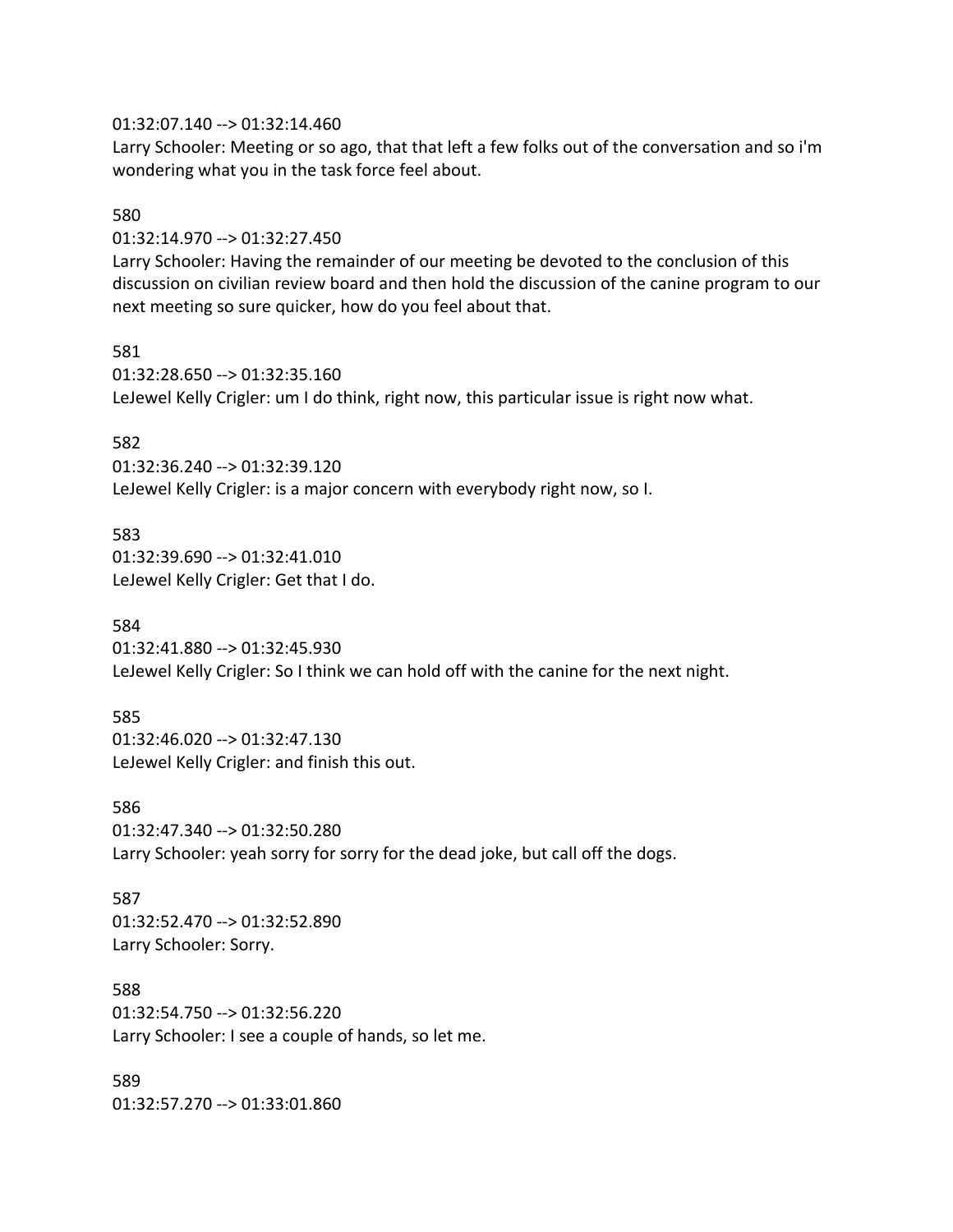#### 01:32:07.140 --> 01:32:14.460

Larry Schooler: Meeting or so ago, that that left a few folks out of the conversation and so i'm wondering what you in the task force feel about.

#### 580

01:32:14.970 --> 01:32:27.450

Larry Schooler: Having the remainder of our meeting be devoted to the conclusion of this discussion on civilian review board and then hold the discussion of the canine program to our next meeting so sure quicker, how do you feel about that.

581

01:32:28.650 --> 01:32:35.160 LeJewel Kelly Crigler: um I do think, right now, this particular issue is right now what.

#### 582

01:32:36.240 --> 01:32:39.120 LeJewel Kelly Crigler: is a major concern with everybody right now, so I.

#### 583

01:32:39.690 --> 01:32:41.010 LeJewel Kelly Crigler: Get that I do.

#### 584

01:32:41.880 --> 01:32:45.930 LeJewel Kelly Crigler: So I think we can hold off with the canine for the next night.

#### 585

01:32:46.020 --> 01:32:47.130 LeJewel Kelly Crigler: and finish this out.

586

01:32:47.340 --> 01:32:50.280 Larry Schooler: yeah sorry for sorry for the dead joke, but call off the dogs.

587

01:32:52.470 --> 01:32:52.890 Larry Schooler: Sorry.

588 01:32:54.750 --> 01:32:56.220 Larry Schooler: I see a couple of hands, so let me.

589 01:32:57.270 --> 01:33:01.860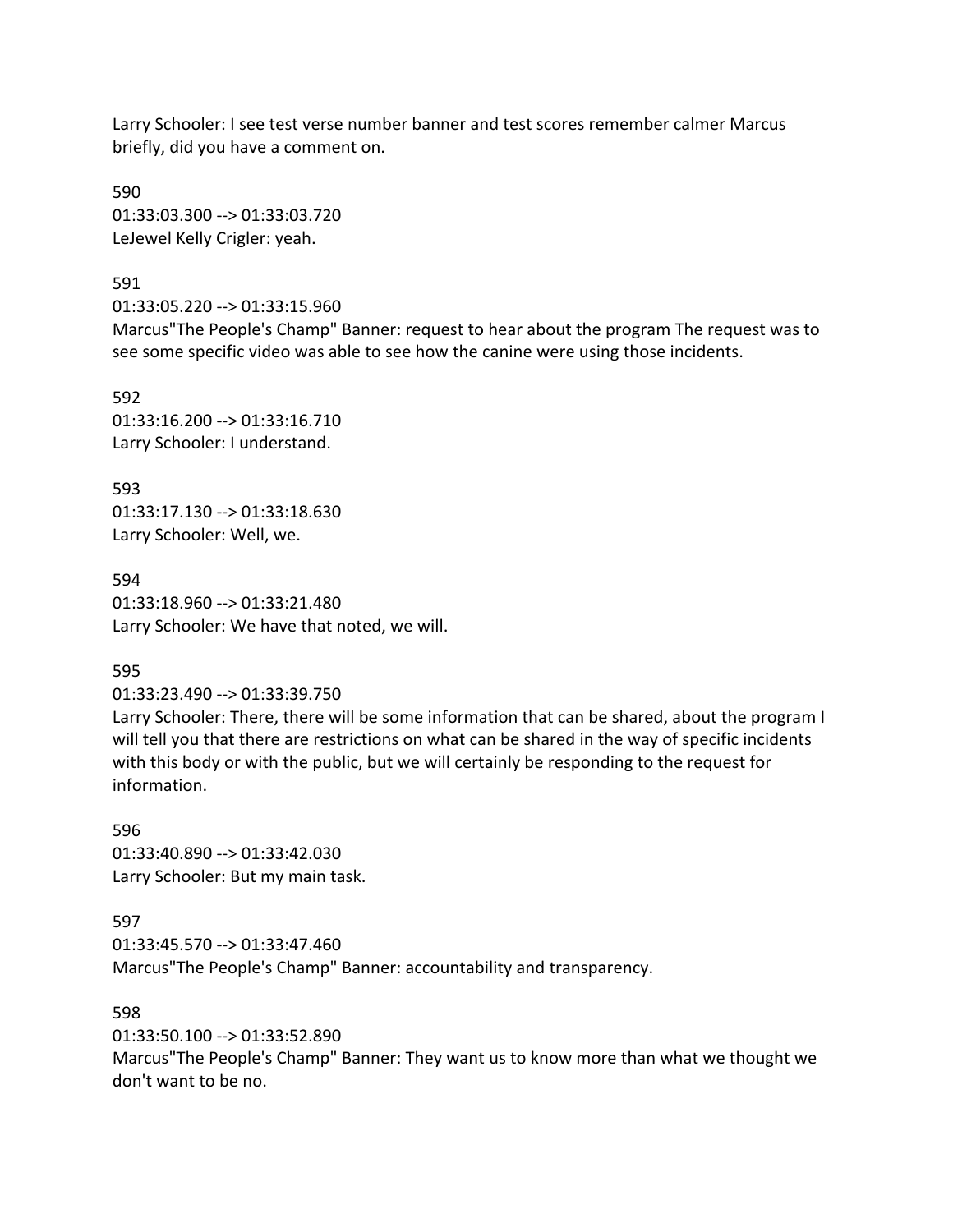Larry Schooler: I see test verse number banner and test scores remember calmer Marcus briefly, did you have a comment on.

590 01:33:03.300 --> 01:33:03.720 LeJewel Kelly Crigler: yeah.

591

01:33:05.220 --> 01:33:15.960

Marcus"The People's Champ" Banner: request to hear about the program The request was to see some specific video was able to see how the canine were using those incidents.

592 01:33:16.200 --> 01:33:16.710 Larry Schooler: I understand.

593 01:33:17.130 --> 01:33:18.630 Larry Schooler: Well, we.

594 01:33:18.960 --> 01:33:21.480 Larry Schooler: We have that noted, we will.

#### 595

01:33:23.490 --> 01:33:39.750

Larry Schooler: There, there will be some information that can be shared, about the program I will tell you that there are restrictions on what can be shared in the way of specific incidents with this body or with the public, but we will certainly be responding to the request for information.

596 01:33:40.890 --> 01:33:42.030 Larry Schooler: But my main task.

#### 597

01:33:45.570 --> 01:33:47.460 Marcus"The People's Champ" Banner: accountability and transparency.

#### 598

01:33:50.100 --> 01:33:52.890

Marcus"The People's Champ" Banner: They want us to know more than what we thought we don't want to be no.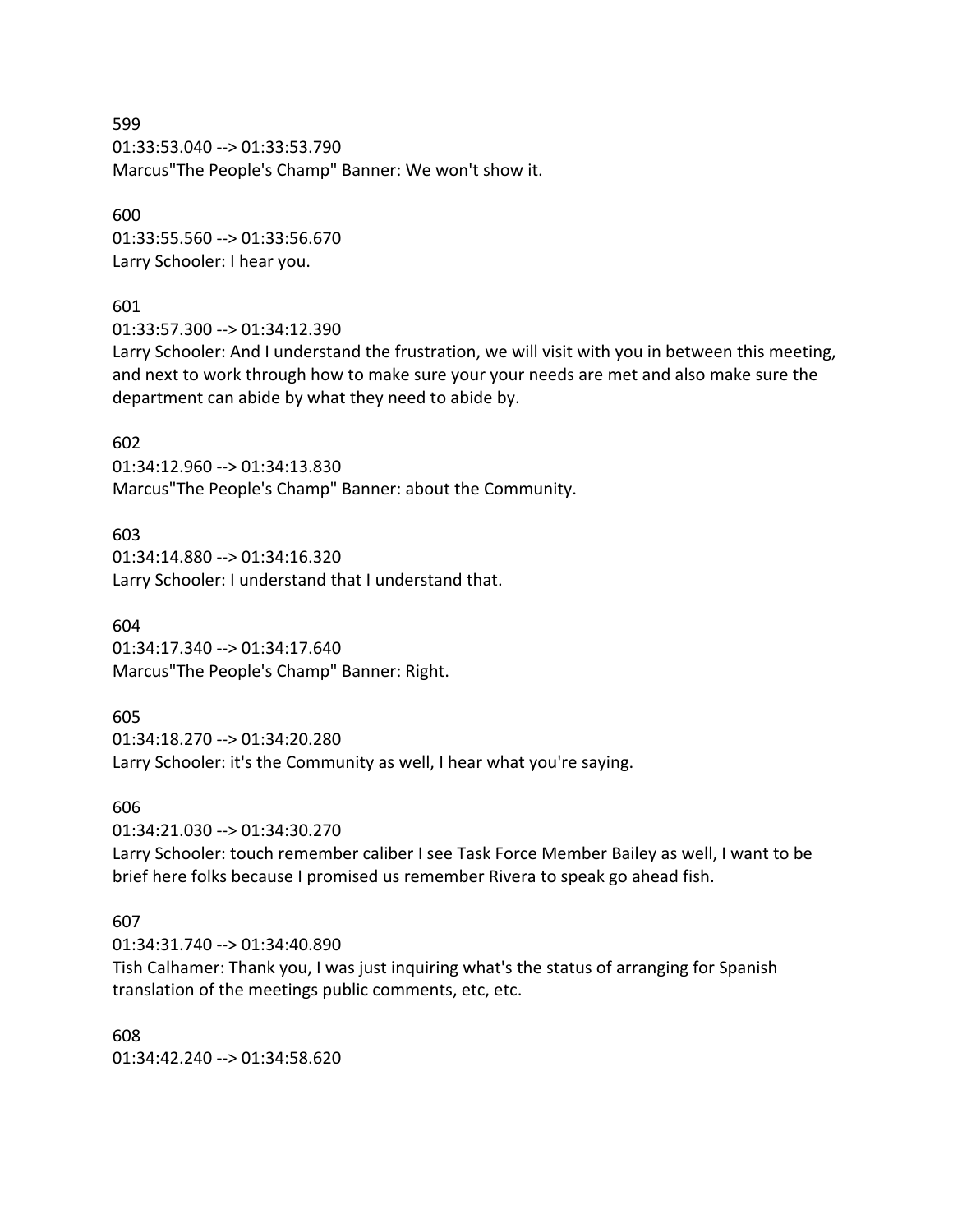599 01:33:53.040 --> 01:33:53.790 Marcus"The People's Champ" Banner: We won't show it.

600 01:33:55.560 --> 01:33:56.670 Larry Schooler: I hear you.

#### 601

01:33:57.300 --> 01:34:12.390

Larry Schooler: And I understand the frustration, we will visit with you in between this meeting, and next to work through how to make sure your your needs are met and also make sure the department can abide by what they need to abide by.

#### 602

01:34:12.960 --> 01:34:13.830 Marcus"The People's Champ" Banner: about the Community.

603 01:34:14.880 --> 01:34:16.320 Larry Schooler: I understand that I understand that.

#### 604

01:34:17.340 --> 01:34:17.640 Marcus"The People's Champ" Banner: Right.

#### 605

01:34:18.270 --> 01:34:20.280 Larry Schooler: it's the Community as well, I hear what you're saying.

#### 606

01:34:21.030 --> 01:34:30.270

Larry Schooler: touch remember caliber I see Task Force Member Bailey as well, I want to be brief here folks because I promised us remember Rivera to speak go ahead fish.

#### 607

01:34:31.740 --> 01:34:40.890

Tish Calhamer: Thank you, I was just inquiring what's the status of arranging for Spanish translation of the meetings public comments, etc, etc.

608 01:34:42.240 --> 01:34:58.620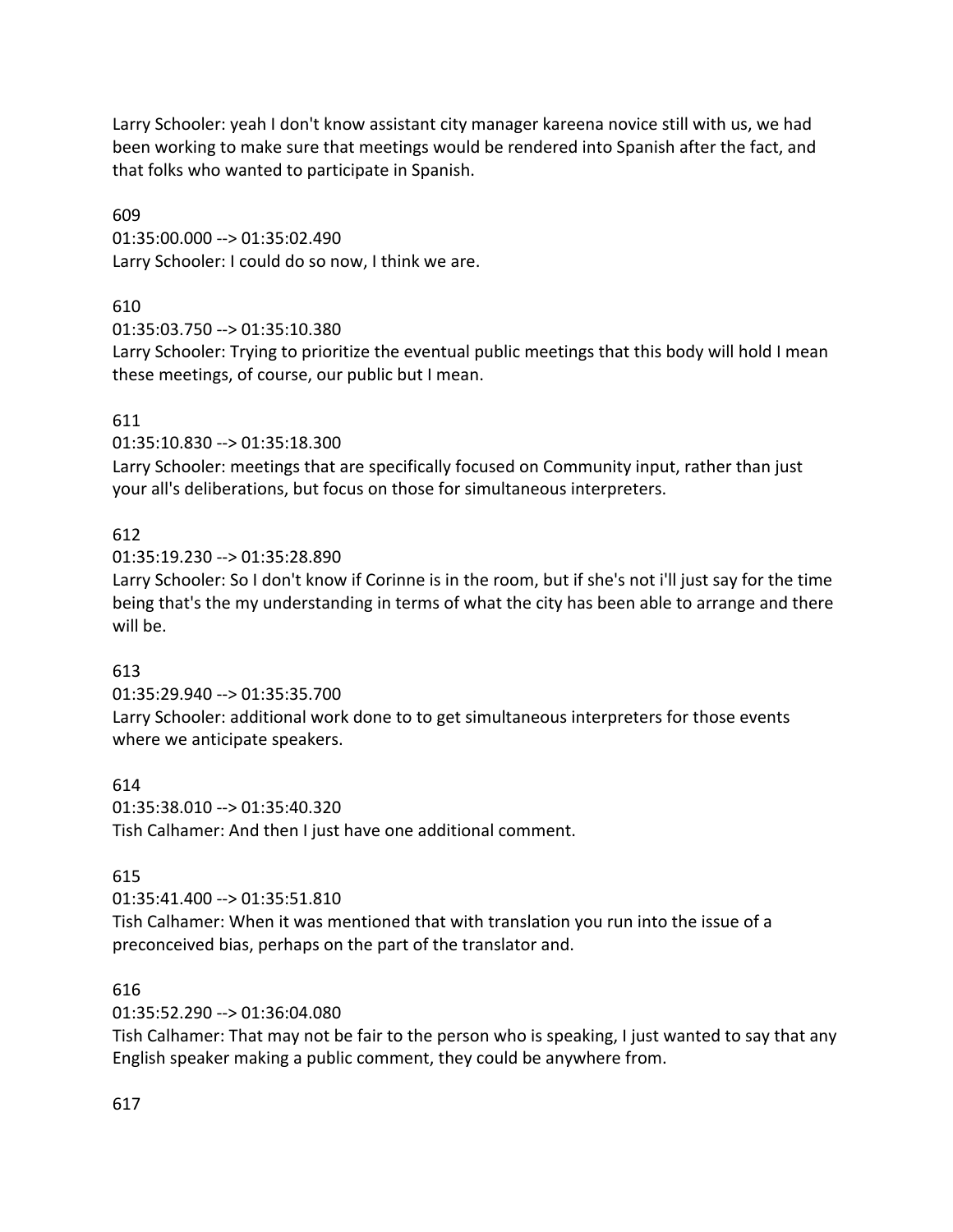Larry Schooler: yeah I don't know assistant city manager kareena novice still with us, we had been working to make sure that meetings would be rendered into Spanish after the fact, and that folks who wanted to participate in Spanish.

609

01:35:00.000 --> 01:35:02.490 Larry Schooler: I could do so now, I think we are.

# 610

01:35:03.750 --> 01:35:10.380

Larry Schooler: Trying to prioritize the eventual public meetings that this body will hold I mean these meetings, of course, our public but I mean.

# 611

01:35:10.830 --> 01:35:18.300

Larry Schooler: meetings that are specifically focused on Community input, rather than just your all's deliberations, but focus on those for simultaneous interpreters.

# 612

01:35:19.230 --> 01:35:28.890

Larry Schooler: So I don't know if Corinne is in the room, but if she's not i'll just say for the time being that's the my understanding in terms of what the city has been able to arrange and there will be.

# 613

01:35:29.940 --> 01:35:35.700

Larry Schooler: additional work done to to get simultaneous interpreters for those events where we anticipate speakers.

# 614

01:35:38.010 --> 01:35:40.320 Tish Calhamer: And then I just have one additional comment.

# 615

01:35:41.400 --> 01:35:51.810

Tish Calhamer: When it was mentioned that with translation you run into the issue of a preconceived bias, perhaps on the part of the translator and.

# 616

01:35:52.290 --> 01:36:04.080

Tish Calhamer: That may not be fair to the person who is speaking, I just wanted to say that any English speaker making a public comment, they could be anywhere from.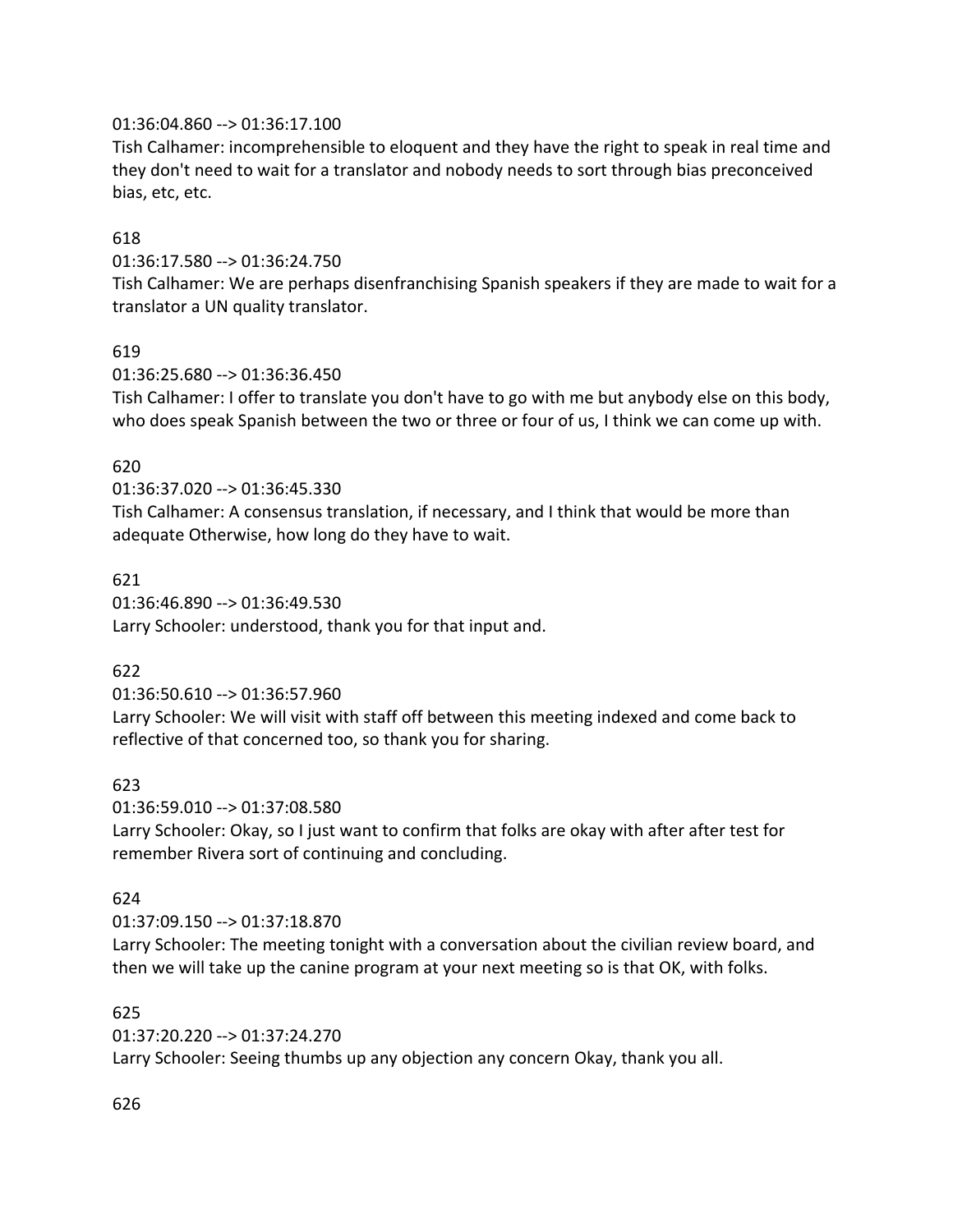## 01:36:04.860 --> 01:36:17.100

Tish Calhamer: incomprehensible to eloquent and they have the right to speak in real time and they don't need to wait for a translator and nobody needs to sort through bias preconceived bias, etc, etc.

## 618

01:36:17.580 --> 01:36:24.750

Tish Calhamer: We are perhaps disenfranchising Spanish speakers if they are made to wait for a translator a UN quality translator.

## 619

01:36:25.680 --> 01:36:36.450

Tish Calhamer: I offer to translate you don't have to go with me but anybody else on this body, who does speak Spanish between the two or three or four of us, I think we can come up with.

## 620

01:36:37.020 --> 01:36:45.330

Tish Calhamer: A consensus translation, if necessary, and I think that would be more than adequate Otherwise, how long do they have to wait.

#### 621

01:36:46.890 --> 01:36:49.530 Larry Schooler: understood, thank you for that input and.

#### 622

01:36:50.610 --> 01:36:57.960

Larry Schooler: We will visit with staff off between this meeting indexed and come back to reflective of that concerned too, so thank you for sharing.

#### 623

01:36:59.010 --> 01:37:08.580

Larry Schooler: Okay, so I just want to confirm that folks are okay with after after test for remember Rivera sort of continuing and concluding.

#### 624

#### 01:37:09.150 --> 01:37:18.870

Larry Schooler: The meeting tonight with a conversation about the civilian review board, and then we will take up the canine program at your next meeting so is that OK, with folks.

## 625

01:37:20.220 --> 01:37:24.270 Larry Schooler: Seeing thumbs up any objection any concern Okay, thank you all.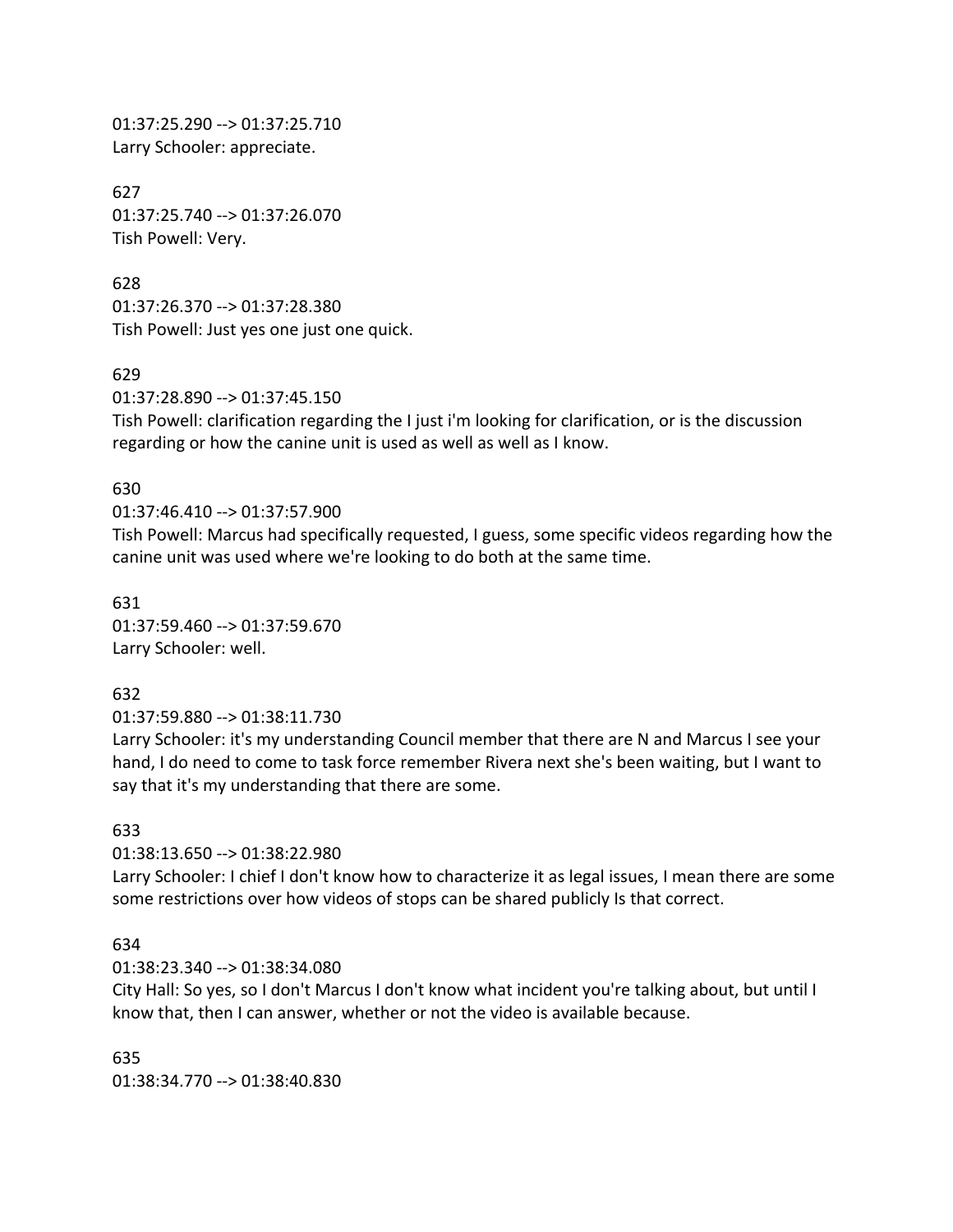01:37:25.290 --> 01:37:25.710 Larry Schooler: appreciate.

627 01:37:25.740 --> 01:37:26.070 Tish Powell: Very.

628 01:37:26.370 --> 01:37:28.380 Tish Powell: Just yes one just one quick.

629

01:37:28.890 --> 01:37:45.150

Tish Powell: clarification regarding the I just i'm looking for clarification, or is the discussion regarding or how the canine unit is used as well as well as I know.

#### 630

#### 01:37:46.410 --> 01:37:57.900

Tish Powell: Marcus had specifically requested, I guess, some specific videos regarding how the canine unit was used where we're looking to do both at the same time.

631 01:37:59.460 --> 01:37:59.670 Larry Schooler: well.

#### 632

01:37:59.880 --> 01:38:11.730

Larry Schooler: it's my understanding Council member that there are N and Marcus I see your hand, I do need to come to task force remember Rivera next she's been waiting, but I want to say that it's my understanding that there are some.

#### 633

01:38:13.650 --> 01:38:22.980

Larry Schooler: I chief I don't know how to characterize it as legal issues, I mean there are some some restrictions over how videos of stops can be shared publicly Is that correct.

#### 634

01:38:23.340 --> 01:38:34.080

City Hall: So yes, so I don't Marcus I don't know what incident you're talking about, but until I know that, then I can answer, whether or not the video is available because.

635 01:38:34.770 --> 01:38:40.830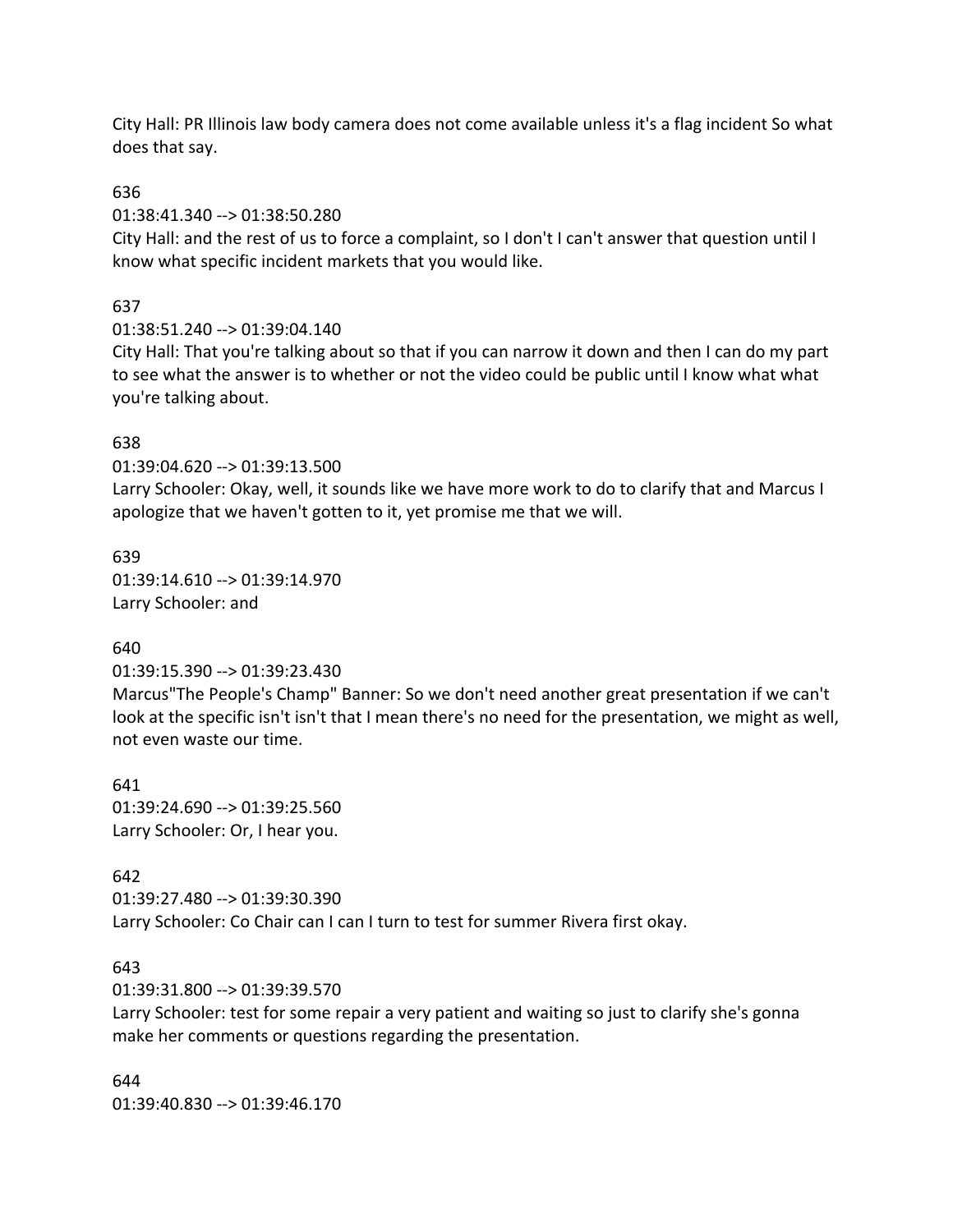City Hall: PR Illinois law body camera does not come available unless it's a flag incident So what does that say.

#### 636

01:38:41.340 --> 01:38:50.280

City Hall: and the rest of us to force a complaint, so I don't I can't answer that question until I know what specific incident markets that you would like.

#### 637

01:38:51.240 --> 01:39:04.140

City Hall: That you're talking about so that if you can narrow it down and then I can do my part to see what the answer is to whether or not the video could be public until I know what what you're talking about.

#### 638

01:39:04.620 --> 01:39:13.500

Larry Schooler: Okay, well, it sounds like we have more work to do to clarify that and Marcus I apologize that we haven't gotten to it, yet promise me that we will.

639 01:39:14.610 --> 01:39:14.970 Larry Schooler: and

#### 640

01:39:15.390 --> 01:39:23.430

Marcus"The People's Champ" Banner: So we don't need another great presentation if we can't look at the specific isn't isn't that I mean there's no need for the presentation, we might as well, not even waste our time.

641 01:39:24.690 --> 01:39:25.560 Larry Schooler: Or, I hear you.

#### 642

01:39:27.480 --> 01:39:30.390 Larry Schooler: Co Chair can I can I turn to test for summer Rivera first okay.

#### 643

01:39:31.800 --> 01:39:39.570

Larry Schooler: test for some repair a very patient and waiting so just to clarify she's gonna make her comments or questions regarding the presentation.

644 01:39:40.830 --> 01:39:46.170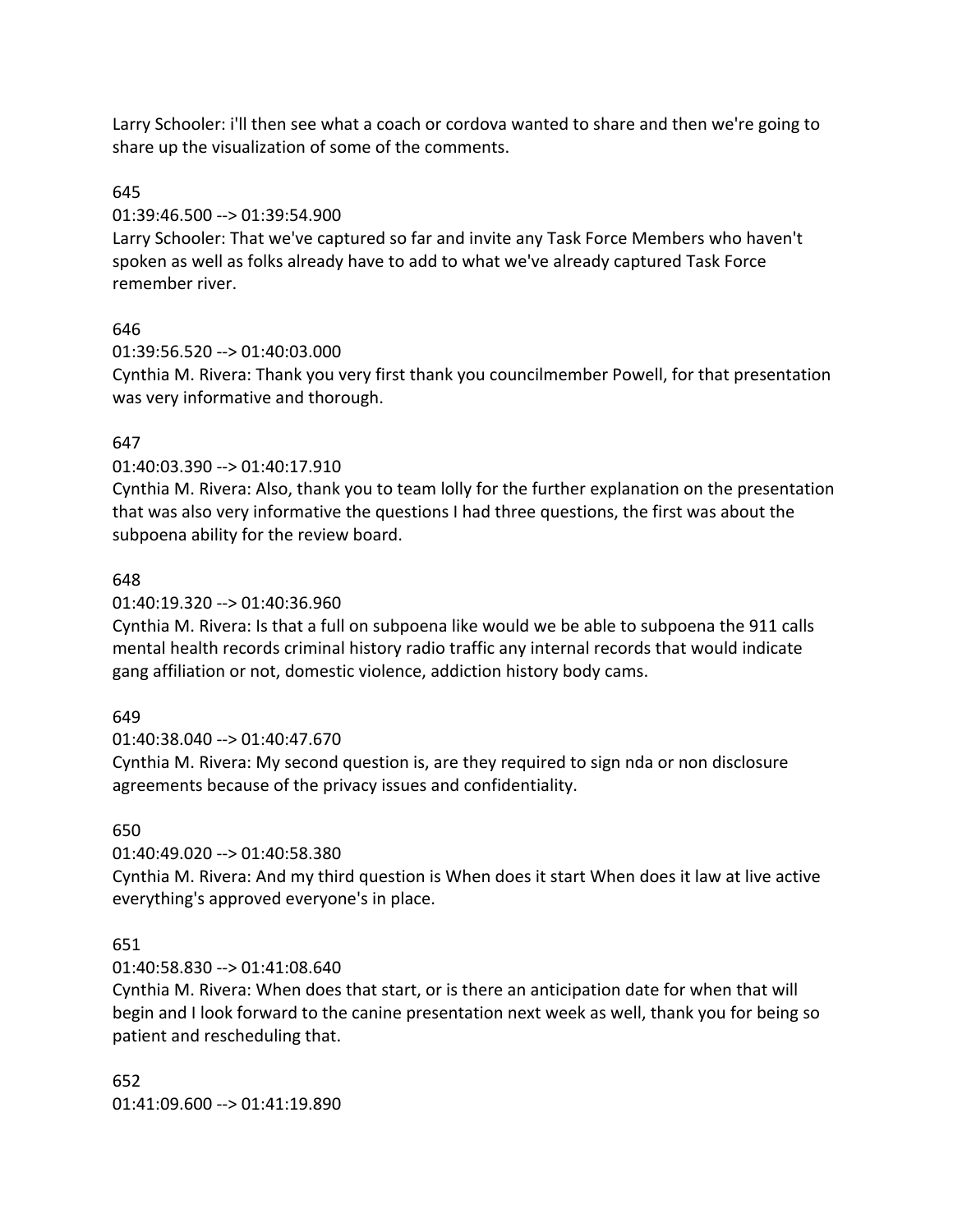Larry Schooler: i'll then see what a coach or cordova wanted to share and then we're going to share up the visualization of some of the comments.

### 645

#### 01:39:46.500 --> 01:39:54.900

Larry Schooler: That we've captured so far and invite any Task Force Members who haven't spoken as well as folks already have to add to what we've already captured Task Force remember river.

### 646

#### 01:39:56.520 --> 01:40:03.000

Cynthia M. Rivera: Thank you very first thank you councilmember Powell, for that presentation was very informative and thorough.

### 647

### 01:40:03.390 --> 01:40:17.910

Cynthia M. Rivera: Also, thank you to team lolly for the further explanation on the presentation that was also very informative the questions I had three questions, the first was about the subpoena ability for the review board.

### 648

### 01:40:19.320 --> 01:40:36.960

Cynthia M. Rivera: Is that a full on subpoena like would we be able to subpoena the 911 calls mental health records criminal history radio traffic any internal records that would indicate gang affiliation or not, domestic violence, addiction history body cams.

# 649

#### 01:40:38.040 --> 01:40:47.670

Cynthia M. Rivera: My second question is, are they required to sign nda or non disclosure agreements because of the privacy issues and confidentiality.

#### 650

#### 01:40:49.020 --> 01:40:58.380

Cynthia M. Rivera: And my third question is When does it start When does it law at live active everything's approved everyone's in place.

#### 651

# 01:40:58.830 --> 01:41:08.640

Cynthia M. Rivera: When does that start, or is there an anticipation date for when that will begin and I look forward to the canine presentation next week as well, thank you for being so patient and rescheduling that.

652 01:41:09.600 --> 01:41:19.890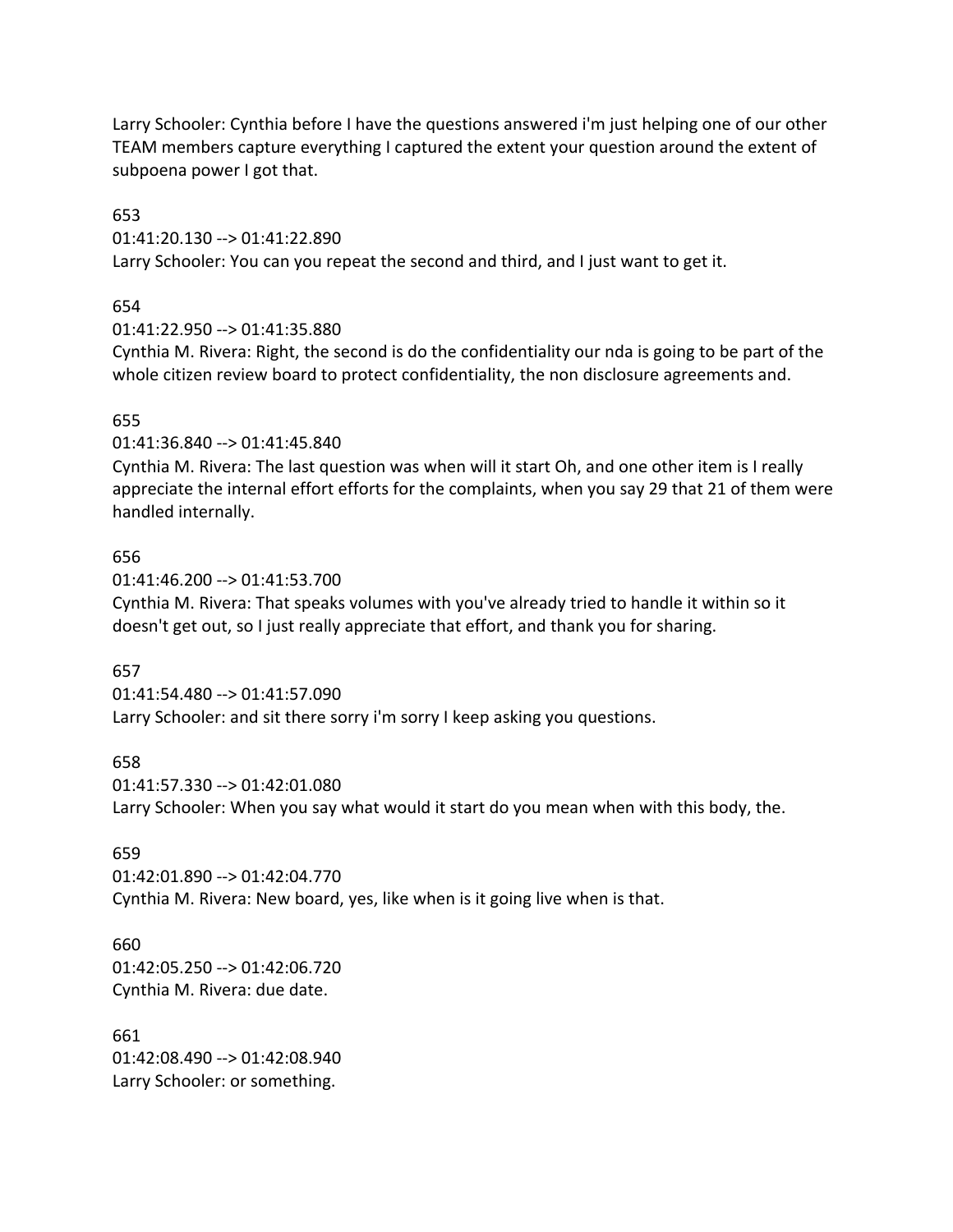Larry Schooler: Cynthia before I have the questions answered i'm just helping one of our other TEAM members capture everything I captured the extent your question around the extent of subpoena power I got that.

653

01:41:20.130 --> 01:41:22.890

Larry Schooler: You can you repeat the second and third, and I just want to get it.

654

01:41:22.950 --> 01:41:35.880

Cynthia M. Rivera: Right, the second is do the confidentiality our nda is going to be part of the whole citizen review board to protect confidentiality, the non disclosure agreements and.

### 655

01:41:36.840 --> 01:41:45.840

Cynthia M. Rivera: The last question was when will it start Oh, and one other item is I really appreciate the internal effort efforts for the complaints, when you say 29 that 21 of them were handled internally.

### 656

01:41:46.200 --> 01:41:53.700

Cynthia M. Rivera: That speaks volumes with you've already tried to handle it within so it doesn't get out, so I just really appreciate that effort, and thank you for sharing.

657

01:41:54.480 --> 01:41:57.090 Larry Schooler: and sit there sorry i'm sorry I keep asking you questions.

658 01:41:57.330 --> 01:42:01.080 Larry Schooler: When you say what would it start do you mean when with this body, the.

#### 659

01:42:01.890 --> 01:42:04.770 Cynthia M. Rivera: New board, yes, like when is it going live when is that.

660 01:42:05.250 --> 01:42:06.720 Cynthia M. Rivera: due date.

661 01:42:08.490 --> 01:42:08.940 Larry Schooler: or something.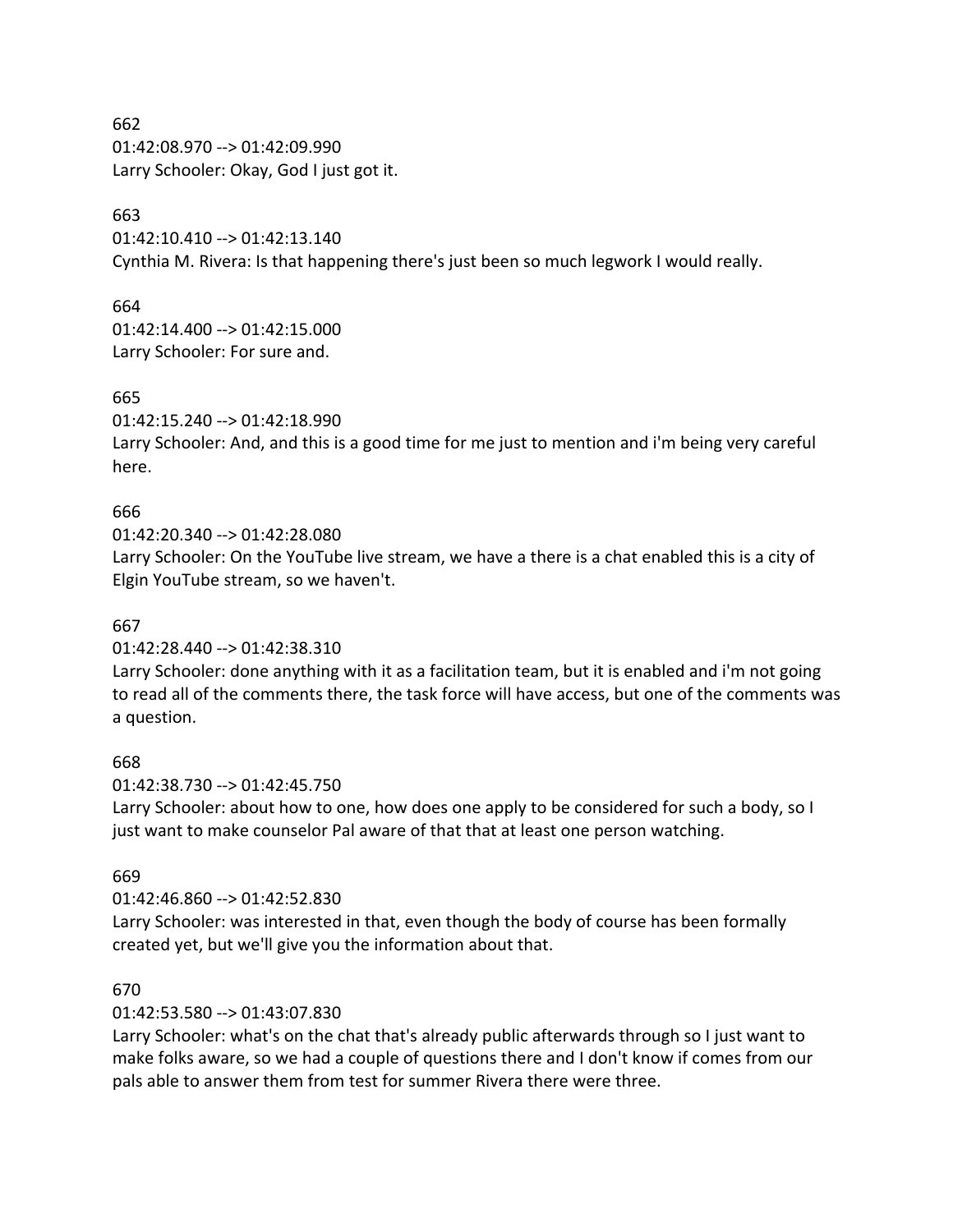662 01:42:08.970 --> 01:42:09.990 Larry Schooler: Okay, God I just got it.

### 663

01:42:10.410 --> 01:42:13.140 Cynthia M. Rivera: Is that happening there's just been so much legwork I would really.

### 664

01:42:14.400 --> 01:42:15.000 Larry Schooler: For sure and.

#### 665

01:42:15.240 --> 01:42:18.990

Larry Schooler: And, and this is a good time for me just to mention and i'm being very careful here.

# 666

01:42:20.340 --> 01:42:28.080

Larry Schooler: On the YouTube live stream, we have a there is a chat enabled this is a city of Elgin YouTube stream, so we haven't.

### 667

01:42:28.440 --> 01:42:38.310

Larry Schooler: done anything with it as a facilitation team, but it is enabled and i'm not going to read all of the comments there, the task force will have access, but one of the comments was a question.

# 668

01:42:38.730 --> 01:42:45.750

Larry Schooler: about how to one, how does one apply to be considered for such a body, so I just want to make counselor Pal aware of that that at least one person watching.

# 669

01:42:46.860 --> 01:42:52.830

Larry Schooler: was interested in that, even though the body of course has been formally created yet, but we'll give you the information about that.

# 670

# 01:42:53.580 --> 01:43:07.830

Larry Schooler: what's on the chat that's already public afterwards through so I just want to make folks aware, so we had a couple of questions there and I don't know if comes from our pals able to answer them from test for summer Rivera there were three.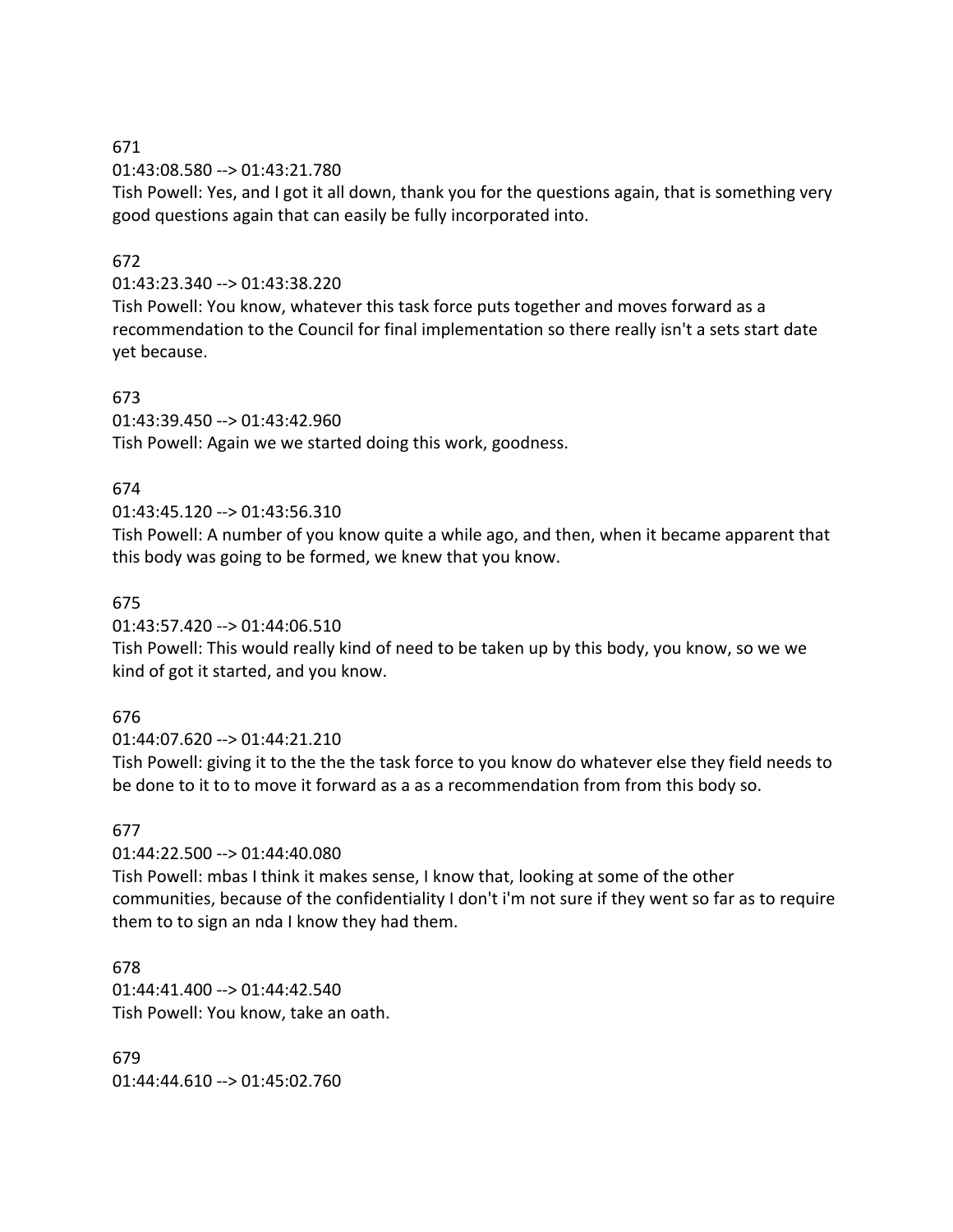### 671

01:43:08.580 --> 01:43:21.780

Tish Powell: Yes, and I got it all down, thank you for the questions again, that is something very good questions again that can easily be fully incorporated into.

# 672

01:43:23.340 --> 01:43:38.220

Tish Powell: You know, whatever this task force puts together and moves forward as a recommendation to the Council for final implementation so there really isn't a sets start date yet because.

# 673

01:43:39.450 --> 01:43:42.960

Tish Powell: Again we we started doing this work, goodness.

# 674

# 01:43:45.120 --> 01:43:56.310

Tish Powell: A number of you know quite a while ago, and then, when it became apparent that this body was going to be formed, we knew that you know.

# 675

01:43:57.420 --> 01:44:06.510

Tish Powell: This would really kind of need to be taken up by this body, you know, so we we kind of got it started, and you know.

# 676

01:44:07.620 --> 01:44:21.210

Tish Powell: giving it to the the the task force to you know do whatever else they field needs to be done to it to to move it forward as a as a recommendation from from this body so.

# 677

01:44:22.500 --> 01:44:40.080

Tish Powell: mbas I think it makes sense, I know that, looking at some of the other communities, because of the confidentiality I don't i'm not sure if they went so far as to require them to to sign an nda I know they had them.

### 678 01:44:41.400 --> 01:44:42.540 Tish Powell: You know, take an oath.

679 01:44:44.610 --> 01:45:02.760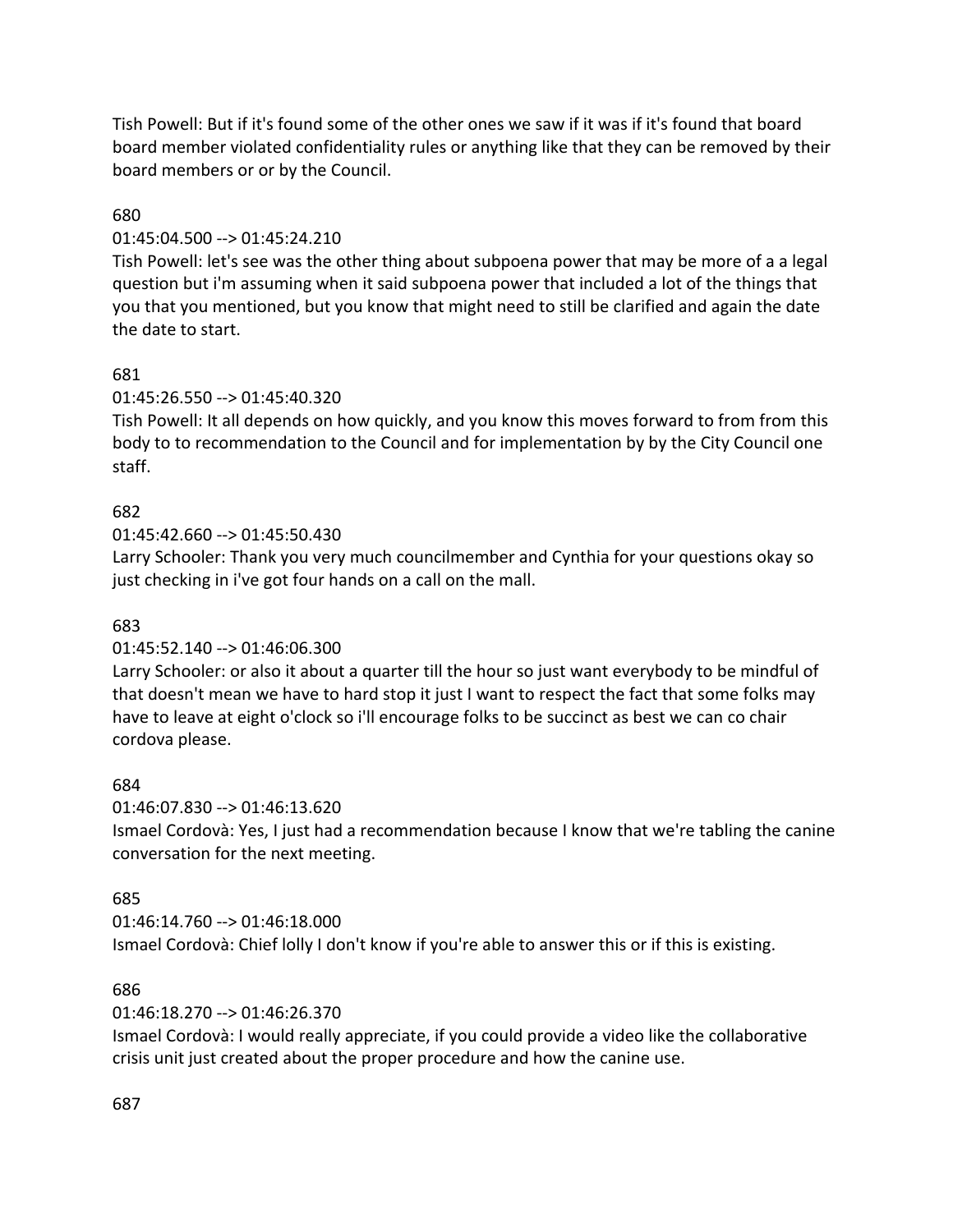Tish Powell: But if it's found some of the other ones we saw if it was if it's found that board board member violated confidentiality rules or anything like that they can be removed by their board members or or by the Council.

# 680

# 01:45:04.500 --> 01:45:24.210

Tish Powell: let's see was the other thing about subpoena power that may be more of a a legal question but i'm assuming when it said subpoena power that included a lot of the things that you that you mentioned, but you know that might need to still be clarified and again the date the date to start.

# 681

# 01:45:26.550 --> 01:45:40.320

Tish Powell: It all depends on how quickly, and you know this moves forward to from from this body to to recommendation to the Council and for implementation by by the City Council one staff.

# 682

# 01:45:42.660 --> 01:45:50.430

Larry Schooler: Thank you very much councilmember and Cynthia for your questions okay so just checking in i've got four hands on a call on the mall.

# 683

# 01:45:52.140 --> 01:46:06.300

Larry Schooler: or also it about a quarter till the hour so just want everybody to be mindful of that doesn't mean we have to hard stop it just I want to respect the fact that some folks may have to leave at eight o'clock so i'll encourage folks to be succinct as best we can co chair cordova please.

# 684

# 01:46:07.830 --> 01:46:13.620 Ismael Cordovà: Yes, I just had a recommendation because I know that we're tabling the canine conversation for the next meeting.

# 685

# 01:46:14.760 --> 01:46:18.000

Ismael Cordovà: Chief lolly I don't know if you're able to answer this or if this is existing.

# 686

# 01:46:18.270 --> 01:46:26.370

Ismael Cordovà: I would really appreciate, if you could provide a video like the collaborative crisis unit just created about the proper procedure and how the canine use.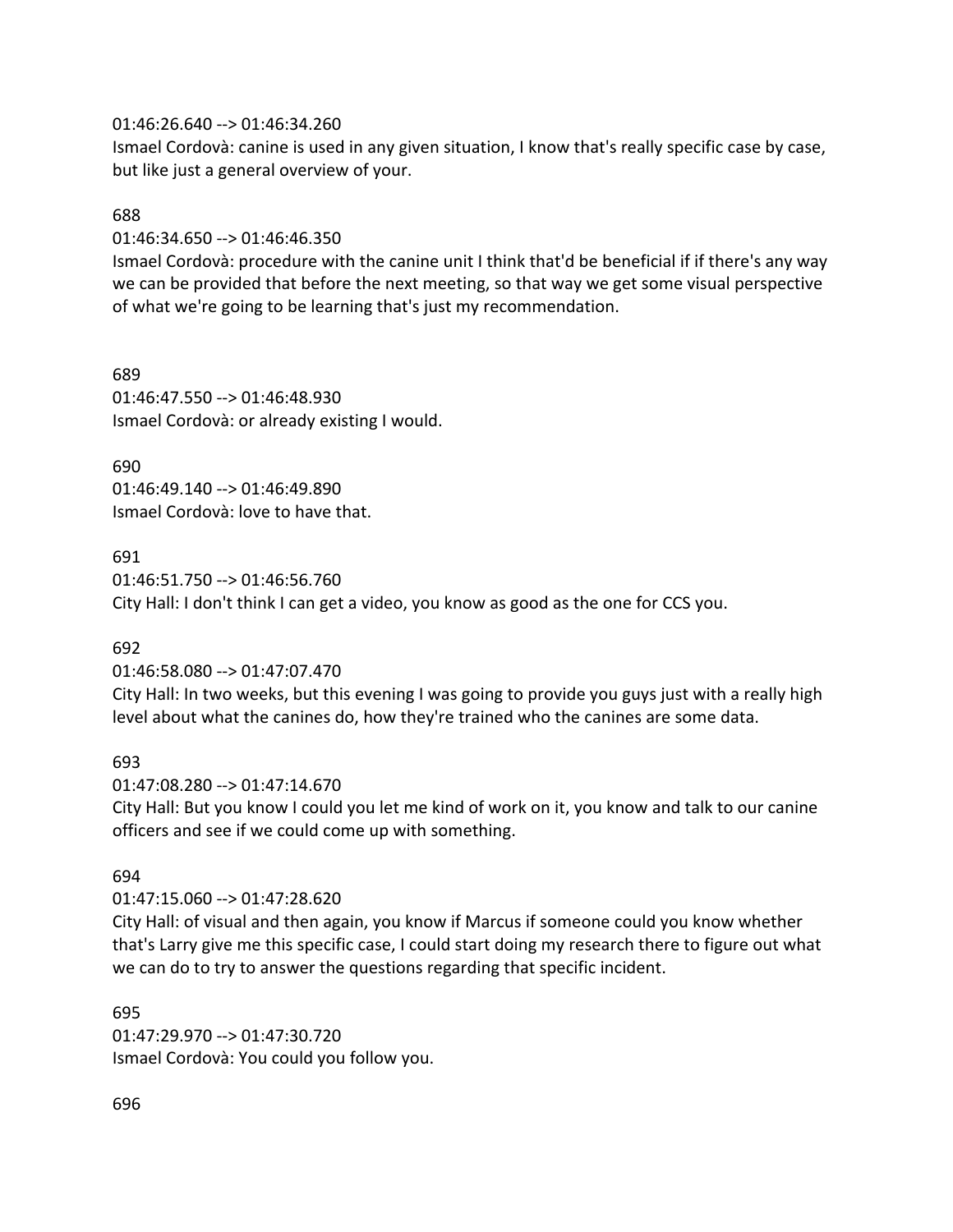01:46:26.640 --> 01:46:34.260

Ismael Cordovà: canine is used in any given situation, I know that's really specific case by case, but like just a general overview of your.

#### 688

01:46:34.650 --> 01:46:46.350

Ismael Cordovà: procedure with the canine unit I think that'd be beneficial if if there's any way we can be provided that before the next meeting, so that way we get some visual perspective of what we're going to be learning that's just my recommendation.

689 01:46:47.550 --> 01:46:48.930 Ismael Cordovà: or already existing I would.

690 01:46:49.140 --> 01:46:49.890 Ismael Cordovà: love to have that.

#### 691

01:46:51.750 --> 01:46:56.760 City Hall: I don't think I can get a video, you know as good as the one for CCS you.

#### 692

01:46:58.080 --> 01:47:07.470

City Hall: In two weeks, but this evening I was going to provide you guys just with a really high level about what the canines do, how they're trained who the canines are some data.

#### 693

01:47:08.280 --> 01:47:14.670 City Hall: But you know I could you let me kind of work on it, you know and talk to our canine officers and see if we could come up with something.

#### 694

01:47:15.060 --> 01:47:28.620

City Hall: of visual and then again, you know if Marcus if someone could you know whether that's Larry give me this specific case, I could start doing my research there to figure out what we can do to try to answer the questions regarding that specific incident.

695 01:47:29.970 --> 01:47:30.720 Ismael Cordovà: You could you follow you.

696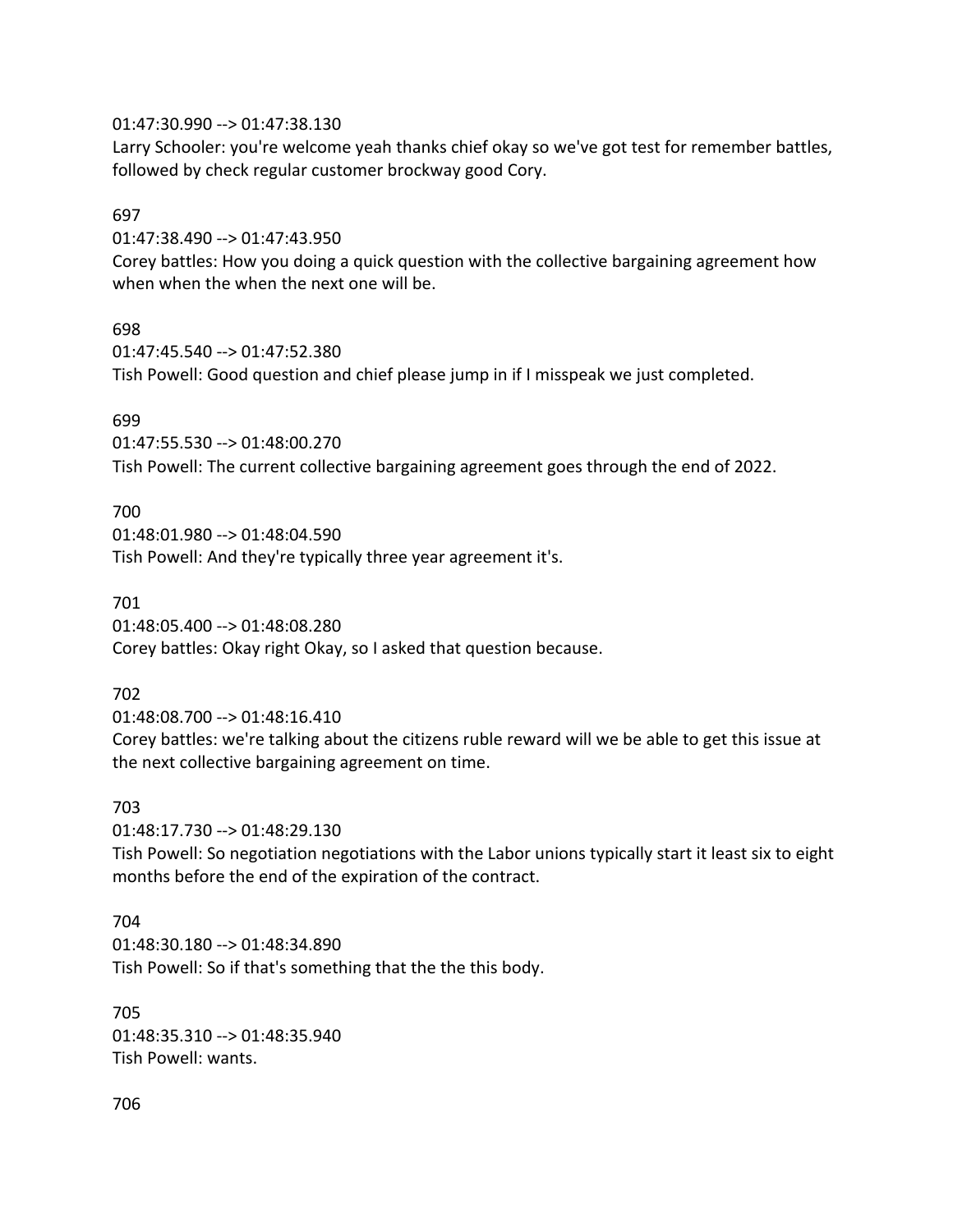#### 01:47:30.990 --> 01:47:38.130

Larry Schooler: you're welcome yeah thanks chief okay so we've got test for remember battles, followed by check regular customer brockway good Cory.

#### 697

01:47:38.490 --> 01:47:43.950

Corey battles: How you doing a quick question with the collective bargaining agreement how when when the when the next one will be.

#### 698

01:47:45.540 --> 01:47:52.380 Tish Powell: Good question and chief please jump in if I misspeak we just completed.

### 699

01:47:55.530 --> 01:48:00.270 Tish Powell: The current collective bargaining agreement goes through the end of 2022.

### 700

01:48:01.980 --> 01:48:04.590 Tish Powell: And they're typically three year agreement it's.

701

01:48:05.400 --> 01:48:08.280

Corey battles: Okay right Okay, so I asked that question because.

#### 702

01:48:08.700 --> 01:48:16.410

Corey battles: we're talking about the citizens ruble reward will we be able to get this issue at the next collective bargaining agreement on time.

#### 703

01:48:17.730 --> 01:48:29.130

Tish Powell: So negotiation negotiations with the Labor unions typically start it least six to eight months before the end of the expiration of the contract.

#### 704

01:48:30.180 --> 01:48:34.890 Tish Powell: So if that's something that the the this body.

705 01:48:35.310 --> 01:48:35.940 Tish Powell: wants.

706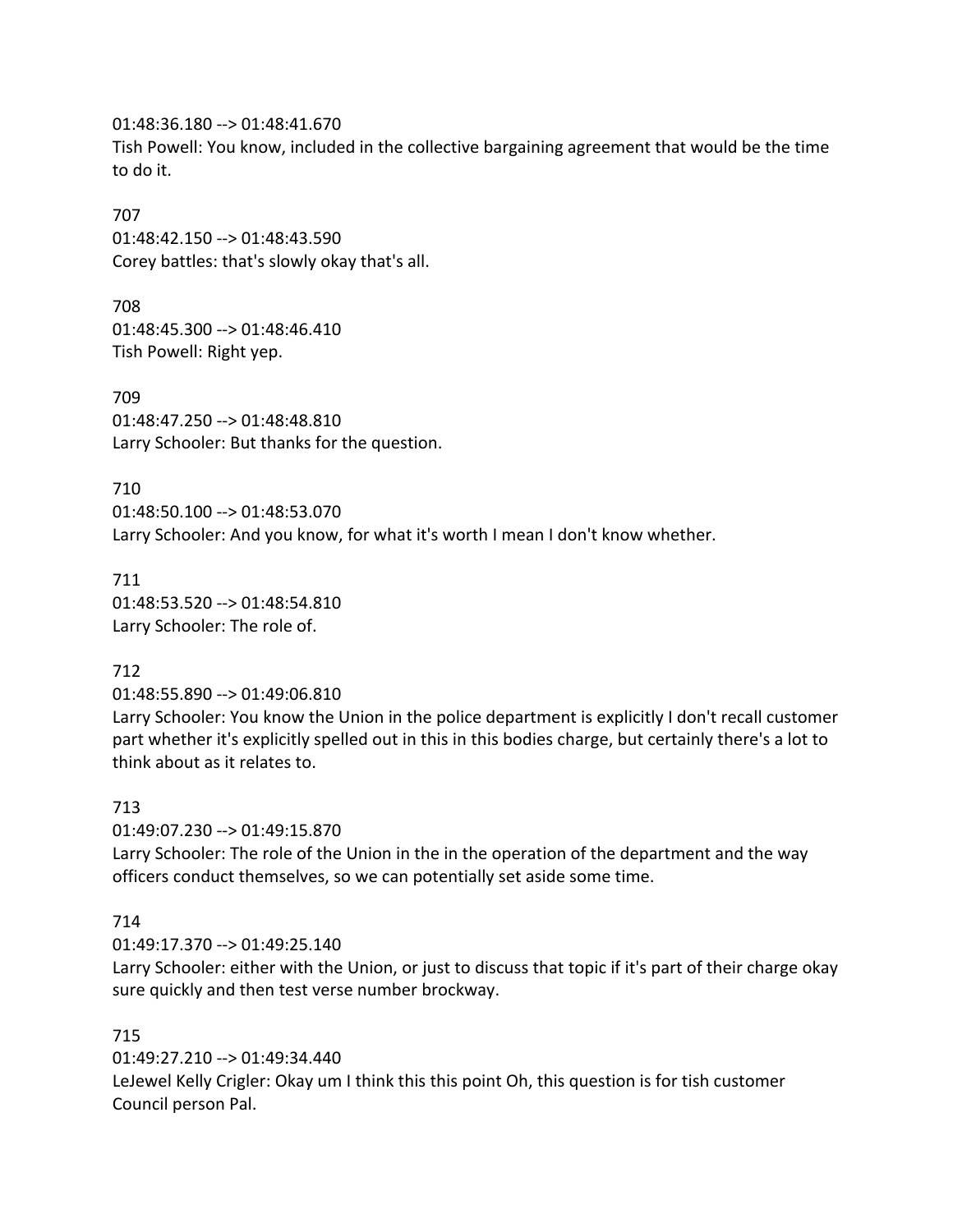01:48:36.180 --> 01:48:41.670

Tish Powell: You know, included in the collective bargaining agreement that would be the time to do it.

# 707

01:48:42.150 --> 01:48:43.590 Corey battles: that's slowly okay that's all.

708 01:48:45.300 --> 01:48:46.410 Tish Powell: Right yep.

709 01:48:47.250 --> 01:48:48.810 Larry Schooler: But thanks for the question.

710 01:48:50.100 --> 01:48:53.070 Larry Schooler: And you know, for what it's worth I mean I don't know whether.

711 01:48:53.520 --> 01:48:54.810 Larry Schooler: The role of.

# 712

01:48:55.890 --> 01:49:06.810

Larry Schooler: You know the Union in the police department is explicitly I don't recall customer part whether it's explicitly spelled out in this in this bodies charge, but certainly there's a lot to think about as it relates to.

# 713

01:49:07.230 --> 01:49:15.870

Larry Schooler: The role of the Union in the in the operation of the department and the way officers conduct themselves, so we can potentially set aside some time.

# 714

01:49:17.370 --> 01:49:25.140

Larry Schooler: either with the Union, or just to discuss that topic if it's part of their charge okay sure quickly and then test verse number brockway.

# 715

01:49:27.210 --> 01:49:34.440

LeJewel Kelly Crigler: Okay um I think this this point Oh, this question is for tish customer Council person Pal.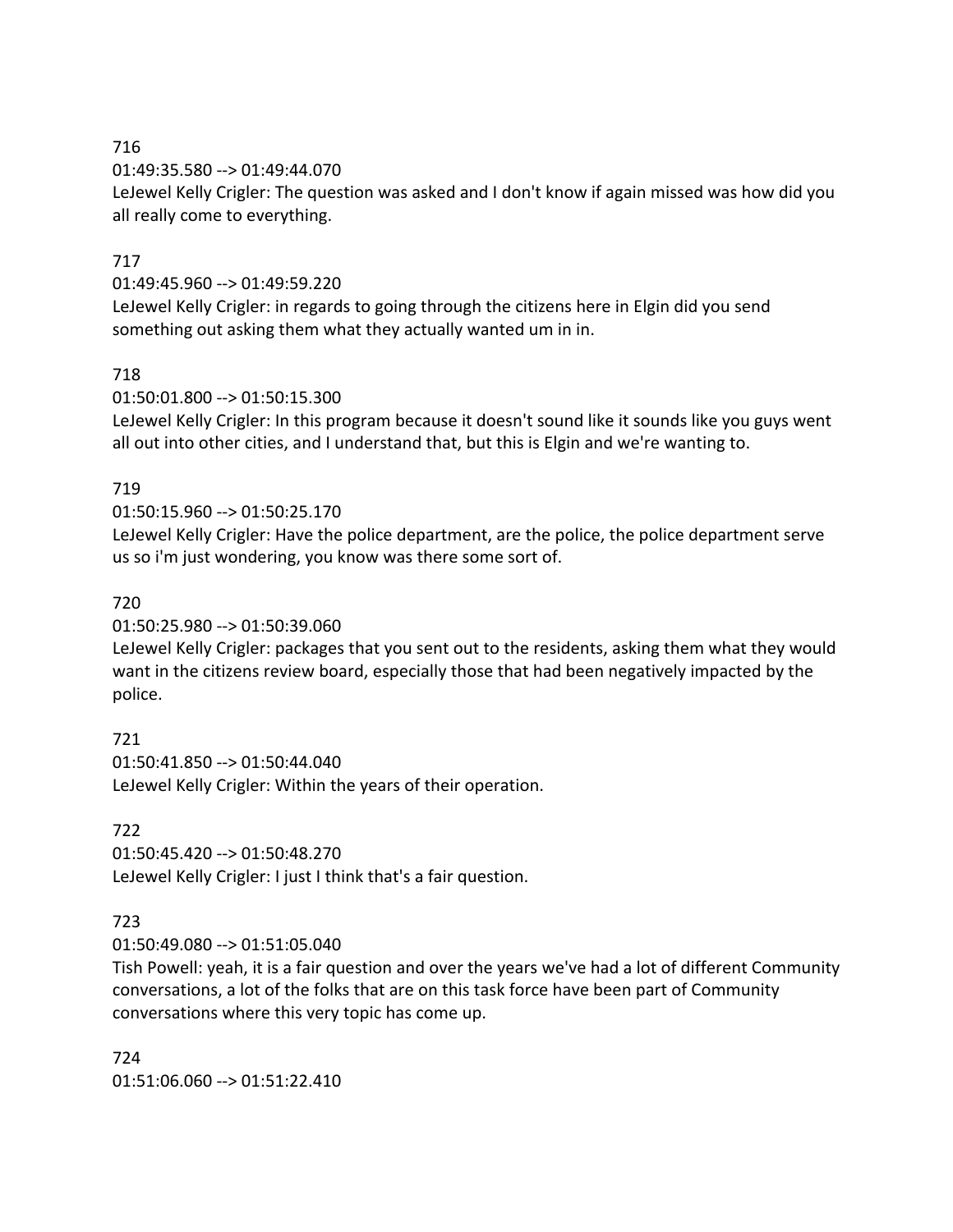# 716

01:49:35.580 --> 01:49:44.070

LeJewel Kelly Crigler: The question was asked and I don't know if again missed was how did you all really come to everything.

# 717

# 01:49:45.960 --> 01:49:59.220

LeJewel Kelly Crigler: in regards to going through the citizens here in Elgin did you send something out asking them what they actually wanted um in in.

# 718

01:50:01.800 --> 01:50:15.300

LeJewel Kelly Crigler: In this program because it doesn't sound like it sounds like you guys went all out into other cities, and I understand that, but this is Elgin and we're wanting to.

# 719

# 01:50:15.960 --> 01:50:25.170

LeJewel Kelly Crigler: Have the police department, are the police, the police department serve us so i'm just wondering, you know was there some sort of.

# 720

01:50:25.980 --> 01:50:39.060

LeJewel Kelly Crigler: packages that you sent out to the residents, asking them what they would want in the citizens review board, especially those that had been negatively impacted by the police.

# 721

01:50:41.850 --> 01:50:44.040 LeJewel Kelly Crigler: Within the years of their operation.

# 722

01:50:45.420 --> 01:50:48.270 LeJewel Kelly Crigler: I just I think that's a fair question.

# 723

01:50:49.080 --> 01:51:05.040

Tish Powell: yeah, it is a fair question and over the years we've had a lot of different Community conversations, a lot of the folks that are on this task force have been part of Community conversations where this very topic has come up.

# 724 01:51:06.060 --> 01:51:22.410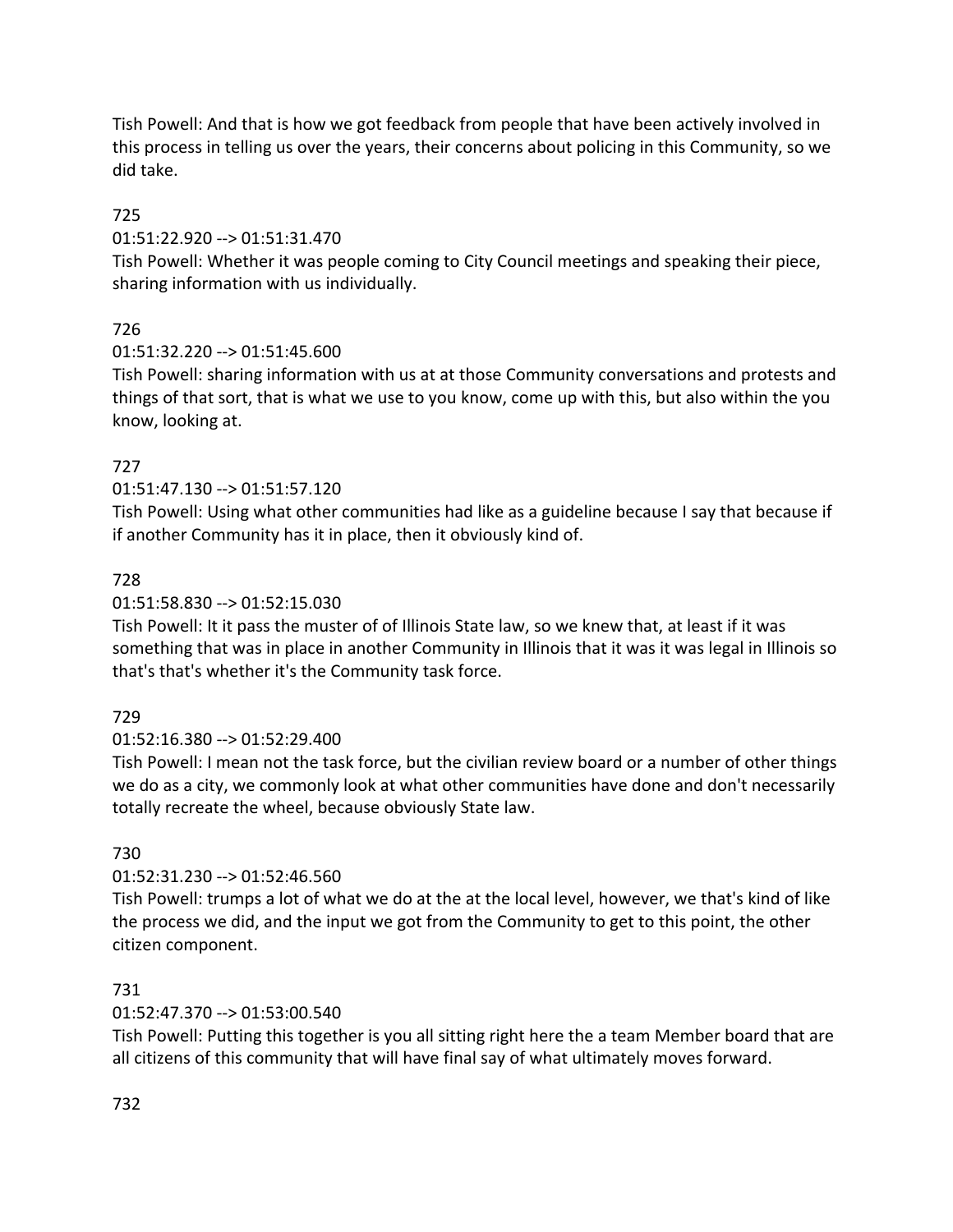Tish Powell: And that is how we got feedback from people that have been actively involved in this process in telling us over the years, their concerns about policing in this Community, so we did take.

# 725

# 01:51:22.920 --> 01:51:31.470

Tish Powell: Whether it was people coming to City Council meetings and speaking their piece, sharing information with us individually.

# 726

# 01:51:32.220 --> 01:51:45.600

Tish Powell: sharing information with us at at those Community conversations and protests and things of that sort, that is what we use to you know, come up with this, but also within the you know, looking at.

# 727

# 01:51:47.130 --> 01:51:57.120

Tish Powell: Using what other communities had like as a guideline because I say that because if if another Community has it in place, then it obviously kind of.

# 728

# 01:51:58.830 --> 01:52:15.030

Tish Powell: It it pass the muster of of Illinois State law, so we knew that, at least if it was something that was in place in another Community in Illinois that it was it was legal in Illinois so that's that's whether it's the Community task force.

# 729

# 01:52:16.380 --> 01:52:29.400

Tish Powell: I mean not the task force, but the civilian review board or a number of other things we do as a city, we commonly look at what other communities have done and don't necessarily totally recreate the wheel, because obviously State law.

# 730

# 01:52:31.230 --> 01:52:46.560

Tish Powell: trumps a lot of what we do at the at the local level, however, we that's kind of like the process we did, and the input we got from the Community to get to this point, the other citizen component.

# 731

# 01:52:47.370 --> 01:53:00.540

Tish Powell: Putting this together is you all sitting right here the a team Member board that are all citizens of this community that will have final say of what ultimately moves forward.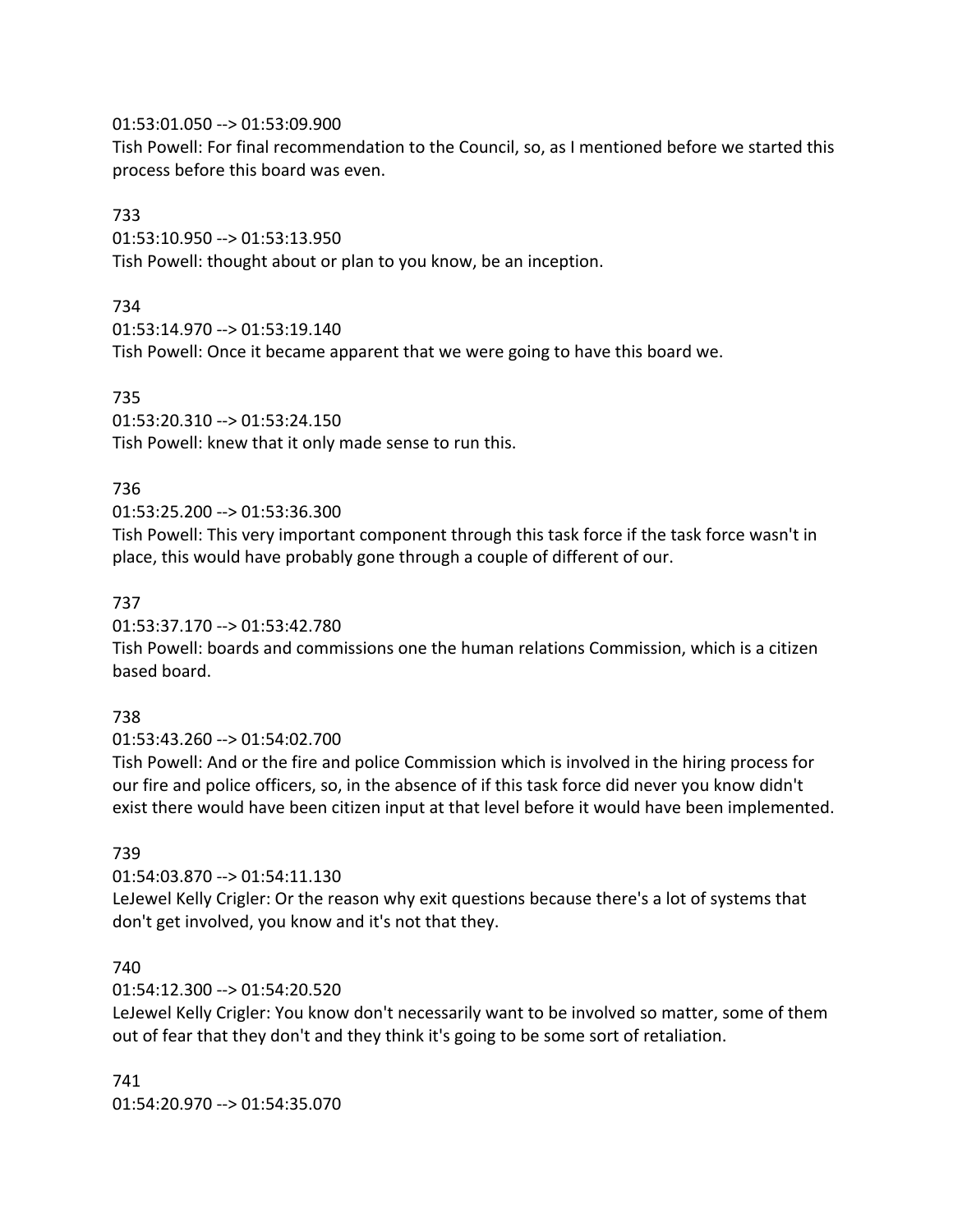01:53:01.050 --> 01:53:09.900

Tish Powell: For final recommendation to the Council, so, as I mentioned before we started this process before this board was even.

# 733

01:53:10.950 --> 01:53:13.950

Tish Powell: thought about or plan to you know, be an inception.

# 734

```
01:53:14.970 --> 01:53:19.140
```
Tish Powell: Once it became apparent that we were going to have this board we.

# 735

01:53:20.310 --> 01:53:24.150

Tish Powell: knew that it only made sense to run this.

# 736

# 01:53:25.200 --> 01:53:36.300

Tish Powell: This very important component through this task force if the task force wasn't in place, this would have probably gone through a couple of different of our.

# 737

01:53:37.170 --> 01:53:42.780

Tish Powell: boards and commissions one the human relations Commission, which is a citizen based board.

# 738

01:53:43.260 --> 01:54:02.700

Tish Powell: And or the fire and police Commission which is involved in the hiring process for our fire and police officers, so, in the absence of if this task force did never you know didn't exist there would have been citizen input at that level before it would have been implemented.

# 739

01:54:03.870 --> 01:54:11.130

LeJewel Kelly Crigler: Or the reason why exit questions because there's a lot of systems that don't get involved, you know and it's not that they.

# 740

# 01:54:12.300 --> 01:54:20.520

LeJewel Kelly Crigler: You know don't necessarily want to be involved so matter, some of them out of fear that they don't and they think it's going to be some sort of retaliation.

# 741

01:54:20.970 --> 01:54:35.070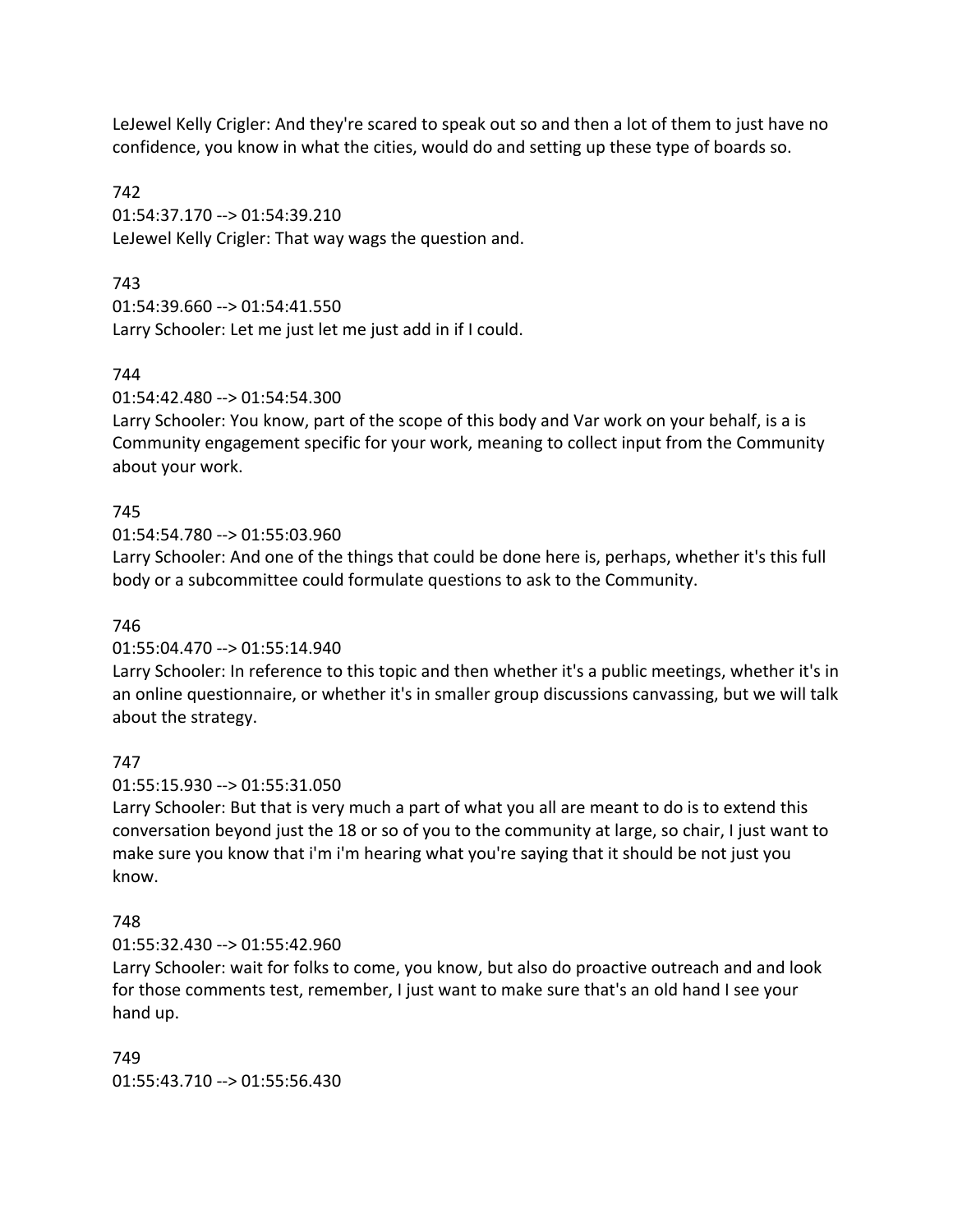LeJewel Kelly Crigler: And they're scared to speak out so and then a lot of them to just have no confidence, you know in what the cities, would do and setting up these type of boards so.

742 01:54:37.170 --> 01:54:39.210 LeJewel Kelly Crigler: That way wags the question and.

# 743

01:54:39.660 --> 01:54:41.550

Larry Schooler: Let me just let me just add in if I could.

# 744

# 01:54:42.480 --> 01:54:54.300

Larry Schooler: You know, part of the scope of this body and Var work on your behalf, is a is Community engagement specific for your work, meaning to collect input from the Community about your work.

# 745

# 01:54:54.780 --> 01:55:03.960

Larry Schooler: And one of the things that could be done here is, perhaps, whether it's this full body or a subcommittee could formulate questions to ask to the Community.

# 746

# 01:55:04.470 --> 01:55:14.940

Larry Schooler: In reference to this topic and then whether it's a public meetings, whether it's in an online questionnaire, or whether it's in smaller group discussions canvassing, but we will talk about the strategy.

# 747

# 01:55:15.930 --> 01:55:31.050

Larry Schooler: But that is very much a part of what you all are meant to do is to extend this conversation beyond just the 18 or so of you to the community at large, so chair, I just want to make sure you know that i'm i'm hearing what you're saying that it should be not just you know.

# 748

# 01:55:32.430 --> 01:55:42.960

Larry Schooler: wait for folks to come, you know, but also do proactive outreach and and look for those comments test, remember, I just want to make sure that's an old hand I see your hand up.

# 749

01:55:43.710 --> 01:55:56.430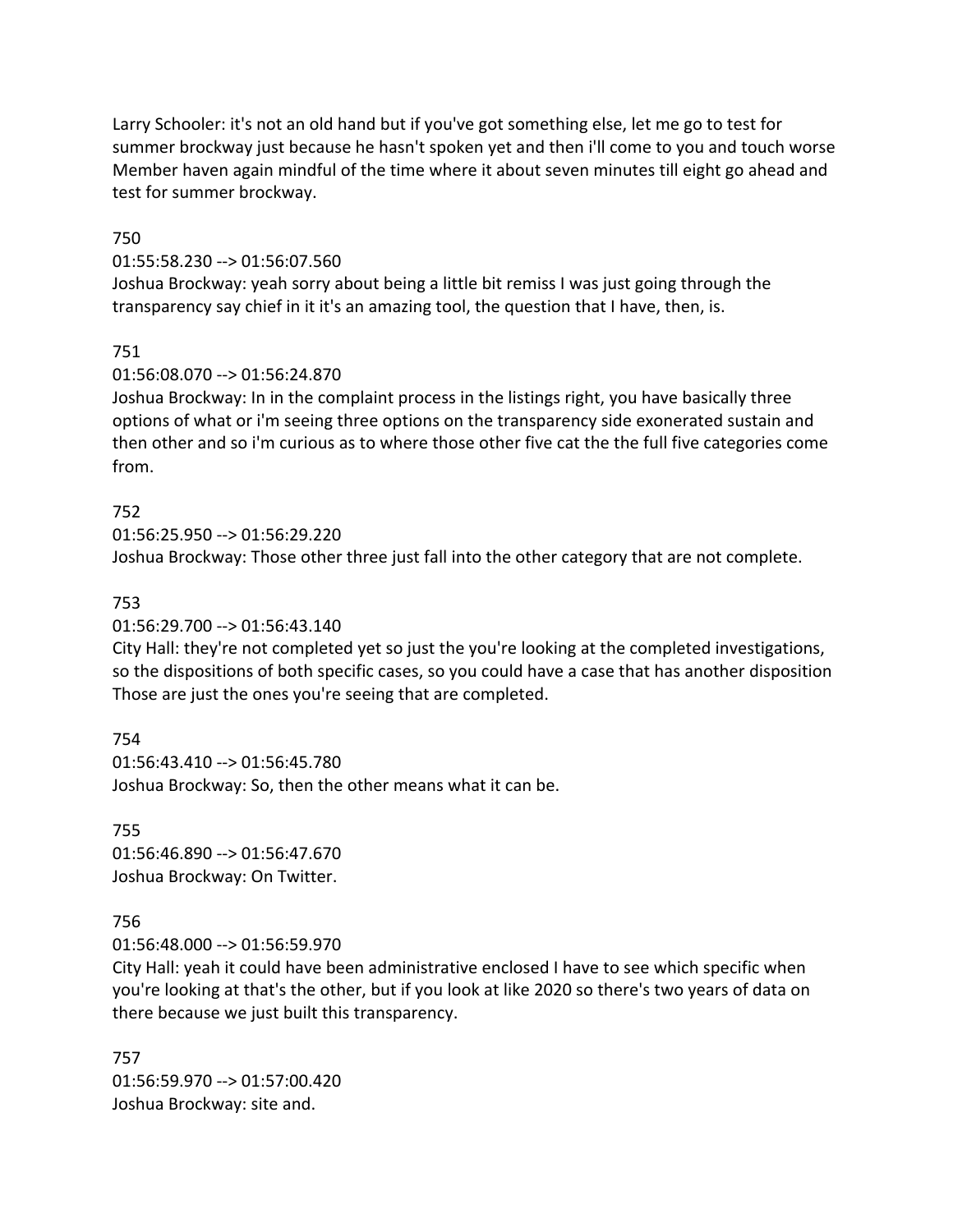Larry Schooler: it's not an old hand but if you've got something else, let me go to test for summer brockway just because he hasn't spoken yet and then i'll come to you and touch worse Member haven again mindful of the time where it about seven minutes till eight go ahead and test for summer brockway.

### 750

01:55:58.230 --> 01:56:07.560

Joshua Brockway: yeah sorry about being a little bit remiss I was just going through the transparency say chief in it it's an amazing tool, the question that I have, then, is.

### 751

#### 01:56:08.070 --> 01:56:24.870

Joshua Brockway: In in the complaint process in the listings right, you have basically three options of what or i'm seeing three options on the transparency side exonerated sustain and then other and so i'm curious as to where those other five cat the the full five categories come from.

# 752

01:56:25.950 --> 01:56:29.220 Joshua Brockway: Those other three just fall into the other category that are not complete.

### 753

01:56:29.700 --> 01:56:43.140

City Hall: they're not completed yet so just the you're looking at the completed investigations, so the dispositions of both specific cases, so you could have a case that has another disposition Those are just the ones you're seeing that are completed.

#### 754

01:56:43.410 --> 01:56:45.780 Joshua Brockway: So, then the other means what it can be.

755 01:56:46.890 --> 01:56:47.670 Joshua Brockway: On Twitter.

# 756

01:56:48.000 --> 01:56:59.970

City Hall: yeah it could have been administrative enclosed I have to see which specific when you're looking at that's the other, but if you look at like 2020 so there's two years of data on there because we just built this transparency.

757 01:56:59.970 --> 01:57:00.420 Joshua Brockway: site and.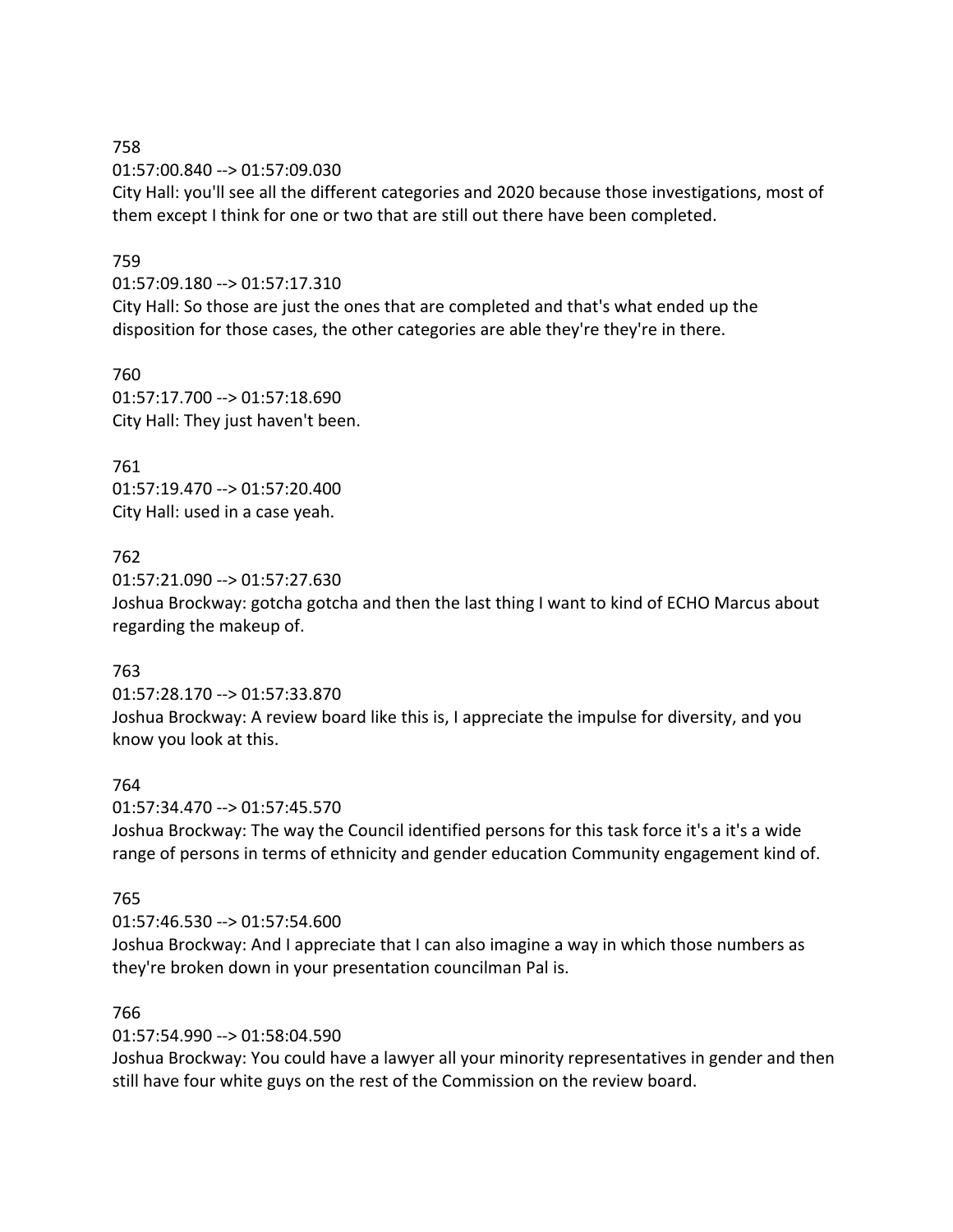#### 758

01:57:00.840 --> 01:57:09.030

City Hall: you'll see all the different categories and 2020 because those investigations, most of them except I think for one or two that are still out there have been completed.

### 759

01:57:09.180 --> 01:57:17.310

City Hall: So those are just the ones that are completed and that's what ended up the disposition for those cases, the other categories are able they're they're in there.

760 01:57:17.700 --> 01:57:18.690 City Hall: They just haven't been.

761 01:57:19.470 --> 01:57:20.400 City Hall: used in a case yeah.

### 762

01:57:21.090 --> 01:57:27.630 Joshua Brockway: gotcha gotcha and then the last thing I want to kind of ECHO Marcus about regarding the makeup of.

# 763

01:57:28.170 --> 01:57:33.870 Joshua Brockway: A review board like this is, I appreciate the impulse for diversity, and you know you look at this.

#### 764

01:57:34.470 --> 01:57:45.570

Joshua Brockway: The way the Council identified persons for this task force it's a it's a wide range of persons in terms of ethnicity and gender education Community engagement kind of.

# 765

01:57:46.530 --> 01:57:54.600

Joshua Brockway: And I appreciate that I can also imagine a way in which those numbers as they're broken down in your presentation councilman Pal is.

#### 766

01:57:54.990 --> 01:58:04.590

Joshua Brockway: You could have a lawyer all your minority representatives in gender and then still have four white guys on the rest of the Commission on the review board.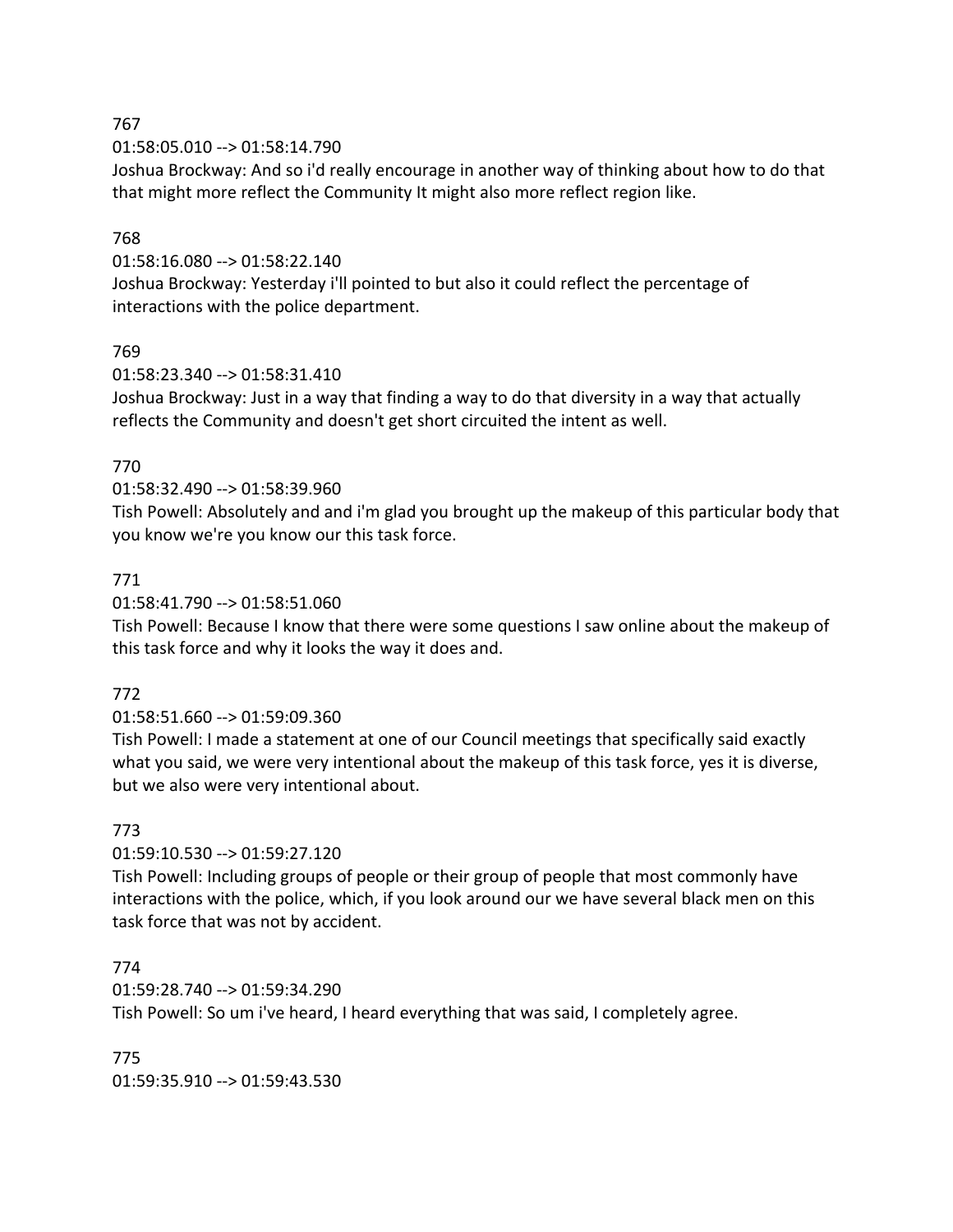### 767

01:58:05.010 --> 01:58:14.790

Joshua Brockway: And so i'd really encourage in another way of thinking about how to do that that might more reflect the Community It might also more reflect region like.

# 768

01:58:16.080 --> 01:58:22.140 Joshua Brockway: Yesterday i'll pointed to but also it could reflect the percentage of interactions with the police department.

# 769

01:58:23.340 --> 01:58:31.410

Joshua Brockway: Just in a way that finding a way to do that diversity in a way that actually reflects the Community and doesn't get short circuited the intent as well.

# 770

01:58:32.490 --> 01:58:39.960

Tish Powell: Absolutely and and i'm glad you brought up the makeup of this particular body that you know we're you know our this task force.

# 771

01:58:41.790 --> 01:58:51.060

Tish Powell: Because I know that there were some questions I saw online about the makeup of this task force and why it looks the way it does and.

# 772

# 01:58:51.660 --> 01:59:09.360

Tish Powell: I made a statement at one of our Council meetings that specifically said exactly what you said, we were very intentional about the makeup of this task force, yes it is diverse, but we also were very intentional about.

# 773

# 01:59:10.530 --> 01:59:27.120

Tish Powell: Including groups of people or their group of people that most commonly have interactions with the police, which, if you look around our we have several black men on this task force that was not by accident.

# 774

01:59:28.740 --> 01:59:34.290 Tish Powell: So um i've heard, I heard everything that was said, I completely agree.

775 01:59:35.910 --> 01:59:43.530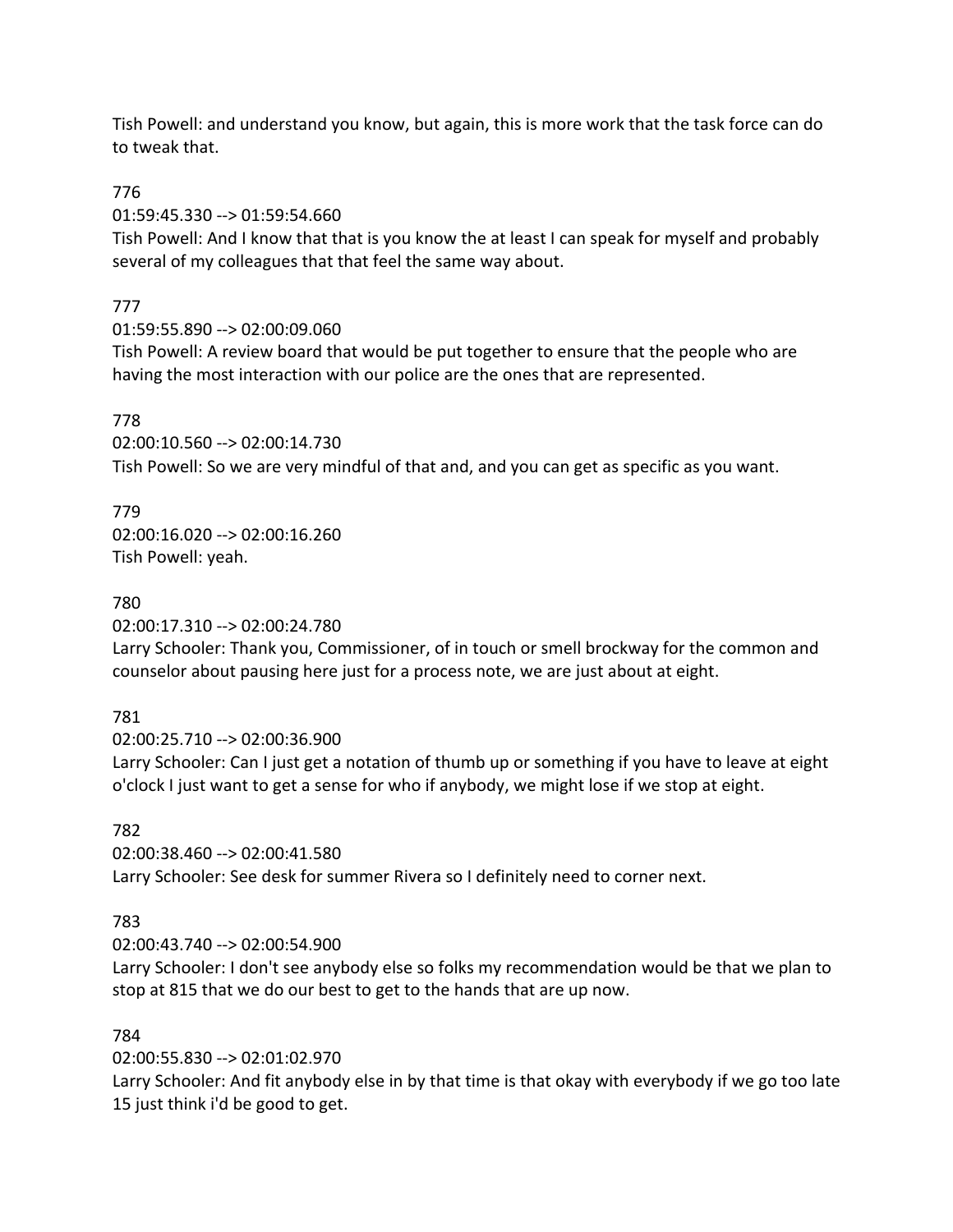Tish Powell: and understand you know, but again, this is more work that the task force can do to tweak that.

776

01:59:45.330 --> 01:59:54.660

Tish Powell: And I know that that is you know the at least I can speak for myself and probably several of my colleagues that that feel the same way about.

777

01:59:55.890 --> 02:00:09.060

Tish Powell: A review board that would be put together to ensure that the people who are having the most interaction with our police are the ones that are represented.

778

02:00:10.560 --> 02:00:14.730 Tish Powell: So we are very mindful of that and, and you can get as specific as you want.

779 02:00:16.020 --> 02:00:16.260 Tish Powell: yeah.

780

02:00:17.310 --> 02:00:24.780

Larry Schooler: Thank you, Commissioner, of in touch or smell brockway for the common and counselor about pausing here just for a process note, we are just about at eight.

781

02:00:25.710 --> 02:00:36.900

Larry Schooler: Can I just get a notation of thumb up or something if you have to leave at eight o'clock I just want to get a sense for who if anybody, we might lose if we stop at eight.

782

02:00:38.460 --> 02:00:41.580 Larry Schooler: See desk for summer Rivera so I definitely need to corner next.

783

02:00:43.740 --> 02:00:54.900

Larry Schooler: I don't see anybody else so folks my recommendation would be that we plan to stop at 815 that we do our best to get to the hands that are up now.

784

02:00:55.830 --> 02:01:02.970

Larry Schooler: And fit anybody else in by that time is that okay with everybody if we go too late 15 just think i'd be good to get.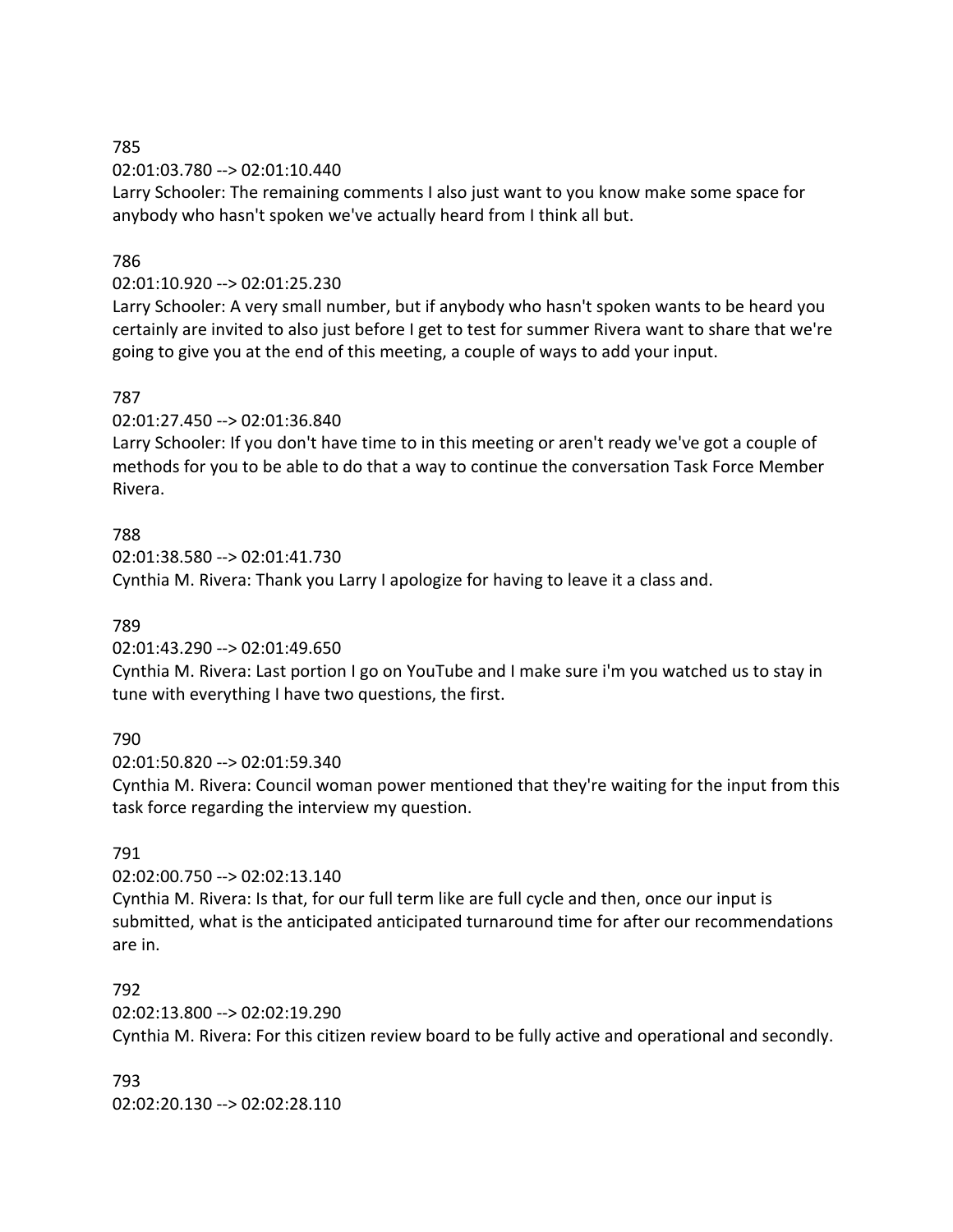### 785

02:01:03.780 --> 02:01:10.440

Larry Schooler: The remaining comments I also just want to you know make some space for anybody who hasn't spoken we've actually heard from I think all but.

# 786

# 02:01:10.920 --> 02:01:25.230

Larry Schooler: A very small number, but if anybody who hasn't spoken wants to be heard you certainly are invited to also just before I get to test for summer Rivera want to share that we're going to give you at the end of this meeting, a couple of ways to add your input.

# 787

02:01:27.450 --> 02:01:36.840

Larry Schooler: If you don't have time to in this meeting or aren't ready we've got a couple of methods for you to be able to do that a way to continue the conversation Task Force Member Rivera.

# 788

02:01:38.580 --> 02:01:41.730 Cynthia M. Rivera: Thank you Larry I apologize for having to leave it a class and.

789

02:01:43.290 --> 02:01:49.650

Cynthia M. Rivera: Last portion I go on YouTube and I make sure i'm you watched us to stay in tune with everything I have two questions, the first.

# 790

02:01:50.820 --> 02:01:59.340

Cynthia M. Rivera: Council woman power mentioned that they're waiting for the input from this task force regarding the interview my question.

# 791

02:02:00.750 --> 02:02:13.140

Cynthia M. Rivera: Is that, for our full term like are full cycle and then, once our input is submitted, what is the anticipated anticipated turnaround time for after our recommendations are in.

# 792

02:02:13.800 --> 02:02:19.290

Cynthia M. Rivera: For this citizen review board to be fully active and operational and secondly.

793

02:02:20.130 --> 02:02:28.110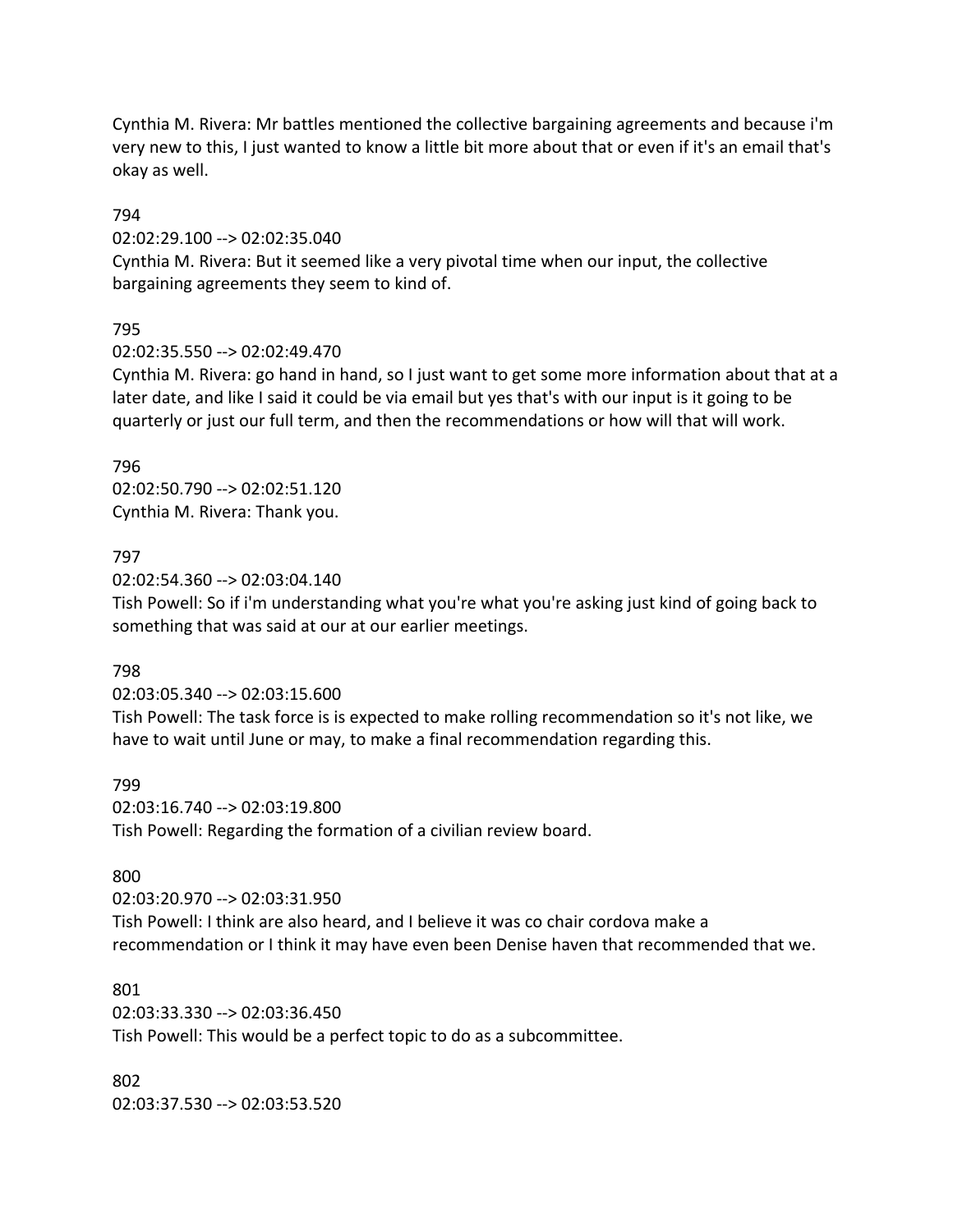Cynthia M. Rivera: Mr battles mentioned the collective bargaining agreements and because i'm very new to this, I just wanted to know a little bit more about that or even if it's an email that's okay as well.

794

02:02:29.100 --> 02:02:35.040

Cynthia M. Rivera: But it seemed like a very pivotal time when our input, the collective bargaining agreements they seem to kind of.

### 795

02:02:35.550 --> 02:02:49.470

Cynthia M. Rivera: go hand in hand, so I just want to get some more information about that at a later date, and like I said it could be via email but yes that's with our input is it going to be quarterly or just our full term, and then the recommendations or how will that will work.

796 02:02:50.790 --> 02:02:51.120 Cynthia M. Rivera: Thank you.

#### 797

02:02:54.360 --> 02:03:04.140

Tish Powell: So if i'm understanding what you're what you're asking just kind of going back to something that was said at our at our earlier meetings.

#### 798

02:03:05.340 --> 02:03:15.600

Tish Powell: The task force is is expected to make rolling recommendation so it's not like, we have to wait until June or may, to make a final recommendation regarding this.

#### 799

02:03:16.740 --> 02:03:19.800 Tish Powell: Regarding the formation of a civilian review board.

#### 800

02:03:20.970 --> 02:03:31.950 Tish Powell: I think are also heard, and I believe it was co chair cordova make a recommendation or I think it may have even been Denise haven that recommended that we.

#### 801

02:03:33.330 --> 02:03:36.450 Tish Powell: This would be a perfect topic to do as a subcommittee.

802

02:03:37.530 --> 02:03:53.520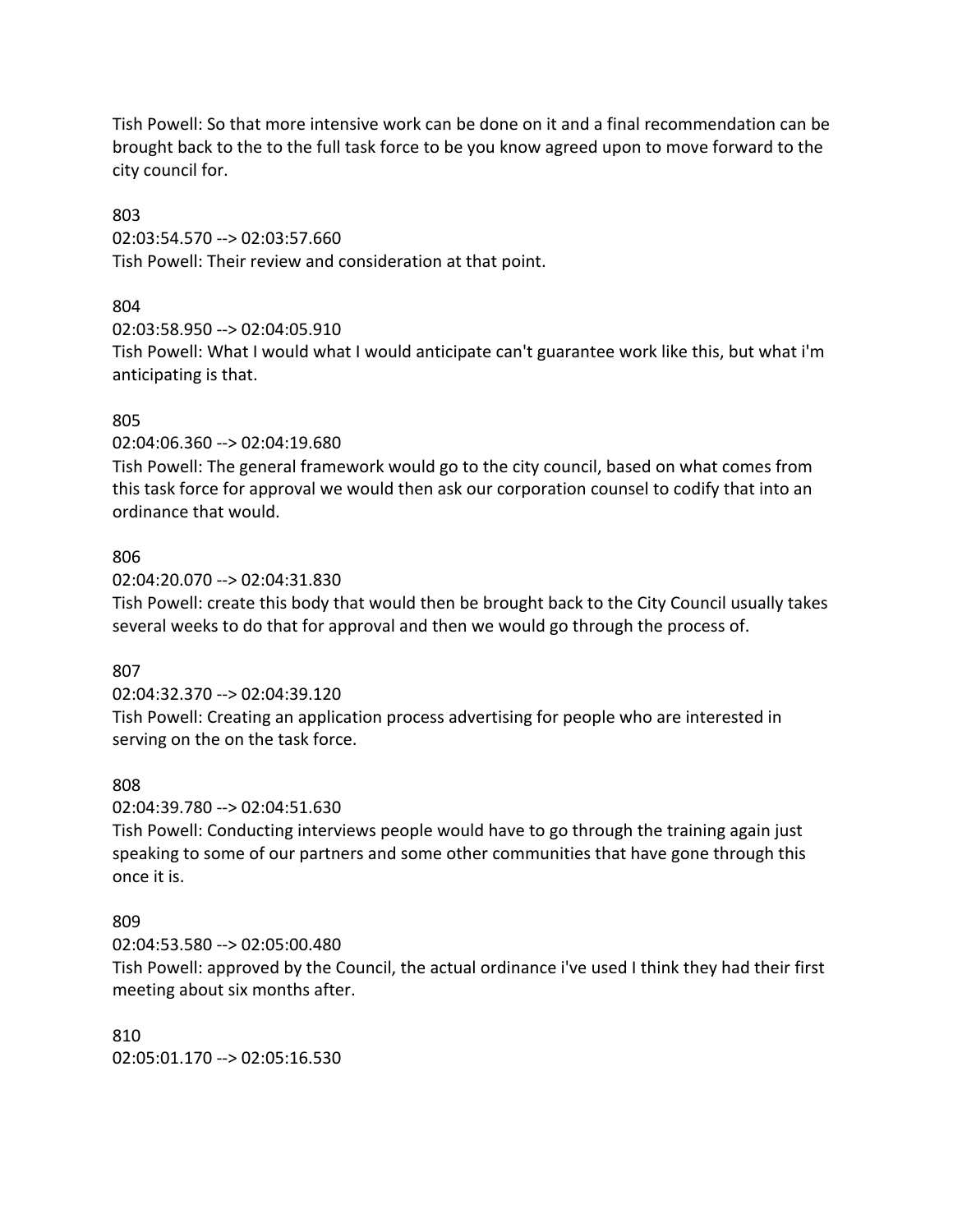Tish Powell: So that more intensive work can be done on it and a final recommendation can be brought back to the to the full task force to be you know agreed upon to move forward to the city council for.

### 803

02:03:54.570 --> 02:03:57.660 Tish Powell: Their review and consideration at that point.

# 804

02:03:58.950 --> 02:04:05.910

Tish Powell: What I would what I would anticipate can't guarantee work like this, but what i'm anticipating is that.

# 805

02:04:06.360 --> 02:04:19.680

Tish Powell: The general framework would go to the city council, based on what comes from this task force for approval we would then ask our corporation counsel to codify that into an ordinance that would.

# 806

02:04:20.070 --> 02:04:31.830

Tish Powell: create this body that would then be brought back to the City Council usually takes several weeks to do that for approval and then we would go through the process of.

# 807

02:04:32.370 --> 02:04:39.120

Tish Powell: Creating an application process advertising for people who are interested in serving on the on the task force.

# 808

02:04:39.780 --> 02:04:51.630

Tish Powell: Conducting interviews people would have to go through the training again just speaking to some of our partners and some other communities that have gone through this once it is.

# 809

02:04:53.580 --> 02:05:00.480

Tish Powell: approved by the Council, the actual ordinance i've used I think they had their first meeting about six months after.

# 810

02:05:01.170 --> 02:05:16.530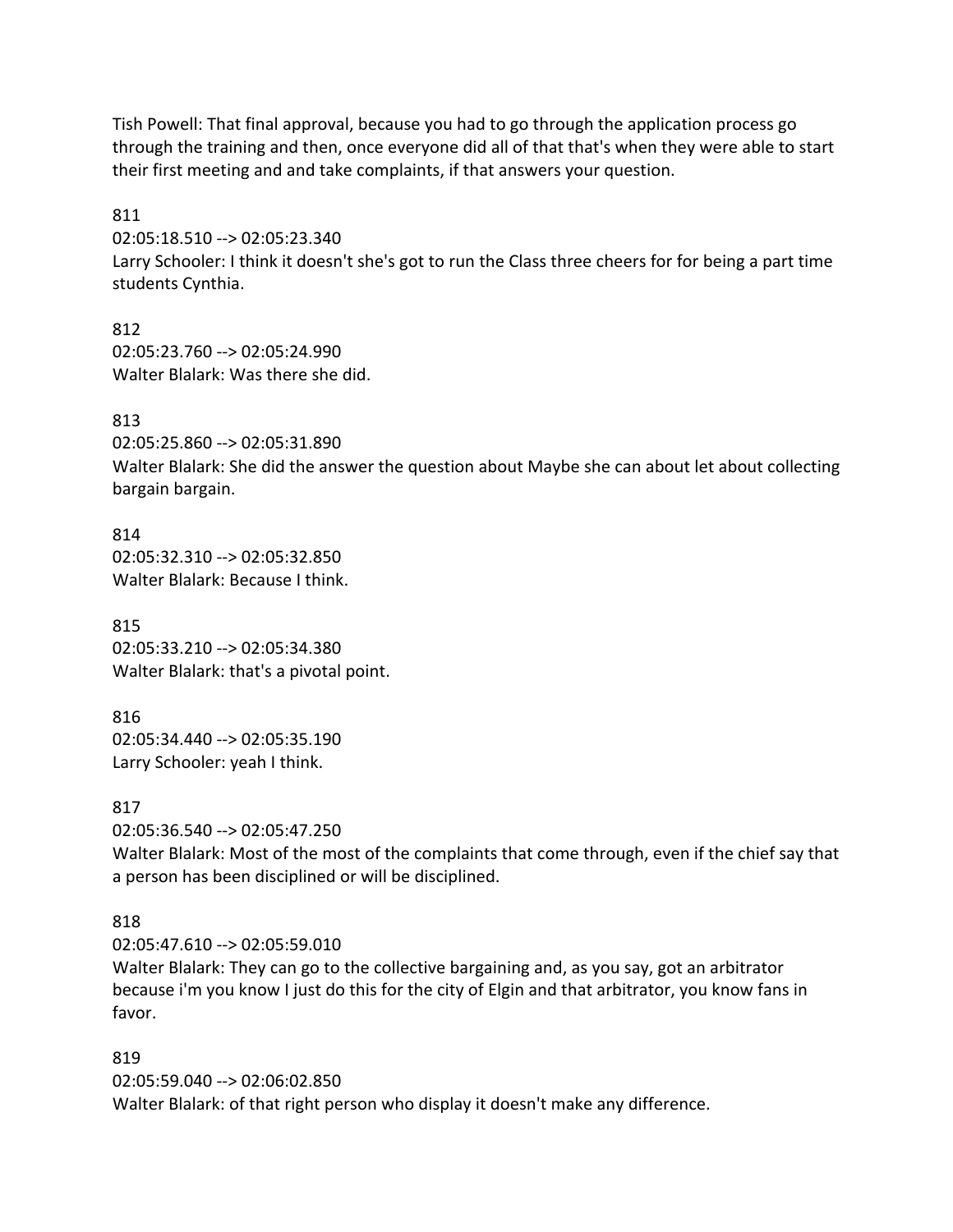Tish Powell: That final approval, because you had to go through the application process go through the training and then, once everyone did all of that that's when they were able to start their first meeting and and take complaints, if that answers your question.

811 02:05:18.510 --> 02:05:23.340

Larry Schooler: I think it doesn't she's got to run the Class three cheers for for being a part time students Cynthia.

812 02:05:23.760 --> 02:05:24.990 Walter Blalark: Was there she did.

813

02:05:25.860 --> 02:05:31.890

Walter Blalark: She did the answer the question about Maybe she can about let about collecting bargain bargain.

814 02:05:32.310 --> 02:05:32.850 Walter Blalark: Because I think.

815 02:05:33.210 --> 02:05:34.380 Walter Blalark: that's a pivotal point.

816 02:05:34.440 --> 02:05:35.190 Larry Schooler: yeah I think.

817 02:05:36.540 --> 02:05:47.250

Walter Blalark: Most of the most of the complaints that come through, even if the chief say that a person has been disciplined or will be disciplined.

# 818

02:05:47.610 --> 02:05:59.010 Walter Blalark: They can go to the collective bargaining and, as you say, got an arbitrator because i'm you know I just do this for the city of Elgin and that arbitrator, you know fans in favor.

# 819

02:05:59.040 --> 02:06:02.850 Walter Blalark: of that right person who display it doesn't make any difference.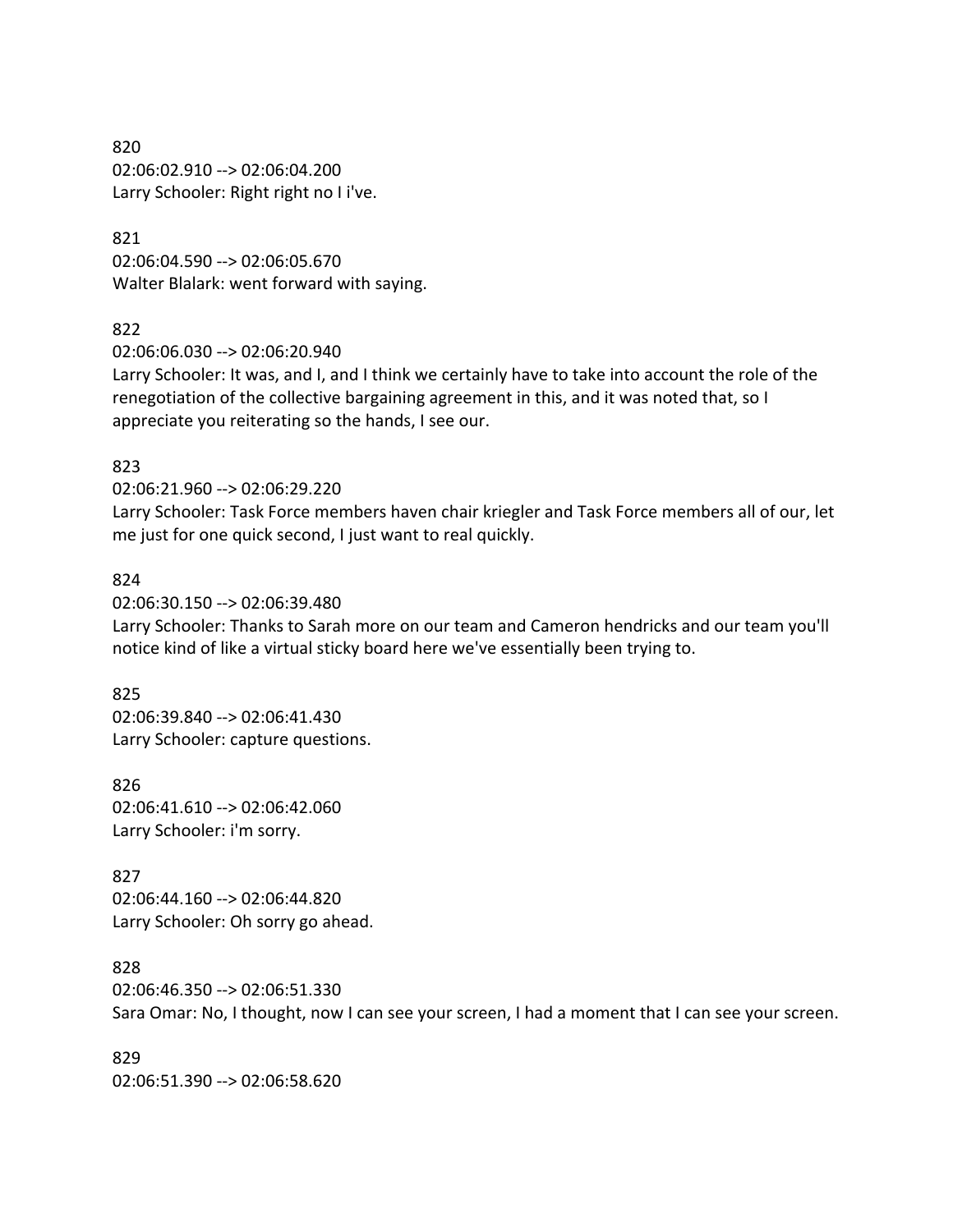820 02:06:02.910 --> 02:06:04.200 Larry Schooler: Right right no I i've.

821

02:06:04.590 --> 02:06:05.670 Walter Blalark: went forward with saying.

822

02:06:06.030 --> 02:06:20.940

Larry Schooler: It was, and I, and I think we certainly have to take into account the role of the renegotiation of the collective bargaining agreement in this, and it was noted that, so I appreciate you reiterating so the hands, I see our.

#### 823

02:06:21.960 --> 02:06:29.220

Larry Schooler: Task Force members haven chair kriegler and Task Force members all of our, let me just for one quick second, I just want to real quickly.

#### 824

02:06:30.150 --> 02:06:39.480

Larry Schooler: Thanks to Sarah more on our team and Cameron hendricks and our team you'll notice kind of like a virtual sticky board here we've essentially been trying to.

#### 825

02:06:39.840 --> 02:06:41.430 Larry Schooler: capture questions.

826 02:06:41.610 --> 02:06:42.060 Larry Schooler: i'm sorry.

827 02:06:44.160 --> 02:06:44.820 Larry Schooler: Oh sorry go ahead.

#### 828

02:06:46.350 --> 02:06:51.330 Sara Omar: No, I thought, now I can see your screen, I had a moment that I can see your screen.

829 02:06:51.390 --> 02:06:58.620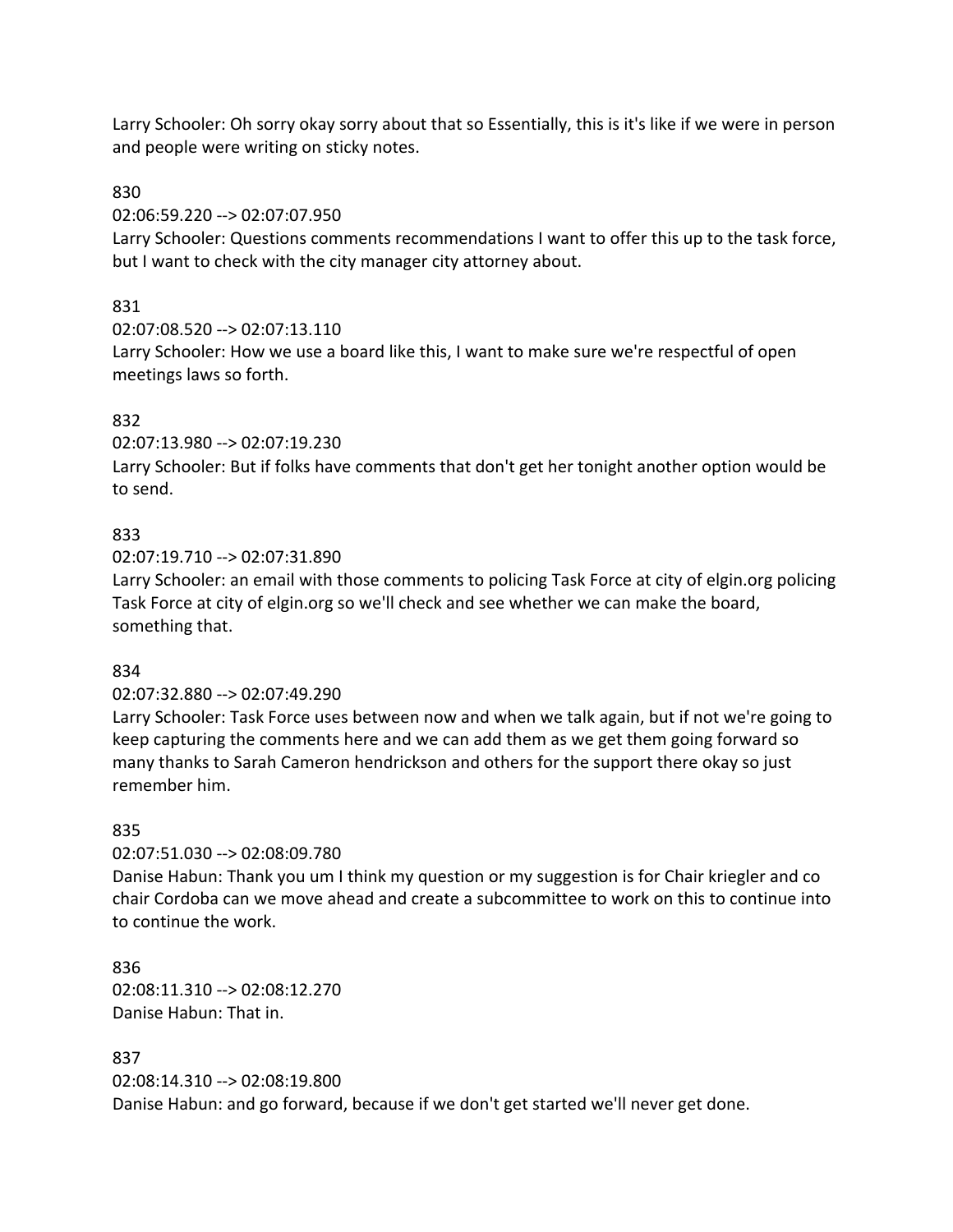Larry Schooler: Oh sorry okay sorry about that so Essentially, this is it's like if we were in person and people were writing on sticky notes.

830

02:06:59.220 --> 02:07:07.950

Larry Schooler: Questions comments recommendations I want to offer this up to the task force, but I want to check with the city manager city attorney about.

# 831

02:07:08.520 --> 02:07:13.110

Larry Schooler: How we use a board like this, I want to make sure we're respectful of open meetings laws so forth.

### 832

02:07:13.980 --> 02:07:19.230

Larry Schooler: But if folks have comments that don't get her tonight another option would be to send.

### 833

02:07:19.710 --> 02:07:31.890

Larry Schooler: an email with those comments to policing Task Force at city of elgin.org policing Task Force at city of elgin.org so we'll check and see whether we can make the board, something that.

#### 834

#### 02:07:32.880 --> 02:07:49.290

Larry Schooler: Task Force uses between now and when we talk again, but if not we're going to keep capturing the comments here and we can add them as we get them going forward so many thanks to Sarah Cameron hendrickson and others for the support there okay so just remember him.

#### 835

02:07:51.030 --> 02:08:09.780

Danise Habun: Thank you um I think my question or my suggestion is for Chair kriegler and co chair Cordoba can we move ahead and create a subcommittee to work on this to continue into to continue the work.

836 02:08:11.310 --> 02:08:12.270 Danise Habun: That in.

837 02:08:14.310 --> 02:08:19.800 Danise Habun: and go forward, because if we don't get started we'll never get done.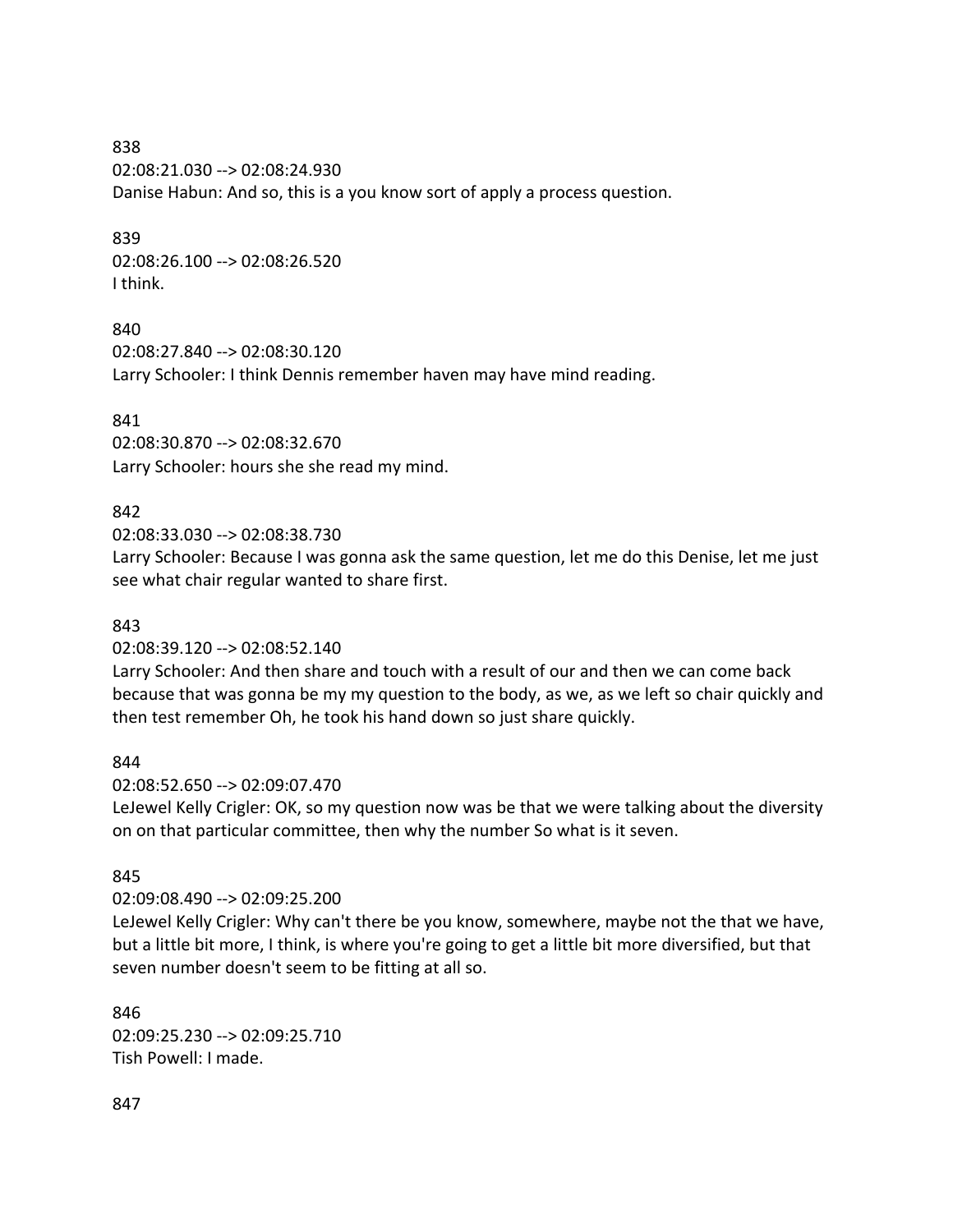838 02:08:21.030 --> 02:08:24.930 Danise Habun: And so, this is a you know sort of apply a process question.

#### 839

02:08:26.100 --> 02:08:26.520 I think.

#### 840

02:08:27.840 --> 02:08:30.120 Larry Schooler: I think Dennis remember haven may have mind reading.

#### 841

02:08:30.870 --> 02:08:32.670 Larry Schooler: hours she she read my mind.

### 842

02:08:33.030 --> 02:08:38.730

Larry Schooler: Because I was gonna ask the same question, let me do this Denise, let me just see what chair regular wanted to share first.

#### 843

02:08:39.120 --> 02:08:52.140

Larry Schooler: And then share and touch with a result of our and then we can come back because that was gonna be my my question to the body, as we, as we left so chair quickly and then test remember Oh, he took his hand down so just share quickly.

# 844

02:08:52.650 --> 02:09:07.470

LeJewel Kelly Crigler: OK, so my question now was be that we were talking about the diversity on on that particular committee, then why the number So what is it seven.

# 845

02:09:08.490 --> 02:09:25.200

LeJewel Kelly Crigler: Why can't there be you know, somewhere, maybe not the that we have, but a little bit more, I think, is where you're going to get a little bit more diversified, but that seven number doesn't seem to be fitting at all so.

846 02:09:25.230 --> 02:09:25.710 Tish Powell: I made.

847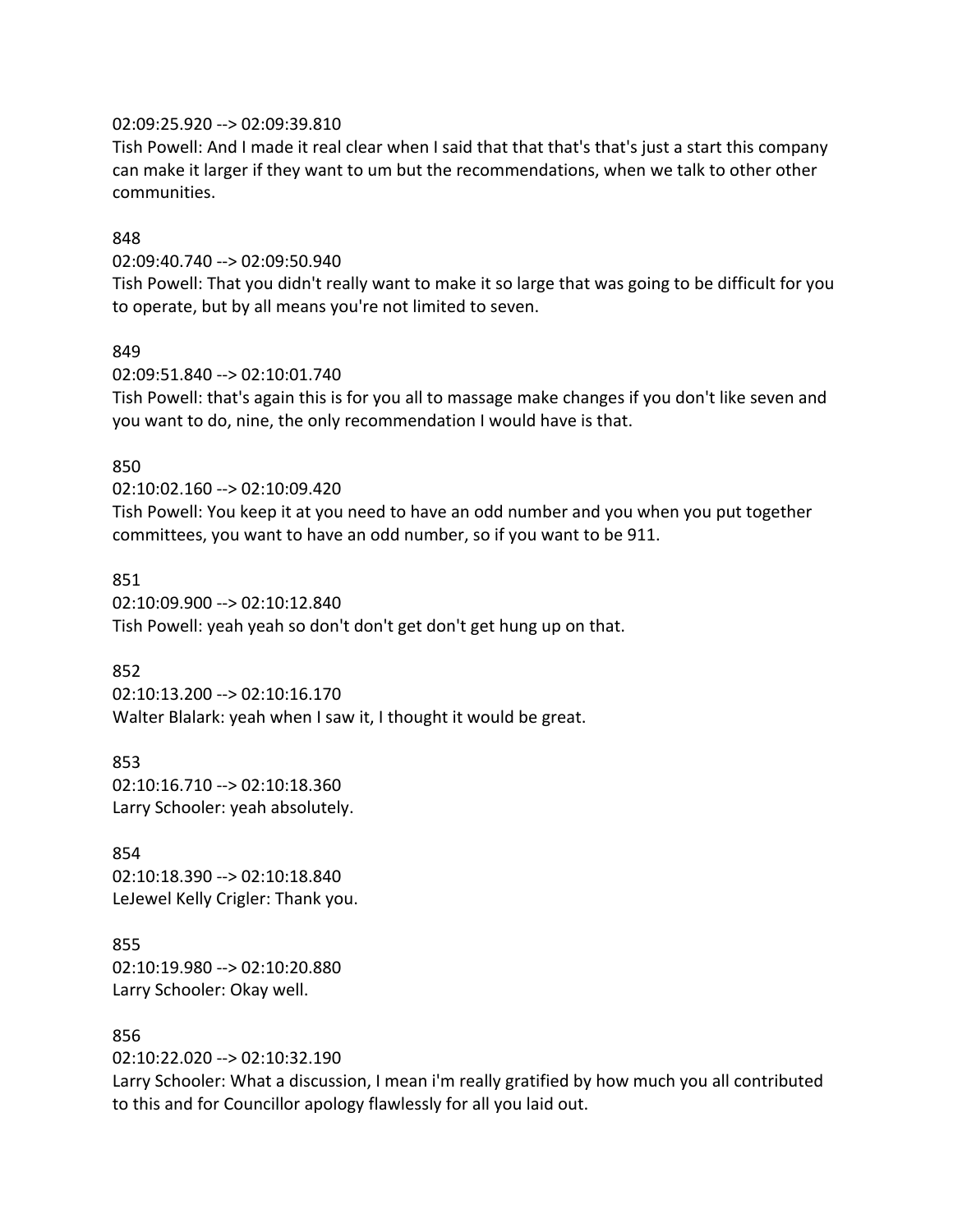#### 02:09:25.920 --> 02:09:39.810

Tish Powell: And I made it real clear when I said that that that's that's just a start this company can make it larger if they want to um but the recommendations, when we talk to other other communities.

#### 848

02:09:40.740 --> 02:09:50.940

Tish Powell: That you didn't really want to make it so large that was going to be difficult for you to operate, but by all means you're not limited to seven.

#### 849

02:09:51.840 --> 02:10:01.740

Tish Powell: that's again this is for you all to massage make changes if you don't like seven and you want to do, nine, the only recommendation I would have is that.

#### 850

02:10:02.160 --> 02:10:09.420

Tish Powell: You keep it at you need to have an odd number and you when you put together committees, you want to have an odd number, so if you want to be 911.

851

02:10:09.900 --> 02:10:12.840 Tish Powell: yeah yeah so don't don't get don't get hung up on that.

#### 852

02:10:13.200 --> 02:10:16.170 Walter Blalark: yeah when I saw it, I thought it would be great.

853 02:10:16.710 --> 02:10:18.360 Larry Schooler: yeah absolutely.

854 02:10:18.390 --> 02:10:18.840 LeJewel Kelly Crigler: Thank you.

855 02:10:19.980 --> 02:10:20.880 Larry Schooler: Okay well.

#### 856

02:10:22.020 --> 02:10:32.190

Larry Schooler: What a discussion, I mean i'm really gratified by how much you all contributed to this and for Councillor apology flawlessly for all you laid out.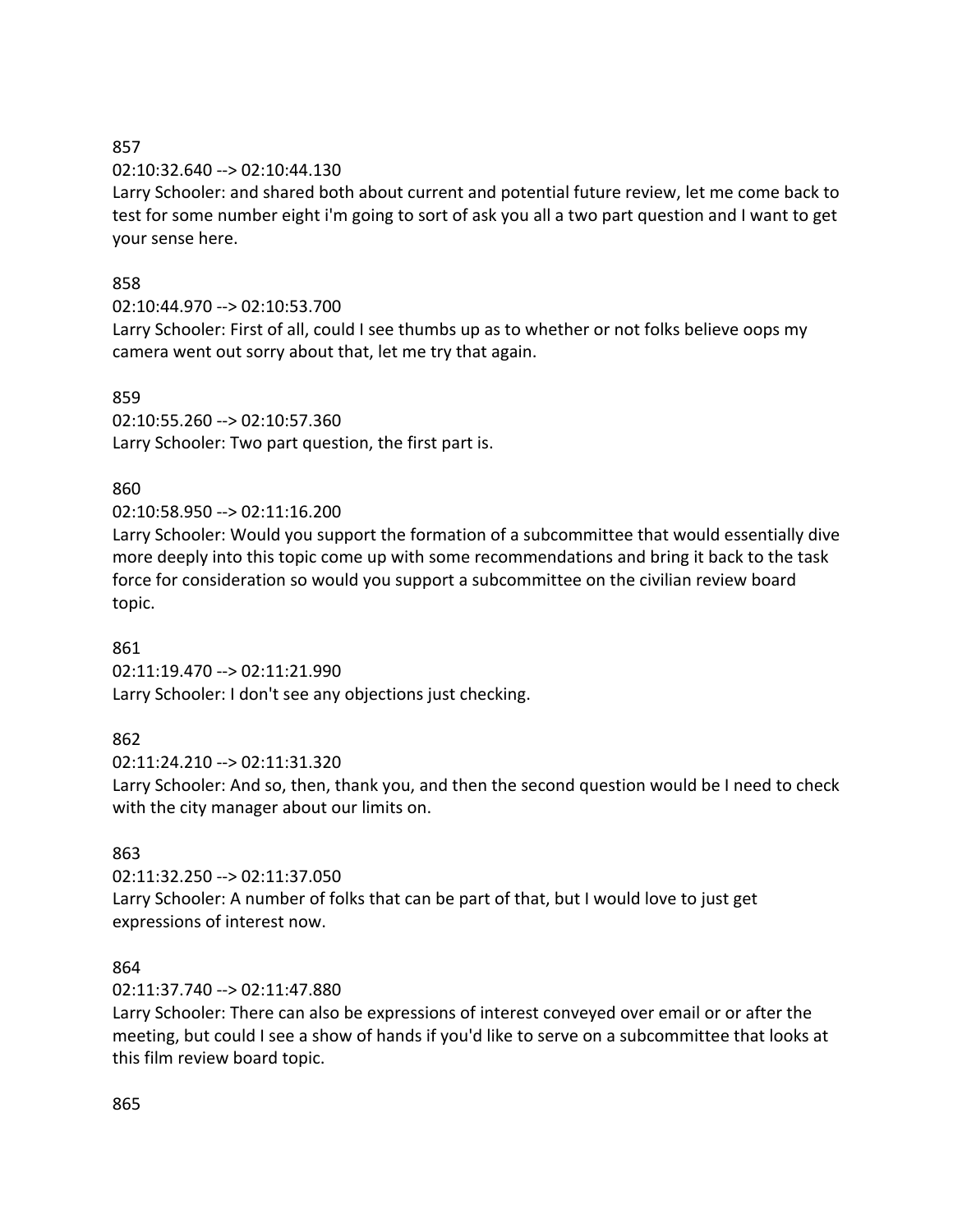# 857

# 02:10:32.640 --> 02:10:44.130

Larry Schooler: and shared both about current and potential future review, let me come back to test for some number eight i'm going to sort of ask you all a two part question and I want to get your sense here.

# 858

# 02:10:44.970 --> 02:10:53.700

Larry Schooler: First of all, could I see thumbs up as to whether or not folks believe oops my camera went out sorry about that, let me try that again.

# 859

02:10:55.260 --> 02:10:57.360 Larry Schooler: Two part question, the first part is.

# 860

# 02:10:58.950 --> 02:11:16.200

Larry Schooler: Would you support the formation of a subcommittee that would essentially dive more deeply into this topic come up with some recommendations and bring it back to the task force for consideration so would you support a subcommittee on the civilian review board topic.

# 861

02:11:19.470 --> 02:11:21.990 Larry Schooler: I don't see any objections just checking.

# 862

02:11:24.210 --> 02:11:31.320

Larry Schooler: And so, then, thank you, and then the second question would be I need to check with the city manager about our limits on.

# 863

02:11:32.250 --> 02:11:37.050 Larry Schooler: A number of folks that can be part of that, but I would love to just get expressions of interest now.

# 864

# 02:11:37.740 --> 02:11:47.880

Larry Schooler: There can also be expressions of interest conveyed over email or or after the meeting, but could I see a show of hands if you'd like to serve on a subcommittee that looks at this film review board topic.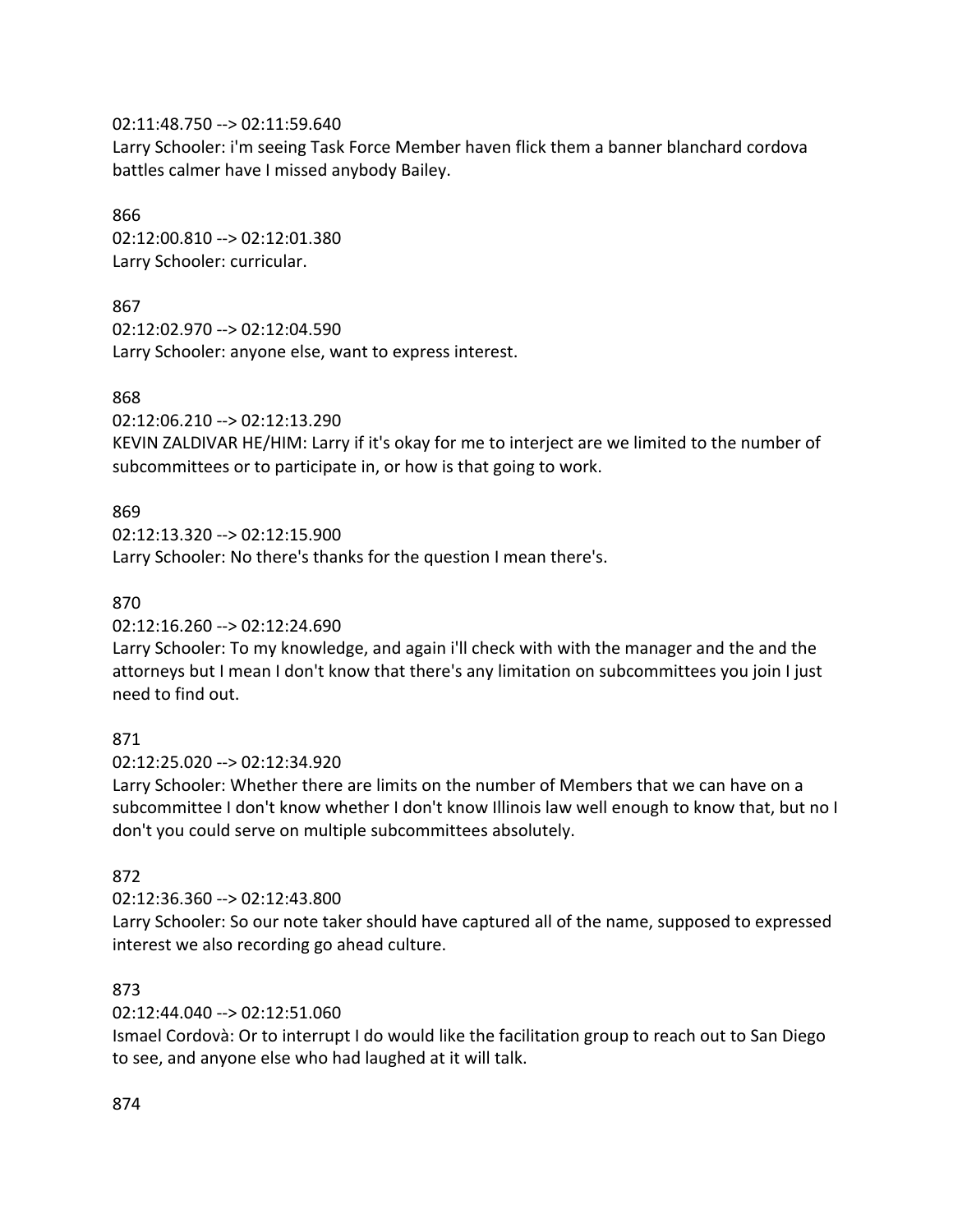#### 02:11:48.750 --> 02:11:59.640

Larry Schooler: i'm seeing Task Force Member haven flick them a banner blanchard cordova battles calmer have I missed anybody Bailey.

### 866

02:12:00.810 --> 02:12:01.380 Larry Schooler: curricular.

### 867

02:12:02.970 --> 02:12:04.590 Larry Schooler: anyone else, want to express interest.

### 868

02:12:06.210 --> 02:12:13.290

KEVIN ZALDIVAR HE/HIM: Larry if it's okay for me to interject are we limited to the number of subcommittees or to participate in, or how is that going to work.

# 869

02:12:13.320 --> 02:12:15.900 Larry Schooler: No there's thanks for the question I mean there's.

# 870

02:12:16.260 --> 02:12:24.690

Larry Schooler: To my knowledge, and again i'll check with with the manager and the and the attorneys but I mean I don't know that there's any limitation on subcommittees you join I just need to find out.

# 871

02:12:25.020 --> 02:12:34.920

Larry Schooler: Whether there are limits on the number of Members that we can have on a subcommittee I don't know whether I don't know Illinois law well enough to know that, but no I don't you could serve on multiple subcommittees absolutely.

# 872

02:12:36.360 --> 02:12:43.800

Larry Schooler: So our note taker should have captured all of the name, supposed to expressed interest we also recording go ahead culture.

# 873

02:12:44.040 --> 02:12:51.060

Ismael Cordovà: Or to interrupt I do would like the facilitation group to reach out to San Diego to see, and anyone else who had laughed at it will talk.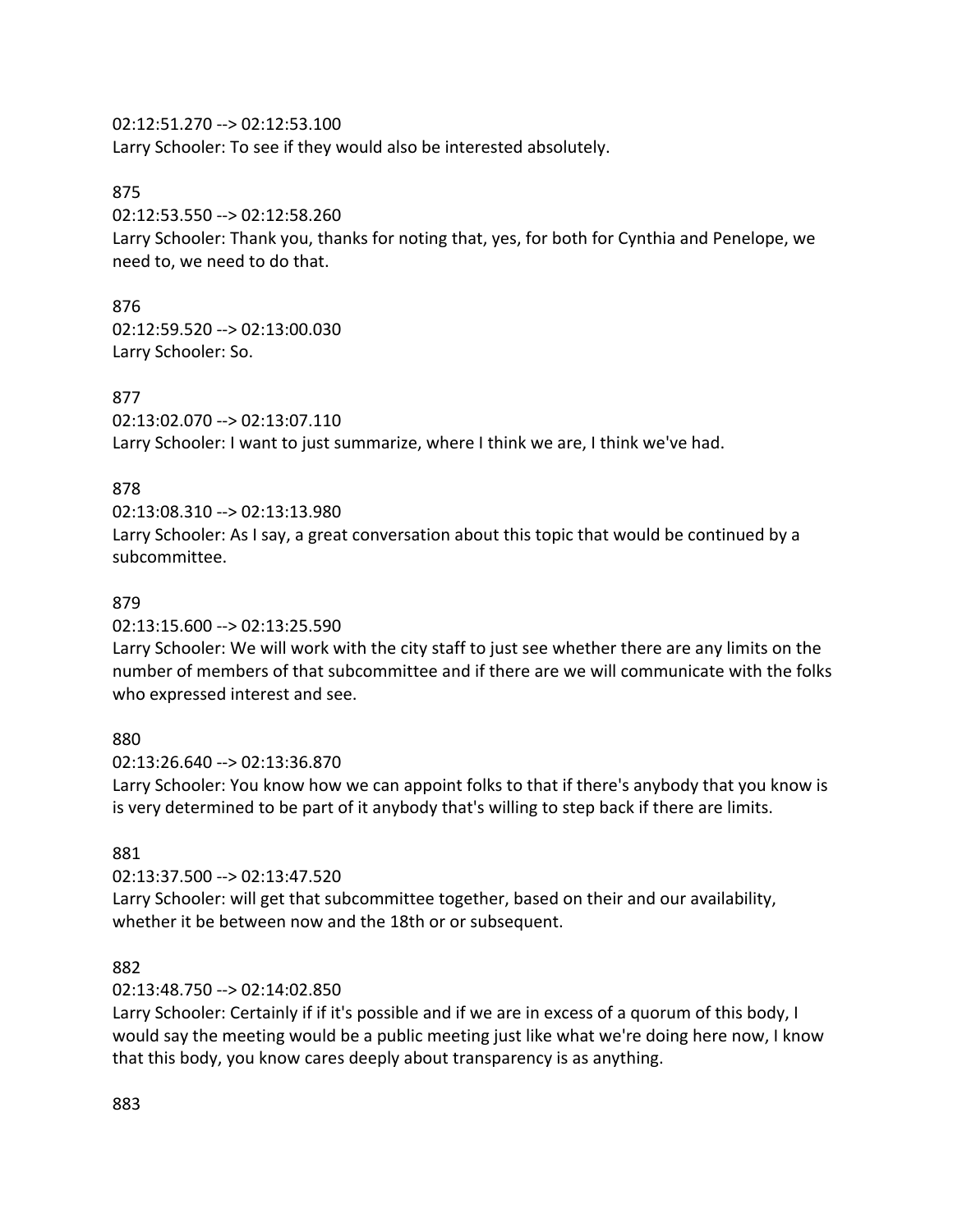02:12:51.270 --> 02:12:53.100

Larry Schooler: To see if they would also be interested absolutely.

### 875

02:12:53.550 --> 02:12:58.260

Larry Schooler: Thank you, thanks for noting that, yes, for both for Cynthia and Penelope, we need to, we need to do that.

876 02:12:59.520 --> 02:13:00.030 Larry Schooler: So.

877

02:13:02.070 --> 02:13:07.110

Larry Schooler: I want to just summarize, where I think we are, I think we've had.

### 878

02:13:08.310 --> 02:13:13.980

Larry Schooler: As I say, a great conversation about this topic that would be continued by a subcommittee.

### 879

02:13:15.600 --> 02:13:25.590

Larry Schooler: We will work with the city staff to just see whether there are any limits on the number of members of that subcommittee and if there are we will communicate with the folks who expressed interest and see.

# 880

02:13:26.640 --> 02:13:36.870

Larry Schooler: You know how we can appoint folks to that if there's anybody that you know is is very determined to be part of it anybody that's willing to step back if there are limits.

# 881

02:13:37.500 --> 02:13:47.520

Larry Schooler: will get that subcommittee together, based on their and our availability, whether it be between now and the 18th or or subsequent.

# 882

#### 02:13:48.750 --> 02:14:02.850

Larry Schooler: Certainly if if it's possible and if we are in excess of a quorum of this body, I would say the meeting would be a public meeting just like what we're doing here now, I know that this body, you know cares deeply about transparency is as anything.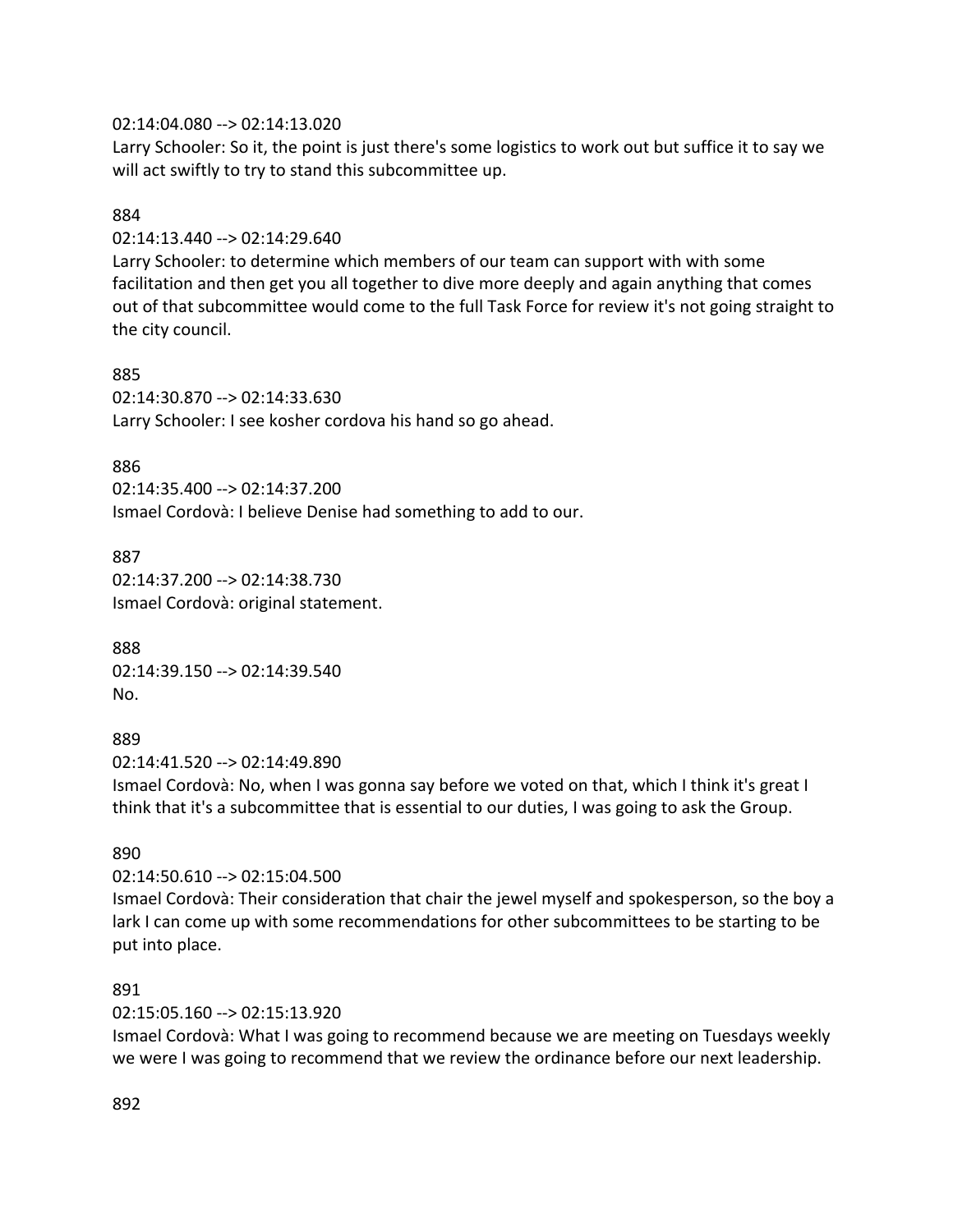#### 02:14:04.080 --> 02:14:13.020

Larry Schooler: So it, the point is just there's some logistics to work out but suffice it to say we will act swiftly to try to stand this subcommittee up.

#### 884

#### 02:14:13.440 --> 02:14:29.640

Larry Schooler: to determine which members of our team can support with with some facilitation and then get you all together to dive more deeply and again anything that comes out of that subcommittee would come to the full Task Force for review it's not going straight to the city council.

#### 885

02:14:30.870 --> 02:14:33.630 Larry Schooler: I see kosher cordova his hand so go ahead.

#### 886

02:14:35.400 --> 02:14:37.200 Ismael Cordovà: I believe Denise had something to add to our.

#### 887

02:14:37.200 --> 02:14:38.730 Ismael Cordovà: original statement.

#### 888 02:14:39.150 --> 02:14:39.540 No.

#### 889

02:14:41.520 --> 02:14:49.890

Ismael Cordovà: No, when I was gonna say before we voted on that, which I think it's great I think that it's a subcommittee that is essential to our duties, I was going to ask the Group.

#### 890

#### 02:14:50.610 --> 02:15:04.500

Ismael Cordovà: Their consideration that chair the jewel myself and spokesperson, so the boy a lark I can come up with some recommendations for other subcommittees to be starting to be put into place.

#### 891

#### 02:15:05.160 --> 02:15:13.920

Ismael Cordovà: What I was going to recommend because we are meeting on Tuesdays weekly we were I was going to recommend that we review the ordinance before our next leadership.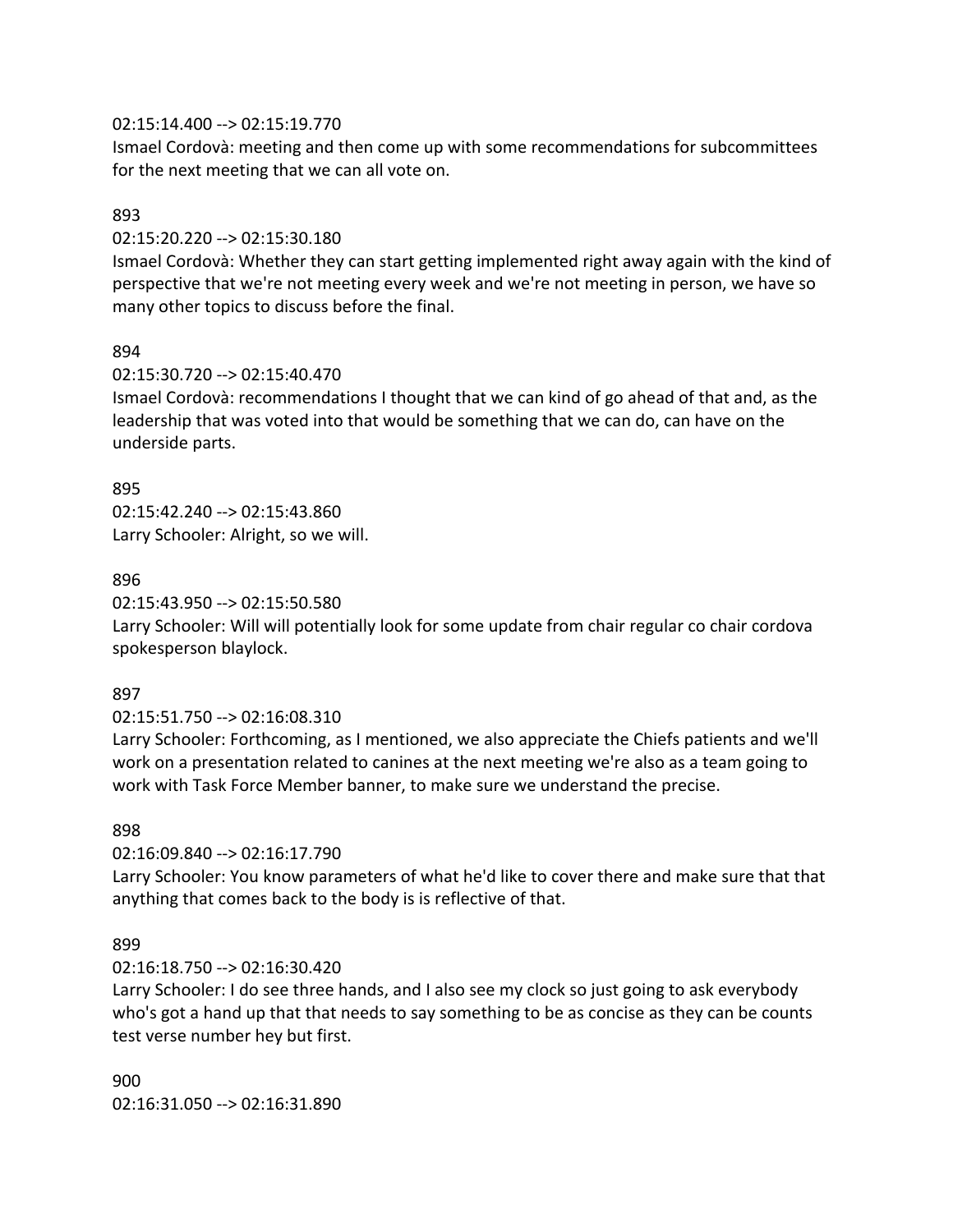#### 02:15:14.400 --> 02:15:19.770

Ismael Cordovà: meeting and then come up with some recommendations for subcommittees for the next meeting that we can all vote on.

#### 893

### 02:15:20.220 --> 02:15:30.180

Ismael Cordovà: Whether they can start getting implemented right away again with the kind of perspective that we're not meeting every week and we're not meeting in person, we have so many other topics to discuss before the final.

### 894

### 02:15:30.720 --> 02:15:40.470

Ismael Cordovà: recommendations I thought that we can kind of go ahead of that and, as the leadership that was voted into that would be something that we can do, can have on the underside parts.

### 895

02:15:42.240 --> 02:15:43.860 Larry Schooler: Alright, so we will.

### 896

#### 02:15:43.950 --> 02:15:50.580

Larry Schooler: Will will potentially look for some update from chair regular co chair cordova spokesperson blaylock.

#### 897

# 02:15:51.750 --> 02:16:08.310

Larry Schooler: Forthcoming, as I mentioned, we also appreciate the Chiefs patients and we'll work on a presentation related to canines at the next meeting we're also as a team going to work with Task Force Member banner, to make sure we understand the precise.

#### 898

# 02:16:09.840 --> 02:16:17.790

Larry Schooler: You know parameters of what he'd like to cover there and make sure that that anything that comes back to the body is is reflective of that.

# 899

# 02:16:18.750 --> 02:16:30.420

Larry Schooler: I do see three hands, and I also see my clock so just going to ask everybody who's got a hand up that that needs to say something to be as concise as they can be counts test verse number hey but first.

900 02:16:31.050 --> 02:16:31.890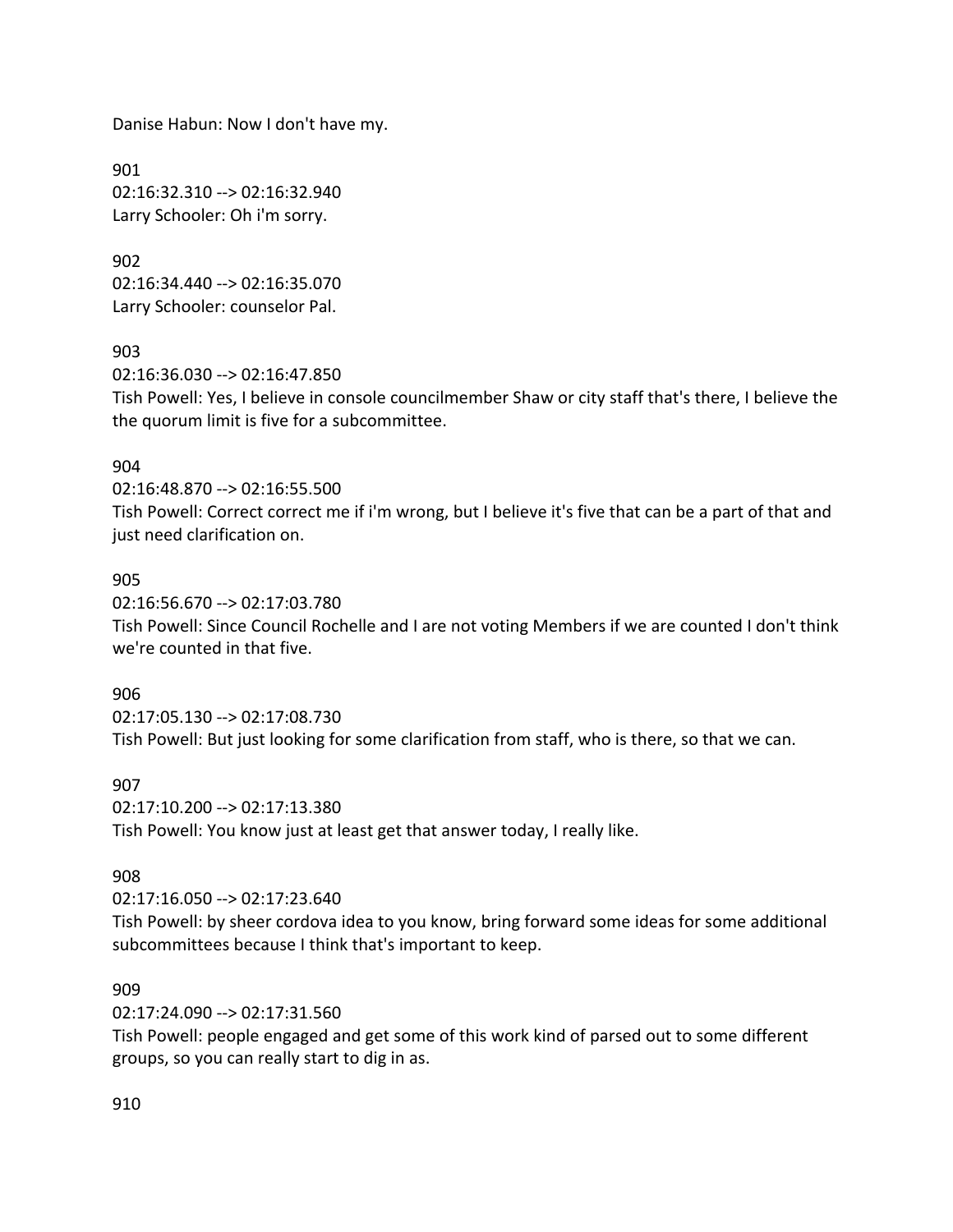Danise Habun: Now I don't have my.

901 02:16:32.310 --> 02:16:32.940 Larry Schooler: Oh i'm sorry.

902 02:16:34.440 --> 02:16:35.070 Larry Schooler: counselor Pal.

903

02:16:36.030 --> 02:16:47.850 Tish Powell: Yes, I believe in console councilmember Shaw or city staff that's there, I believe the the quorum limit is five for a subcommittee.

#### 904

02:16:48.870 --> 02:16:55.500 Tish Powell: Correct correct me if i'm wrong, but I believe it's five that can be a part of that and just need clarification on.

### 905

02:16:56.670 --> 02:17:03.780 Tish Powell: Since Council Rochelle and I are not voting Members if we are counted I don't think we're counted in that five.

#### 906

02:17:05.130 --> 02:17:08.730 Tish Powell: But just looking for some clarification from staff, who is there, so that we can.

#### 907

02:17:10.200 --> 02:17:13.380 Tish Powell: You know just at least get that answer today, I really like.

# 908

02:17:16.050 --> 02:17:23.640

Tish Powell: by sheer cordova idea to you know, bring forward some ideas for some additional subcommittees because I think that's important to keep.

#### 909

02:17:24.090 --> 02:17:31.560

Tish Powell: people engaged and get some of this work kind of parsed out to some different groups, so you can really start to dig in as.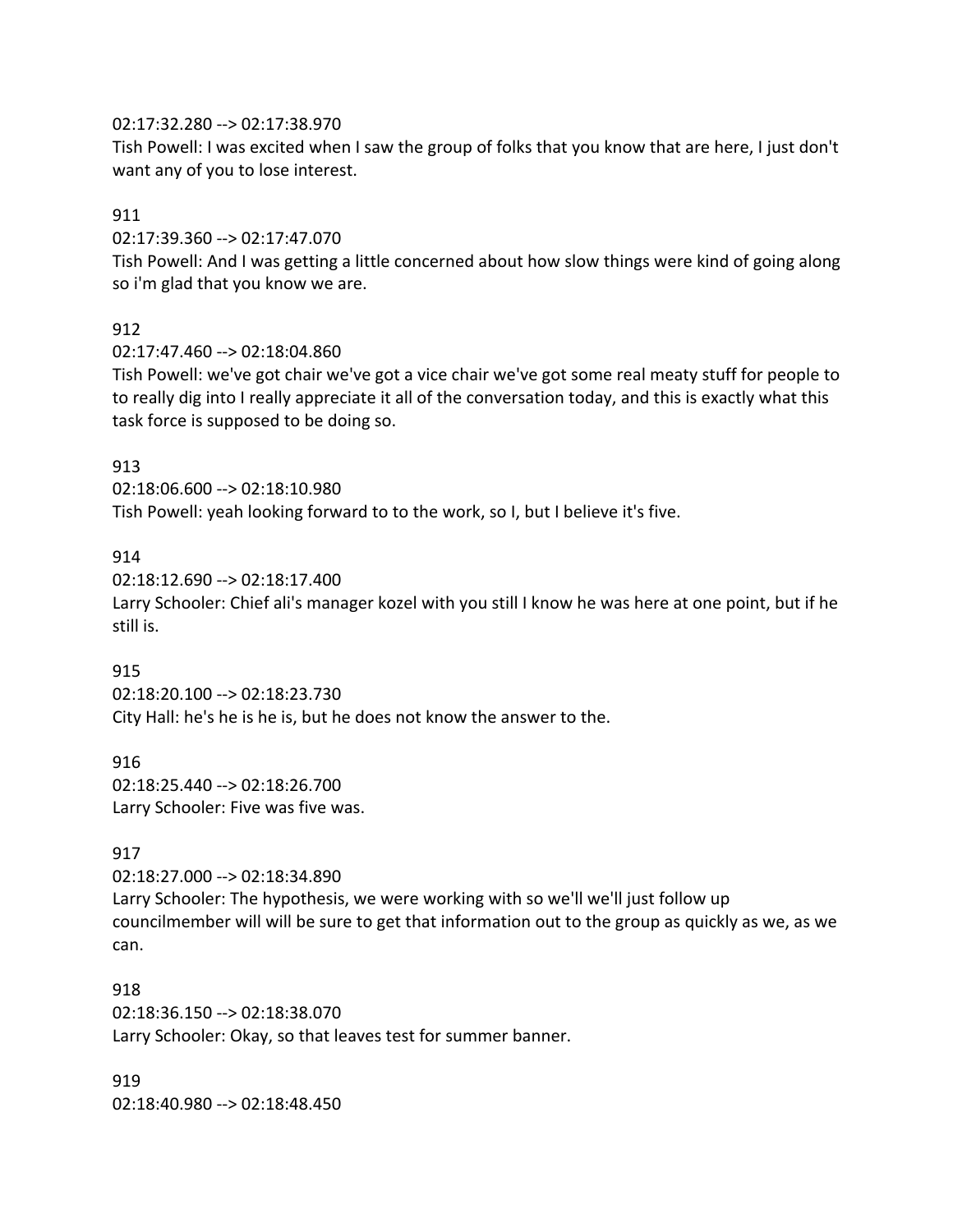#### 02:17:32.280 --> 02:17:38.970

Tish Powell: I was excited when I saw the group of folks that you know that are here, I just don't want any of you to lose interest.

#### 911

02:17:39.360 --> 02:17:47.070

Tish Powell: And I was getting a little concerned about how slow things were kind of going along so i'm glad that you know we are.

# 912

02:17:47.460 --> 02:18:04.860

Tish Powell: we've got chair we've got a vice chair we've got some real meaty stuff for people to to really dig into I really appreciate it all of the conversation today, and this is exactly what this task force is supposed to be doing so.

### 913

02:18:06.600 --> 02:18:10.980 Tish Powell: yeah looking forward to to the work, so I, but I believe it's five.

### 914

02:18:12.690 --> 02:18:17.400 Larry Schooler: Chief ali's manager kozel with you still I know he was here at one point, but if he still is.

# 915

02:18:20.100 --> 02:18:23.730 City Hall: he's he is he is, but he does not know the answer to the.

916 02:18:25.440 --> 02:18:26.700 Larry Schooler: Five was five was.

#### 917

02:18:27.000 --> 02:18:34.890 Larry Schooler: The hypothesis, we were working with so we'll we'll just follow up councilmember will will be sure to get that information out to the group as quickly as we, as we can.

#### 918

02:18:36.150 --> 02:18:38.070 Larry Schooler: Okay, so that leaves test for summer banner.

919 02:18:40.980 --> 02:18:48.450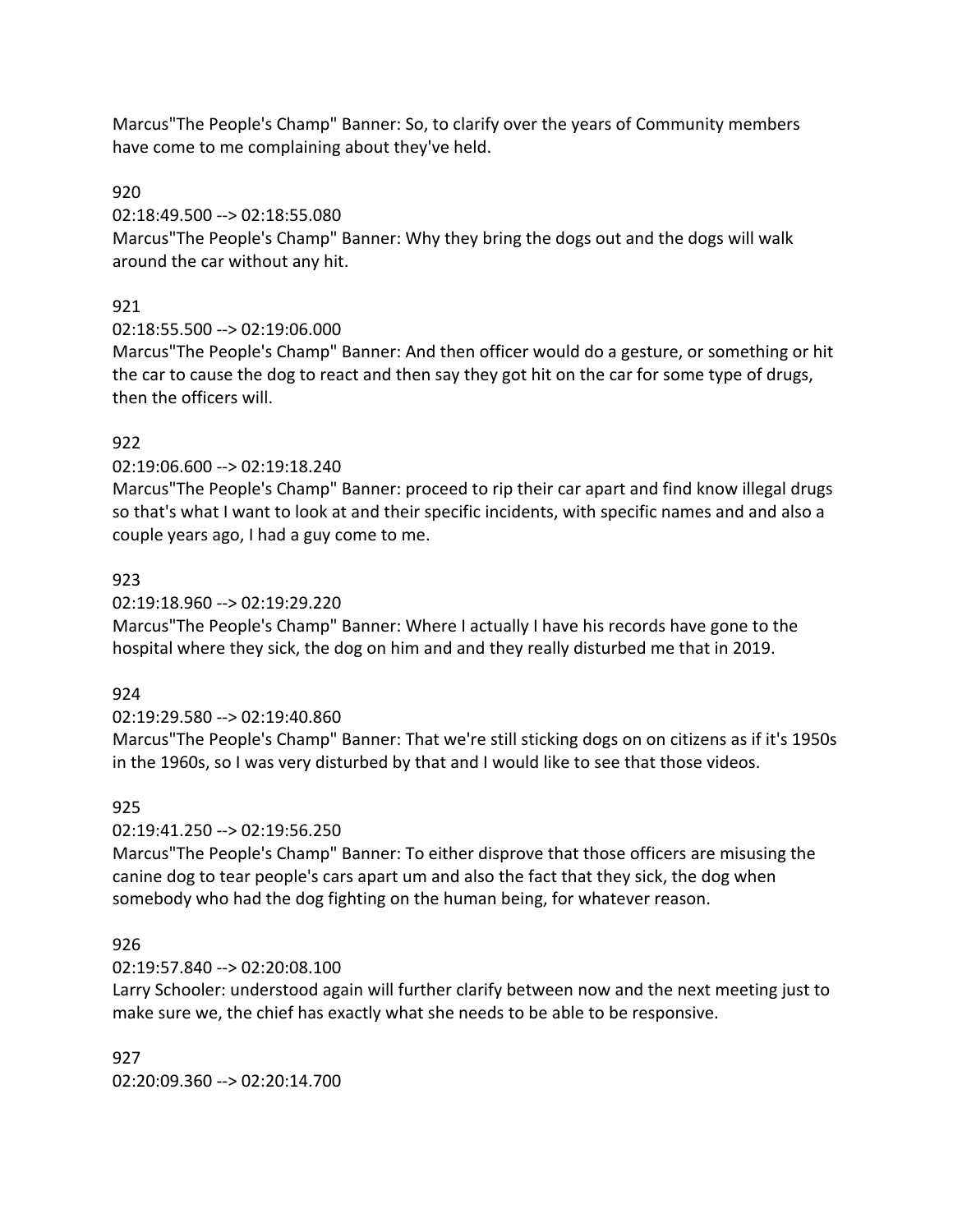Marcus"The People's Champ" Banner: So, to clarify over the years of Community members have come to me complaining about they've held.

# 920

# 02:18:49.500 --> 02:18:55.080

Marcus"The People's Champ" Banner: Why they bring the dogs out and the dogs will walk around the car without any hit.

# 921

# 02:18:55.500 --> 02:19:06.000

Marcus"The People's Champ" Banner: And then officer would do a gesture, or something or hit the car to cause the dog to react and then say they got hit on the car for some type of drugs, then the officers will.

# 922

# 02:19:06.600 --> 02:19:18.240

Marcus"The People's Champ" Banner: proceed to rip their car apart and find know illegal drugs so that's what I want to look at and their specific incidents, with specific names and and also a couple years ago, I had a guy come to me.

# 923

# 02:19:18.960 --> 02:19:29.220

Marcus"The People's Champ" Banner: Where I actually I have his records have gone to the hospital where they sick, the dog on him and and they really disturbed me that in 2019.

# 924

# 02:19:29.580 --> 02:19:40.860

Marcus"The People's Champ" Banner: That we're still sticking dogs on on citizens as if it's 1950s in the 1960s, so I was very disturbed by that and I would like to see that those videos.

# 925

# 02:19:41.250 --> 02:19:56.250

Marcus"The People's Champ" Banner: To either disprove that those officers are misusing the canine dog to tear people's cars apart um and also the fact that they sick, the dog when somebody who had the dog fighting on the human being, for whatever reason.

# 926

# 02:19:57.840 --> 02:20:08.100

Larry Schooler: understood again will further clarify between now and the next meeting just to make sure we, the chief has exactly what she needs to be able to be responsive.

927 02:20:09.360 --> 02:20:14.700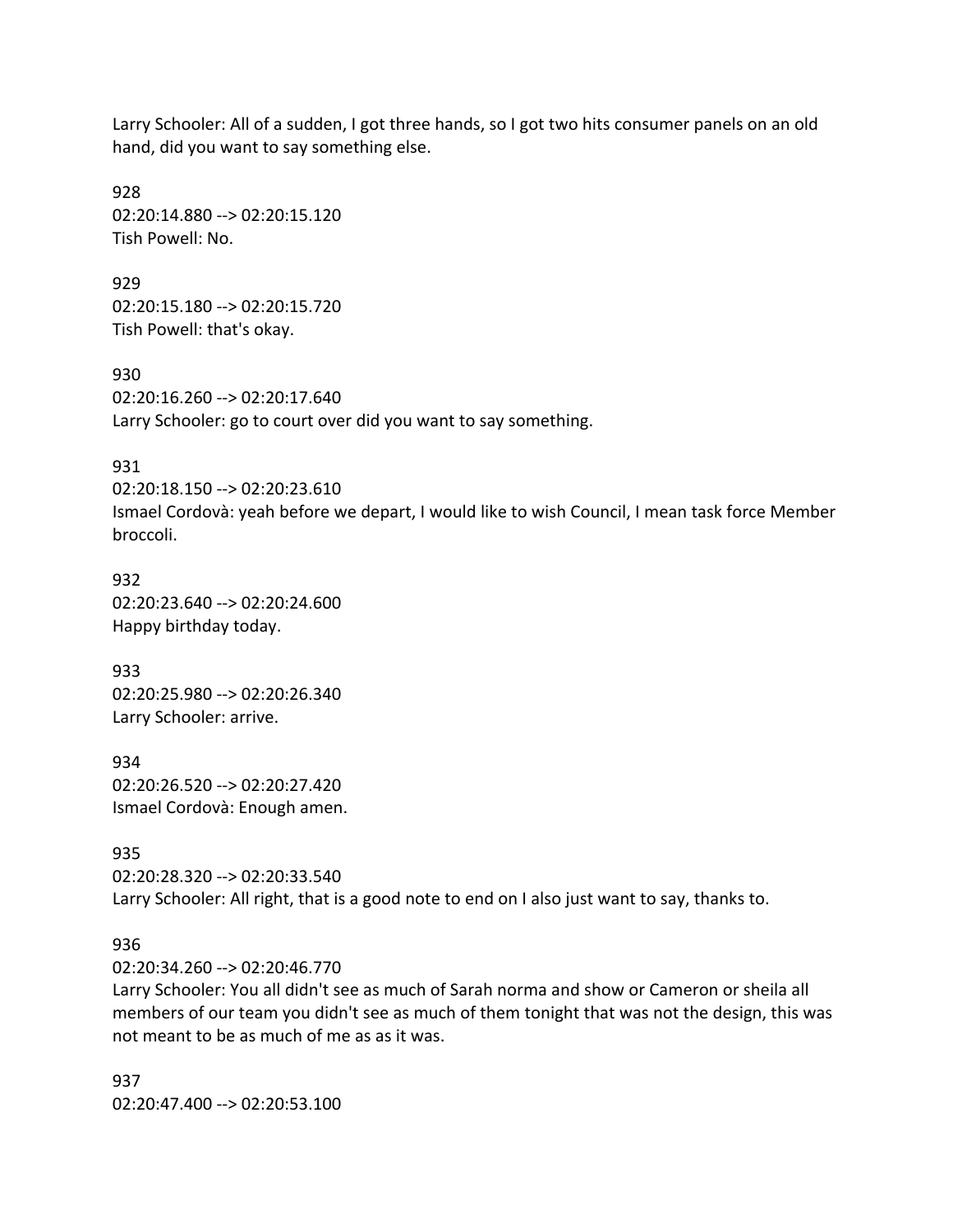Larry Schooler: All of a sudden, I got three hands, so I got two hits consumer panels on an old hand, did you want to say something else.

928 02:20:14.880 --> 02:20:15.120 Tish Powell: No.

929 02:20:15.180 --> 02:20:15.720 Tish Powell: that's okay.

930 02:20:16.260 --> 02:20:17.640 Larry Schooler: go to court over did you want to say something.

#### 931

02:20:18.150 --> 02:20:23.610 Ismael Cordovà: yeah before we depart, I would like to wish Council, I mean task force Member broccoli.

932 02:20:23.640 --> 02:20:24.600 Happy birthday today.

933 02:20:25.980 --> 02:20:26.340 Larry Schooler: arrive.

934 02:20:26.520 --> 02:20:27.420 Ismael Cordovà: Enough amen.

#### 935

02:20:28.320 --> 02:20:33.540 Larry Schooler: All right, that is a good note to end on I also just want to say, thanks to.

#### 936

02:20:34.260 --> 02:20:46.770

Larry Schooler: You all didn't see as much of Sarah norma and show or Cameron or sheila all members of our team you didn't see as much of them tonight that was not the design, this was not meant to be as much of me as as it was.

937 02:20:47.400 --> 02:20:53.100